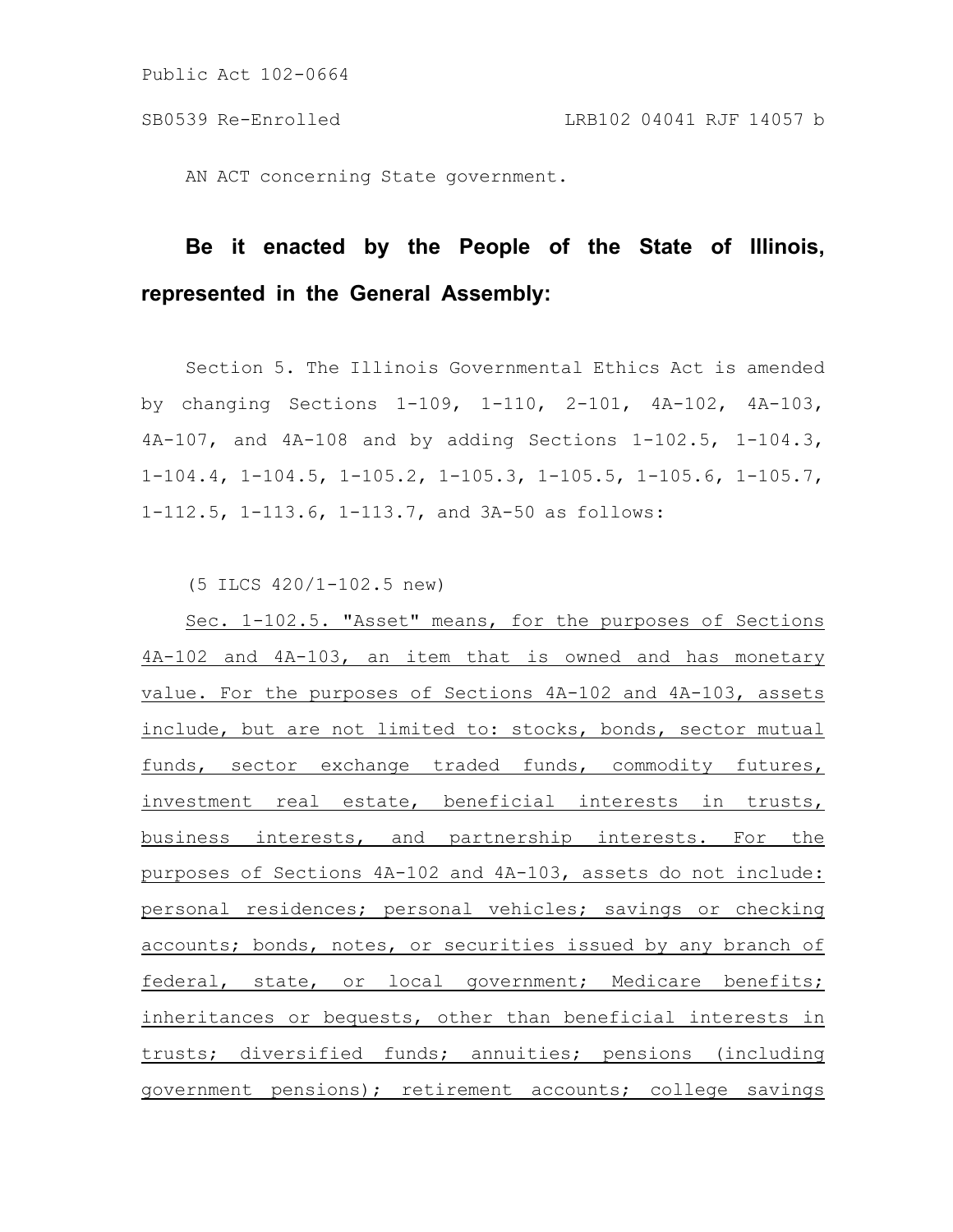AN ACT concerning State government.

# **Be it enacted by the People of the State of Illinois, represented in the General Assembly:**

Section 5. The Illinois Governmental Ethics Act is amended by changing Sections 1-109, 1-110, 2-101, 4A-102, 4A-103, 4A-107, and 4A-108 and by adding Sections 1-102.5, 1-104.3, 1-104.4, 1-104.5, 1-105.2, 1-105.3, 1-105.5, 1-105.6, 1-105.7, 1-112.5, 1-113.6, 1-113.7, and 3A-50 as follows:

(5 ILCS 420/1-102.5 new)

Sec. 1-102.5. "Asset" means, for the purposes of Sections 4A-102 and 4A-103, an item that is owned and has monetary value. For the purposes of Sections 4A-102 and 4A-103, assets include, but are not limited to: stocks, bonds, sector mutual funds, sector exchange traded funds, commodity futures, investment real estate, beneficial interests in trusts, business interests, and partnership interests. For the purposes of Sections 4A-102 and 4A-103, assets do not include: personal residences; personal vehicles; savings or checking accounts; bonds, notes, or securities issued by any branch of federal, state, or local government; Medicare benefits; inheritances or bequests, other than beneficial interests in trusts; diversified funds; annuities; pensions (including government pensions); retirement accounts; college savings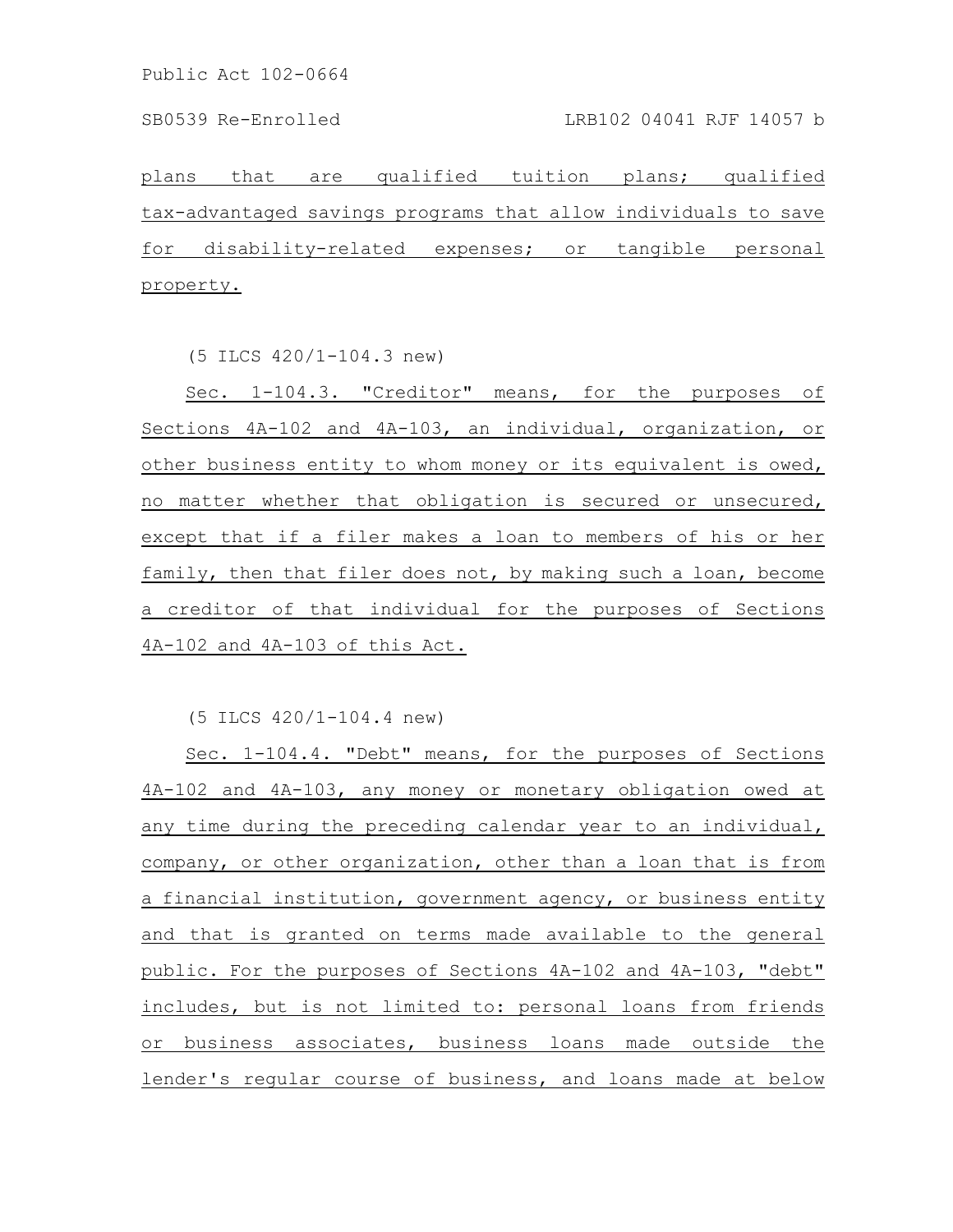plans that are qualified tuition plans; qualified tax-advantaged savings programs that allow individuals to save for disability-related expenses; or tangible personal property.

(5 ILCS 420/1-104.3 new)

Sec. 1-104.3. "Creditor" means, for the purposes of Sections 4A-102 and 4A-103, an individual, organization, or other business entity to whom money or its equivalent is owed, no matter whether that obligation is secured or unsecured, except that if a filer makes a loan to members of his or her family, then that filer does not, by making such a loan, become a creditor of that individual for the purposes of Sections 4A-102 and 4A-103 of this Act.

(5 ILCS 420/1-104.4 new)

Sec. 1-104.4. "Debt" means, for the purposes of Sections 4A-102 and 4A-103, any money or monetary obligation owed at any time during the preceding calendar year to an individual, company, or other organization, other than a loan that is from a financial institution, government agency, or business entity and that is granted on terms made available to the general public. For the purposes of Sections 4A-102 and 4A-103, "debt" includes, but is not limited to: personal loans from friends or business associates, business loans made outside the lender's regular course of business, and loans made at below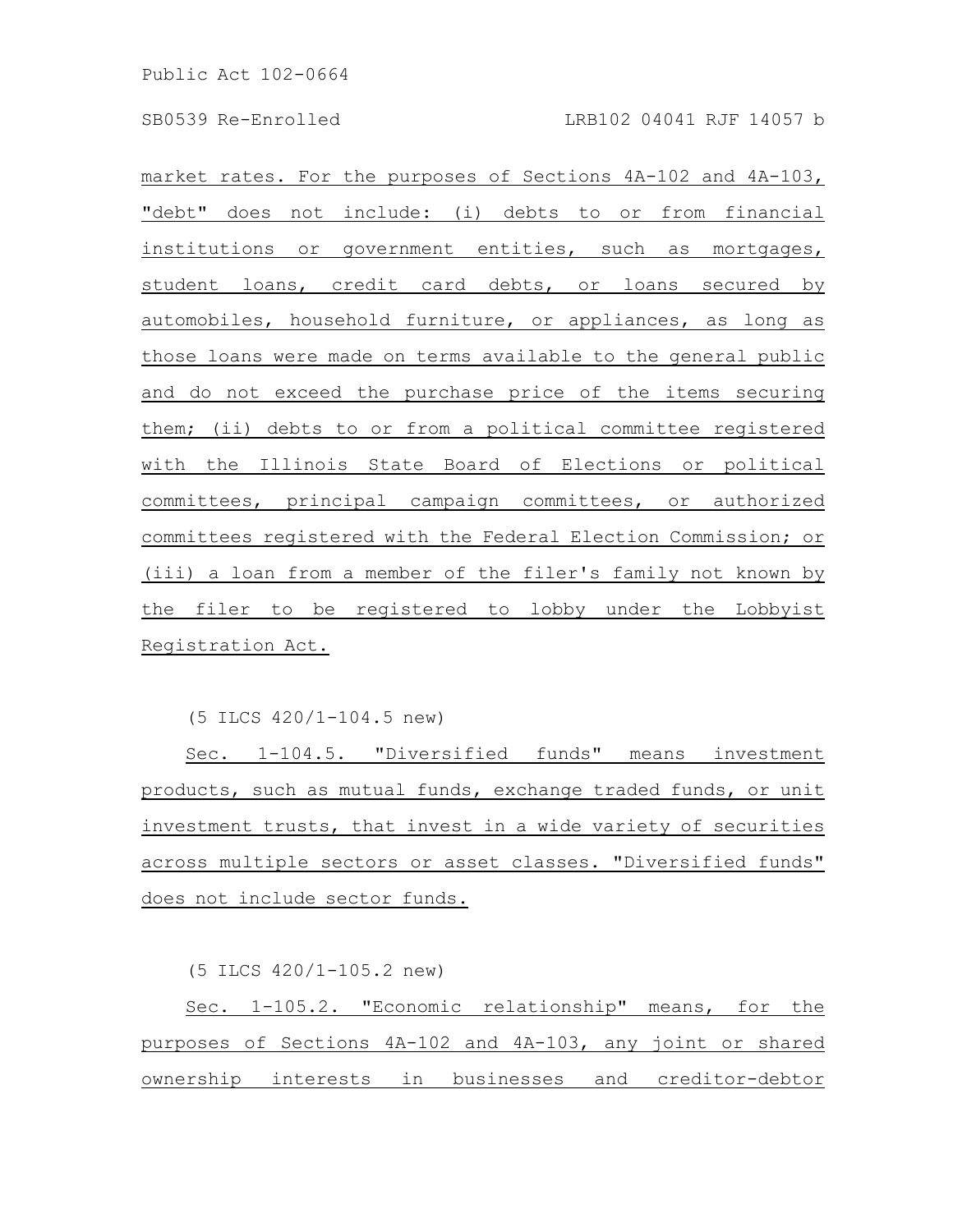market rates. For the purposes of Sections 4A-102 and 4A-103, "debt" does not include: (i) debts to or from financial institutions or government entities, such as mortgages, student loans, credit card debts, or loans secured by automobiles, household furniture, or appliances, as long as those loans were made on terms available to the general public and do not exceed the purchase price of the items securing them; (ii) debts to or from a political committee registered with the Illinois State Board of Elections or political committees, principal campaign committees, or authorized committees registered with the Federal Election Commission; or (iii) a loan from a member of the filer's family not known by the filer to be registered to lobby under the Lobbyist Registration Act.

(5 ILCS 420/1-104.5 new)

Sec. 1-104.5. "Diversified funds" means investment products, such as mutual funds, exchange traded funds, or unit investment trusts, that invest in a wide variety of securities across multiple sectors or asset classes. "Diversified funds" does not include sector funds.

(5 ILCS 420/1-105.2 new)

Sec. 1-105.2. "Economic relationship" means, for the purposes of Sections 4A-102 and 4A-103, any joint or shared ownership interests in businesses and creditor-debtor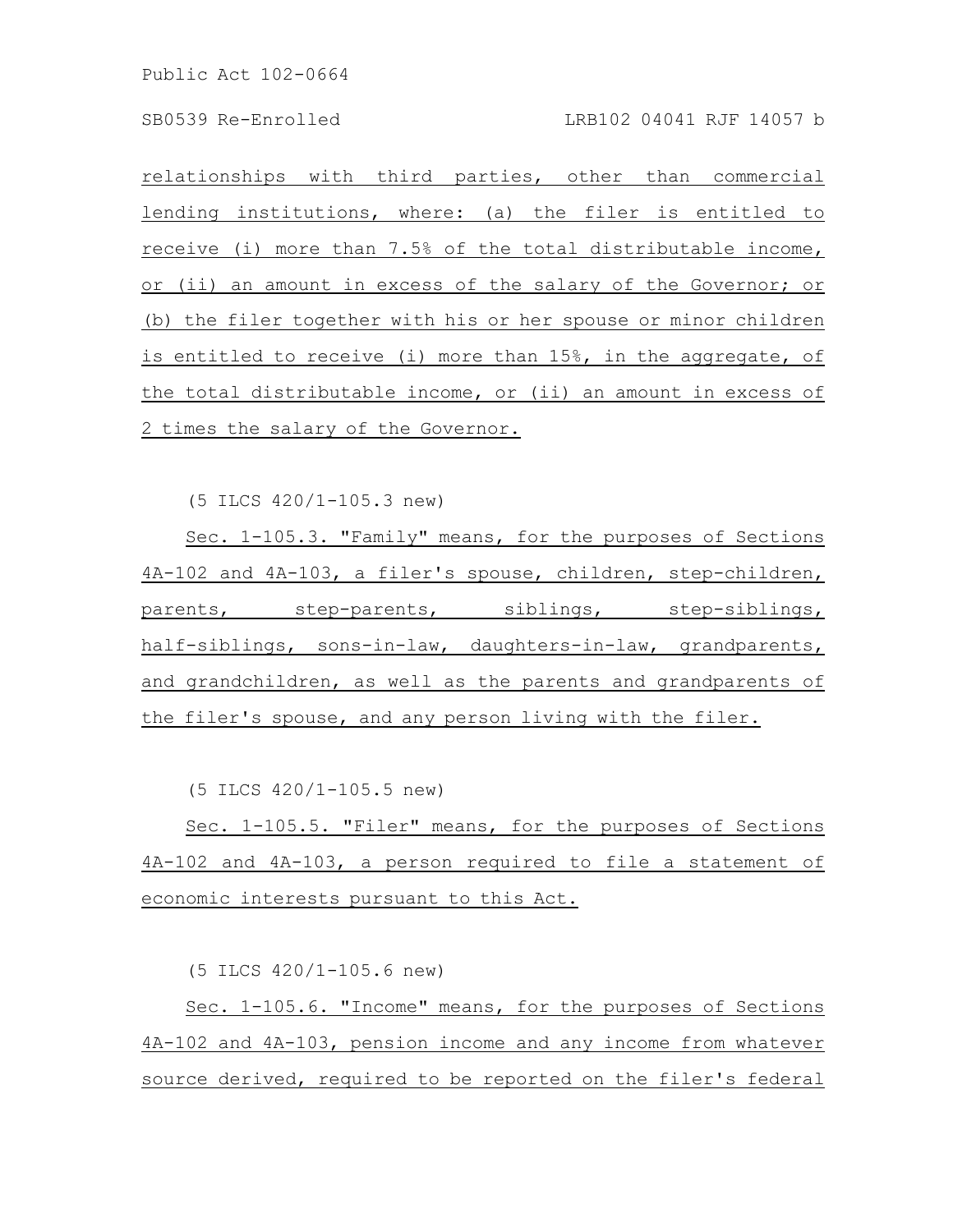relationships with third parties, other than commercial lending institutions, where: (a) the filer is entitled to receive (i) more than 7.5% of the total distributable income, or (ii) an amount in excess of the salary of the Governor; or (b) the filer together with his or her spouse or minor children is entitled to receive (i) more than 15%, in the aggregate, of the total distributable income, or (ii) an amount in excess of 2 times the salary of the Governor.

(5 ILCS 420/1-105.3 new)

Sec. 1-105.3. "Family" means, for the purposes of Sections 4A-102 and 4A-103, a filer's spouse, children, step-children, parents, step-parents, siblings, step-siblings, half-siblings, sons-in-law, daughters-in-law, grandparents, and grandchildren, as well as the parents and grandparents of the filer's spouse, and any person living with the filer.

(5 ILCS 420/1-105.5 new)

Sec. 1-105.5. "Filer" means, for the purposes of Sections 4A-102 and 4A-103, a person required to file a statement of economic interests pursuant to this Act.

(5 ILCS 420/1-105.6 new)

Sec. 1-105.6. "Income" means, for the purposes of Sections 4A-102 and 4A-103, pension income and any income from whatever source derived, required to be reported on the filer's federal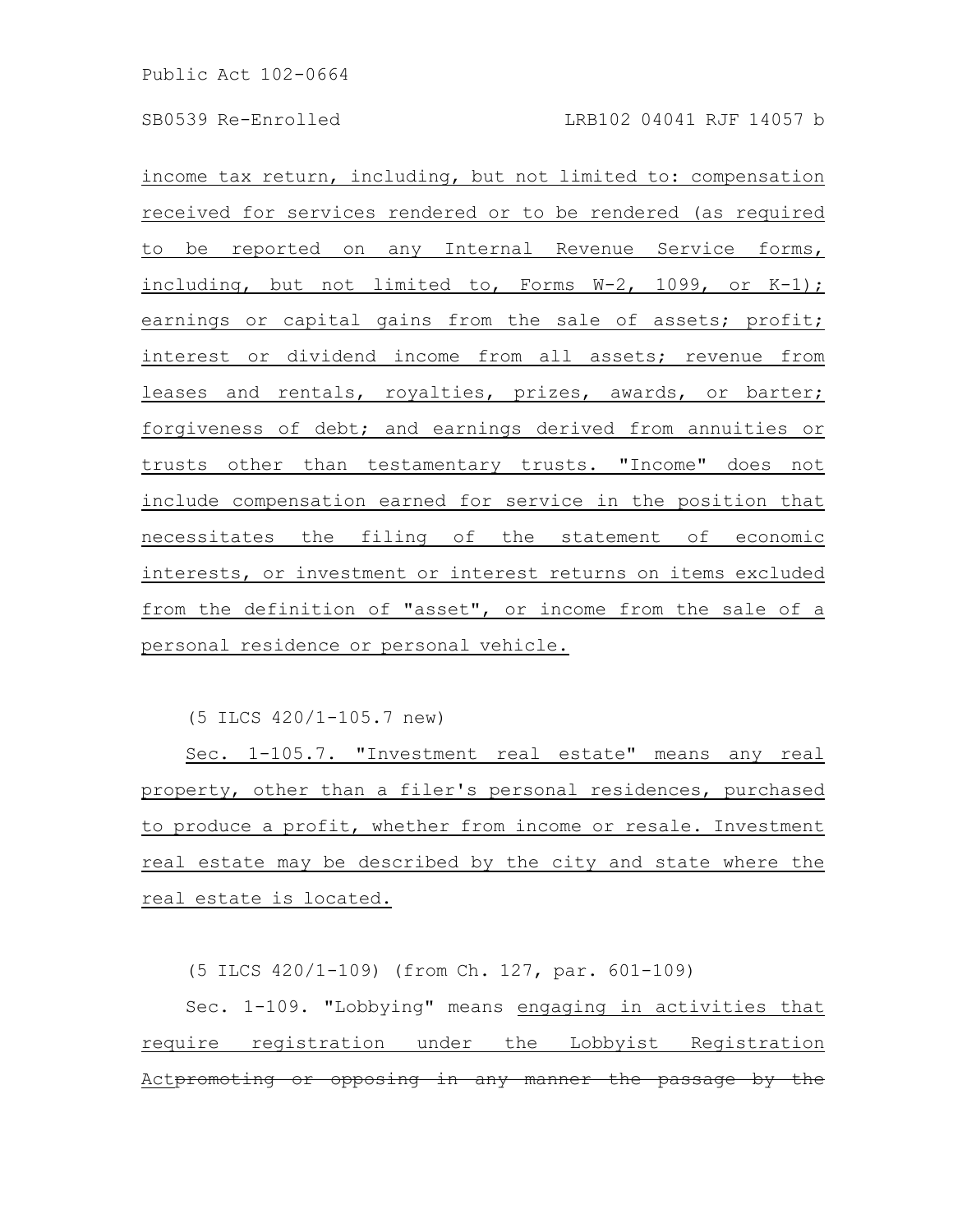income tax return, including, but not limited to: compensation received for services rendered or to be rendered (as required to be reported on any Internal Revenue Service forms, including, but not limited to, Forms W-2, 1099, or K-1); earnings or capital gains from the sale of assets; profit; interest or dividend income from all assets; revenue from leases and rentals, royalties, prizes, awards, or barter; forgiveness of debt; and earnings derived from annuities or trusts other than testamentary trusts. "Income" does not include compensation earned for service in the position that necessitates the filing of the statement of economic interests, or investment or interest returns on items excluded from the definition of "asset", or income from the sale of a personal residence or personal vehicle.

(5 ILCS 420/1-105.7 new)

Sec. 1-105.7. "Investment real estate" means any real property, other than a filer's personal residences, purchased to produce a profit, whether from income or resale. Investment real estate may be described by the city and state where the real estate is located.

(5 ILCS 420/1-109) (from Ch. 127, par. 601-109)

Sec. 1-109. "Lobbying" means engaging in activities that require registration under the Lobbyist Registration Actpromoting or opposing in any manner the passage by the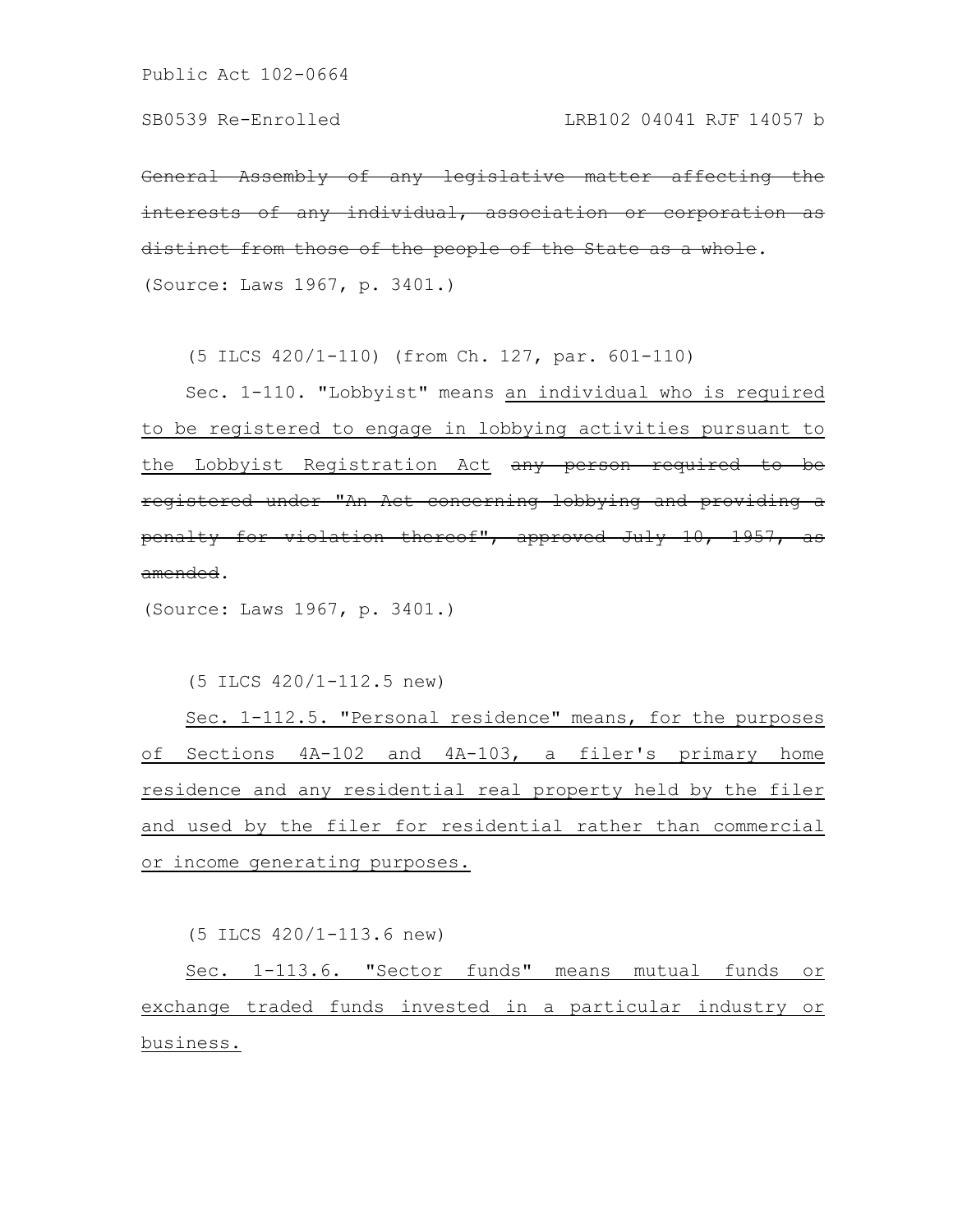General Assembly of any legislative matter affecting the interests of any individual, association or corporation as distinct from those of the people of the State as a whole. (Source: Laws 1967, p. 3401.)

(5 ILCS 420/1-110) (from Ch. 127, par. 601-110)

Sec. 1-110. "Lobbyist" means an individual who is required to be registered to engage in lobbying activities pursuant to the Lobbyist Registration Act any person required to be registered under "An Act concerning lobbying and providing a penalty for violation thereof", approved July 10, 1957, as amended.

(Source: Laws 1967, p. 3401.)

(5 ILCS 420/1-112.5 new)

Sec. 1-112.5. "Personal residence" means, for the purposes of Sections 4A-102 and 4A-103, a filer's primary home residence and any residential real property held by the filer and used by the filer for residential rather than commercial or income generating purposes.

(5 ILCS 420/1-113.6 new)

Sec. 1-113.6. "Sector funds" means mutual funds or exchange traded funds invested in a particular industry or business.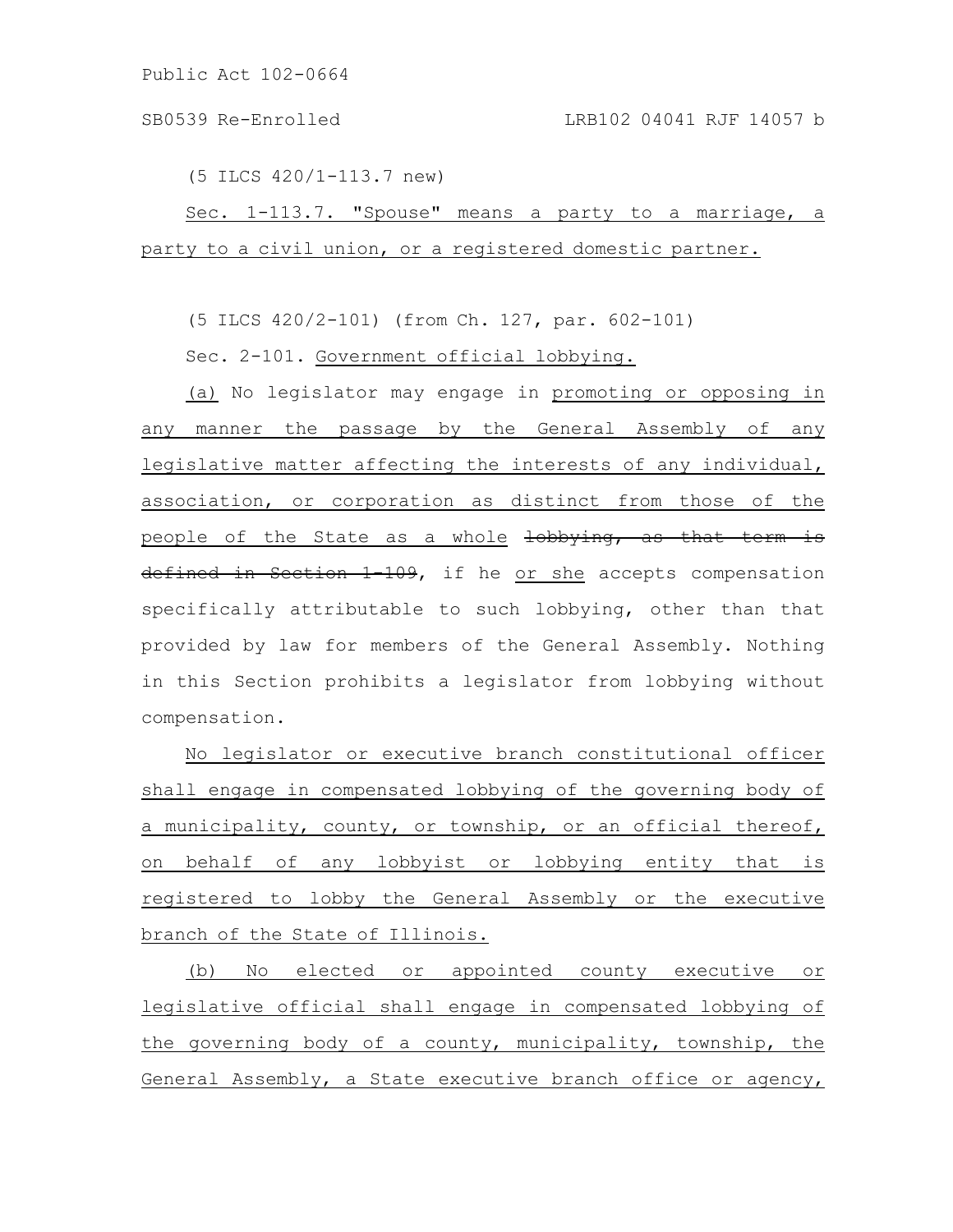(5 ILCS 420/1-113.7 new)

Sec. 1-113.7. "Spouse" means a party to a marriage, a party to a civil union, or a registered domestic partner.

(5 ILCS 420/2-101) (from Ch. 127, par. 602-101)

Sec. 2-101. Government official lobbying.

(a) No legislator may engage in promoting or opposing in any manner the passage by the General Assembly of any legislative matter affecting the interests of any individual, association, or corporation as distinct from those of the people of the State as a whole lobbying, as that term is defined in Section 1-109, if he or she accepts compensation specifically attributable to such lobbying, other than that provided by law for members of the General Assembly. Nothing in this Section prohibits a legislator from lobbying without compensation.

No legislator or executive branch constitutional officer shall engage in compensated lobbying of the governing body of a municipality, county, or township, or an official thereof, on behalf of any lobbyist or lobbying entity that is registered to lobby the General Assembly or the executive branch of the State of Illinois.

(b) No elected or appointed county executive or legislative official shall engage in compensated lobbying of the governing body of a county, municipality, township, the General Assembly, a State executive branch office or agency,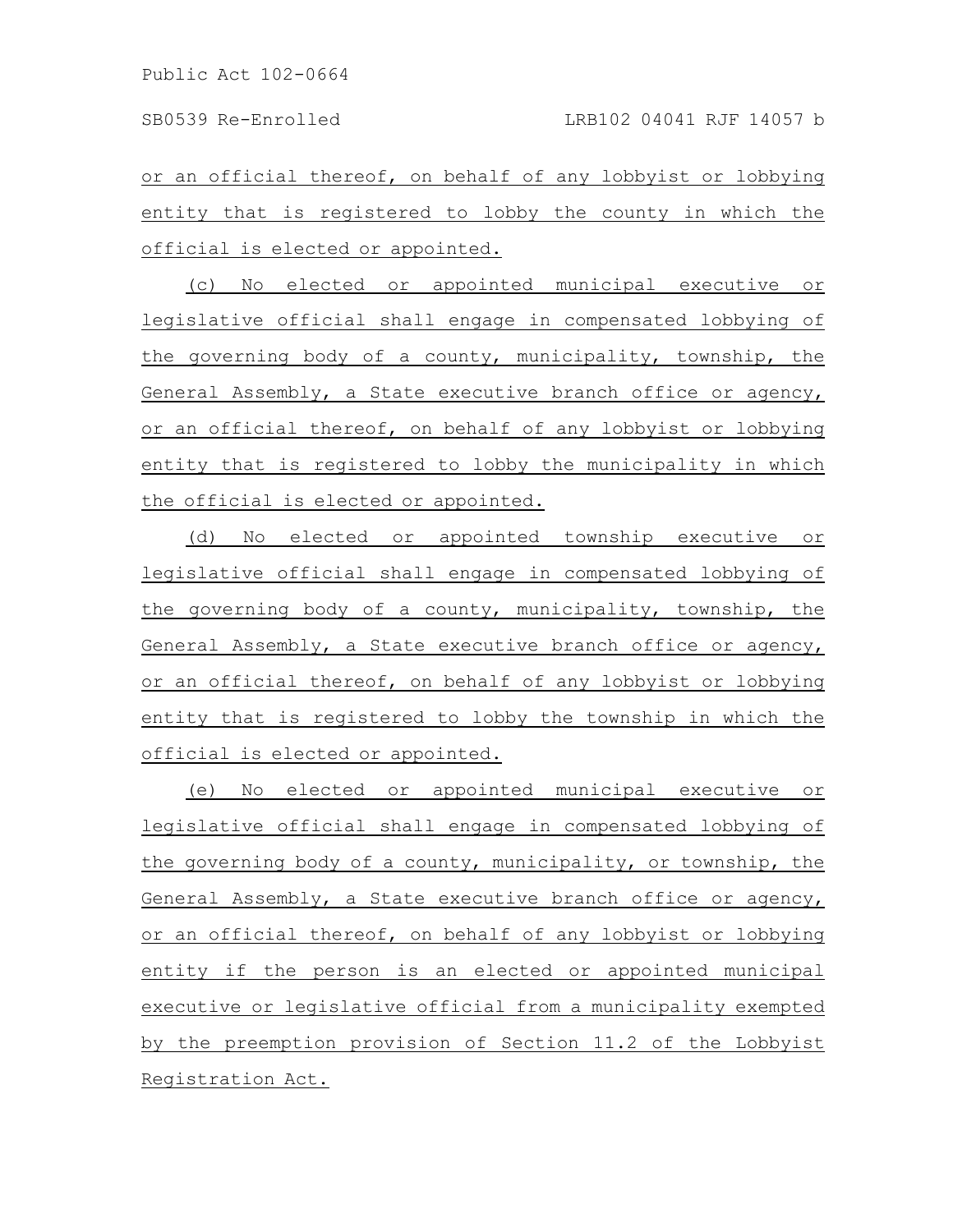or an official thereof, on behalf of any lobbyist or lobbying entity that is registered to lobby the county in which the official is elected or appointed.

(c) No elected or appointed municipal executive or legislative official shall engage in compensated lobbying of the governing body of a county, municipality, township, the General Assembly, a State executive branch office or agency, or an official thereof, on behalf of any lobbyist or lobbying entity that is registered to lobby the municipality in which the official is elected or appointed.

(d) No elected or appointed township executive or legislative official shall engage in compensated lobbying of the governing body of a county, municipality, township, the General Assembly, a State executive branch office or agency, or an official thereof, on behalf of any lobbyist or lobbying entity that is registered to lobby the township in which the official is elected or appointed.

(e) No elected or appointed municipal executive or legislative official shall engage in compensated lobbying of the governing body of a county, municipality, or township, the General Assembly, a State executive branch office or agency, or an official thereof, on behalf of any lobbyist or lobbying entity if the person is an elected or appointed municipal executive or legislative official from a municipality exempted by the preemption provision of Section 11.2 of the Lobbyist Registration Act.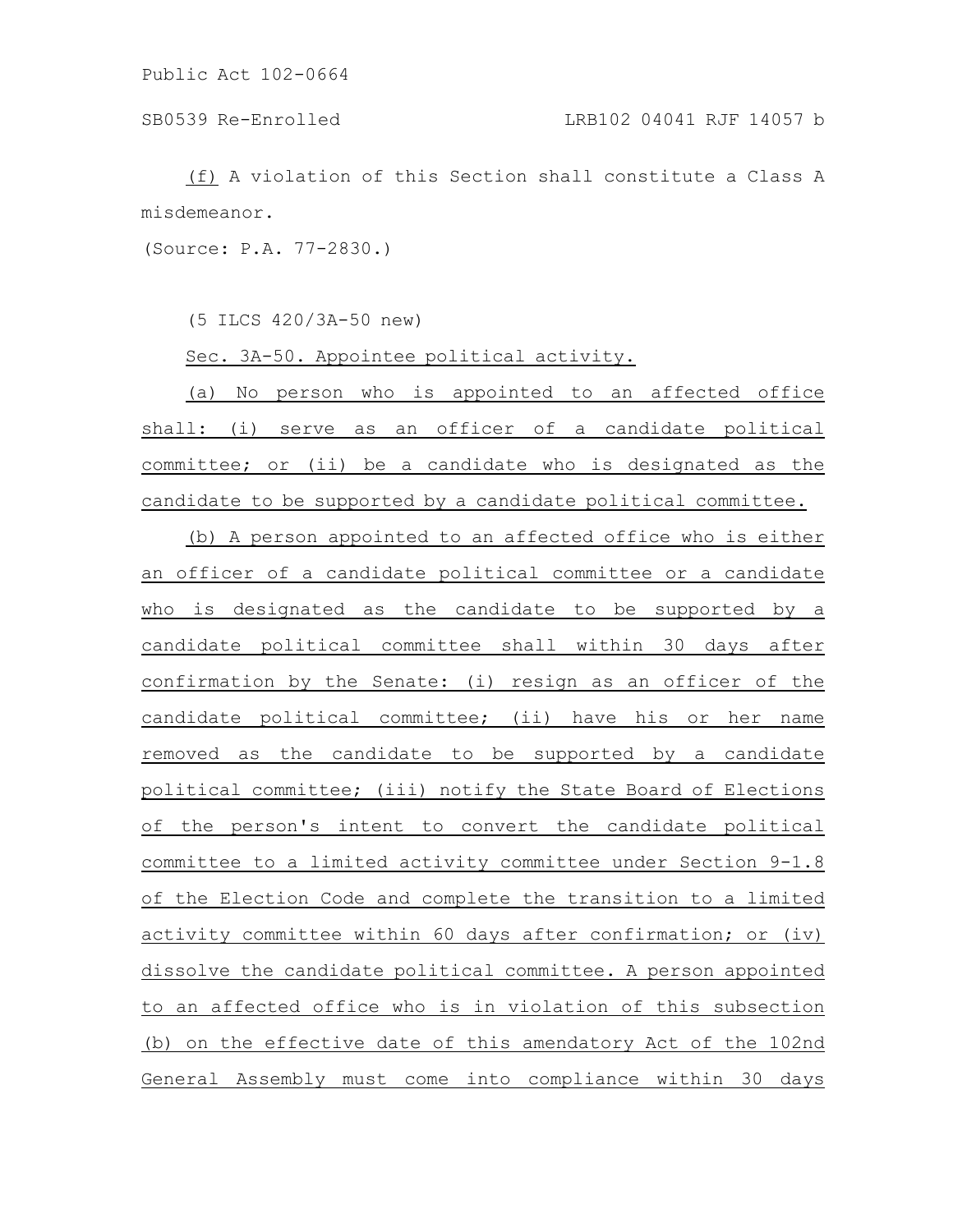(f) A violation of this Section shall constitute a Class A misdemeanor.

(Source: P.A. 77-2830.)

(5 ILCS 420/3A-50 new)

Sec. 3A-50. Appointee political activity.

(a) No person who is appointed to an affected office shall: (i) serve as an officer of a candidate political committee; or (ii) be a candidate who is designated as the candidate to be supported by a candidate political committee.

(b) A person appointed to an affected office who is either an officer of a candidate political committee or a candidate who is designated as the candidate to be supported by a candidate political committee shall within 30 days after confirmation by the Senate: (i) resign as an officer of the candidate political committee; (ii) have his or her name removed as the candidate to be supported by a candidate political committee; (iii) notify the State Board of Elections of the person's intent to convert the candidate political committee to a limited activity committee under Section 9-1.8 of the Election Code and complete the transition to a limited activity committee within 60 days after confirmation; or (iv) dissolve the candidate political committee. A person appointed to an affected office who is in violation of this subsection (b) on the effective date of this amendatory Act of the 102nd General Assembly must come into compliance within 30 days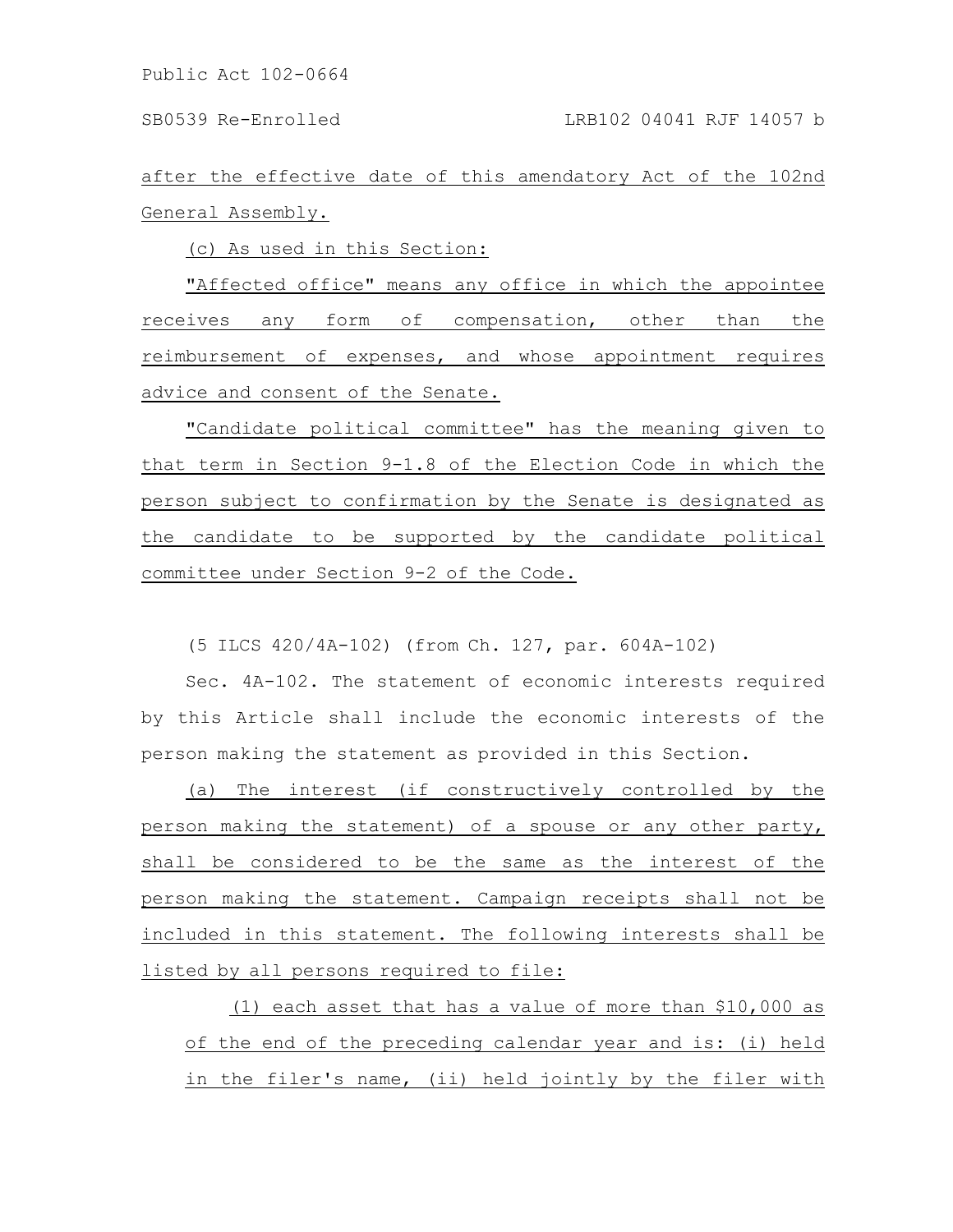SB0539 Re-Enrolled LRB102 04041 RJF 14057 b

after the effective date of this amendatory Act of the 102nd General Assembly.

(c) As used in this Section:

"Affected office" means any office in which the appointee receives any form of compensation, other than the reimbursement of expenses, and whose appointment requires advice and consent of the Senate.

"Candidate political committee" has the meaning given to that term in Section 9-1.8 of the Election Code in which the person subject to confirmation by the Senate is designated as the candidate to be supported by the candidate political committee under Section 9-2 of the Code.

(5 ILCS 420/4A-102) (from Ch. 127, par. 604A-102)

Sec. 4A-102. The statement of economic interests required by this Article shall include the economic interests of the person making the statement as provided in this Section.

(a) The interest (if constructively controlled by the person making the statement) of a spouse or any other party, shall be considered to be the same as the interest of the person making the statement. Campaign receipts shall not be included in this statement. The following interests shall be listed by all persons required to file:

(1) each asset that has a value of more than \$10,000 as of the end of the preceding calendar year and is: (i) held in the filer's name, (ii) held jointly by the filer with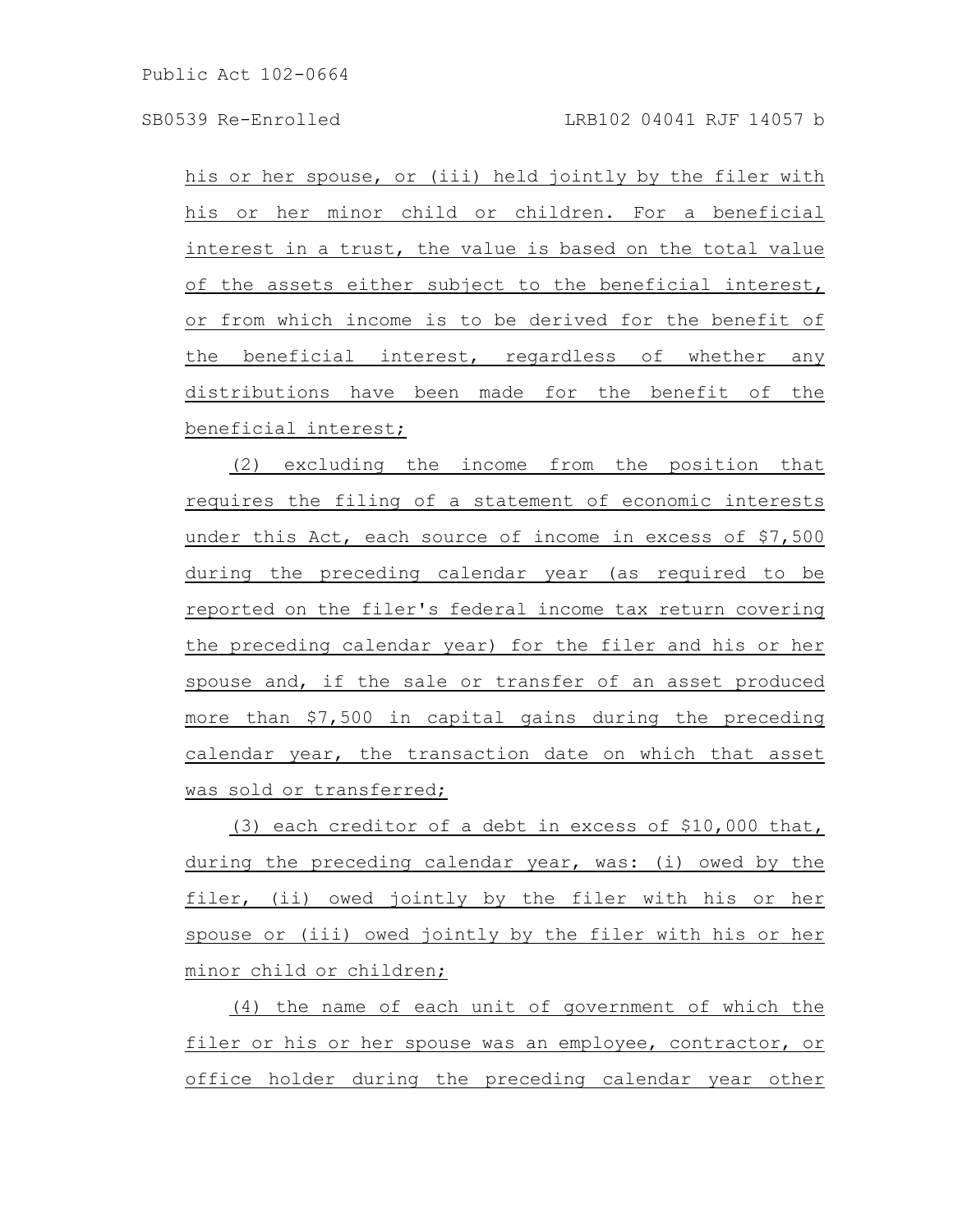his or her spouse, or (iii) held jointly by the filer with his or her minor child or children. For a beneficial interest in a trust, the value is based on the total value of the assets either subject to the beneficial interest, or from which income is to be derived for the benefit of the beneficial interest, regardless of whether any distributions have been made for the benefit of the beneficial interest;

(2) excluding the income from the position that requires the filing of a statement of economic interests under this Act, each source of income in excess of \$7,500 during the preceding calendar year (as required to be reported on the filer's federal income tax return covering the preceding calendar year) for the filer and his or her spouse and, if the sale or transfer of an asset produced more than \$7,500 in capital gains during the preceding calendar year, the transaction date on which that asset was sold or transferred;

(3) each creditor of a debt in excess of \$10,000 that, during the preceding calendar year, was: (i) owed by the filer, (ii) owed jointly by the filer with his or her spouse or (iii) owed jointly by the filer with his or her minor child or children;

(4) the name of each unit of government of which the filer or his or her spouse was an employee, contractor, or office holder during the preceding calendar year other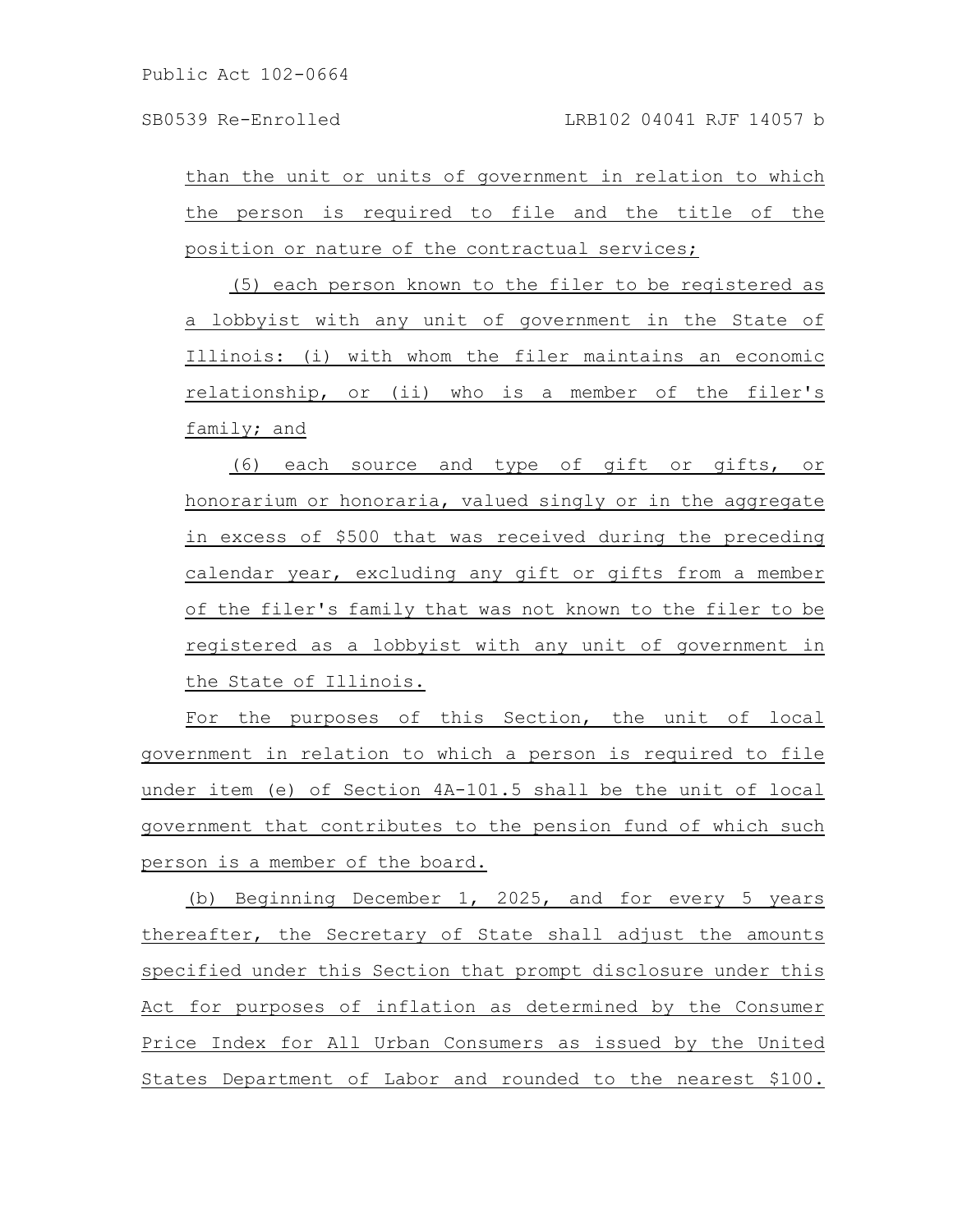than the unit or units of government in relation to which the person is required to file and the title of the position or nature of the contractual services;

(5) each person known to the filer to be registered as a lobbyist with any unit of government in the State of Illinois: (i) with whom the filer maintains an economic relationship, or (ii) who is a member of the filer's family; and

(6) each source and type of gift or gifts, or honorarium or honoraria, valued singly or in the aggregate in excess of \$500 that was received during the preceding calendar year, excluding any gift or gifts from a member of the filer's family that was not known to the filer to be registered as a lobbyist with any unit of government in the State of Illinois.

For the purposes of this Section, the unit of local government in relation to which a person is required to file under item (e) of Section 4A-101.5 shall be the unit of local government that contributes to the pension fund of which such person is a member of the board.

(b) Beginning December 1, 2025, and for every 5 years thereafter, the Secretary of State shall adjust the amounts specified under this Section that prompt disclosure under this Act for purposes of inflation as determined by the Consumer Price Index for All Urban Consumers as issued by the United States Department of Labor and rounded to the nearest \$100.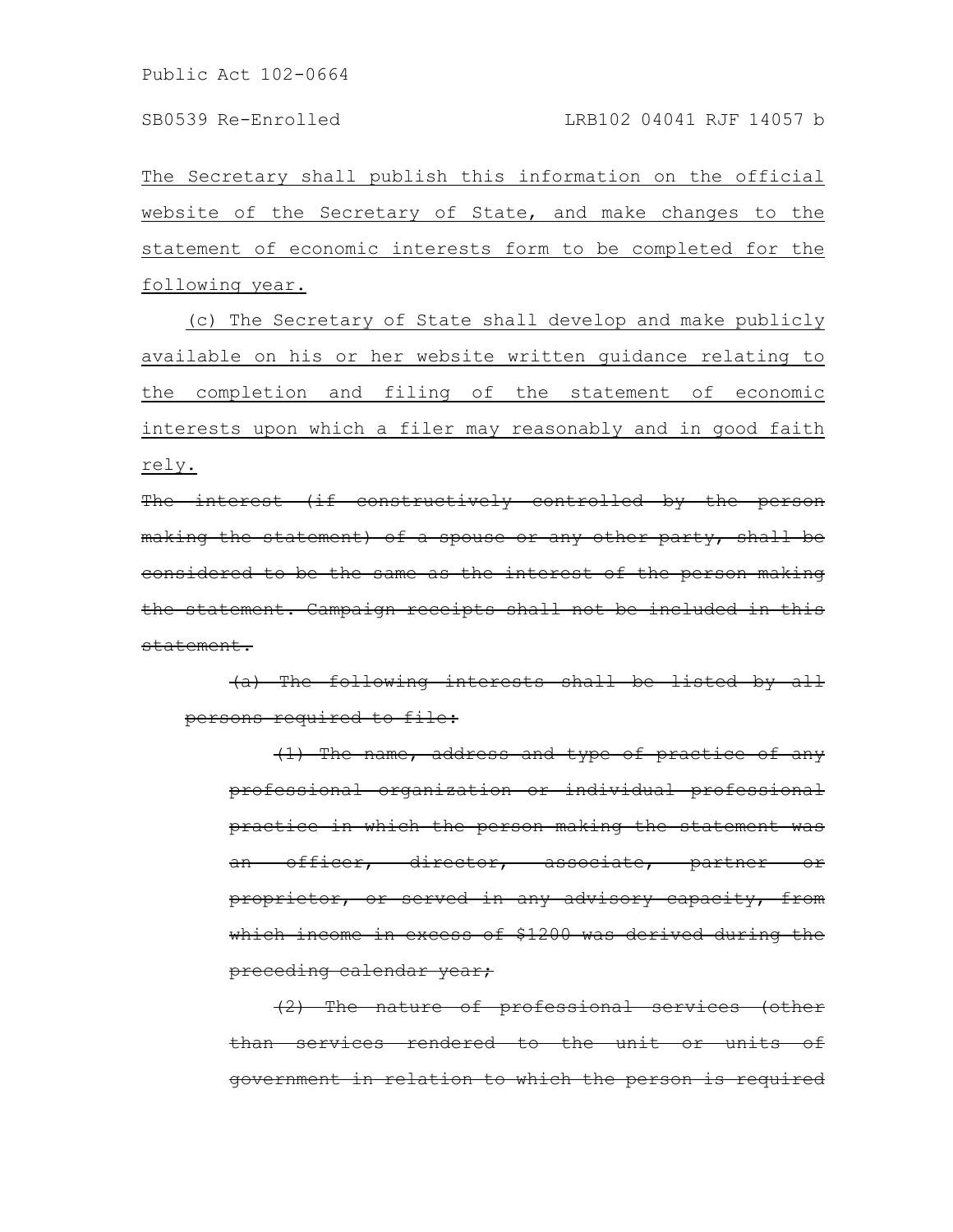The Secretary shall publish this information on the official website of the Secretary of State, and make changes to the statement of economic interests form to be completed for the following year.

(c) The Secretary of State shall develop and make publicly available on his or her website written guidance relating to the completion and filing of the statement of economic interests upon which a filer may reasonably and in good faith rely.

The interest (if constructively controlled by the person making the statement) of a spouse or any other party, shall be considered to be the same as the interest of the person making the statement. Campaign receipts shall not be included in this statement.

(a) The following interests shall be listed by all persons required to file:

(1) The name, address and type of practice of any professional organization or individual professional practice in which the person making the statement was an officer, director, associate, partner or proprietor, or served in any advisory capacity, from which income in excess of \$1200 was derived during the preceding calendar year;

(2) The nature of professional services (other than services rendered to the unit or units government in relation to which the person is required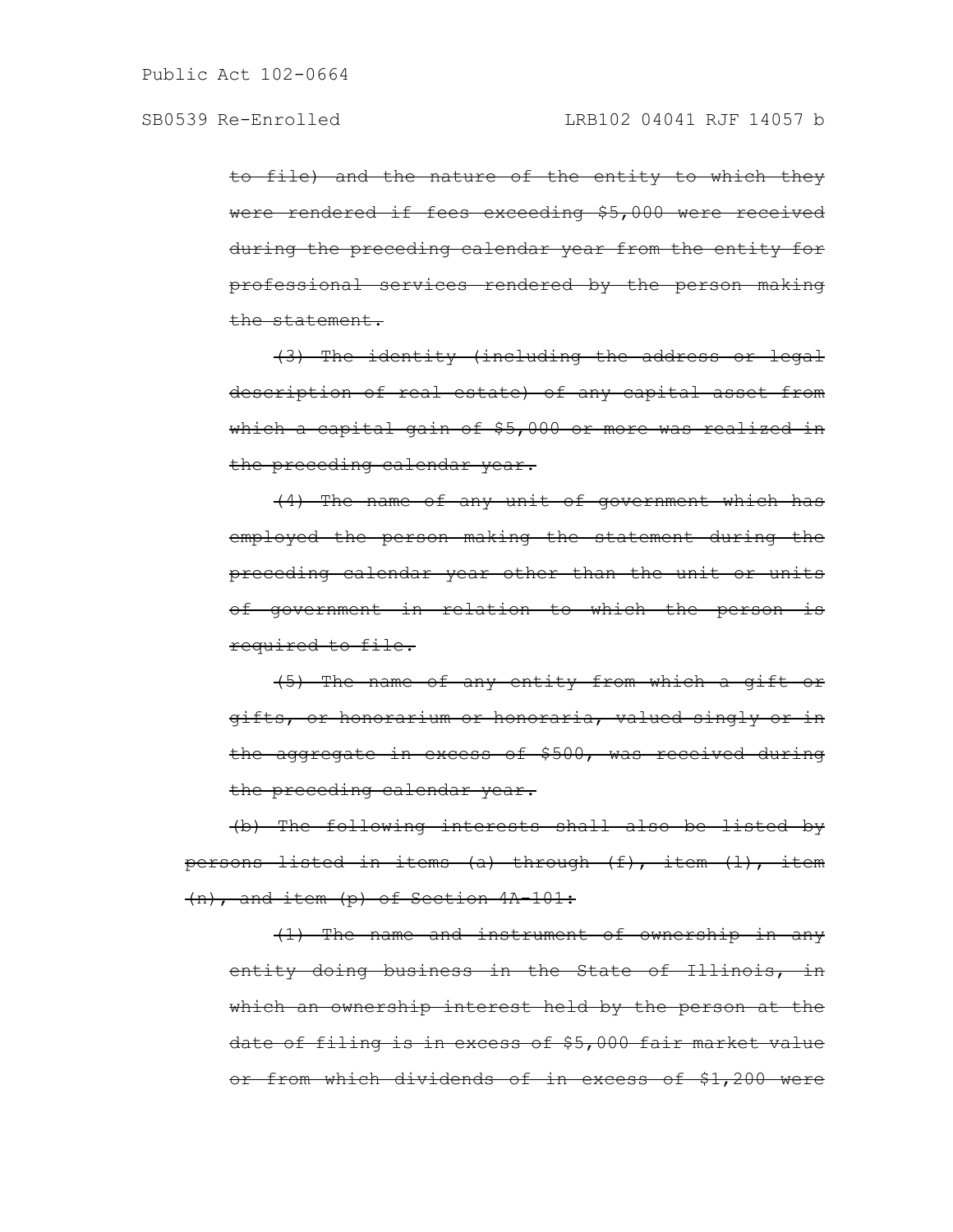to file) and the nature of the entity to which they were rendered if fees exceeding \$5,000 were received during the preceding calendar year from the entity for professional services rendered by the person making the statement.

(3) The identity (including the address or legal description of real estate) of any capital asset from which a capital gain of \$5,000 or more was realized in the preceding calendar year.

(4) The name of any unit of government which has employed the person making the statement during the preceding calendar year other than the unit or units of government in relation to which the person is required to file.

(5) The name of any entity from which a gift or gifts, or honorarium or honoraria, valued singly or in the aggregate in excess of \$500, was received during the preceding calendar year.

(b) The following interests shall also be listed by persons listed in items (a) through (f), item (l), item (n), and item (p) of Section 4A-101:

(1) The name and instrument of ownership in any entity doing business in the State of Illinois, in which an ownership interest held by the person at the date of filing is in excess of \$5,000 fair market value or from which dividends of in excess of \$1,200 were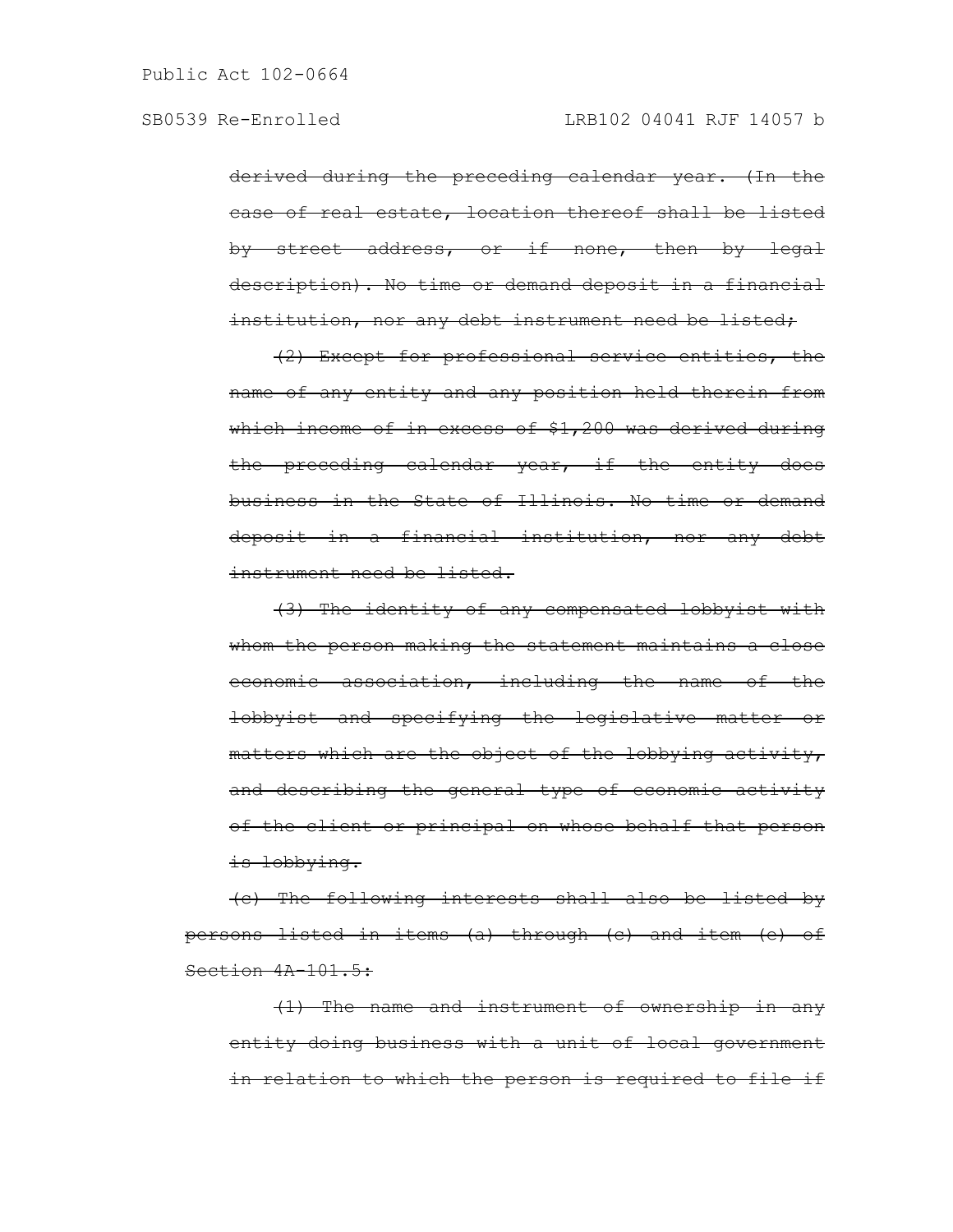derived during the preceding calendar year. (In the case of real estate, location thereof shall be listed by street address, or if none, then by legal description). No time or demand deposit in a financial institution, nor any debt instrument need be listed;

(2) Except for professional service entities, the name of any entity and any position held therein from which income of in excess of \$1,200 was derived during the preceding calendar year, if the entity does business in the State of Illinois. No time or demand deposit in a financial institution, nor any debt instrument need be listed.

(3) The identity of any compensated lobbyist with whom the person making the statement maintains a close economic association, including the name of the lobbyist and specifying the legislative matter or matters which are the object of the lobbying activity, and describing the general type of economic activity of the client or principal on whose behalf that person is lobbying.

(c) The following interests shall also be listed by persons listed in items (a) through (c) and item (e) of Section  $4A-101.5:$ 

(1) The name and instrument of ownership in any entity doing business with a unit of local government in relation to which the person is required to file if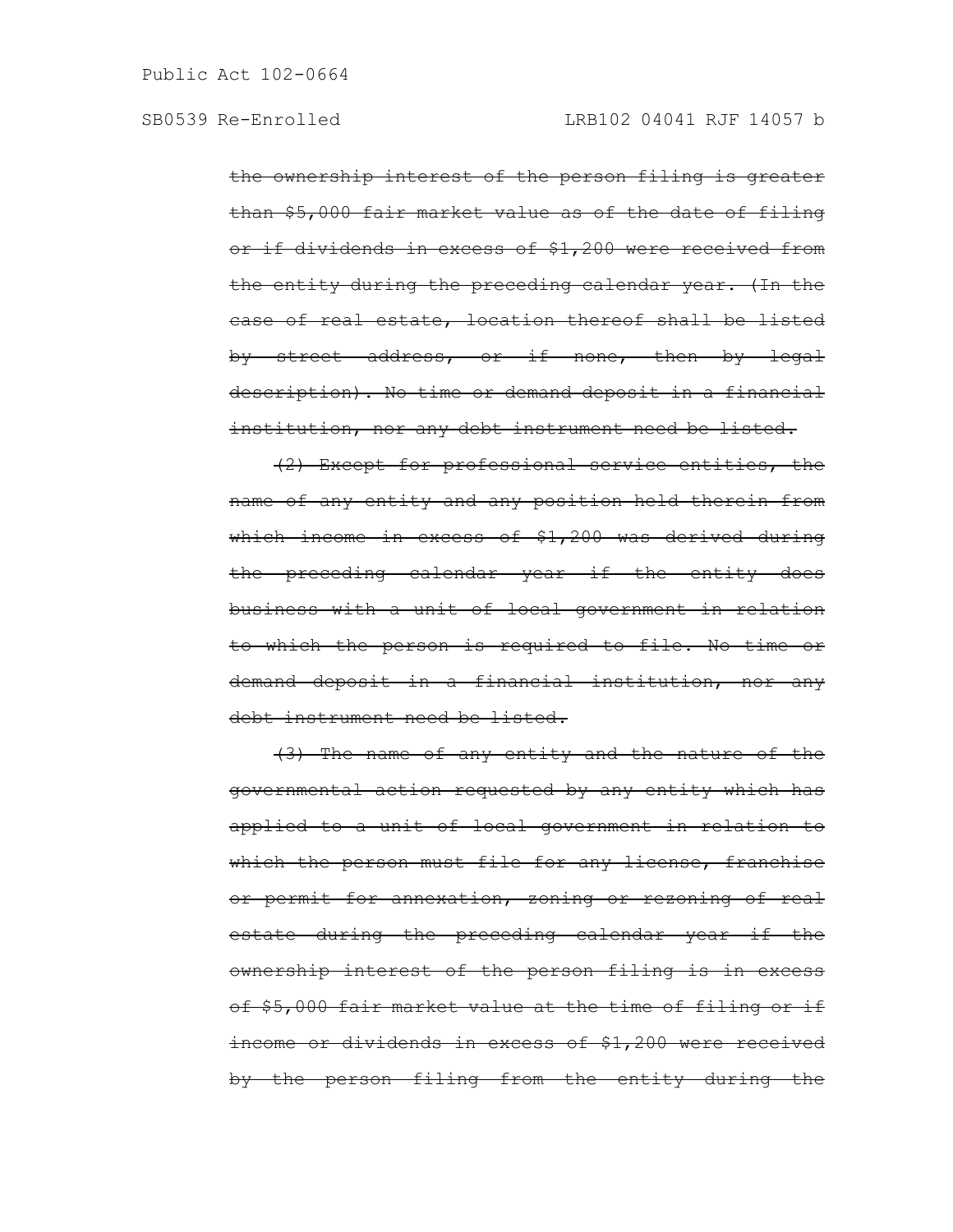the ownership interest of the person filing is greater than \$5,000 fair market value as of the date of filing or if dividends in excess of \$1,200 were received from the entity during the preceding calendar year. (In the case of real estate, location thereof shall be listed by street address, or if none, then by legal description). No time or demand deposit in a financial institution, nor any debt instrument need be listed.

(2) Except for professional service entities, the name of any entity and any position held therein from which income in excess of \$1,200 was derived during the preceding calendar year if the entity does business with a unit of local government in relation to which the person is required to file. No time or demand deposit in a financial institution, nor any debt instrument need be listed.

(3) The name of any entity and the nature of the governmental action requested by any entity which has applied to a unit of local government in relation to which the person must file for any license, franchise or permit for annexation, zoning or rezoning of real estate during the preceding calendar year if the ownership interest of the person filing is in excess of \$5,000 fair market value at the time of filing or if income or dividends in excess of \$1,200 were received by the person filing from the entity during the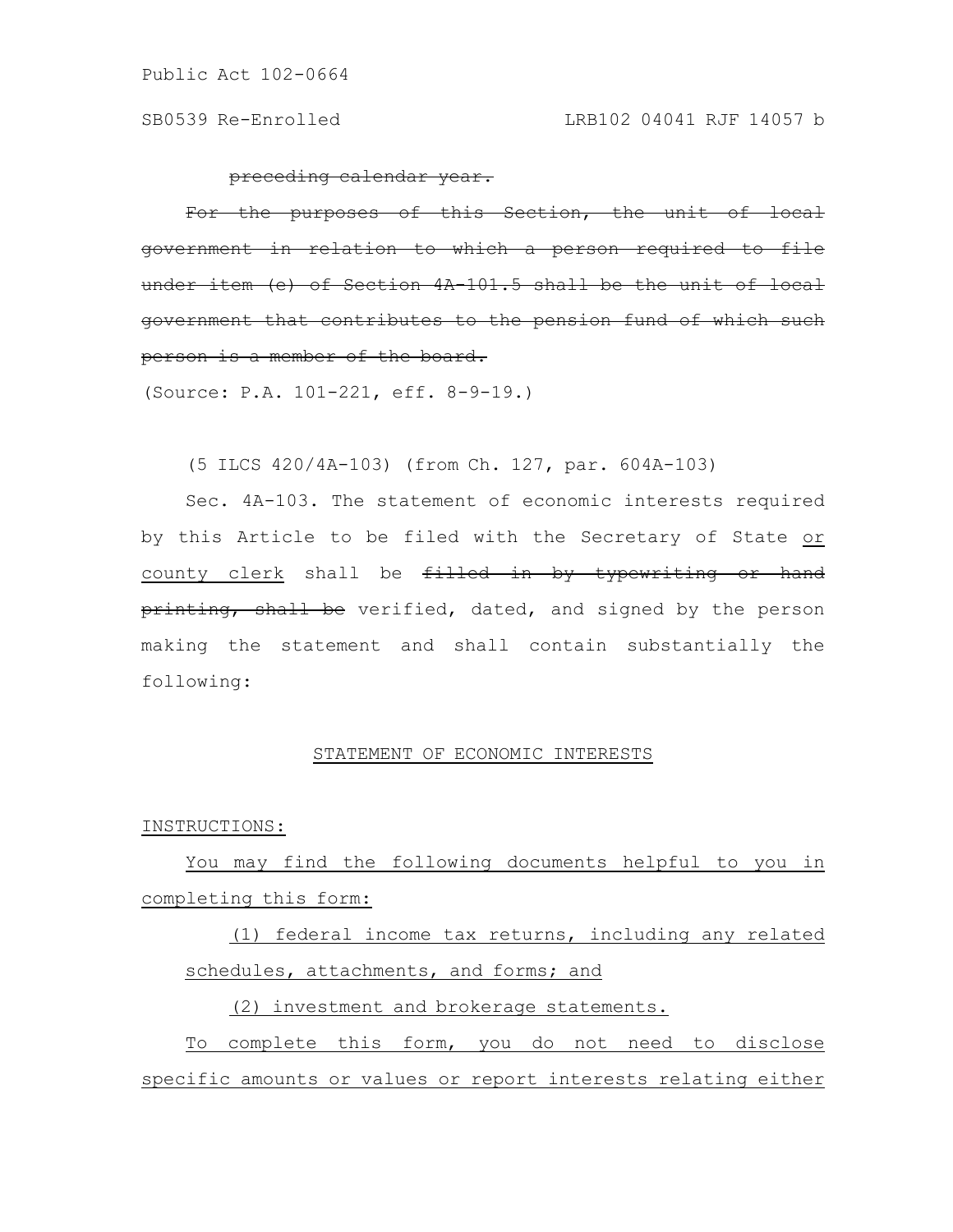preceding calendar year.

For the purposes of this Section, the unit of local government in relation to which a person required to file under item (e) of Section  $4A-101.5$  shall be the unit government that contributes to the pension fund of which such person is a member of the board.

(Source: P.A. 101-221, eff. 8-9-19.)

(5 ILCS 420/4A-103) (from Ch. 127, par. 604A-103)

Sec. 4A-103. The statement of economic interests required by this Article to be filed with the Secretary of State or county clerk shall be filled in by typewriting or hand printing, shall be verified, dated, and signed by the person making the statement and shall contain substantially the following:

# STATEMENT OF ECONOMIC INTERESTS

## INSTRUCTIONS:

You may find the following documents helpful to you in completing this form:

(1) federal income tax returns, including any related schedules, attachments, and forms; and

(2) investment and brokerage statements.

To complete this form, you do not need to disclose specific amounts or values or report interests relating either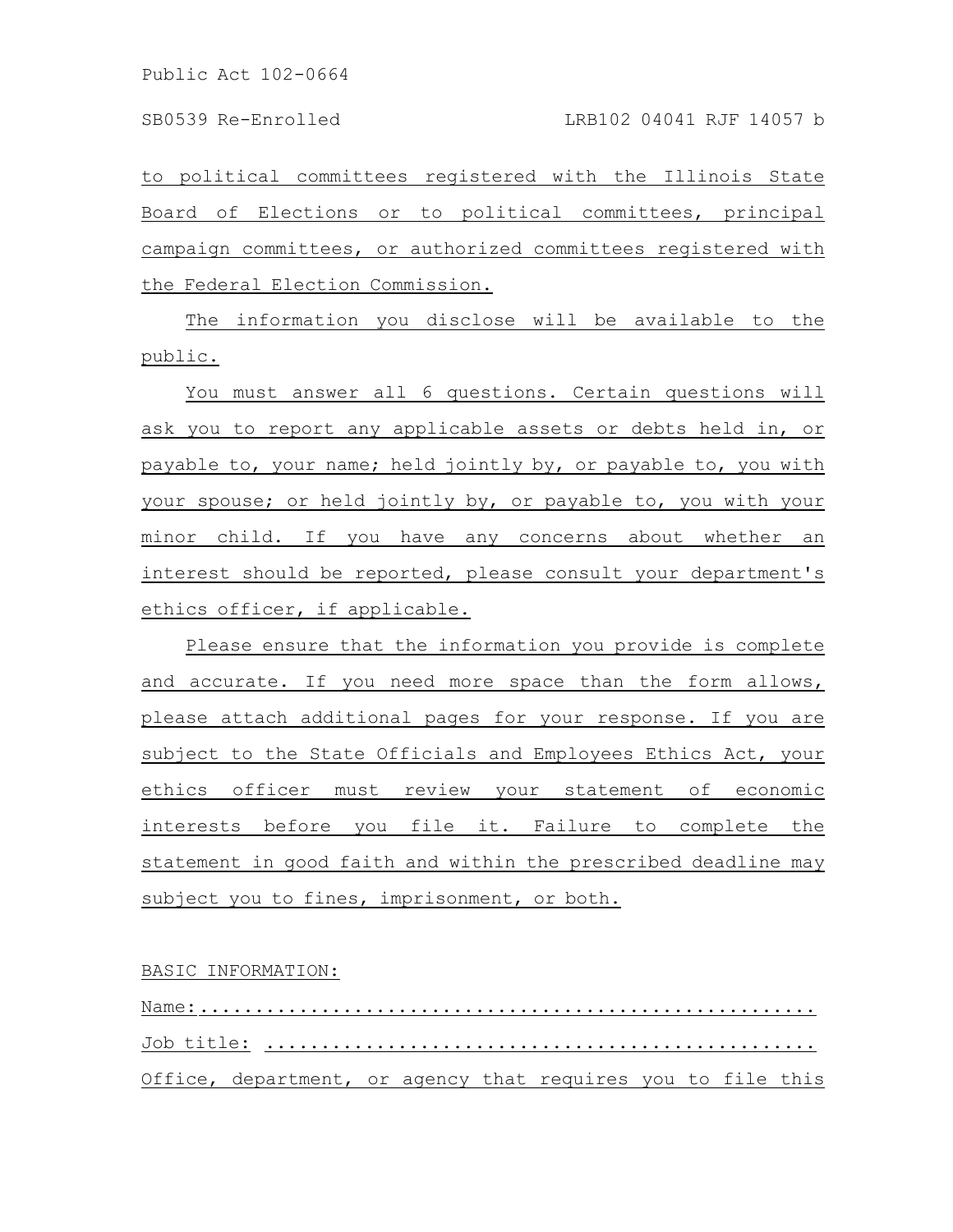to political committees registered with the Illinois State Board of Elections or to political committees, principal campaign committees, or authorized committees registered with the Federal Election Commission.

The information you disclose will be available to the public.

You must answer all 6 questions. Certain questions will ask you to report any applicable assets or debts held in, or payable to, your name; held jointly by, or payable to, you with your spouse; or held jointly by, or payable to, you with your minor child. If you have any concerns about whether an interest should be reported, please consult your department's ethics officer, if applicable.

Please ensure that the information you provide is complete and accurate. If you need more space than the form allows, please attach additional pages for your response. If you are subject to the State Officials and Employees Ethics Act, your ethics officer must review your statement of economic interests before you file it. Failure to complete the statement in good faith and within the prescribed deadline may subject you to fines, imprisonment, or both.

# BASIC INFORMATION:

Name:........................................................ Job title: .................................................. Office, department, or agency that requires you to file this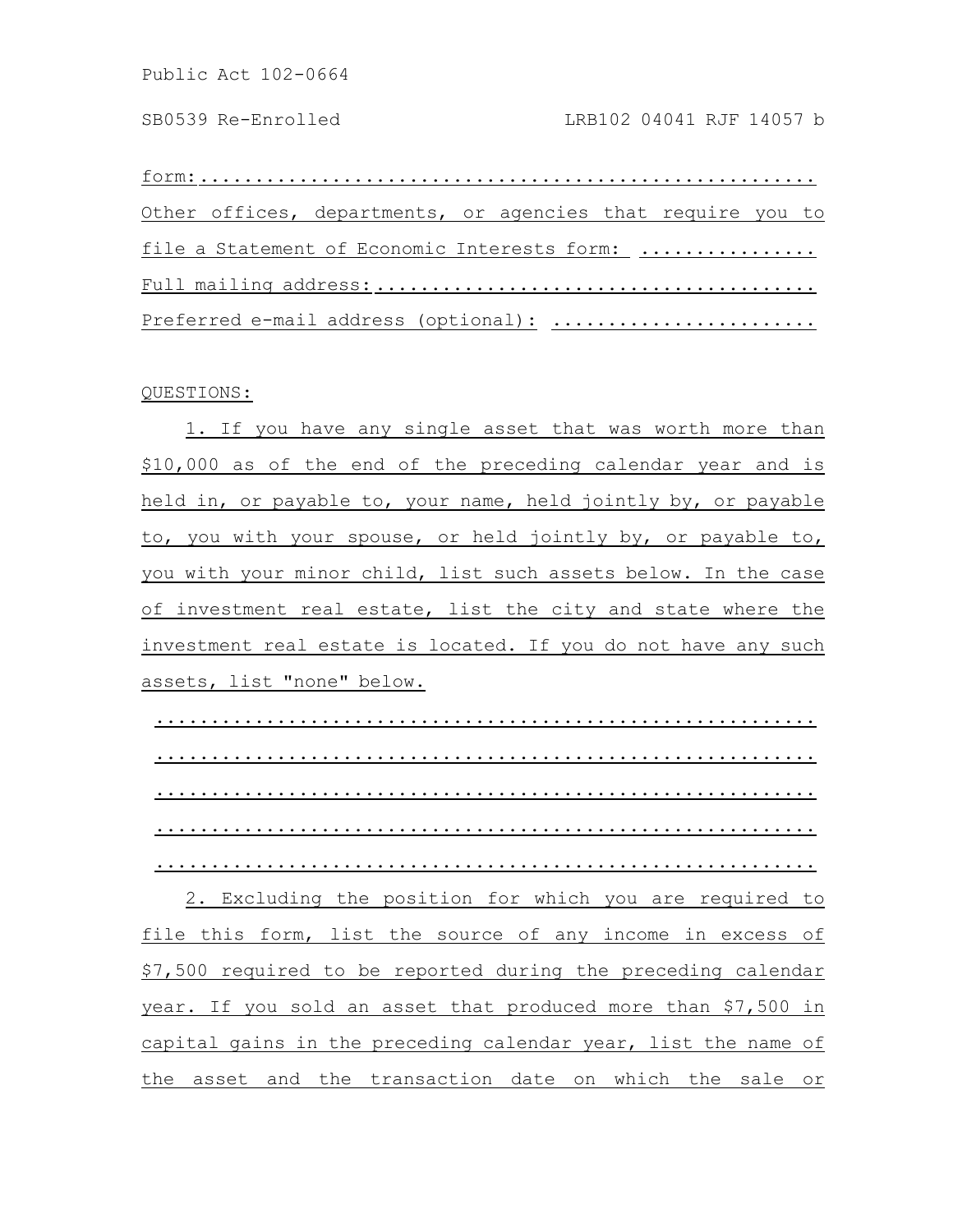form:........................................................ Other offices, departments, or agencies that require you to file a Statement of Economic Interests form: ................ Full mailing address: ........................................ Preferred e-mail address (optional): ........................

### QUESTIONS:

1. If you have any single asset that was worth more than \$10,000 as of the end of the preceding calendar year and is held in, or payable to, your name, held jointly by, or payable to, you with your spouse, or held jointly by, or payable to, you with your minor child, list such assets below. In the case of investment real estate, list the city and state where the investment real estate is located. If you do not have any such assets, list "none" below.

............................................................ ............................................................ ............................................................ ............................................................ ............................................................

2. Excluding the position for which you are required to file this form, list the source of any income in excess of \$7,500 required to be reported during the preceding calendar year. If you sold an asset that produced more than \$7,500 in capital gains in the preceding calendar year, list the name of the asset and the transaction date on which the sale or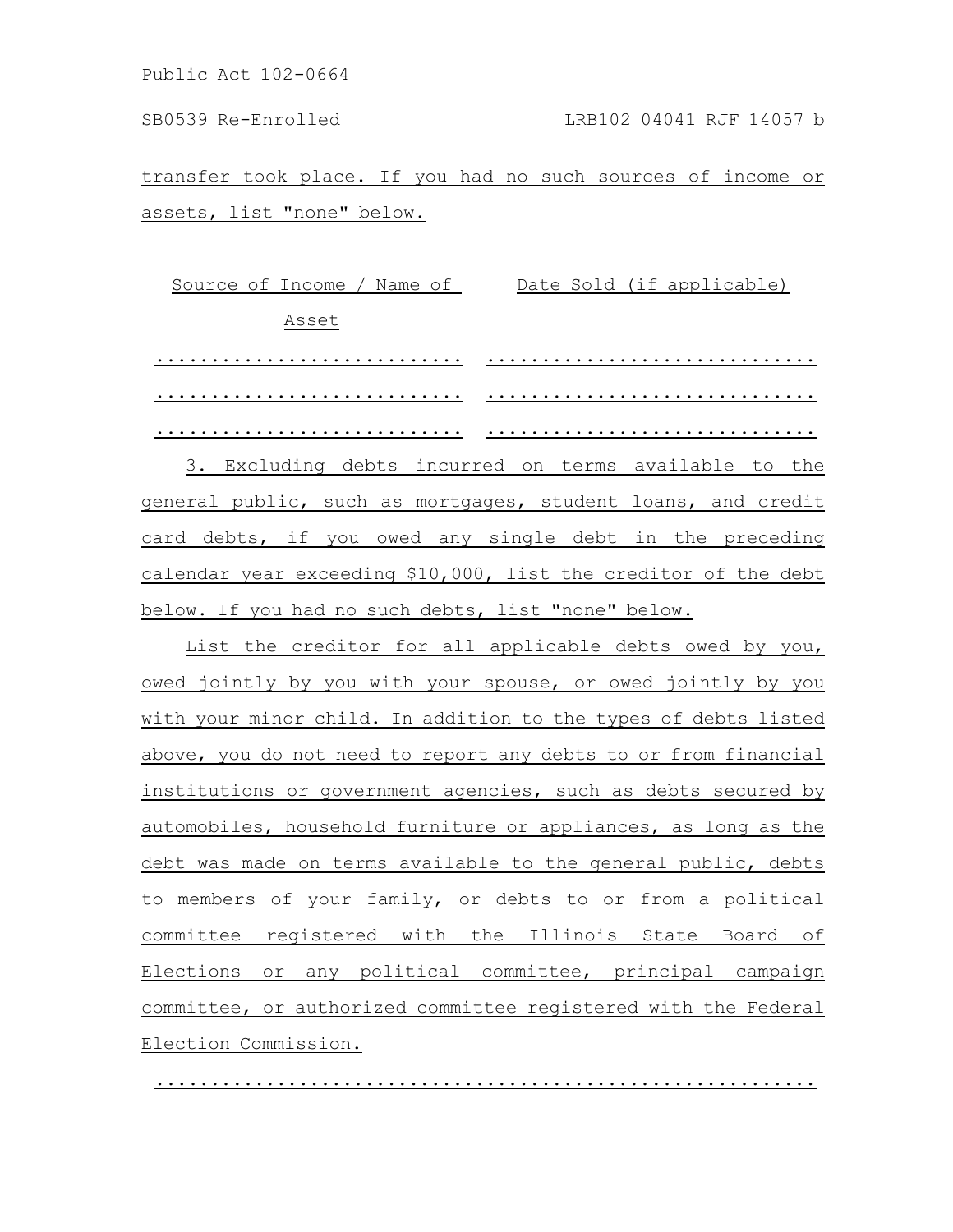transfer took place. If you had no such sources of income or assets, list "none" below.

Source of Income / Name of Date Sold (if applicable) Asset ............................ .............................. ............................ ..............................

............................ .............................. 3. Excluding debts incurred on terms available to the general public, such as mortgages, student loans, and credit card debts, if you owed any single debt in the preceding calendar year exceeding \$10,000, list the creditor of the debt below. If you had no such debts, list "none" below.

List the creditor for all applicable debts owed by you, owed jointly by you with your spouse, or owed jointly by you with your minor child. In addition to the types of debts listed above, you do not need to report any debts to or from financial institutions or government agencies, such as debts secured by automobiles, household furniture or appliances, as long as the debt was made on terms available to the general public, debts to members of your family, or debts to or from a political committee registered with the Illinois State Board of Elections or any political committee, principal campaign committee, or authorized committee registered with the Federal Election Commission.

............................................................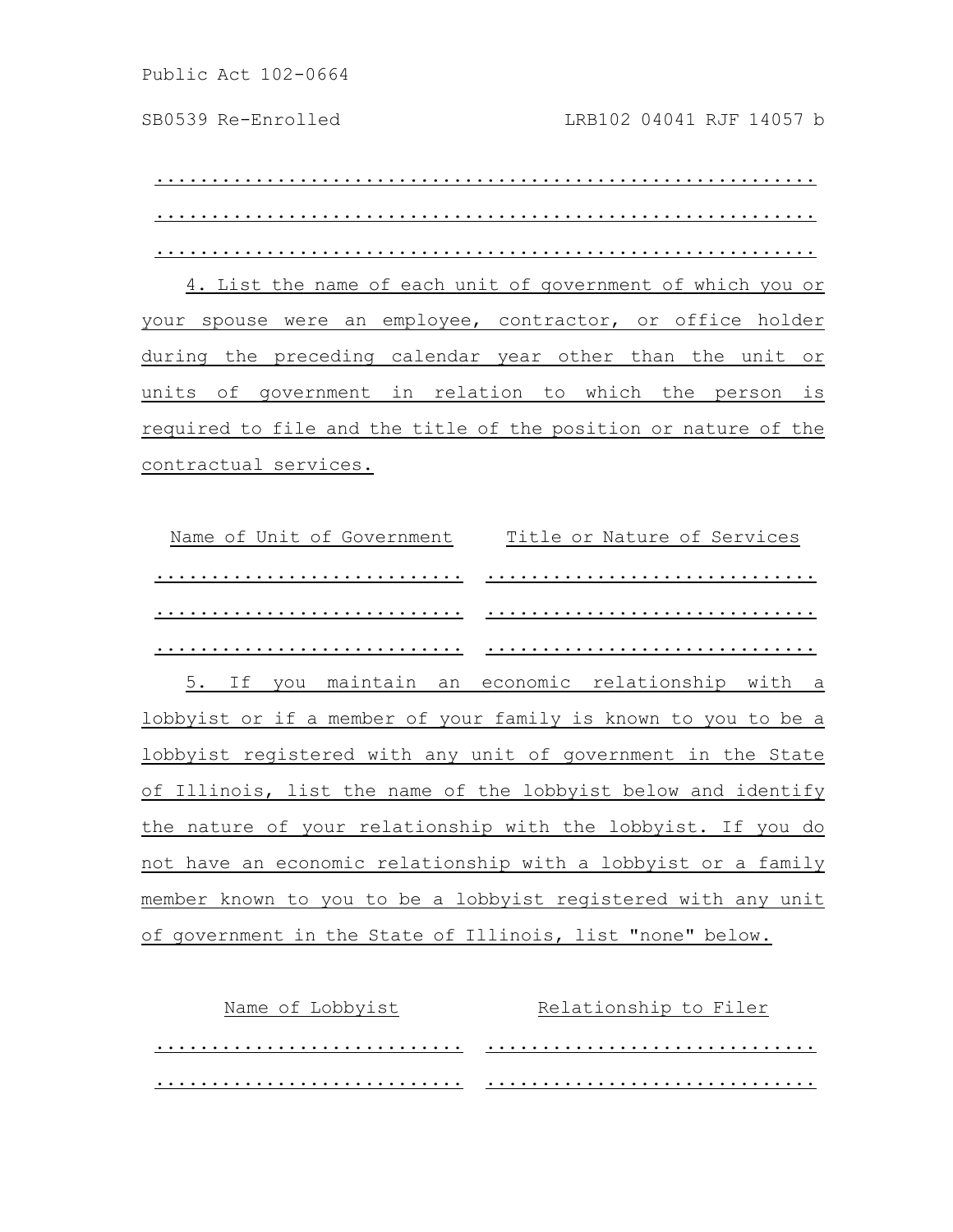............................................................ ............................................................ ............................................................

4. List the name of each unit of government of which you or your spouse were an employee, contractor, or office holder during the preceding calendar year other than the unit or units of government in relation to which the person is required to file and the title of the position or nature of the contractual services.

Name of Unit of Government Title or Nature of Services ............................ .............................. ............................ .............................. ............................ .............................. 5. If you maintain an economic relationship with a lobbyist or if a member of your family is known to you to be a lobbyist registered with any unit of government in the State of Illinois, list the name of the lobbyist below and identify the nature of your relationship with the lobbyist. If you do not have an economic relationship with a lobbyist or a family member known to you to be a lobbyist registered with any unit of government in the State of Illinois, list "none" below.

| Name of Lobbyist | Relationship to Filer |  |
|------------------|-----------------------|--|
|                  |                       |  |
| .                |                       |  |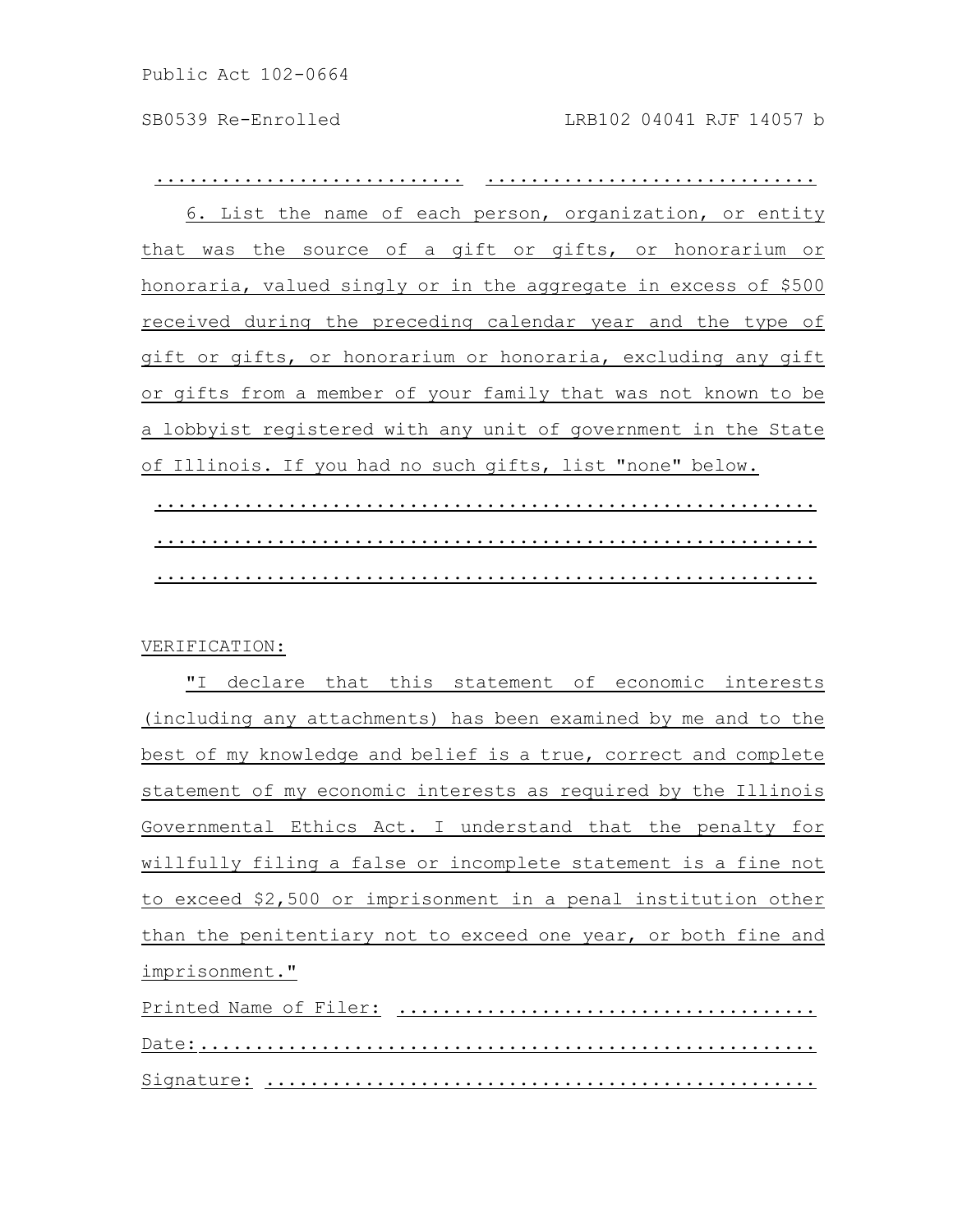............................ .............................. 6. List the name of each person, organization, or entity that was the source of a gift or gifts, or honorarium or honoraria, valued singly or in the aggregate in excess of \$500 received during the preceding calendar year and the type of gift or gifts, or honorarium or honoraria, excluding any gift or gifts from a member of your family that was not known to be a lobbyist registered with any unit of government in the State of Illinois. If you had no such gifts, list "none" below.

............................................................ ............................................................ ............................................................

### VERIFICATION:

"I declare that this statement of economic interests (including any attachments) has been examined by me and to the best of my knowledge and belief is a true, correct and complete statement of my economic interests as required by the Illinois Governmental Ethics Act. I understand that the penalty for willfully filing a false or incomplete statement is a fine not to exceed \$2,500 or imprisonment in a penal institution other than the penitentiary not to exceed one year, or both fine and imprisonment."

Printed Name of Filer: ...................................... Date:........................................................ Signature: ..................................................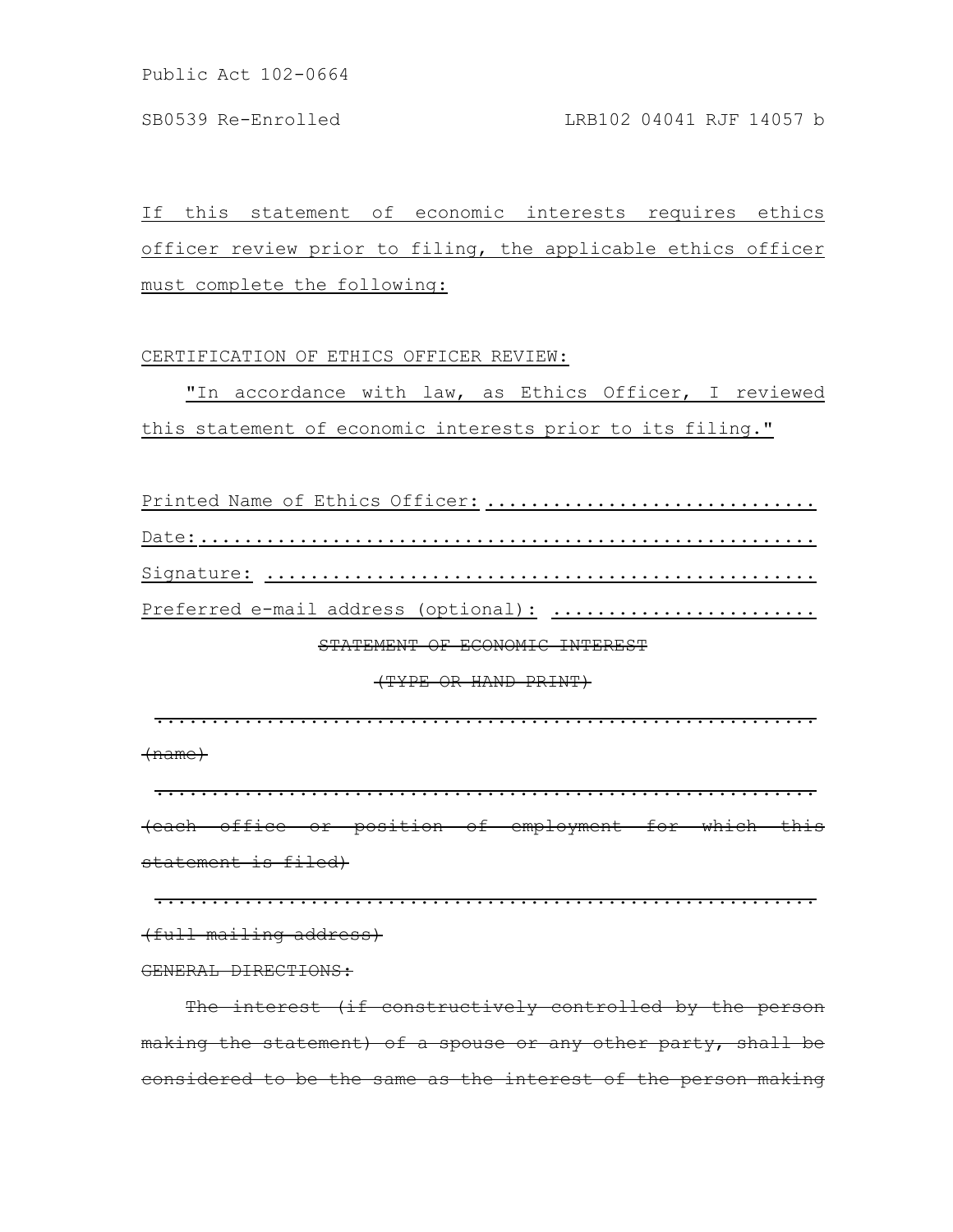If this statement of economic interests requires ethics officer review prior to filing, the applicable ethics officer must complete the following:

## CERTIFICATION OF ETHICS OFFICER REVIEW:

"In accordance with law, as Ethics Officer, I reviewed this statement of economic interests prior to its filing."

Printed Name of Ethics Officer: .............................. Date:........................................................ Signature: .................................................. Preferred e-mail address (optional): ........................

# STATEMENT OF ECONOMIC INTEREST

(TYPE OR HAND PRINT)

............................................................

(name)

............................................................ (each office or position of employment for which this statement is filed)

............................................................

(full mailing address)

GENERAL DIRECTIONS:

The interest (if constructively controlled by the person making the statement) of a spouse or any other party, shall be considered to be the same as the interest of the person making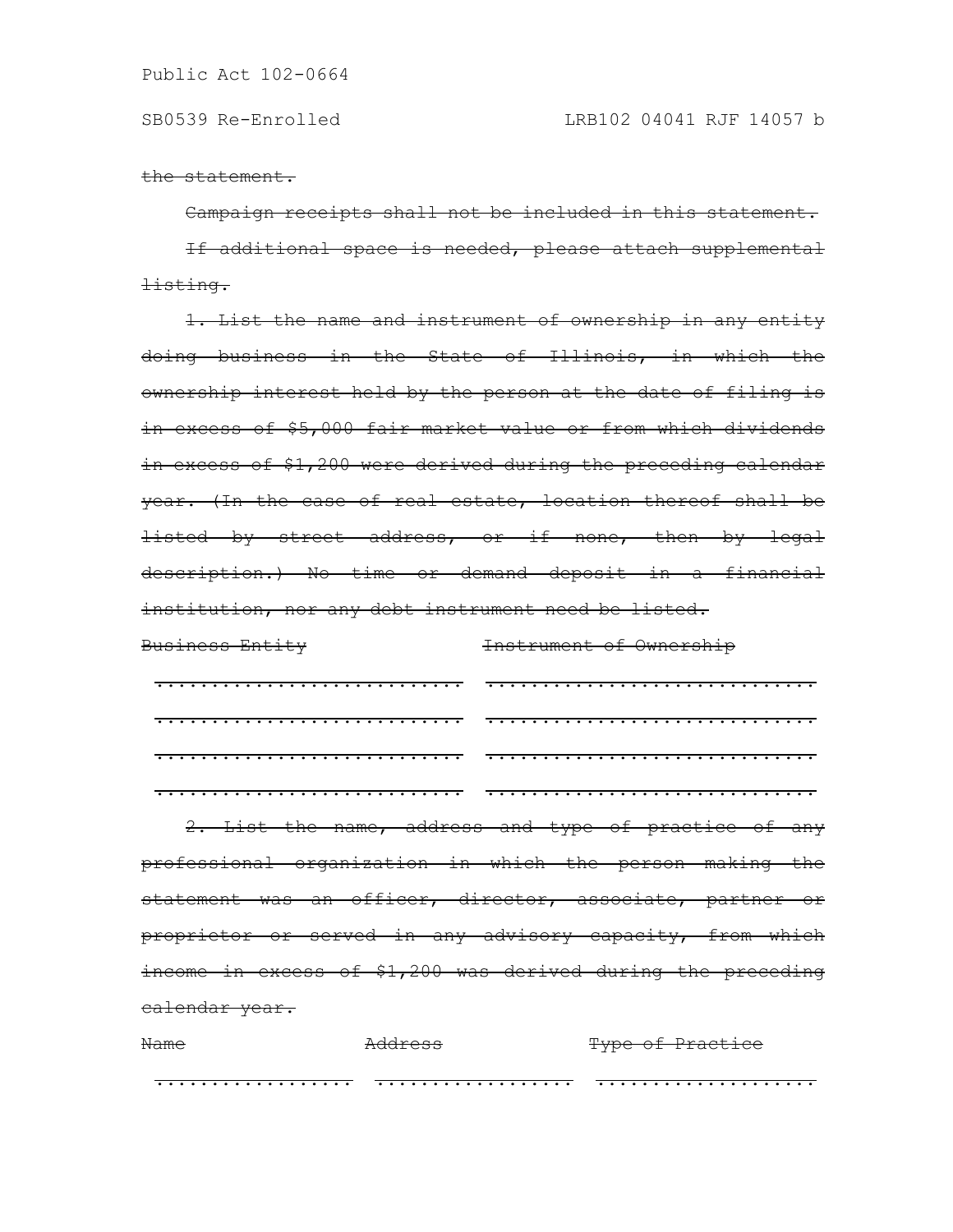the statement.

#### Campaign receipts shall not be included in this statement.

If additional space is needed, please attach supplemental listing.

1. List the name and instrument of ownership in any entity doing business in the State of Illinois, in which the ownership interest held by the person at the date of filing is in excess of \$5,000 fair market value or from which dividends in excess of \$1,200 were derived during the preceding calendar year. (In the case of real estate, location thereof shall be listed by street address, or if none, then by legal description.) No time or demand deposit in a financial institution, nor any debt instrument need be listed.

# Business Entity Instrument of Ownership ............................ .............................. ............................ .............................. ............................ .............................. ............................ .............................. 2. List the name, address and type of practice of any professional organization in which the person making the statement was an officer, director, associate, partner or proprietor or served in any advisory capacity, from which income in excess of \$1,200 was derived during the preceding calendar year.

| Name | $\lambda$ ddroco<br>1199200 | Time of Drantica<br>TYPU UI IIUUUIUU |
|------|-----------------------------|--------------------------------------|
|      |                             |                                      |
|      |                             |                                      |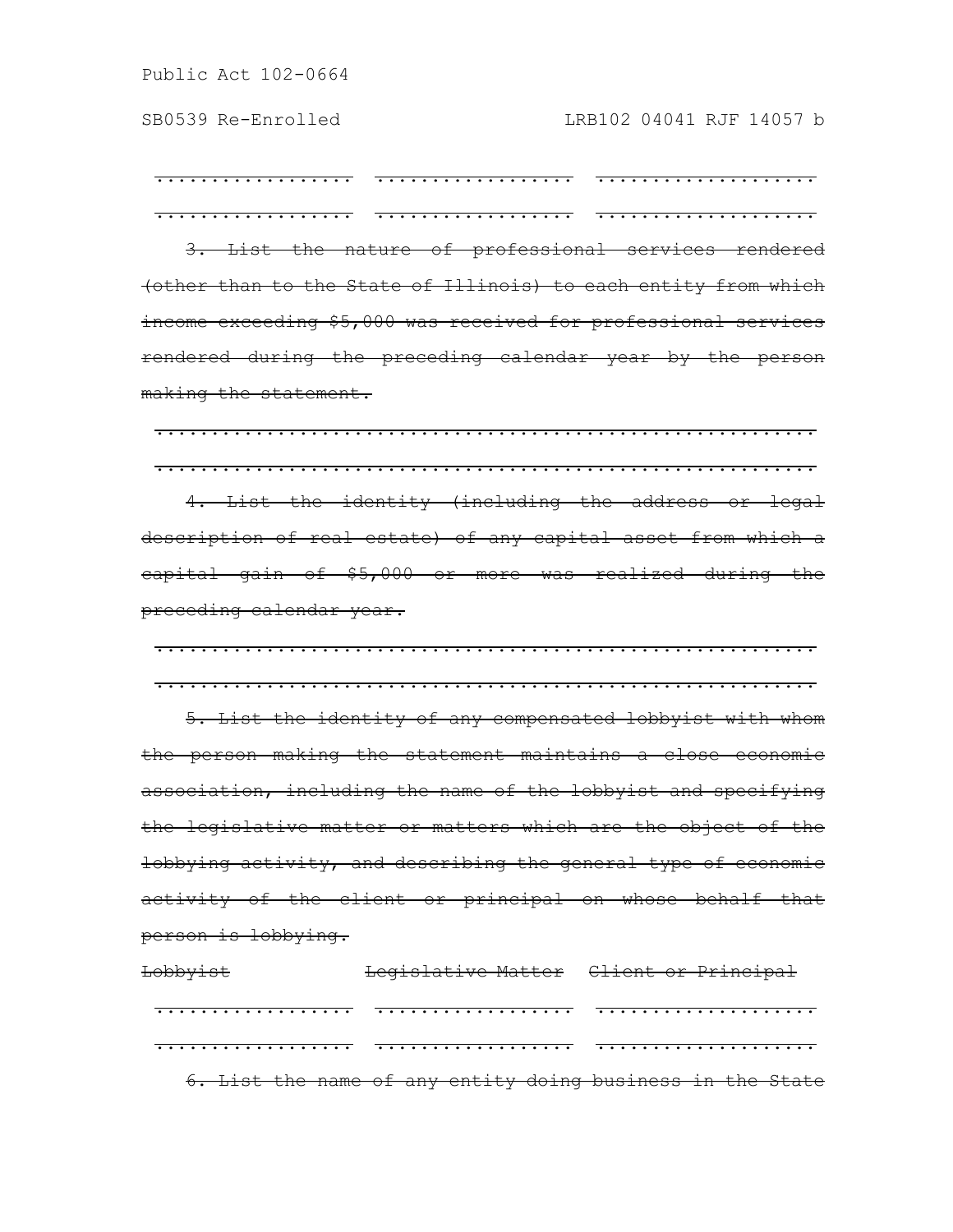.................. .................. .................... .................. .................. ....................

3. List the nature of professional services rendered (other than to the State of Illinois) to each entity from which income exceeding \$5,000 was received for professional services rendered during the preceding calendar year by the person making the statement.

............................................................ ............................................................ 4. List the identity (including the address or legal description of real estate) of any capital asset from which a capital gain of \$5,000 or more was realized during the preceding calendar year.

............................................................

............................................................ 5. List the identity of any compensated lobbyist with whom the person making the statement maintains a close economic association, including the name of the lobbyist and specifying the legislative matter or matters which are the object of the lobbying activity, and describing the general type of economic activity of the client or principal on whose behalf that person is lobbying.

Lobbyist Legislative Matter Client or Principal .................. .................. .................... .................. .................. .................... 6. List the name of any entity doing business in the State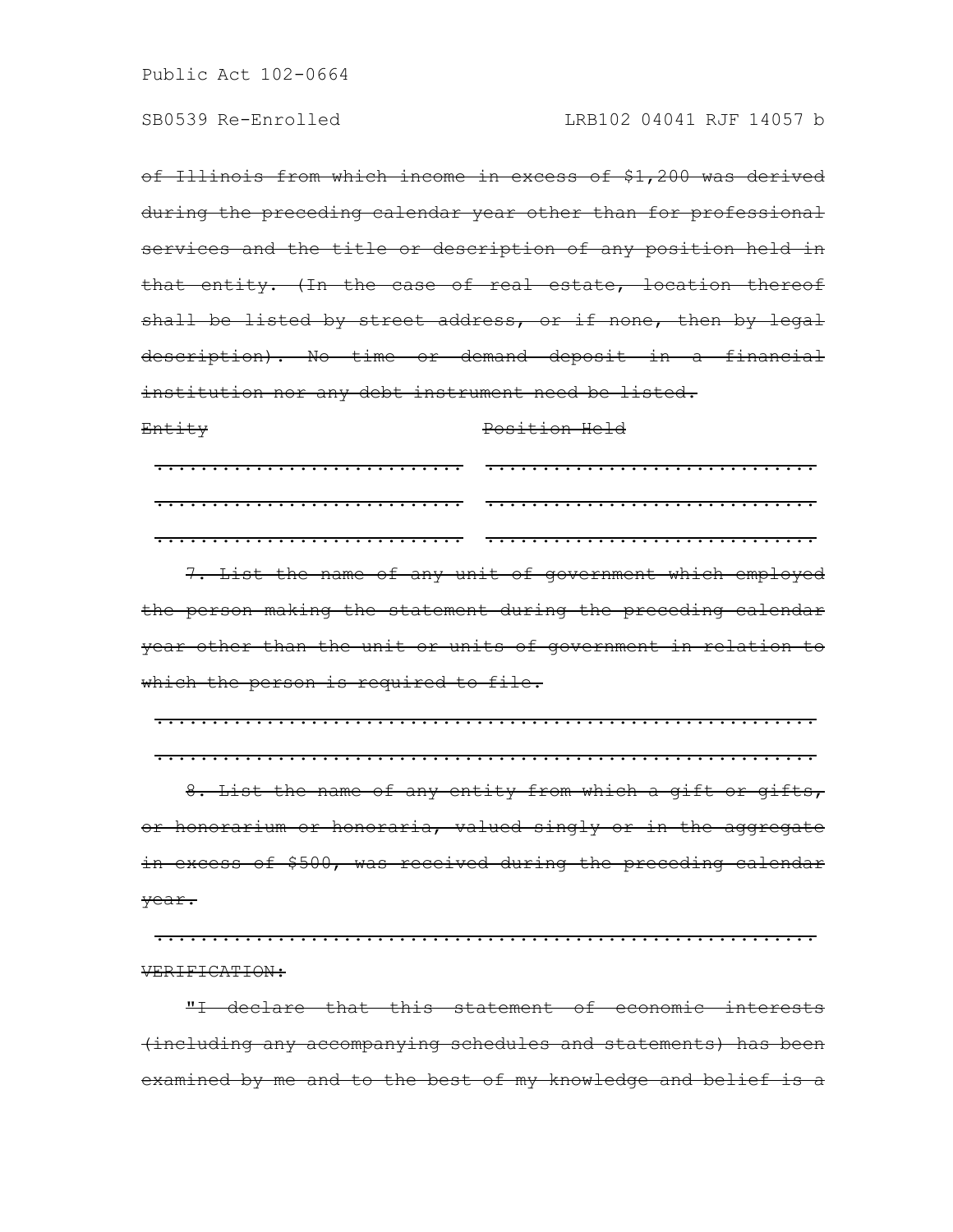of Illinois from which income in excess of \$1,200 was derived during the preceding calendar year other than for professional services and the title or description of any position held in that entity. (In the case of real estate, location thereof shall be listed by street address, or if none, then by legal description). No time or demand deposit in a financial institution nor any debt instrument need be listed.

Entity Position Held ............................ .............................. ............................ .............................. ............................ ..............................

7. List the name of any unit of government which employed the person making the statement during the preceding calendar year other than the unit or units of government in relation to which the person is required to file.

............................................................ ............................................................

8. List the name of any entity from which a gift or gifts, or honorarium or honoraria, valued singly or in the aggregate in excess of \$500, was received during the preceding calendar year.

............................................................ VERIFICATION:

"I declare that this statement of economic interests (including any accompanying schedules and statements) has been examined by me and to the best of my knowledge and belief is a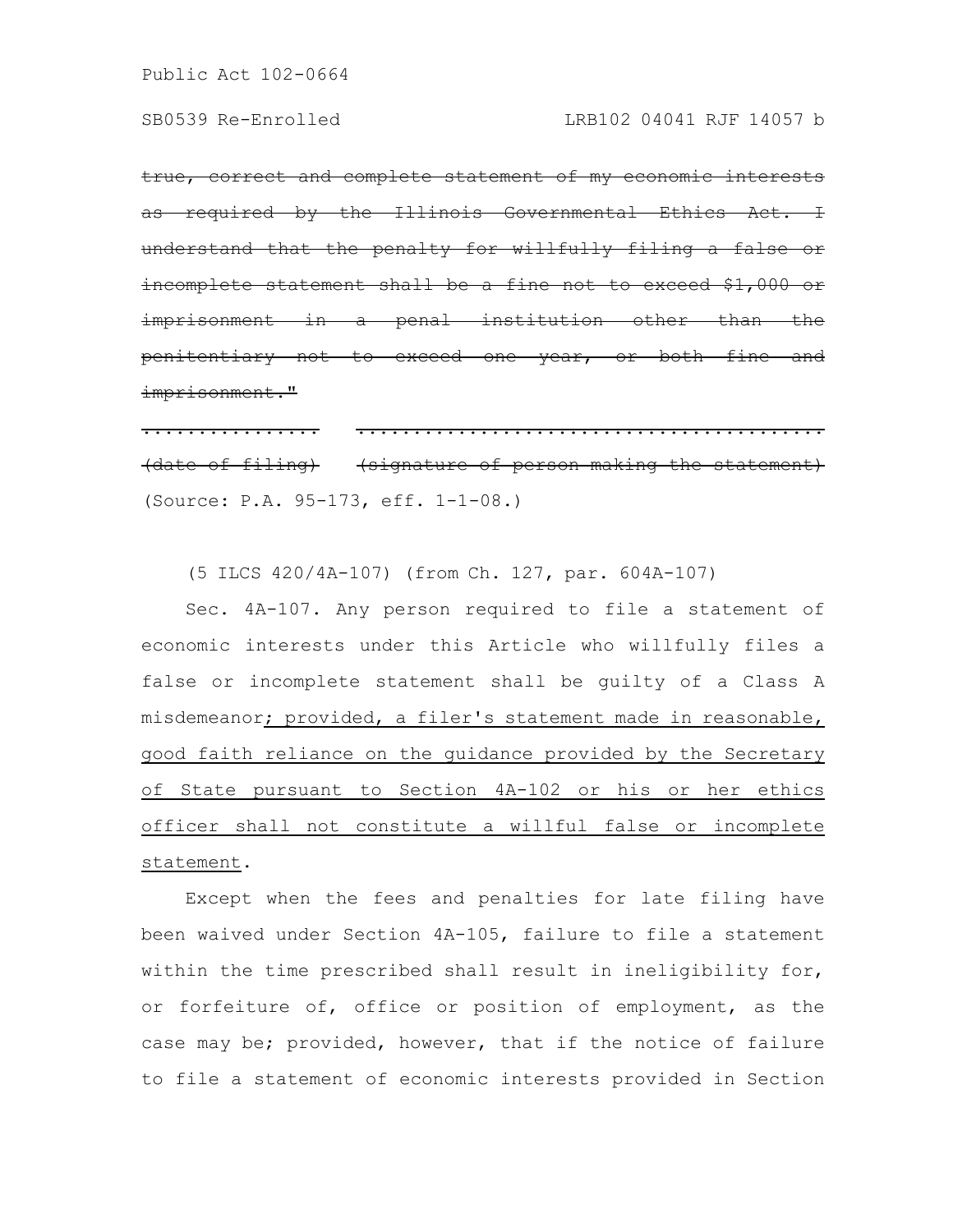true, correct and complete statement of my economic interests as required by the Illinois Governmental Ethics Act. understand that the penalty for willfully filing a false or incomplete statement shall be a fine not to exceed imprisonment in a penal institution other than the penitentiary not to exceed one year, or both fine and imprisonment."

................ .......................................... (date of filing) (signature of person making the statement) (Source: P.A. 95-173, eff. 1-1-08.)

(5 ILCS 420/4A-107) (from Ch. 127, par. 604A-107)

Sec. 4A-107. Any person required to file a statement of economic interests under this Article who willfully files a false or incomplete statement shall be guilty of a Class A misdemeanor; provided, a filer's statement made in reasonable, good faith reliance on the guidance provided by the Secretary of State pursuant to Section 4A-102 or his or her ethics officer shall not constitute a willful false or incomplete statement.

Except when the fees and penalties for late filing have been waived under Section 4A-105, failure to file a statement within the time prescribed shall result in ineligibility for, or forfeiture of, office or position of employment, as the case may be; provided, however, that if the notice of failure to file a statement of economic interests provided in Section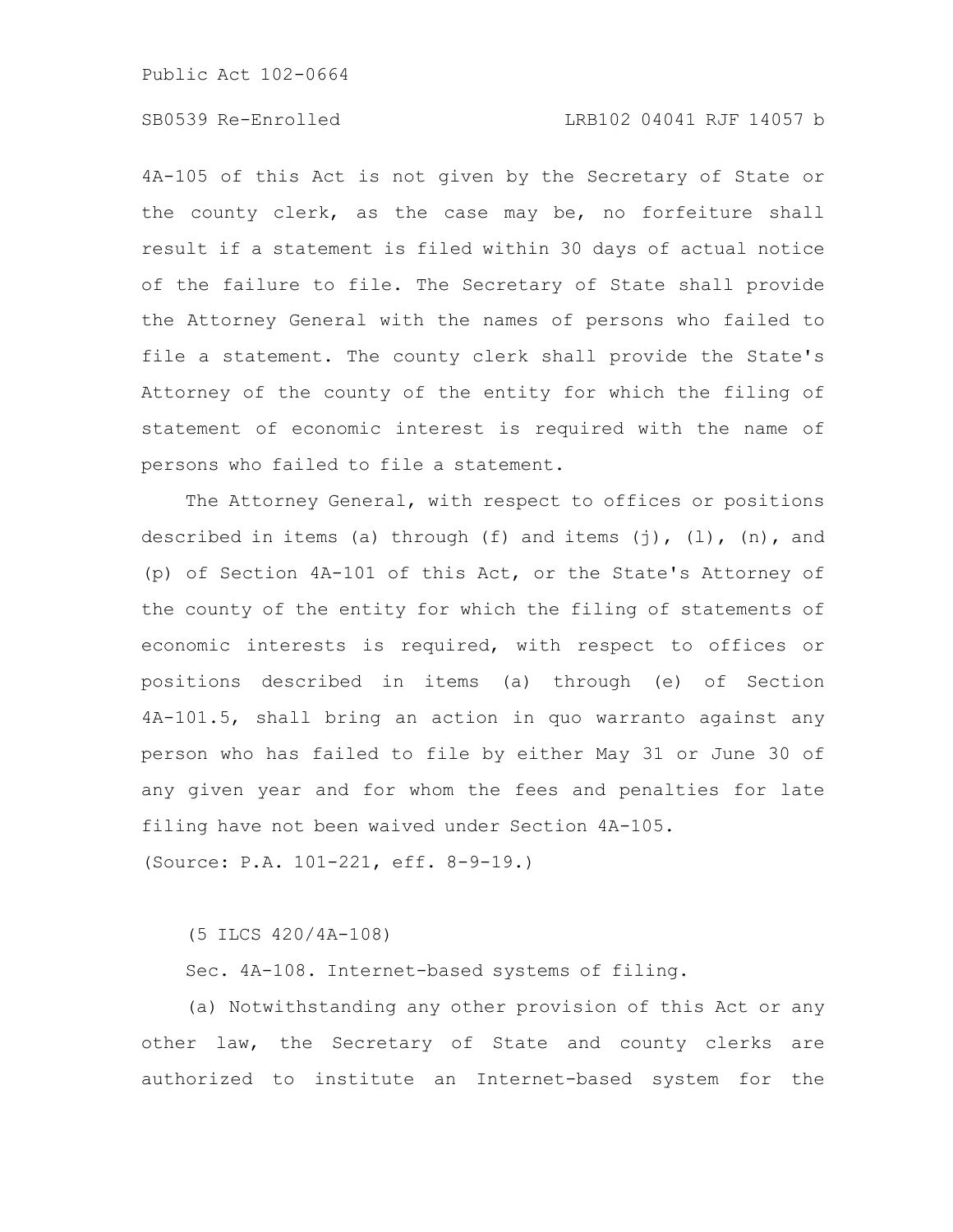# SB0539 Re-Enrolled LRB102 04041 RJF 14057 b

4A-105 of this Act is not given by the Secretary of State or the county clerk, as the case may be, no forfeiture shall result if a statement is filed within 30 days of actual notice of the failure to file. The Secretary of State shall provide the Attorney General with the names of persons who failed to file a statement. The county clerk shall provide the State's Attorney of the county of the entity for which the filing of statement of economic interest is required with the name of persons who failed to file a statement.

The Attorney General, with respect to offices or positions described in items (a) through (f) and items  $(j)$ ,  $(l)$ ,  $(n)$ , and (p) of Section 4A-101 of this Act, or the State's Attorney of the county of the entity for which the filing of statements of economic interests is required, with respect to offices or positions described in items (a) through (e) of Section 4A-101.5, shall bring an action in quo warranto against any person who has failed to file by either May 31 or June 30 of any given year and for whom the fees and penalties for late filing have not been waived under Section 4A-105.

(Source: P.A. 101-221, eff. 8-9-19.)

(5 ILCS 420/4A-108)

Sec. 4A-108. Internet-based systems of filing.

(a) Notwithstanding any other provision of this Act or any other law, the Secretary of State and county clerks are authorized to institute an Internet-based system for the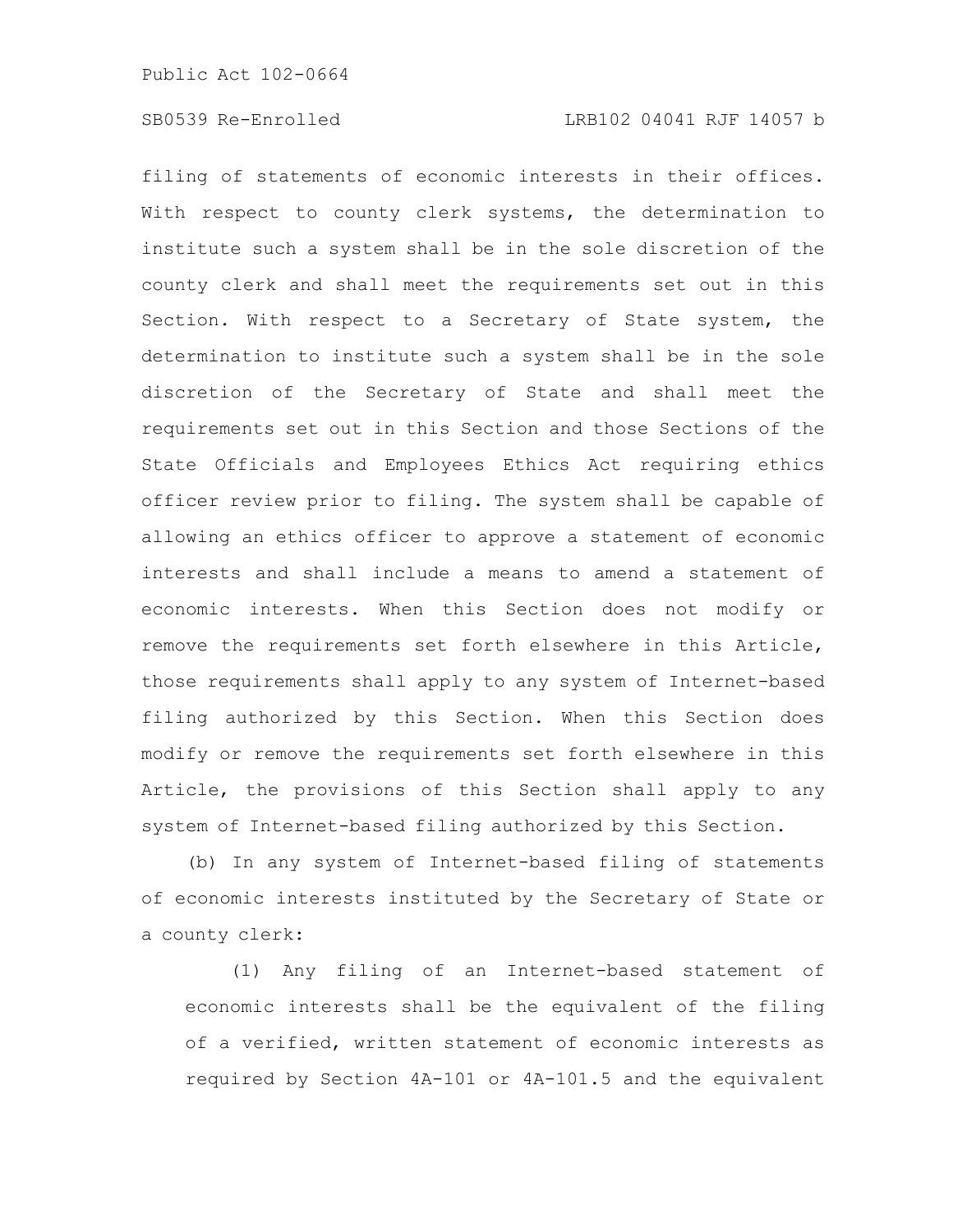filing of statements of economic interests in their offices. With respect to county clerk systems, the determination to institute such a system shall be in the sole discretion of the county clerk and shall meet the requirements set out in this Section. With respect to a Secretary of State system, the determination to institute such a system shall be in the sole discretion of the Secretary of State and shall meet the requirements set out in this Section and those Sections of the State Officials and Employees Ethics Act requiring ethics officer review prior to filing. The system shall be capable of allowing an ethics officer to approve a statement of economic interests and shall include a means to amend a statement of economic interests. When this Section does not modify or remove the requirements set forth elsewhere in this Article, those requirements shall apply to any system of Internet-based filing authorized by this Section. When this Section does modify or remove the requirements set forth elsewhere in this Article, the provisions of this Section shall apply to any system of Internet-based filing authorized by this Section.

(b) In any system of Internet-based filing of statements of economic interests instituted by the Secretary of State or a county clerk:

(1) Any filing of an Internet-based statement of economic interests shall be the equivalent of the filing of a verified, written statement of economic interests as required by Section 4A-101 or 4A-101.5 and the equivalent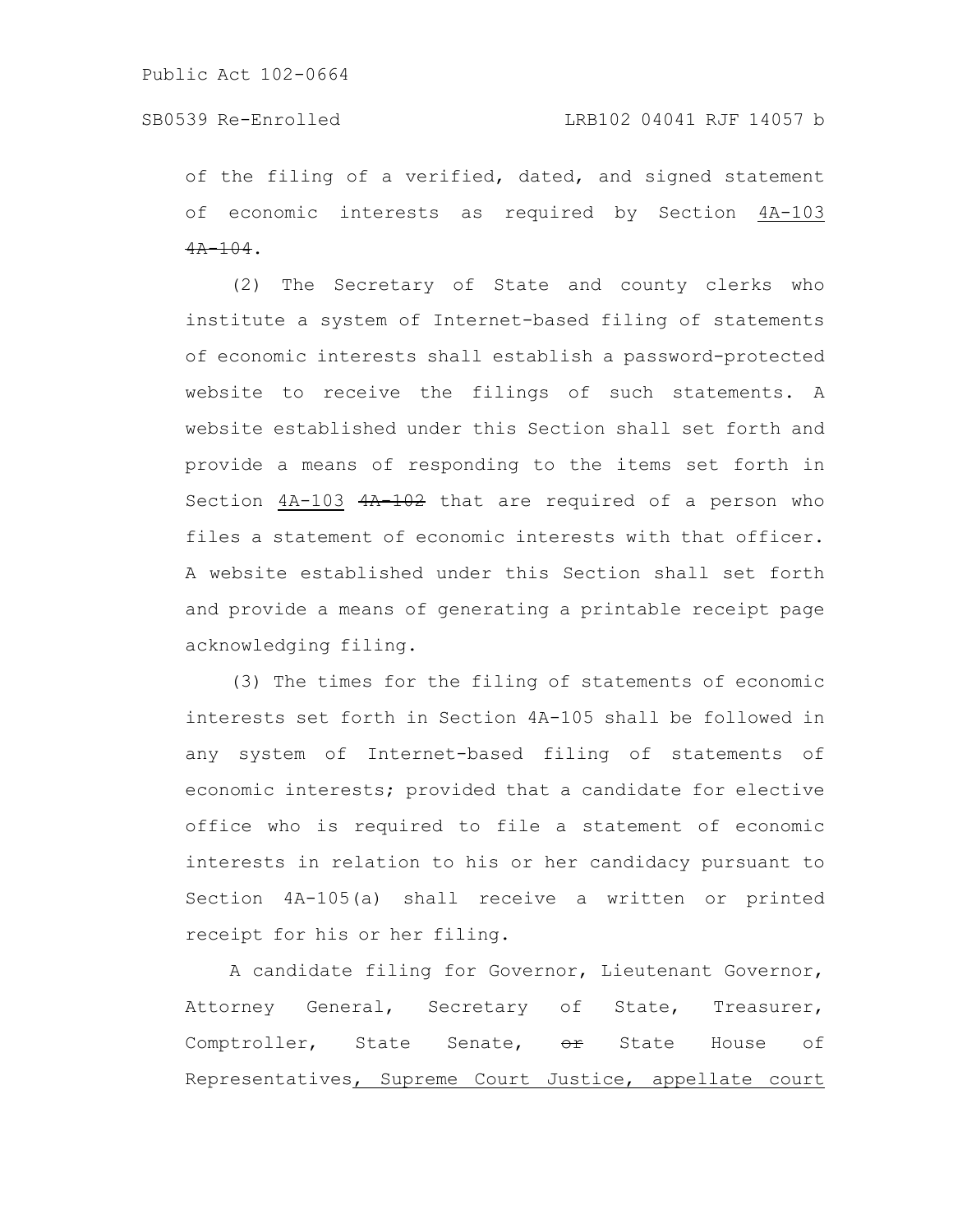## SB0539 Re-Enrolled LRB102 04041 RJF 14057 b

of the filing of a verified, dated, and signed statement of economic interests as required by Section 4A-103  $4A-104$ .

(2) The Secretary of State and county clerks who institute a system of Internet-based filing of statements of economic interests shall establish a password-protected website to receive the filings of such statements. A website established under this Section shall set forth and provide a means of responding to the items set forth in Section  $4A-103$   $4A-102$  that are required of a person who files a statement of economic interests with that officer. A website established under this Section shall set forth and provide a means of generating a printable receipt page acknowledging filing.

(3) The times for the filing of statements of economic interests set forth in Section 4A-105 shall be followed in any system of Internet-based filing of statements of economic interests; provided that a candidate for elective office who is required to file a statement of economic interests in relation to his or her candidacy pursuant to Section 4A-105(a) shall receive a written or printed receipt for his or her filing.

A candidate filing for Governor, Lieutenant Governor, Attorney General, Secretary of State, Treasurer, Comptroller, State Senate,  $e^{i\theta}$  State House of Representatives, Supreme Court Justice, appellate court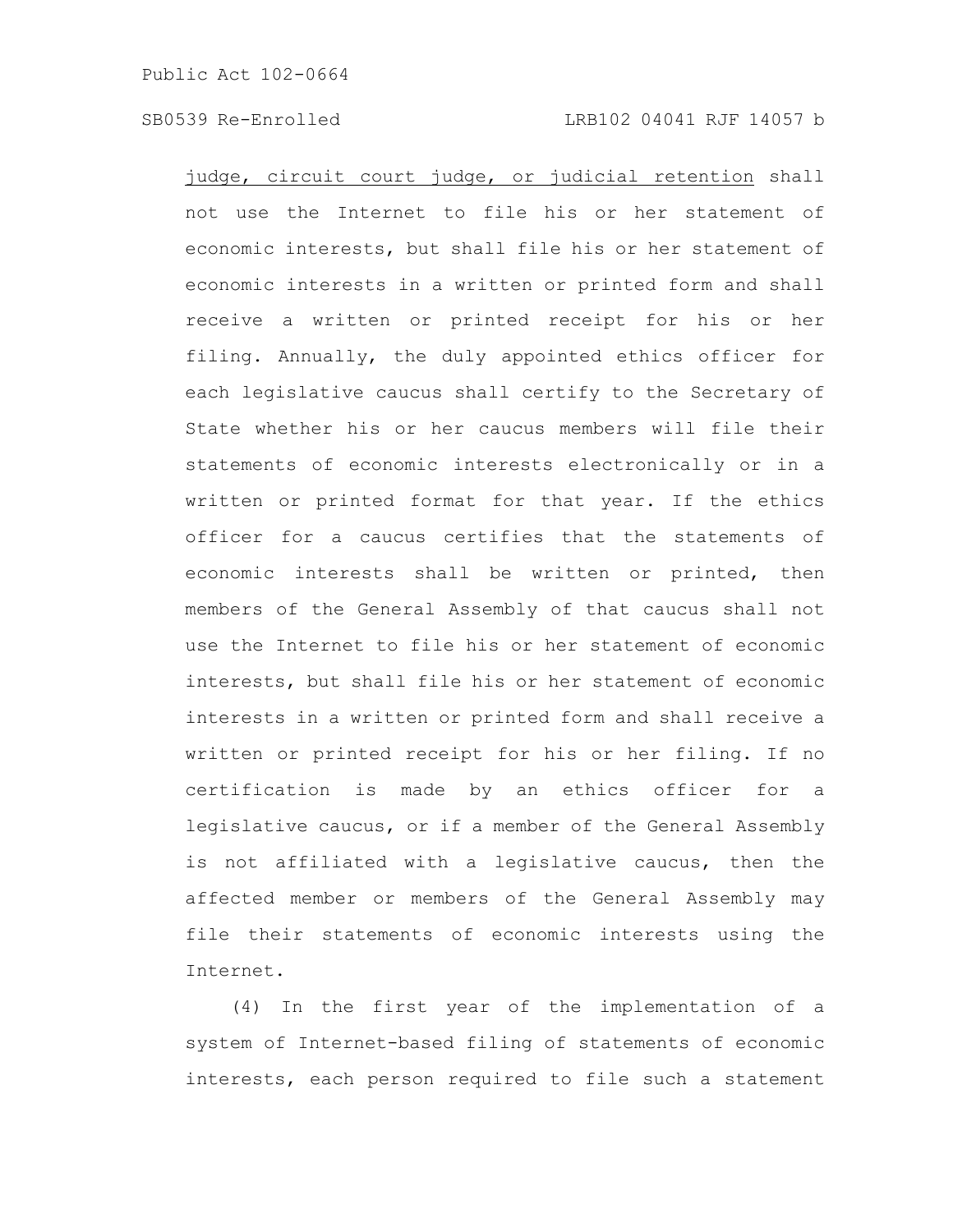judge, circuit court judge, or judicial retention shall not use the Internet to file his or her statement of economic interests, but shall file his or her statement of economic interests in a written or printed form and shall receive a written or printed receipt for his or her filing. Annually, the duly appointed ethics officer for each legislative caucus shall certify to the Secretary of State whether his or her caucus members will file their statements of economic interests electronically or in a written or printed format for that year. If the ethics officer for a caucus certifies that the statements of economic interests shall be written or printed, then members of the General Assembly of that caucus shall not use the Internet to file his or her statement of economic interests, but shall file his or her statement of economic interests in a written or printed form and shall receive a written or printed receipt for his or her filing. If no certification is made by an ethics officer for a legislative caucus, or if a member of the General Assembly is not affiliated with a legislative caucus, then the affected member or members of the General Assembly may file their statements of economic interests using the Internet.

(4) In the first year of the implementation of a system of Internet-based filing of statements of economic interests, each person required to file such a statement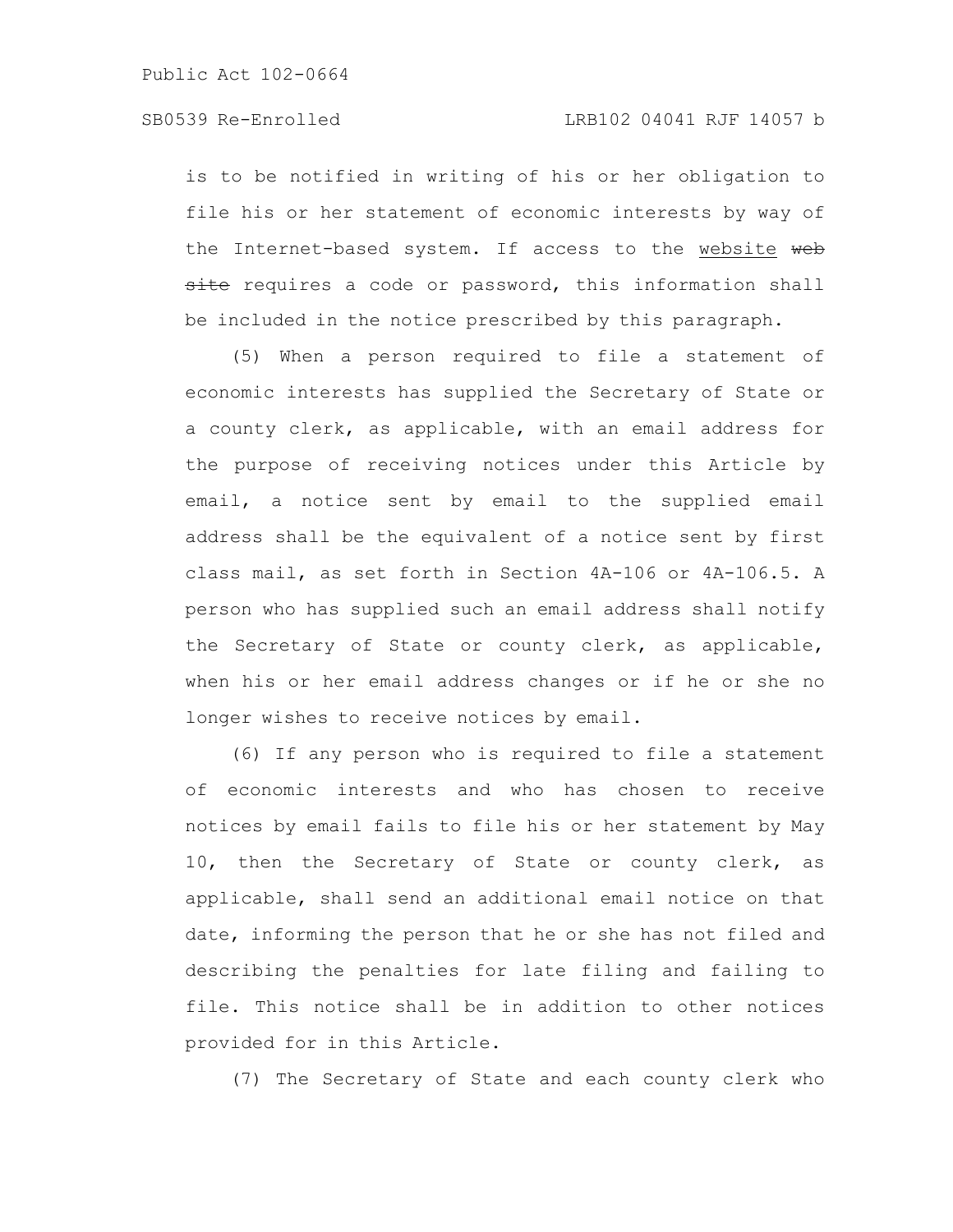is to be notified in writing of his or her obligation to file his or her statement of economic interests by way of the Internet-based system. If access to the website web site requires a code or password, this information shall be included in the notice prescribed by this paragraph.

(5) When a person required to file a statement of economic interests has supplied the Secretary of State or a county clerk, as applicable, with an email address for the purpose of receiving notices under this Article by email, a notice sent by email to the supplied email address shall be the equivalent of a notice sent by first class mail, as set forth in Section 4A-106 or 4A-106.5. A person who has supplied such an email address shall notify the Secretary of State or county clerk, as applicable, when his or her email address changes or if he or she no longer wishes to receive notices by email.

(6) If any person who is required to file a statement of economic interests and who has chosen to receive notices by email fails to file his or her statement by May 10, then the Secretary of State or county clerk, as applicable, shall send an additional email notice on that date, informing the person that he or she has not filed and describing the penalties for late filing and failing to file. This notice shall be in addition to other notices provided for in this Article.

(7) The Secretary of State and each county clerk who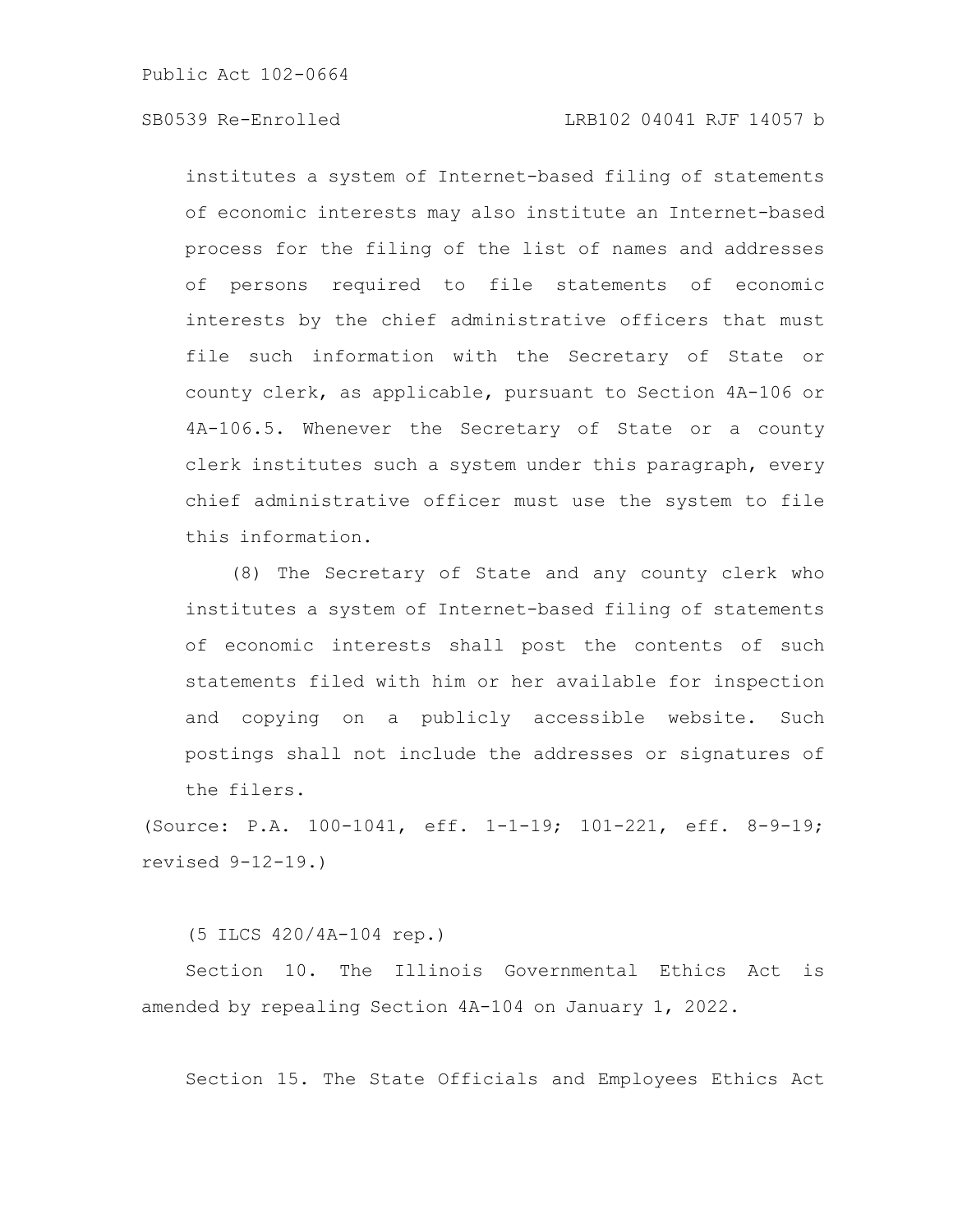institutes a system of Internet-based filing of statements of economic interests may also institute an Internet-based process for the filing of the list of names and addresses of persons required to file statements of economic interests by the chief administrative officers that must file such information with the Secretary of State or county clerk, as applicable, pursuant to Section 4A-106 or 4A-106.5. Whenever the Secretary of State or a county clerk institutes such a system under this paragraph, every chief administrative officer must use the system to file this information.

(8) The Secretary of State and any county clerk who institutes a system of Internet-based filing of statements of economic interests shall post the contents of such statements filed with him or her available for inspection and copying on a publicly accessible website. Such postings shall not include the addresses or signatures of the filers.

(Source: P.A. 100-1041, eff. 1-1-19; 101-221, eff. 8-9-19; revised 9-12-19.)

(5 ILCS 420/4A-104 rep.)

Section 10. The Illinois Governmental Ethics Act is amended by repealing Section 4A-104 on January 1, 2022.

Section 15. The State Officials and Employees Ethics Act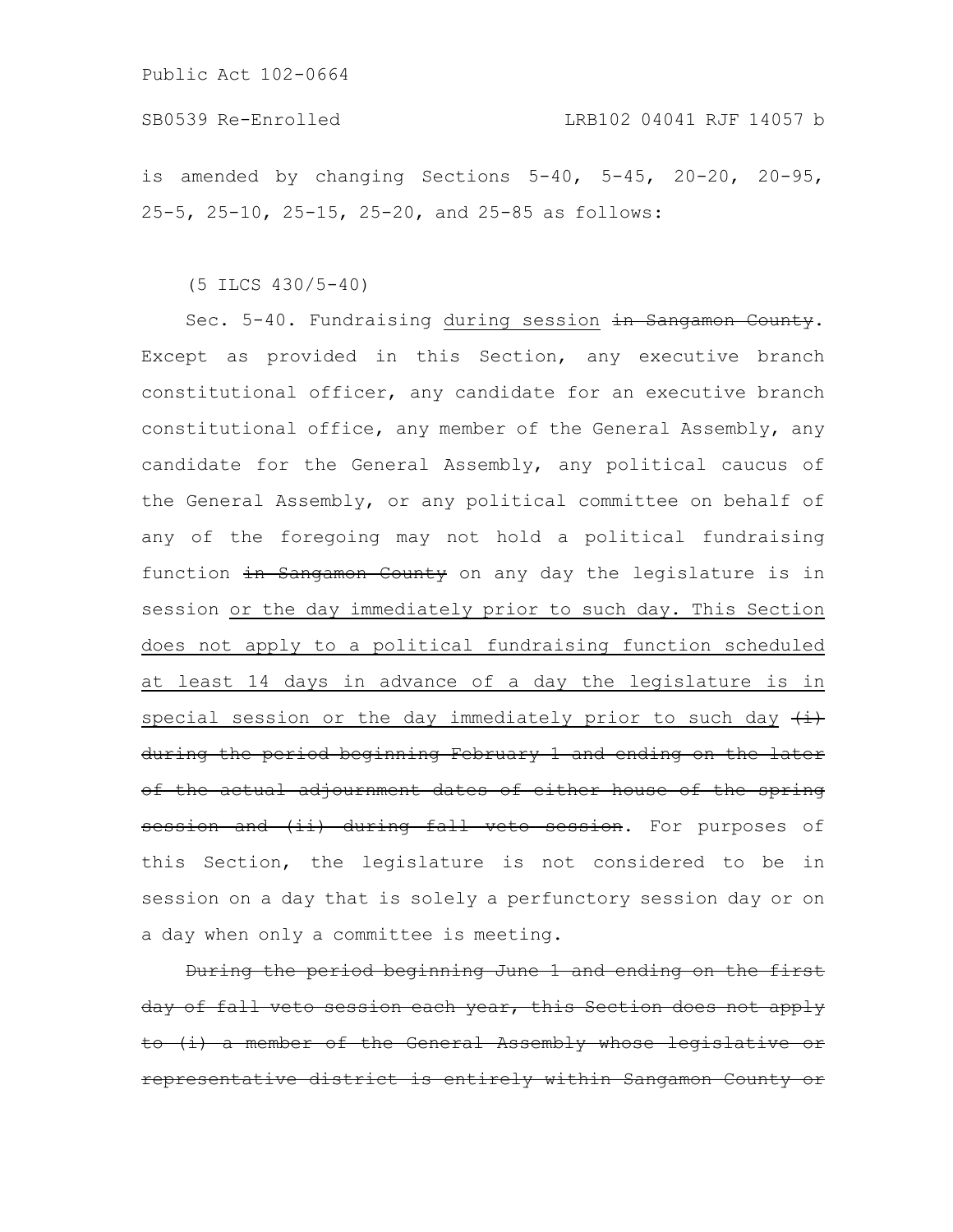is amended by changing Sections 5-40, 5-45, 20-20, 20-95, 25-5, 25-10, 25-15, 25-20, and 25-85 as follows:

(5 ILCS 430/5-40)

Sec. 5-40. Fundraising during session in Sangamon County. Except as provided in this Section, any executive branch constitutional officer, any candidate for an executive branch constitutional office, any member of the General Assembly, any candidate for the General Assembly, any political caucus of the General Assembly, or any political committee on behalf of any of the foregoing may not hold a political fundraising function in Sangamon County on any day the legislature is in session or the day immediately prior to such day. This Section does not apply to a political fundraising function scheduled at least 14 days in advance of a day the legislature is in special session or the day immediately prior to such day  $\overleftrightarrow{t}$ during the period beginning February 1 and ending on the later of the actual adjournment dates of either house of the spring session and (ii) during fall veto session. For purposes of this Section, the legislature is not considered to be in session on a day that is solely a perfunctory session day or on a day when only a committee is meeting.

During the period beginning June 1 and ending on the day of fall veto session each year, this Section does not apply to (i) a member of the General Assembly whose legislative representative district is entirely within Sangamon County or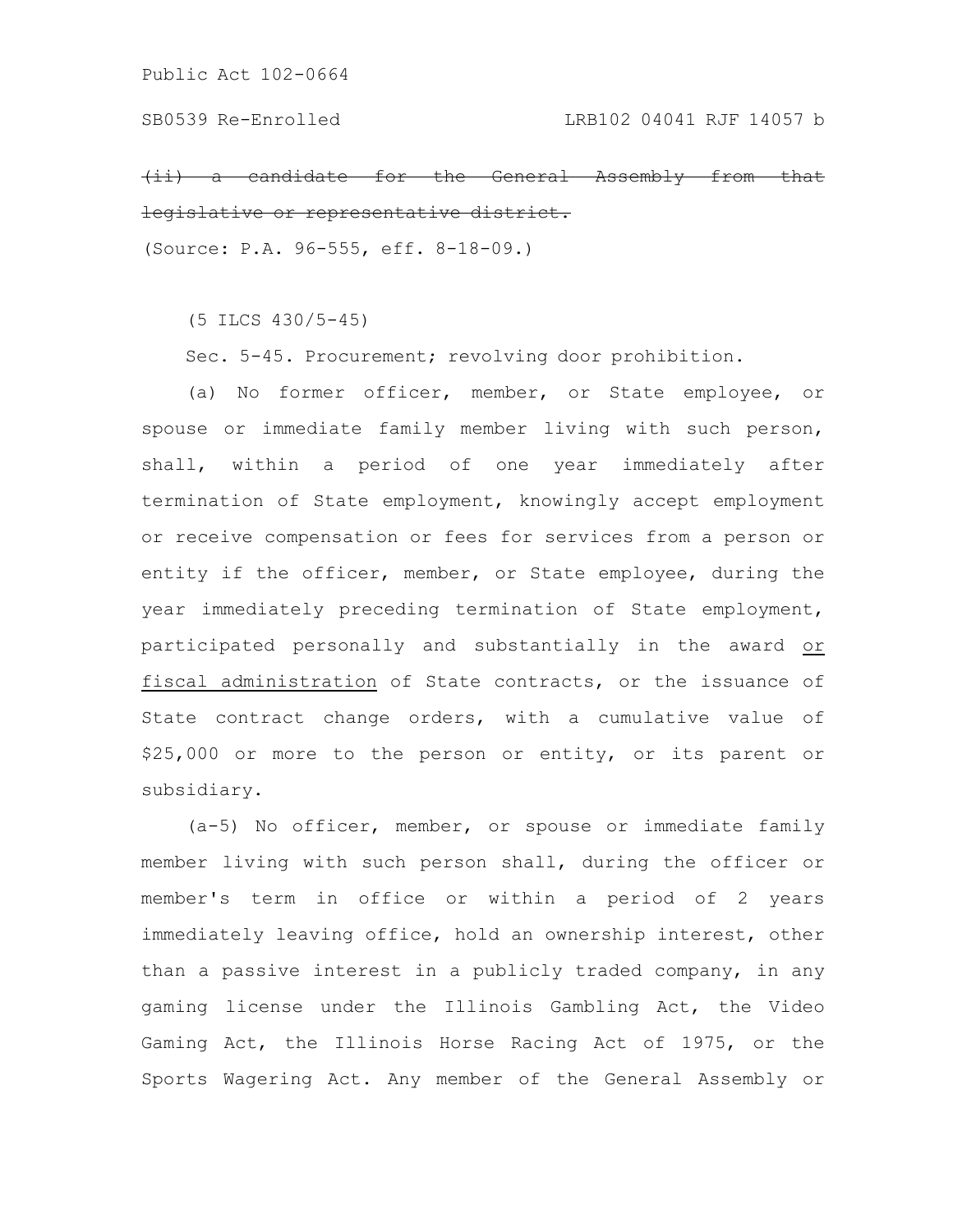$(i)$  a candidate for the General Assembly from legislative or representative district.

(Source: P.A. 96-555, eff. 8-18-09.)

(5 ILCS 430/5-45)

Sec. 5-45. Procurement; revolving door prohibition.

(a) No former officer, member, or State employee, or spouse or immediate family member living with such person, shall, within a period of one year immediately after termination of State employment, knowingly accept employment or receive compensation or fees for services from a person or entity if the officer, member, or State employee, during the year immediately preceding termination of State employment, participated personally and substantially in the award or fiscal administration of State contracts, or the issuance of State contract change orders, with a cumulative value of \$25,000 or more to the person or entity, or its parent or subsidiary.

(a-5) No officer, member, or spouse or immediate family member living with such person shall, during the officer or member's term in office or within a period of 2 years immediately leaving office, hold an ownership interest, other than a passive interest in a publicly traded company, in any gaming license under the Illinois Gambling Act, the Video Gaming Act, the Illinois Horse Racing Act of 1975, or the Sports Wagering Act. Any member of the General Assembly or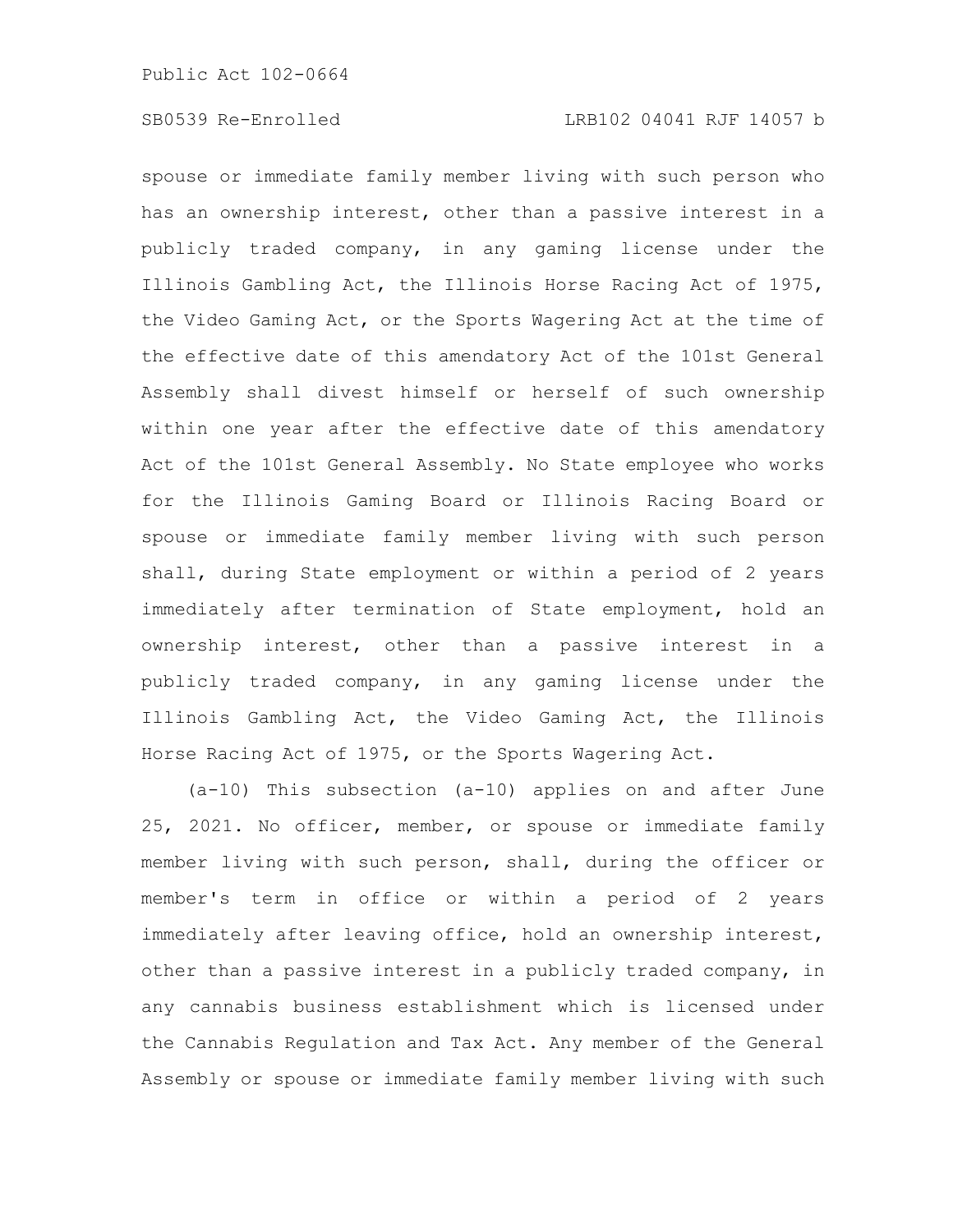spouse or immediate family member living with such person who has an ownership interest, other than a passive interest in a publicly traded company, in any gaming license under the Illinois Gambling Act, the Illinois Horse Racing Act of 1975, the Video Gaming Act, or the Sports Wagering Act at the time of the effective date of this amendatory Act of the 101st General Assembly shall divest himself or herself of such ownership within one year after the effective date of this amendatory Act of the 101st General Assembly. No State employee who works for the Illinois Gaming Board or Illinois Racing Board or spouse or immediate family member living with such person shall, during State employment or within a period of 2 years immediately after termination of State employment, hold an ownership interest, other than a passive interest in a publicly traded company, in any gaming license under the Illinois Gambling Act, the Video Gaming Act, the Illinois Horse Racing Act of 1975, or the Sports Wagering Act.

(a-10) This subsection (a-10) applies on and after June 25, 2021. No officer, member, or spouse or immediate family member living with such person, shall, during the officer or member's term in office or within a period of 2 years immediately after leaving office, hold an ownership interest, other than a passive interest in a publicly traded company, in any cannabis business establishment which is licensed under the Cannabis Regulation and Tax Act. Any member of the General Assembly or spouse or immediate family member living with such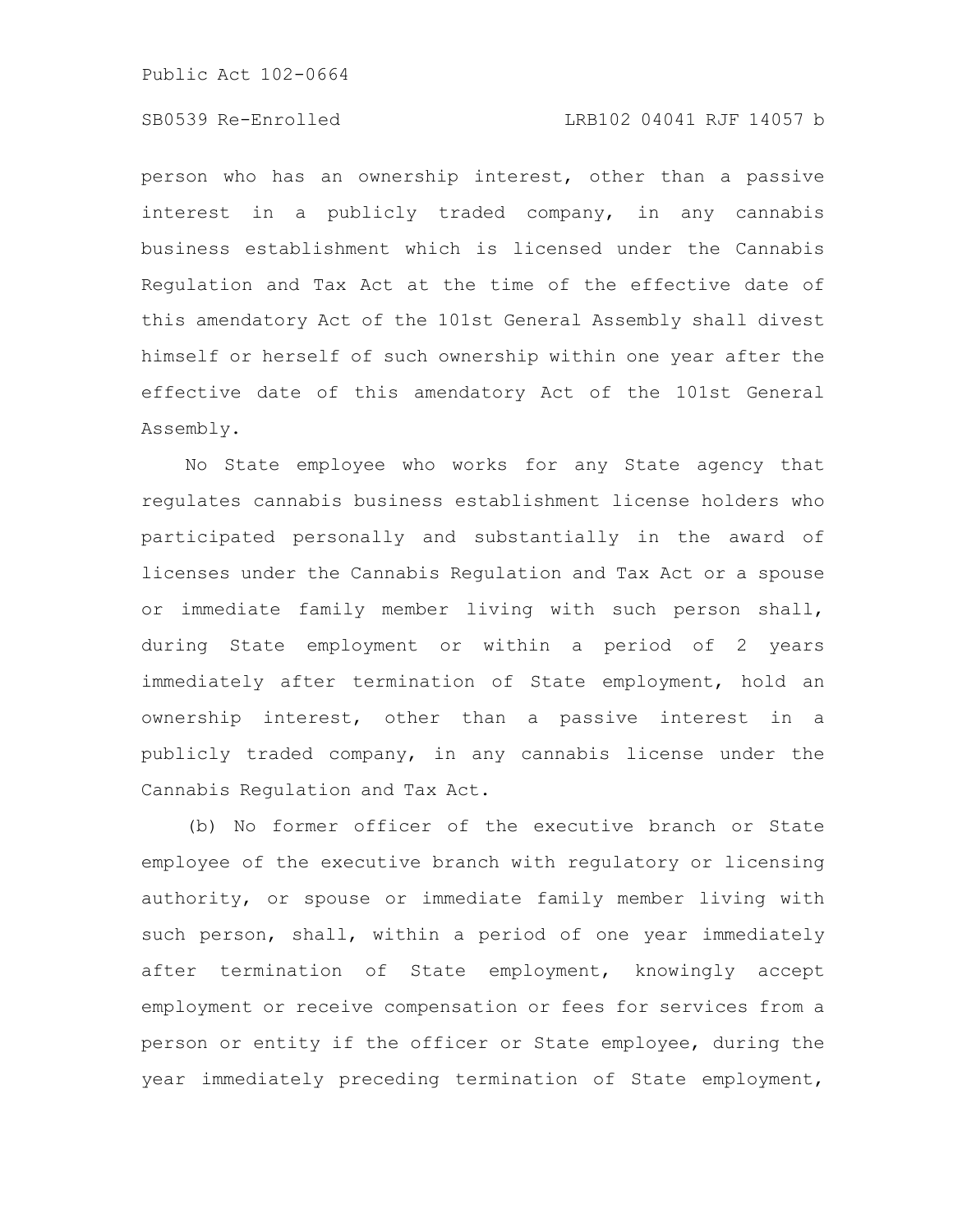# SB0539 Re-Enrolled LRB102 04041 RJF 14057 b

person who has an ownership interest, other than a passive interest in a publicly traded company, in any cannabis business establishment which is licensed under the Cannabis Regulation and Tax Act at the time of the effective date of this amendatory Act of the 101st General Assembly shall divest himself or herself of such ownership within one year after the effective date of this amendatory Act of the 101st General Assembly.

No State employee who works for any State agency that regulates cannabis business establishment license holders who participated personally and substantially in the award of licenses under the Cannabis Regulation and Tax Act or a spouse or immediate family member living with such person shall, during State employment or within a period of 2 years immediately after termination of State employment, hold an ownership interest, other than a passive interest in a publicly traded company, in any cannabis license under the Cannabis Regulation and Tax Act.

(b) No former officer of the executive branch or State employee of the executive branch with regulatory or licensing authority, or spouse or immediate family member living with such person, shall, within a period of one year immediately after termination of State employment, knowingly accept employment or receive compensation or fees for services from a person or entity if the officer or State employee, during the year immediately preceding termination of State employment,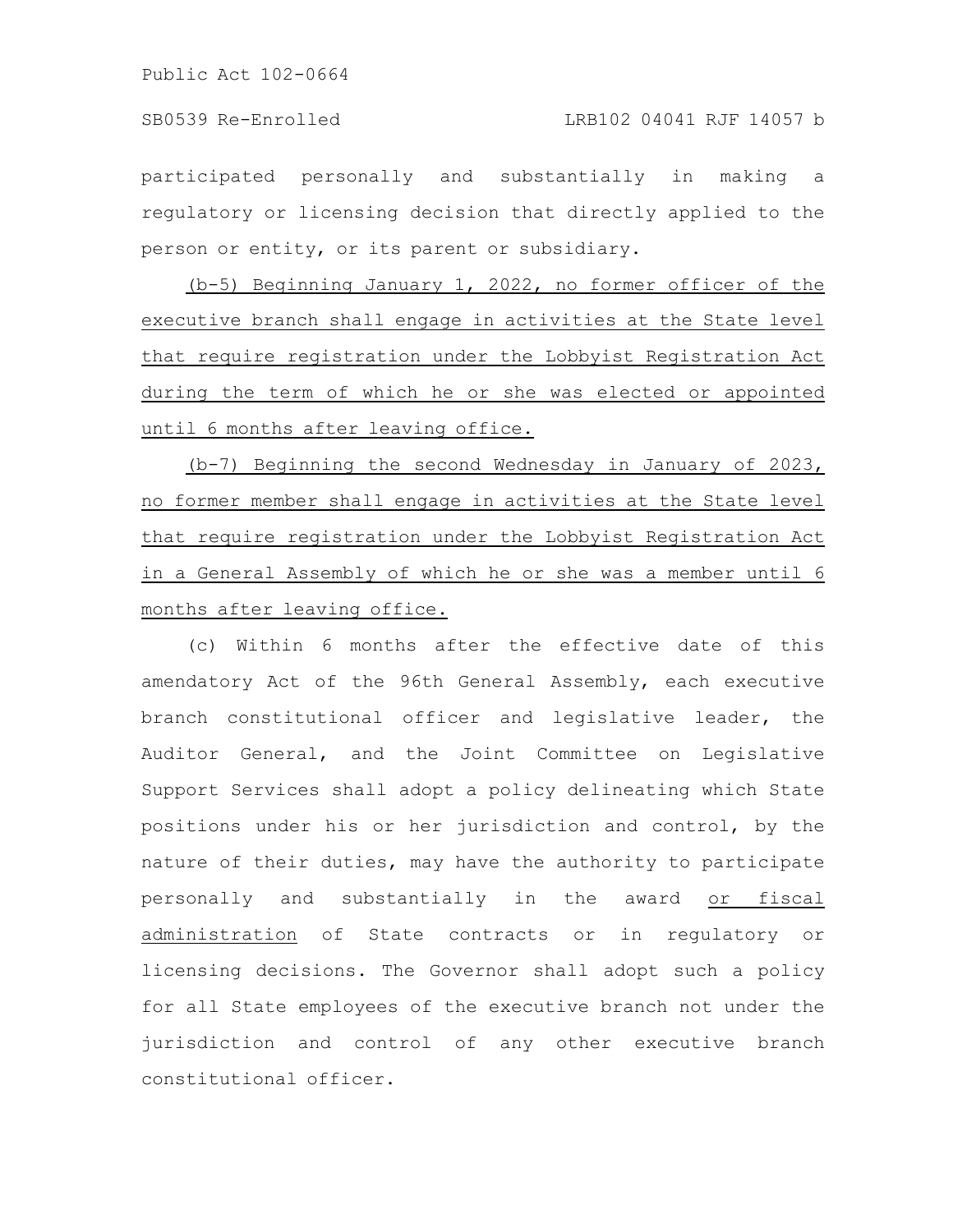participated personally and substantially in making a regulatory or licensing decision that directly applied to the person or entity, or its parent or subsidiary.

(b-5) Beginning January 1, 2022, no former officer of the executive branch shall engage in activities at the State level that require registration under the Lobbyist Registration Act during the term of which he or she was elected or appointed until 6 months after leaving office.

(b-7) Beginning the second Wednesday in January of 2023, no former member shall engage in activities at the State level that require registration under the Lobbyist Registration Act in a General Assembly of which he or she was a member until 6 months after leaving office.

(c) Within 6 months after the effective date of this amendatory Act of the 96th General Assembly, each executive branch constitutional officer and legislative leader, the Auditor General, and the Joint Committee on Legislative Support Services shall adopt a policy delineating which State positions under his or her jurisdiction and control, by the nature of their duties, may have the authority to participate personally and substantially in the award or fiscal administration of State contracts or in regulatory or licensing decisions. The Governor shall adopt such a policy for all State employees of the executive branch not under the jurisdiction and control of any other executive branch constitutional officer.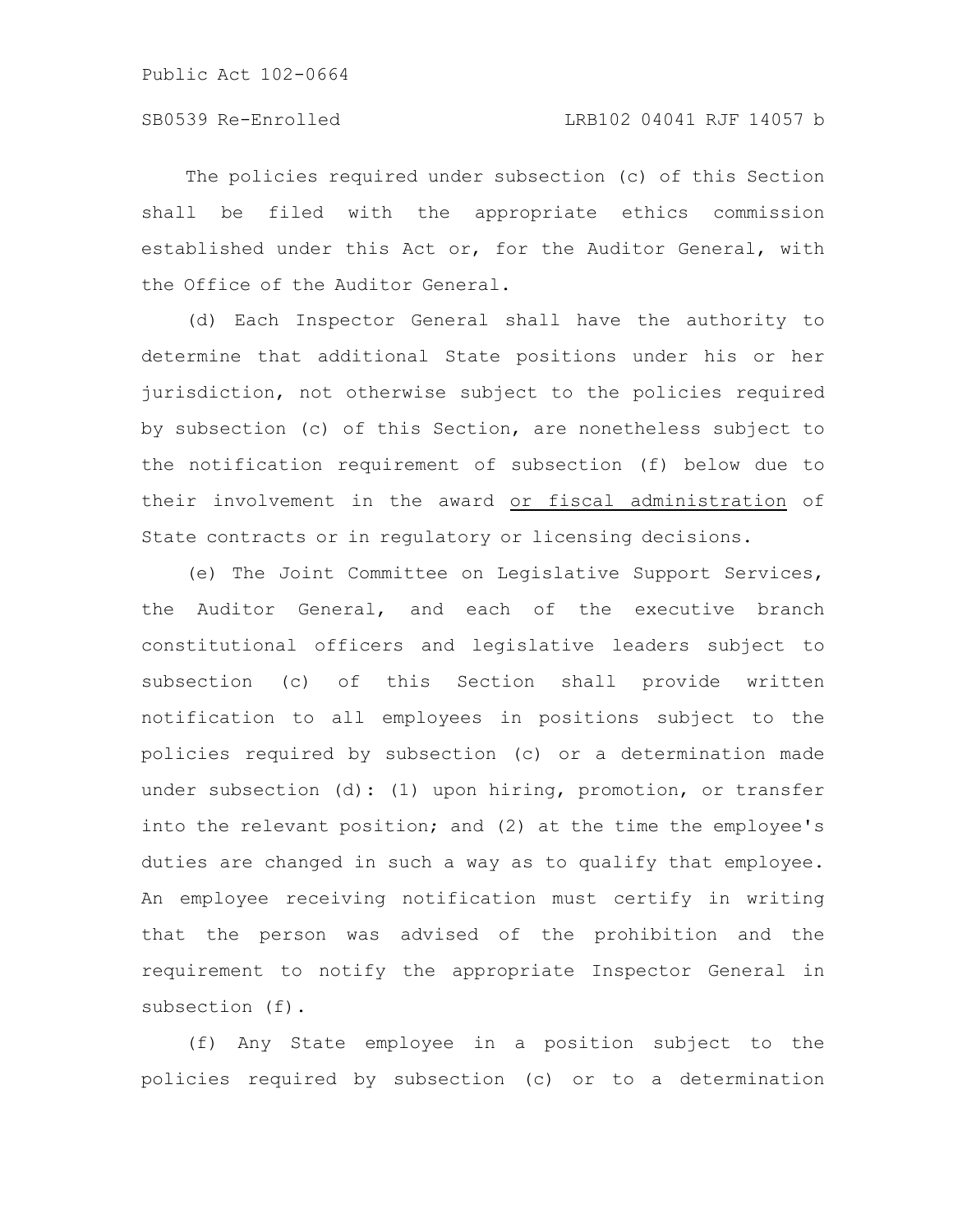The policies required under subsection (c) of this Section shall be filed with the appropriate ethics commission established under this Act or, for the Auditor General, with the Office of the Auditor General.

(d) Each Inspector General shall have the authority to determine that additional State positions under his or her jurisdiction, not otherwise subject to the policies required by subsection (c) of this Section, are nonetheless subject to the notification requirement of subsection (f) below due to their involvement in the award or fiscal administration of State contracts or in regulatory or licensing decisions.

(e) The Joint Committee on Legislative Support Services, the Auditor General, and each of the executive branch constitutional officers and legislative leaders subject to subsection (c) of this Section shall provide written notification to all employees in positions subject to the policies required by subsection (c) or a determination made under subsection (d): (1) upon hiring, promotion, or transfer into the relevant position; and (2) at the time the employee's duties are changed in such a way as to qualify that employee. An employee receiving notification must certify in writing that the person was advised of the prohibition and the requirement to notify the appropriate Inspector General in subsection (f).

(f) Any State employee in a position subject to the policies required by subsection (c) or to a determination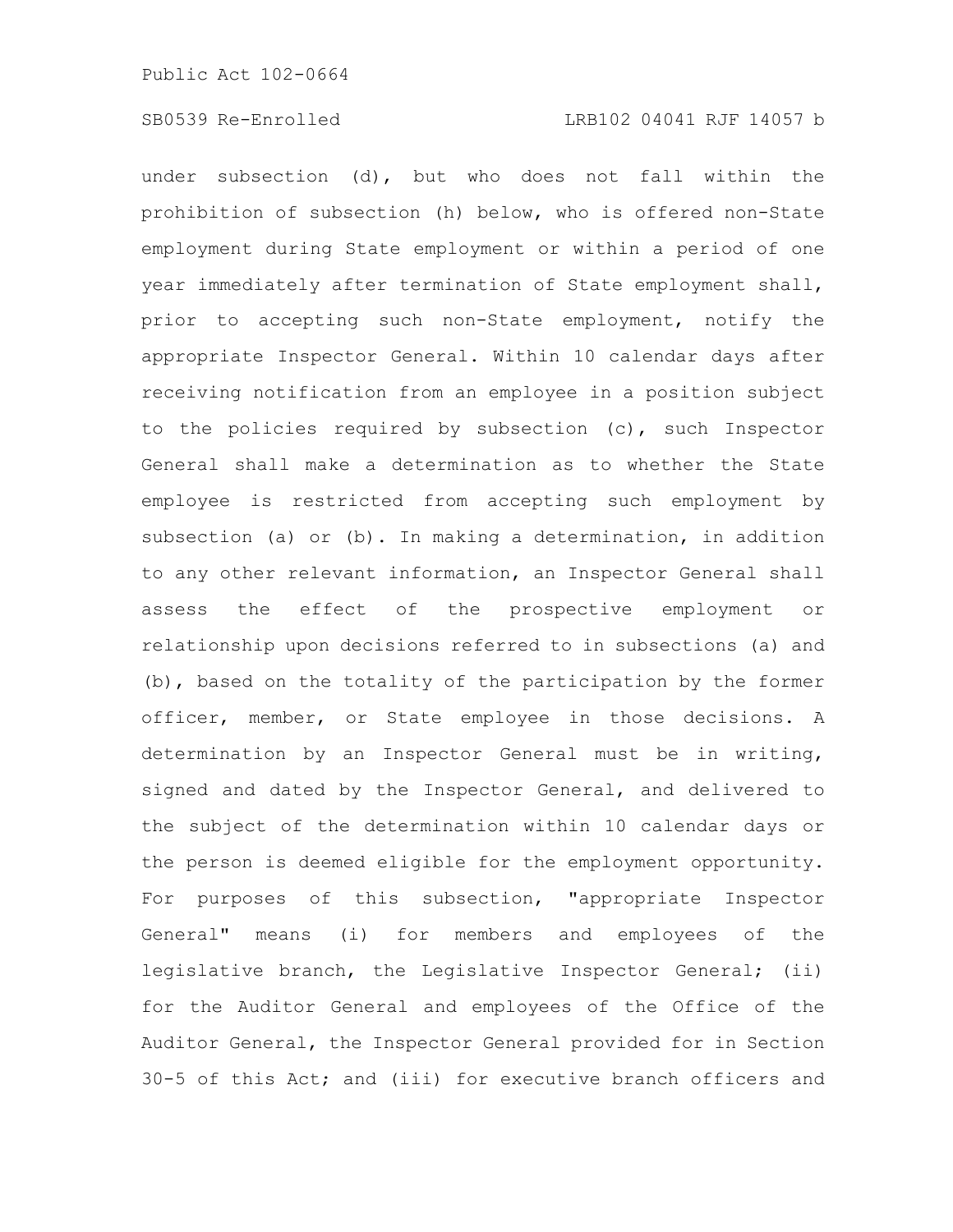under subsection (d), but who does not fall within the prohibition of subsection (h) below, who is offered non-State employment during State employment or within a period of one year immediately after termination of State employment shall, prior to accepting such non-State employment, notify the appropriate Inspector General. Within 10 calendar days after receiving notification from an employee in a position subject to the policies required by subsection (c), such Inspector General shall make a determination as to whether the State employee is restricted from accepting such employment by subsection (a) or (b). In making a determination, in addition to any other relevant information, an Inspector General shall assess the effect of the prospective employment or relationship upon decisions referred to in subsections (a) and (b), based on the totality of the participation by the former officer, member, or State employee in those decisions. A determination by an Inspector General must be in writing, signed and dated by the Inspector General, and delivered to the subject of the determination within 10 calendar days or the person is deemed eligible for the employment opportunity. For purposes of this subsection, "appropriate Inspector General" means (i) for members and employees of the legislative branch, the Legislative Inspector General; (ii) for the Auditor General and employees of the Office of the Auditor General, the Inspector General provided for in Section 30-5 of this Act; and (iii) for executive branch officers and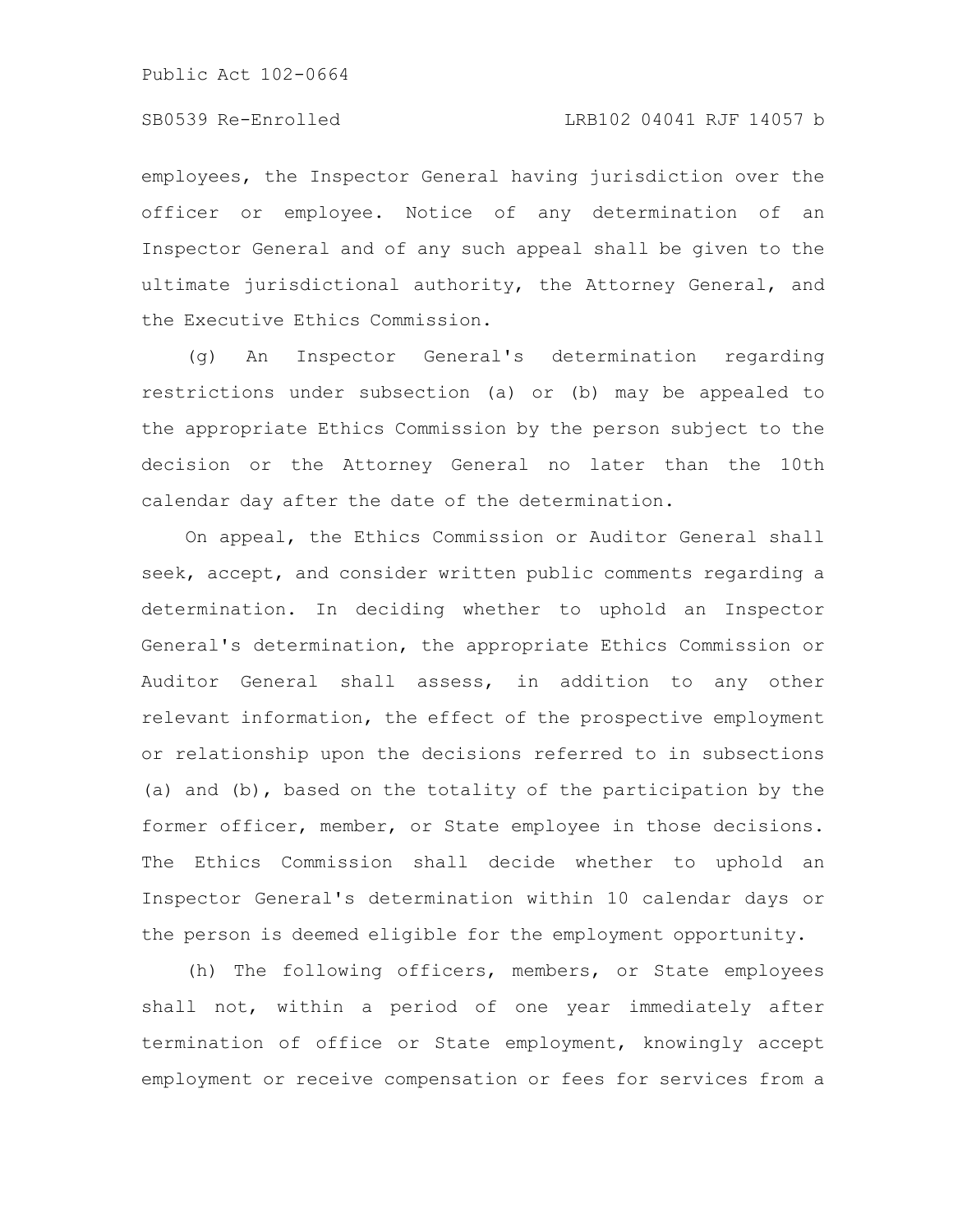employees, the Inspector General having jurisdiction over the officer or employee. Notice of any determination of an Inspector General and of any such appeal shall be given to the ultimate jurisdictional authority, the Attorney General, and the Executive Ethics Commission.

(g) An Inspector General's determination regarding restrictions under subsection (a) or (b) may be appealed to the appropriate Ethics Commission by the person subject to the decision or the Attorney General no later than the 10th calendar day after the date of the determination.

On appeal, the Ethics Commission or Auditor General shall seek, accept, and consider written public comments regarding a determination. In deciding whether to uphold an Inspector General's determination, the appropriate Ethics Commission or Auditor General shall assess, in addition to any other relevant information, the effect of the prospective employment or relationship upon the decisions referred to in subsections (a) and (b), based on the totality of the participation by the former officer, member, or State employee in those decisions. The Ethics Commission shall decide whether to uphold an Inspector General's determination within 10 calendar days or the person is deemed eligible for the employment opportunity.

(h) The following officers, members, or State employees shall not, within a period of one year immediately after termination of office or State employment, knowingly accept employment or receive compensation or fees for services from a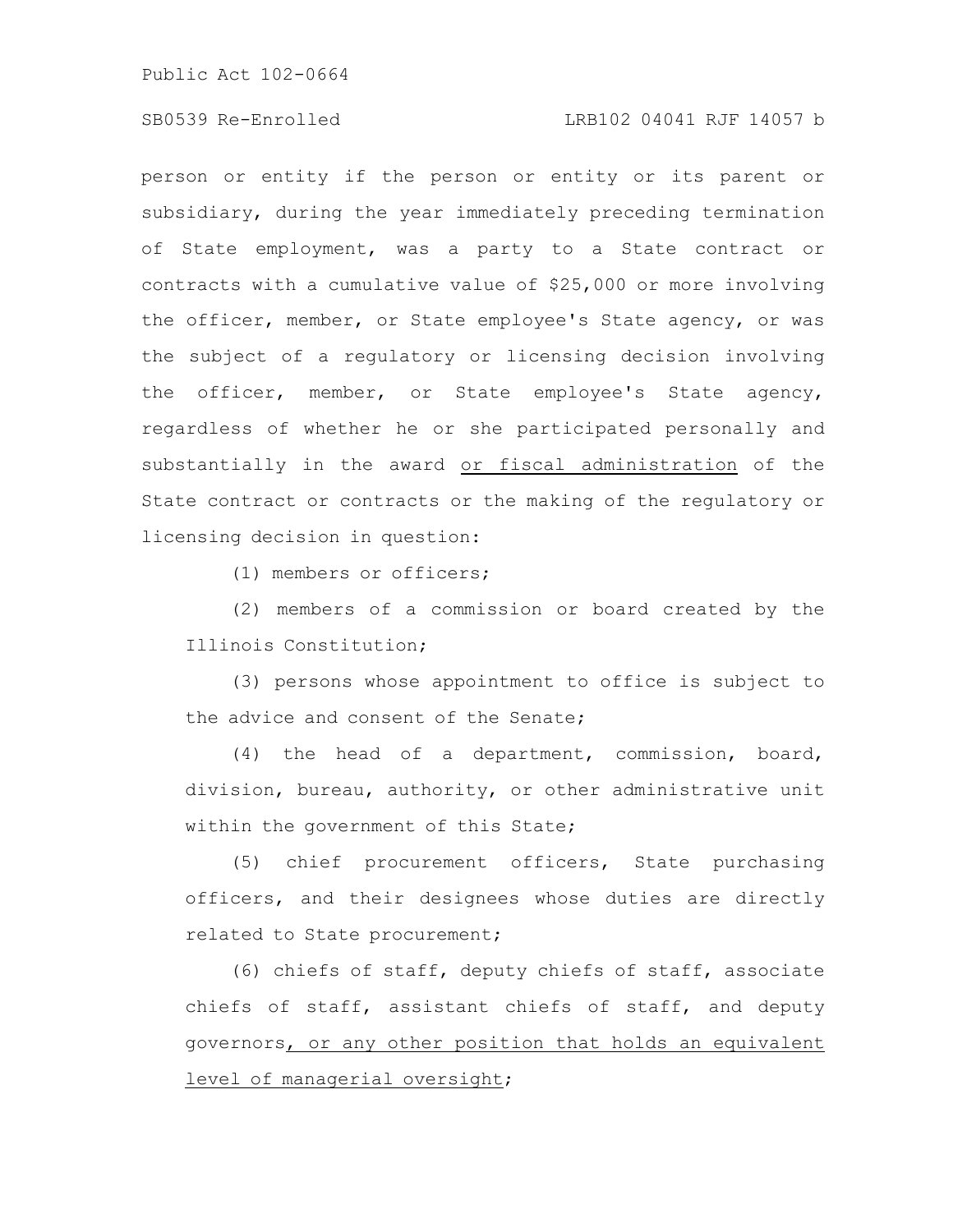# SB0539 Re-Enrolled LRB102 04041 RJF 14057 b

person or entity if the person or entity or its parent or subsidiary, during the year immediately preceding termination of State employment, was a party to a State contract or contracts with a cumulative value of \$25,000 or more involving the officer, member, or State employee's State agency, or was the subject of a regulatory or licensing decision involving the officer, member, or State employee's State agency, regardless of whether he or she participated personally and substantially in the award or fiscal administration of the State contract or contracts or the making of the regulatory or licensing decision in question:

(1) members or officers;

(2) members of a commission or board created by the Illinois Constitution;

(3) persons whose appointment to office is subject to the advice and consent of the Senate;

(4) the head of a department, commission, board, division, bureau, authority, or other administrative unit within the government of this State;

(5) chief procurement officers, State purchasing officers, and their designees whose duties are directly related to State procurement;

(6) chiefs of staff, deputy chiefs of staff, associate chiefs of staff, assistant chiefs of staff, and deputy governors, or any other position that holds an equivalent level of managerial oversight;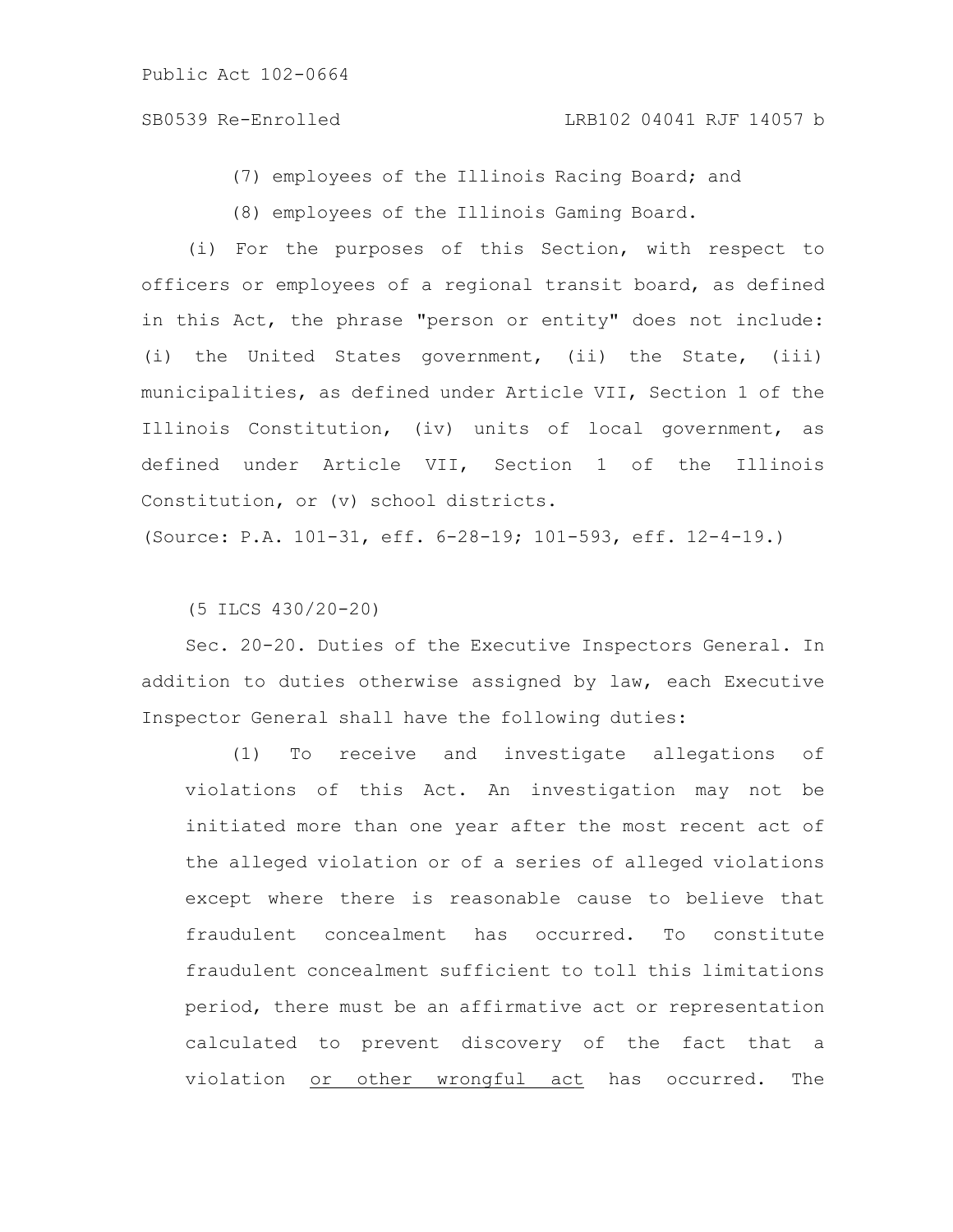# SB0539 Re-Enrolled LRB102 04041 RJF 14057 b

(7) employees of the Illinois Racing Board; and

(8) employees of the Illinois Gaming Board.

(i) For the purposes of this Section, with respect to officers or employees of a regional transit board, as defined in this Act, the phrase "person or entity" does not include: (i) the United States government, (ii) the State, (iii) municipalities, as defined under Article VII, Section 1 of the Illinois Constitution, (iv) units of local government, as defined under Article VII, Section 1 of the Illinois Constitution, or (v) school districts.

(Source: P.A. 101-31, eff. 6-28-19; 101-593, eff. 12-4-19.)

(5 ILCS 430/20-20)

Sec. 20-20. Duties of the Executive Inspectors General. In addition to duties otherwise assigned by law, each Executive Inspector General shall have the following duties:

(1) To receive and investigate allegations of violations of this Act. An investigation may not be initiated more than one year after the most recent act of the alleged violation or of a series of alleged violations except where there is reasonable cause to believe that fraudulent concealment has occurred. To constitute fraudulent concealment sufficient to toll this limitations period, there must be an affirmative act or representation calculated to prevent discovery of the fact that a violation or other wrongful act has occurred. The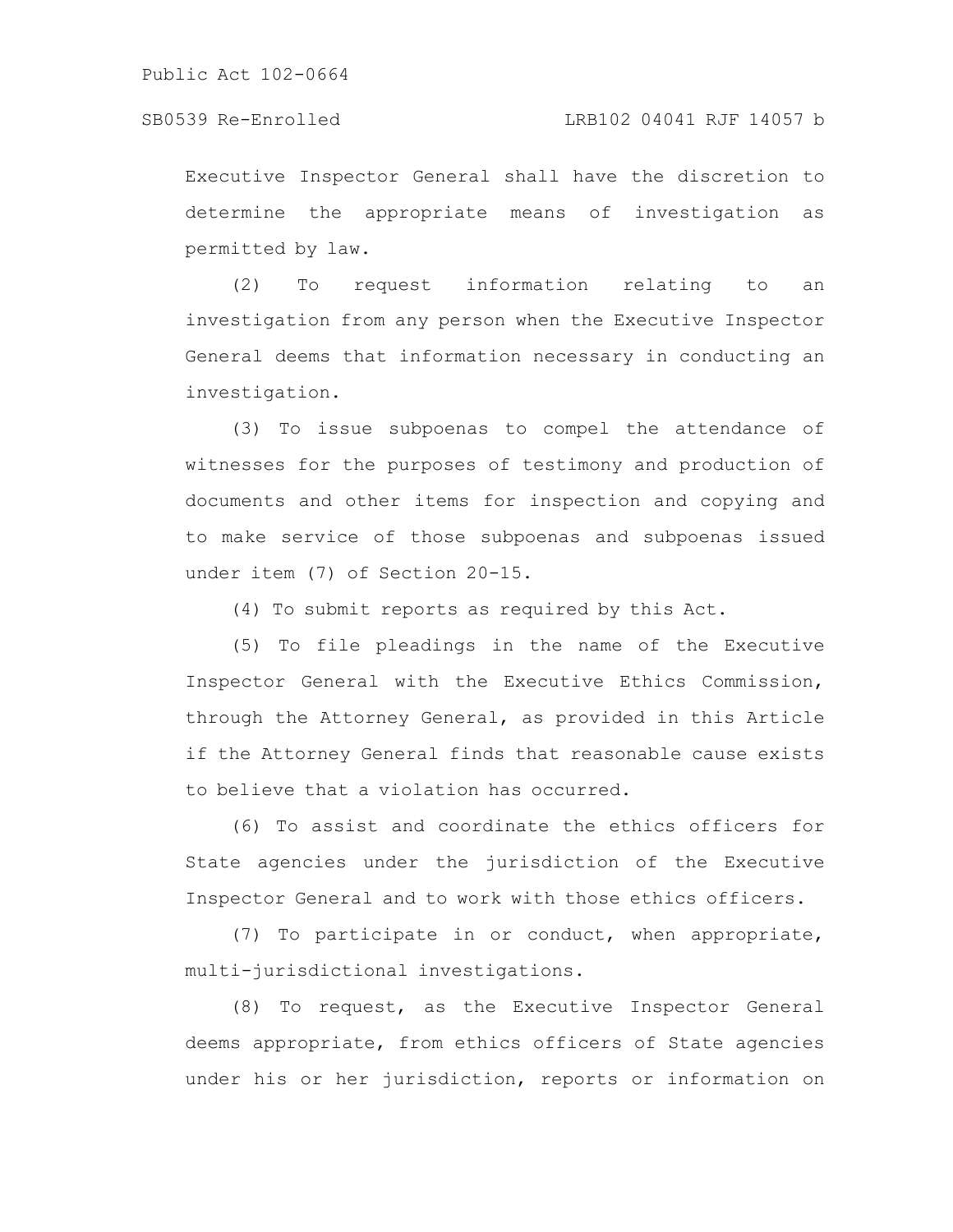### SB0539 Re-Enrolled LRB102 04041 RJF 14057 b

Executive Inspector General shall have the discretion to determine the appropriate means of investigation as permitted by law.

(2) To request information relating to an investigation from any person when the Executive Inspector General deems that information necessary in conducting an investigation.

(3) To issue subpoenas to compel the attendance of witnesses for the purposes of testimony and production of documents and other items for inspection and copying and to make service of those subpoenas and subpoenas issued under item (7) of Section 20-15.

(4) To submit reports as required by this Act.

(5) To file pleadings in the name of the Executive Inspector General with the Executive Ethics Commission, through the Attorney General, as provided in this Article if the Attorney General finds that reasonable cause exists to believe that a violation has occurred.

(6) To assist and coordinate the ethics officers for State agencies under the jurisdiction of the Executive Inspector General and to work with those ethics officers.

(7) To participate in or conduct, when appropriate, multi-jurisdictional investigations.

(8) To request, as the Executive Inspector General deems appropriate, from ethics officers of State agencies under his or her jurisdiction, reports or information on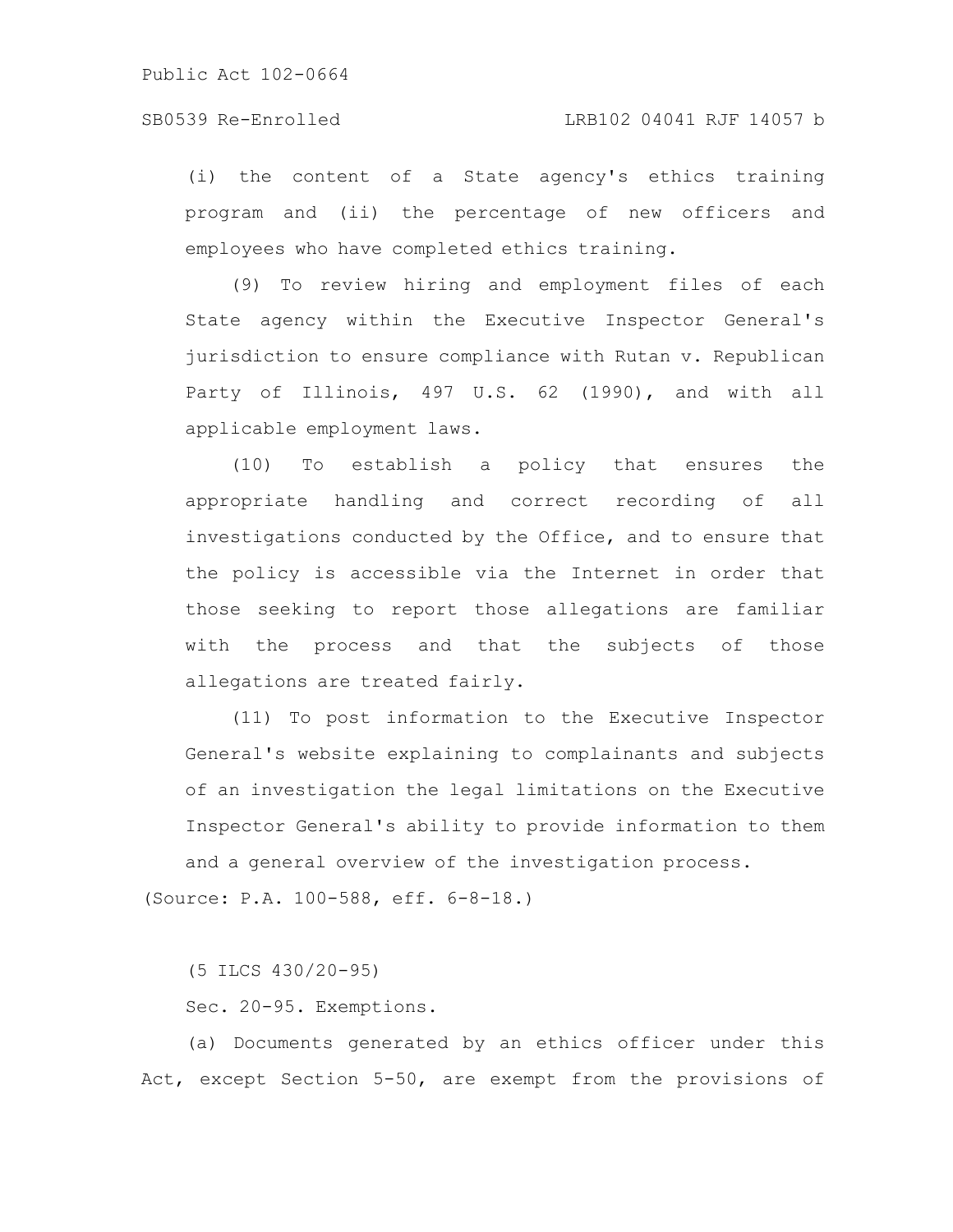(i) the content of a State agency's ethics training program and (ii) the percentage of new officers and employees who have completed ethics training.

(9) To review hiring and employment files of each State agency within the Executive Inspector General's jurisdiction to ensure compliance with Rutan v. Republican Party of Illinois, 497 U.S. 62 (1990), and with all applicable employment laws.

(10) To establish a policy that ensures the appropriate handling and correct recording of all investigations conducted by the Office, and to ensure that the policy is accessible via the Internet in order that those seeking to report those allegations are familiar with the process and that the subjects of those allegations are treated fairly.

(11) To post information to the Executive Inspector General's website explaining to complainants and subjects of an investigation the legal limitations on the Executive Inspector General's ability to provide information to them and a general overview of the investigation process.

(Source: P.A. 100-588, eff. 6-8-18.)

(5 ILCS 430/20-95)

Sec. 20-95. Exemptions.

(a) Documents generated by an ethics officer under this Act, except Section 5-50, are exempt from the provisions of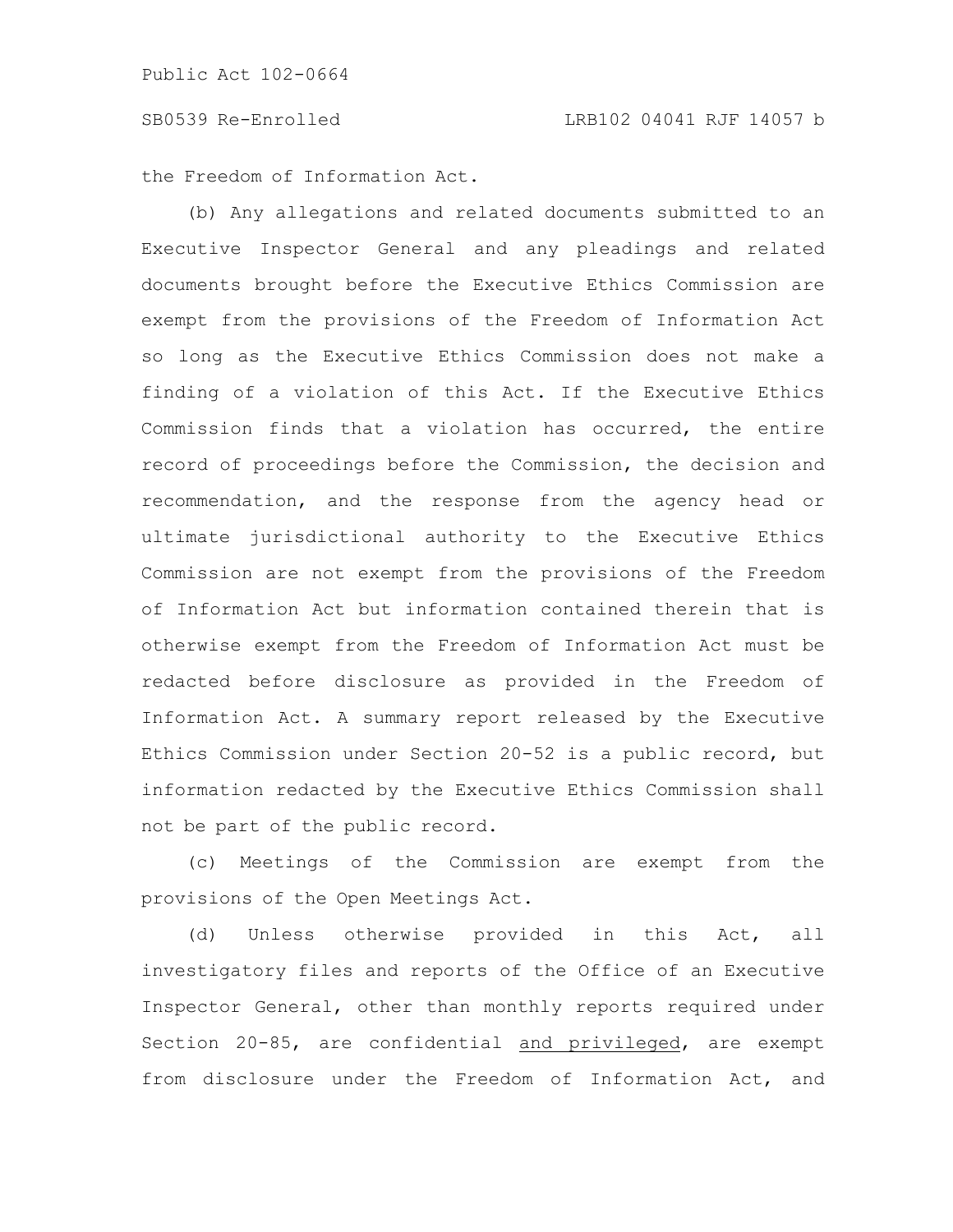the Freedom of Information Act.

(b) Any allegations and related documents submitted to an Executive Inspector General and any pleadings and related documents brought before the Executive Ethics Commission are exempt from the provisions of the Freedom of Information Act so long as the Executive Ethics Commission does not make a finding of a violation of this Act. If the Executive Ethics Commission finds that a violation has occurred, the entire record of proceedings before the Commission, the decision and recommendation, and the response from the agency head or ultimate jurisdictional authority to the Executive Ethics Commission are not exempt from the provisions of the Freedom of Information Act but information contained therein that is otherwise exempt from the Freedom of Information Act must be redacted before disclosure as provided in the Freedom of Information Act. A summary report released by the Executive Ethics Commission under Section 20-52 is a public record, but information redacted by the Executive Ethics Commission shall not be part of the public record.

(c) Meetings of the Commission are exempt from the provisions of the Open Meetings Act.

(d) Unless otherwise provided in this Act, all investigatory files and reports of the Office of an Executive Inspector General, other than monthly reports required under Section 20-85, are confidential and privileged, are exempt from disclosure under the Freedom of Information Act, and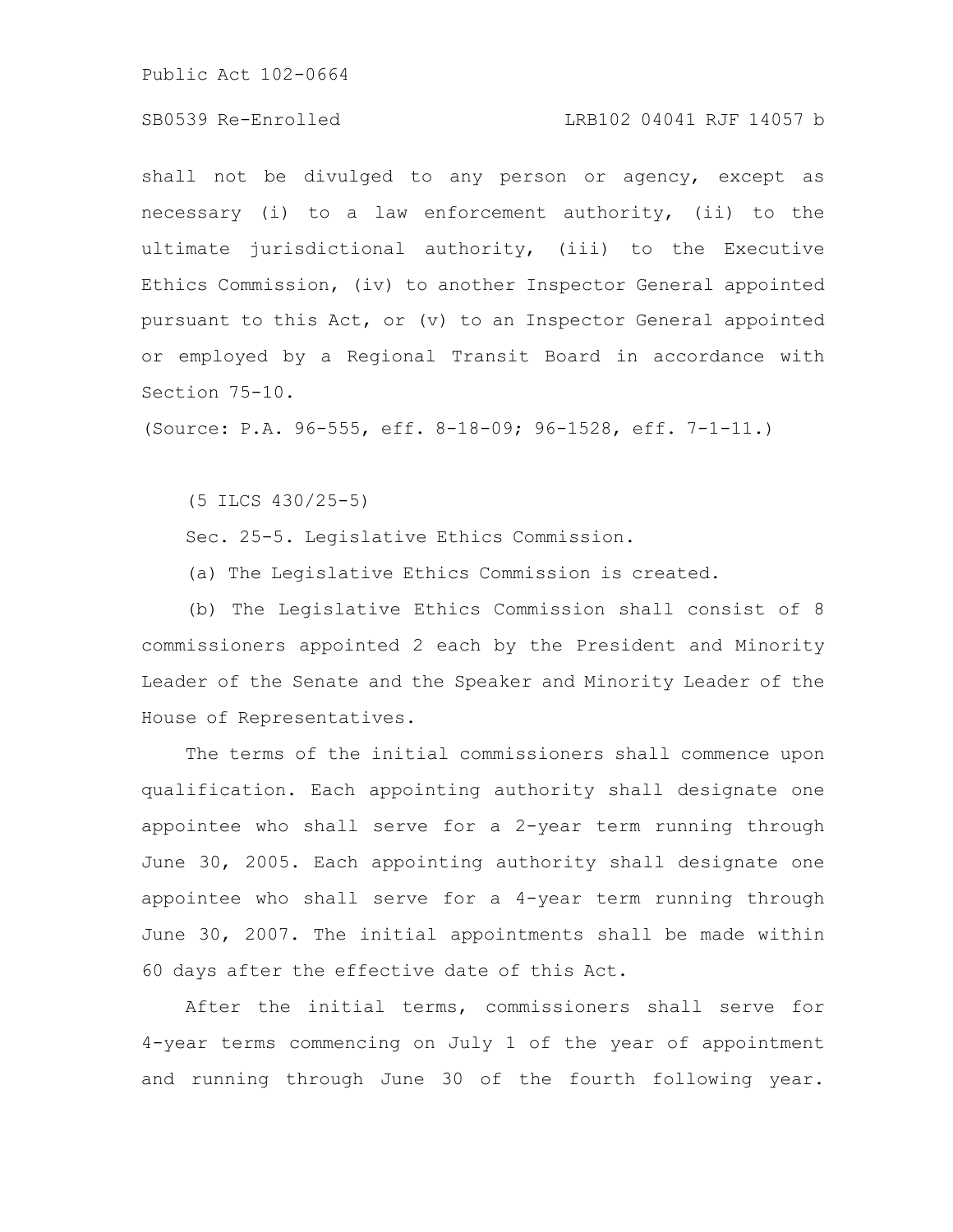## SB0539 Re-Enrolled LRB102 04041 RJF 14057 b

shall not be divulged to any person or agency, except as necessary (i) to a law enforcement authority, (ii) to the ultimate jurisdictional authority, (iii) to the Executive Ethics Commission, (iv) to another Inspector General appointed pursuant to this Act, or (v) to an Inspector General appointed or employed by a Regional Transit Board in accordance with Section 75-10.

(Source: P.A. 96-555, eff. 8-18-09; 96-1528, eff. 7-1-11.)

(5 ILCS 430/25-5)

Sec. 25-5. Legislative Ethics Commission.

(a) The Legislative Ethics Commission is created.

(b) The Legislative Ethics Commission shall consist of 8 commissioners appointed 2 each by the President and Minority Leader of the Senate and the Speaker and Minority Leader of the House of Representatives.

The terms of the initial commissioners shall commence upon qualification. Each appointing authority shall designate one appointee who shall serve for a 2-year term running through June 30, 2005. Each appointing authority shall designate one appointee who shall serve for a 4-year term running through June 30, 2007. The initial appointments shall be made within 60 days after the effective date of this Act.

After the initial terms, commissioners shall serve for 4-year terms commencing on July 1 of the year of appointment and running through June 30 of the fourth following year.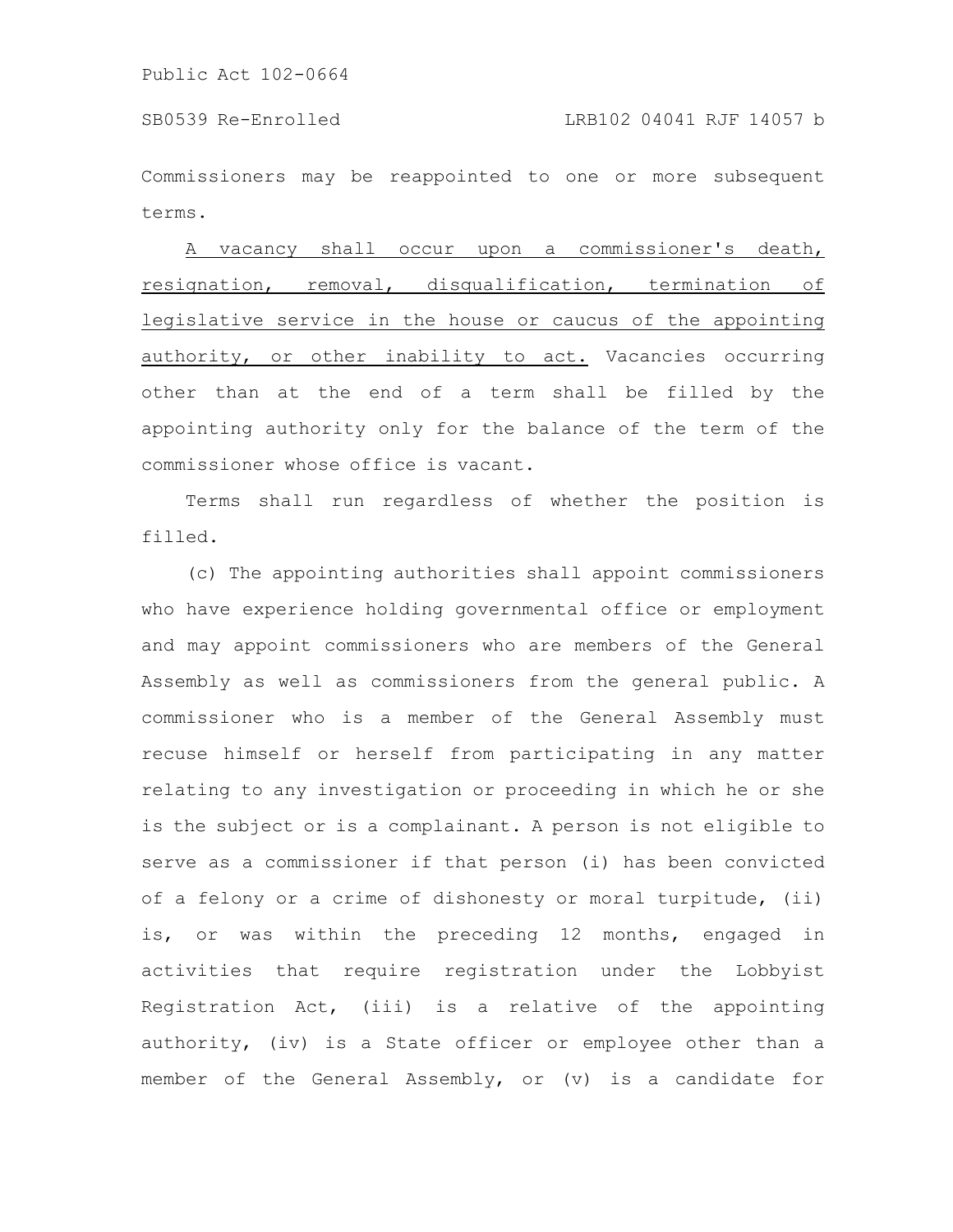Commissioners may be reappointed to one or more subsequent terms.

A vacancy shall occur upon a commissioner's death, resignation, removal, disqualification, termination of legislative service in the house or caucus of the appointing authority, or other inability to act. Vacancies occurring other than at the end of a term shall be filled by the appointing authority only for the balance of the term of the commissioner whose office is vacant.

Terms shall run regardless of whether the position is filled.

(c) The appointing authorities shall appoint commissioners who have experience holding governmental office or employment and may appoint commissioners who are members of the General Assembly as well as commissioners from the general public. A commissioner who is a member of the General Assembly must recuse himself or herself from participating in any matter relating to any investigation or proceeding in which he or she is the subject or is a complainant. A person is not eligible to serve as a commissioner if that person (i) has been convicted of a felony or a crime of dishonesty or moral turpitude, (ii) is, or was within the preceding 12 months, engaged in activities that require registration under the Lobbyist Registration Act, (iii) is a relative of the appointing authority, (iv) is a State officer or employee other than a member of the General Assembly, or (v) is a candidate for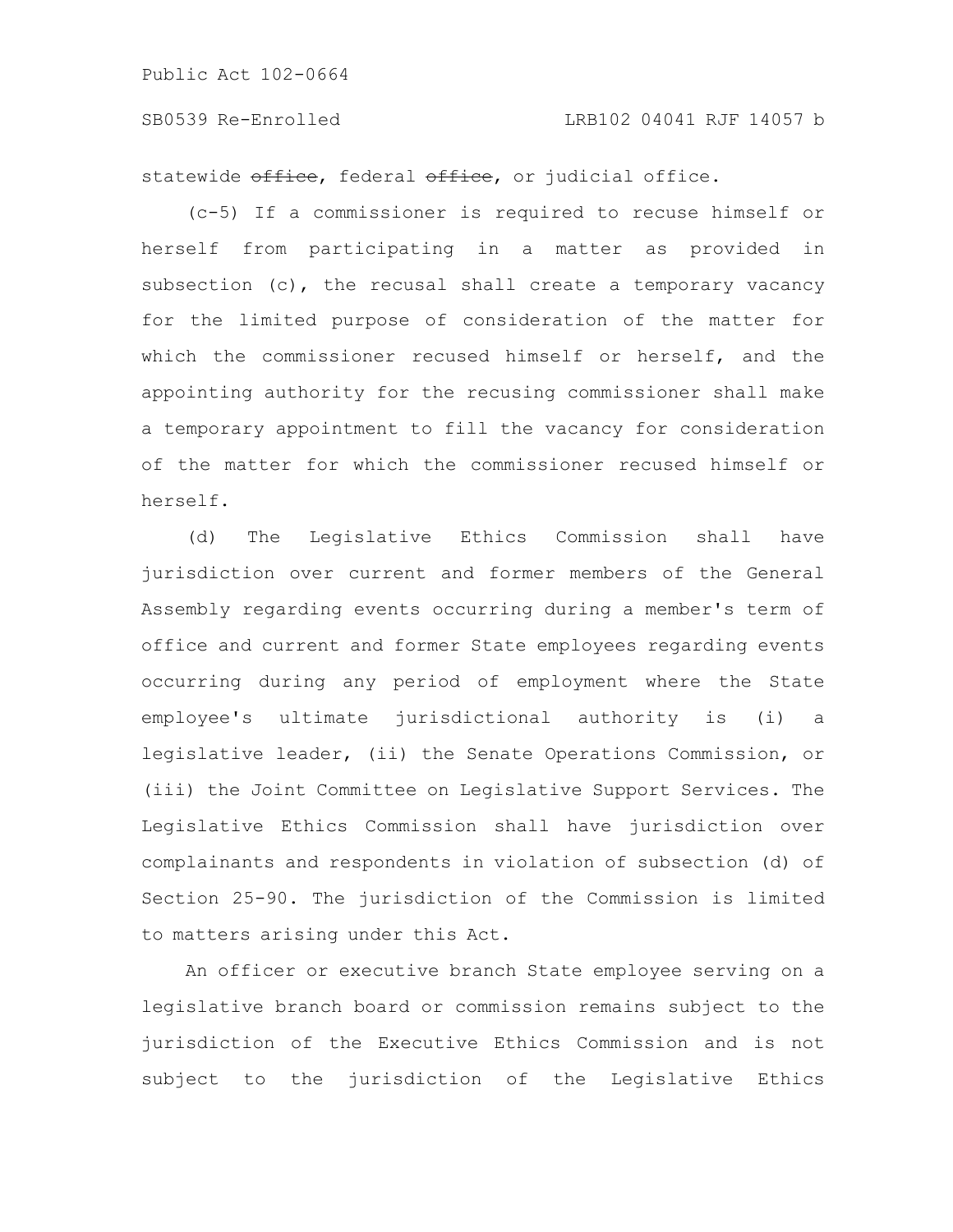## SB0539 Re-Enrolled LRB102 04041 RJF 14057 b

statewide office, federal office, or judicial office.

(c-5) If a commissioner is required to recuse himself or herself from participating in a matter as provided in subsection (c), the recusal shall create a temporary vacancy for the limited purpose of consideration of the matter for which the commissioner recused himself or herself, and the appointing authority for the recusing commissioner shall make a temporary appointment to fill the vacancy for consideration of the matter for which the commissioner recused himself or herself.

(d) The Legislative Ethics Commission shall have jurisdiction over current and former members of the General Assembly regarding events occurring during a member's term of office and current and former State employees regarding events occurring during any period of employment where the State employee's ultimate jurisdictional authority is (i) a legislative leader, (ii) the Senate Operations Commission, or (iii) the Joint Committee on Legislative Support Services. The Legislative Ethics Commission shall have jurisdiction over complainants and respondents in violation of subsection (d) of Section 25-90. The jurisdiction of the Commission is limited to matters arising under this Act.

An officer or executive branch State employee serving on a legislative branch board or commission remains subject to the jurisdiction of the Executive Ethics Commission and is not subject to the jurisdiction of the Legislative Ethics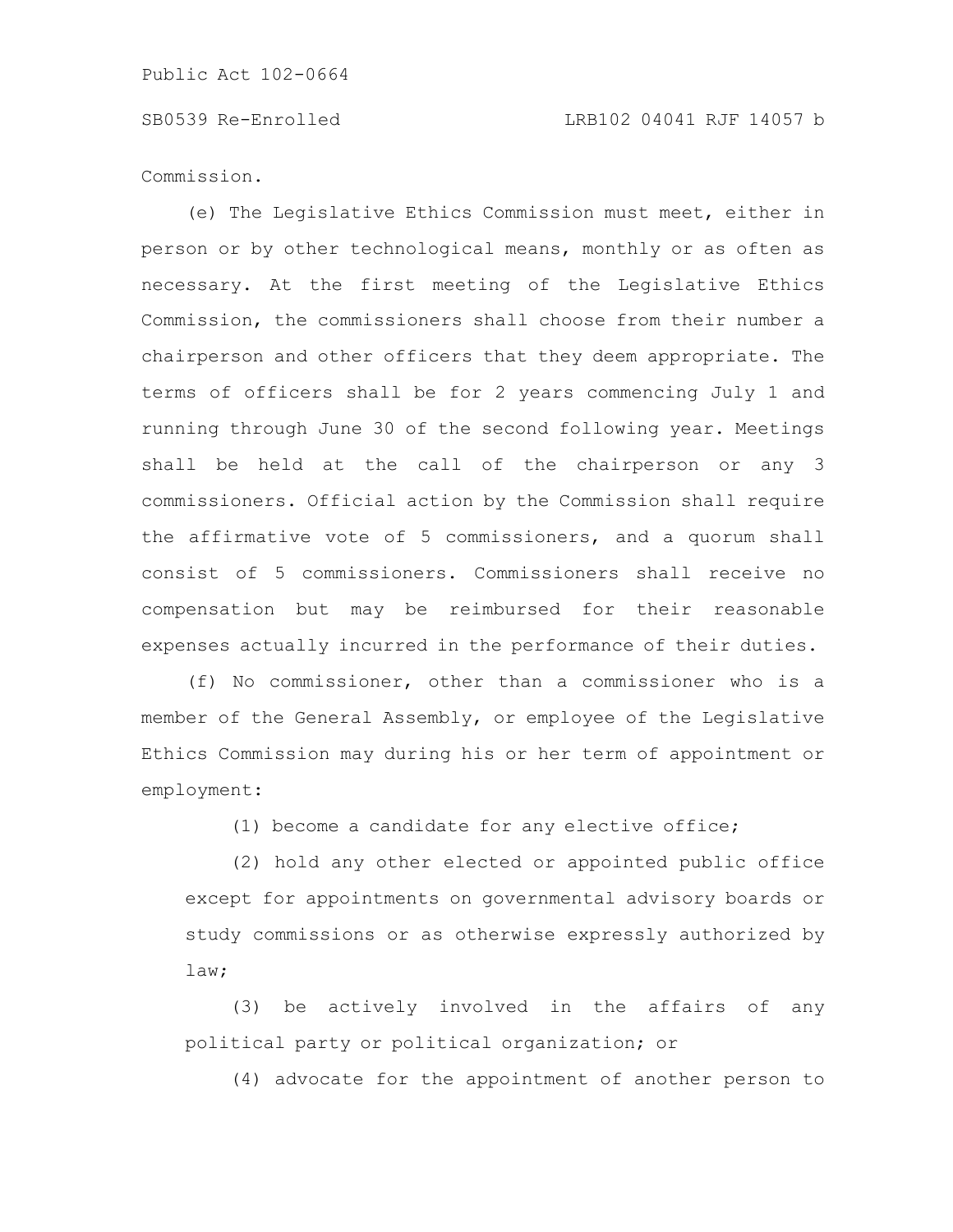Commission.

(e) The Legislative Ethics Commission must meet, either in person or by other technological means, monthly or as often as necessary. At the first meeting of the Legislative Ethics Commission, the commissioners shall choose from their number a chairperson and other officers that they deem appropriate. The terms of officers shall be for 2 years commencing July 1 and running through June 30 of the second following year. Meetings shall be held at the call of the chairperson or any 3 commissioners. Official action by the Commission shall require the affirmative vote of 5 commissioners, and a quorum shall consist of 5 commissioners. Commissioners shall receive no compensation but may be reimbursed for their reasonable expenses actually incurred in the performance of their duties.

(f) No commissioner, other than a commissioner who is a member of the General Assembly, or employee of the Legislative Ethics Commission may during his or her term of appointment or employment:

(1) become a candidate for any elective office;

(2) hold any other elected or appointed public office except for appointments on governmental advisory boards or study commissions or as otherwise expressly authorized by law;

(3) be actively involved in the affairs of any political party or political organization; or

(4) advocate for the appointment of another person to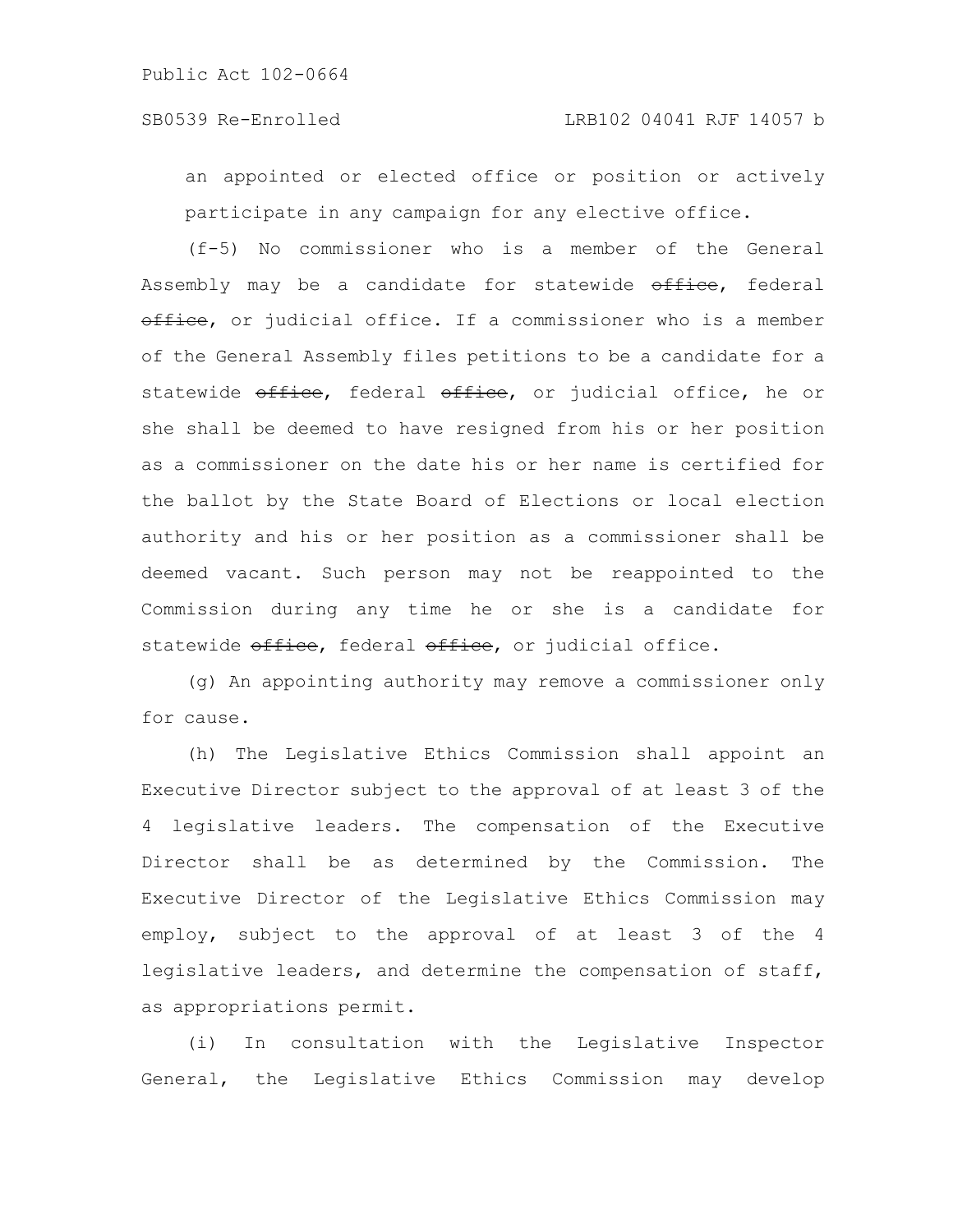an appointed or elected office or position or actively participate in any campaign for any elective office.

(f-5) No commissioner who is a member of the General Assembly may be a candidate for statewide office, federal office, or judicial office. If a commissioner who is a member of the General Assembly files petitions to be a candidate for a statewide office, federal office, or judicial office, he or she shall be deemed to have resigned from his or her position as a commissioner on the date his or her name is certified for the ballot by the State Board of Elections or local election authority and his or her position as a commissioner shall be deemed vacant. Such person may not be reappointed to the Commission during any time he or she is a candidate for statewide office, federal office, or judicial office.

(g) An appointing authority may remove a commissioner only for cause.

(h) The Legislative Ethics Commission shall appoint an Executive Director subject to the approval of at least 3 of the 4 legislative leaders. The compensation of the Executive Director shall be as determined by the Commission. The Executive Director of the Legislative Ethics Commission may employ, subject to the approval of at least 3 of the 4 legislative leaders, and determine the compensation of staff, as appropriations permit.

(i) In consultation with the Legislative Inspector General, the Legislative Ethics Commission may develop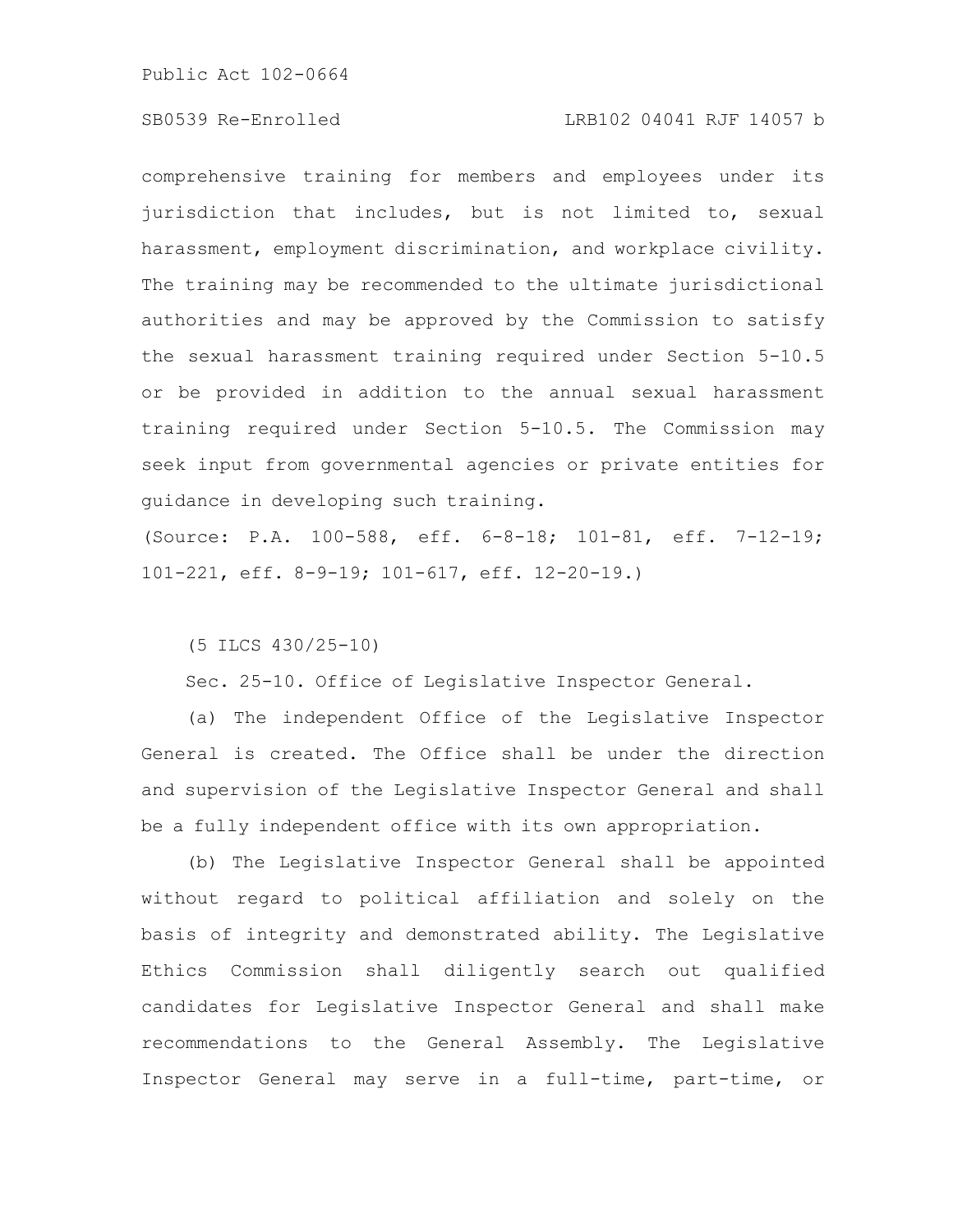# SB0539 Re-Enrolled LRB102 04041 RJF 14057 b

comprehensive training for members and employees under its jurisdiction that includes, but is not limited to, sexual harassment, employment discrimination, and workplace civility. The training may be recommended to the ultimate jurisdictional authorities and may be approved by the Commission to satisfy the sexual harassment training required under Section 5-10.5 or be provided in addition to the annual sexual harassment training required under Section 5-10.5. The Commission may seek input from governmental agencies or private entities for guidance in developing such training.

(Source: P.A. 100-588, eff. 6-8-18; 101-81, eff. 7-12-19; 101-221, eff. 8-9-19; 101-617, eff. 12-20-19.)

(5 ILCS 430/25-10)

Sec. 25-10. Office of Legislative Inspector General.

(a) The independent Office of the Legislative Inspector General is created. The Office shall be under the direction and supervision of the Legislative Inspector General and shall be a fully independent office with its own appropriation.

(b) The Legislative Inspector General shall be appointed without regard to political affiliation and solely on the basis of integrity and demonstrated ability. The Legislative Ethics Commission shall diligently search out qualified candidates for Legislative Inspector General and shall make recommendations to the General Assembly. The Legislative Inspector General may serve in a full-time, part-time, or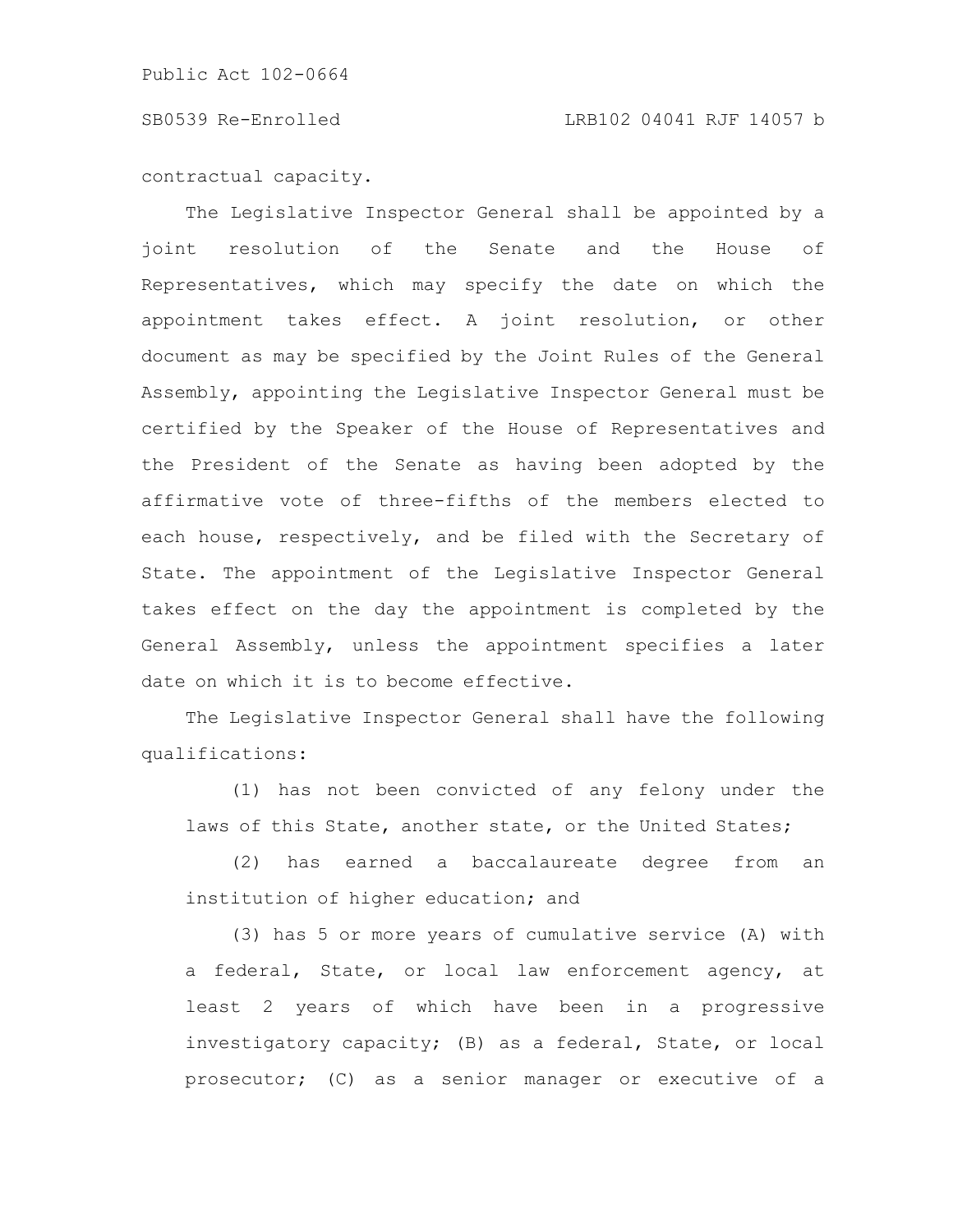## SB0539 Re-Enrolled LRB102 04041 RJF 14057 b

contractual capacity.

The Legislative Inspector General shall be appointed by a joint resolution of the Senate and the House of Representatives, which may specify the date on which the appointment takes effect. A joint resolution, or other document as may be specified by the Joint Rules of the General Assembly, appointing the Legislative Inspector General must be certified by the Speaker of the House of Representatives and the President of the Senate as having been adopted by the affirmative vote of three-fifths of the members elected to each house, respectively, and be filed with the Secretary of State. The appointment of the Legislative Inspector General takes effect on the day the appointment is completed by the General Assembly, unless the appointment specifies a later date on which it is to become effective.

The Legislative Inspector General shall have the following qualifications:

(1) has not been convicted of any felony under the laws of this State, another state, or the United States;

(2) has earned a baccalaureate degree from an institution of higher education; and

(3) has 5 or more years of cumulative service (A) with a federal, State, or local law enforcement agency, at least 2 years of which have been in a progressive investigatory capacity; (B) as a federal, State, or local prosecutor; (C) as a senior manager or executive of a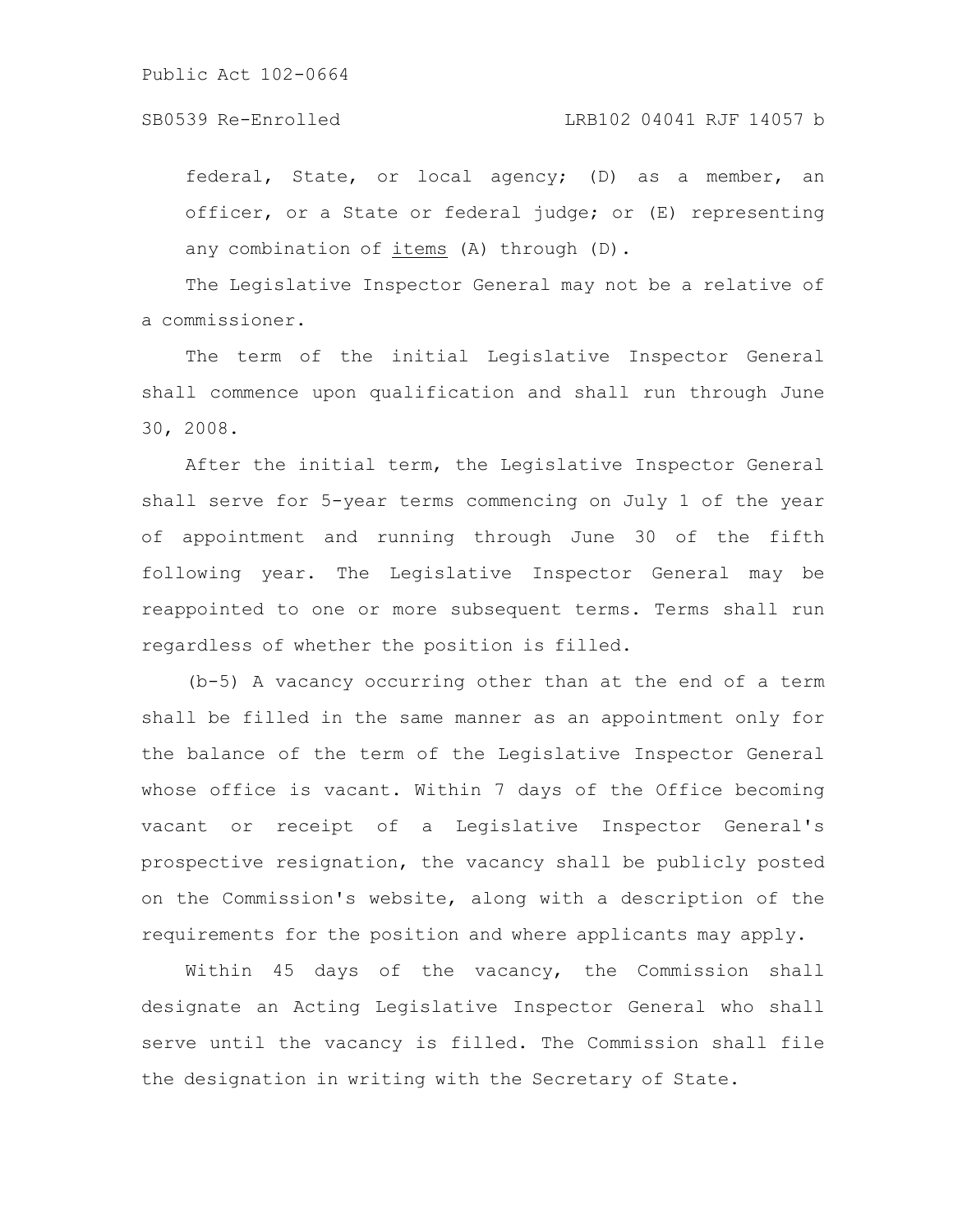federal, State, or local agency; (D) as a member, an officer, or a State or federal judge; or (E) representing any combination of items (A) through (D).

The Legislative Inspector General may not be a relative of a commissioner.

The term of the initial Legislative Inspector General shall commence upon qualification and shall run through June 30, 2008.

After the initial term, the Legislative Inspector General shall serve for 5-year terms commencing on July 1 of the year of appointment and running through June 30 of the fifth following year. The Legislative Inspector General may be reappointed to one or more subsequent terms. Terms shall run regardless of whether the position is filled.

(b-5) A vacancy occurring other than at the end of a term shall be filled in the same manner as an appointment only for the balance of the term of the Legislative Inspector General whose office is vacant. Within 7 days of the Office becoming vacant or receipt of a Legislative Inspector General's prospective resignation, the vacancy shall be publicly posted on the Commission's website, along with a description of the requirements for the position and where applicants may apply.

Within 45 days of the vacancy, the Commission shall designate an Acting Legislative Inspector General who shall serve until the vacancy is filled. The Commission shall file the designation in writing with the Secretary of State.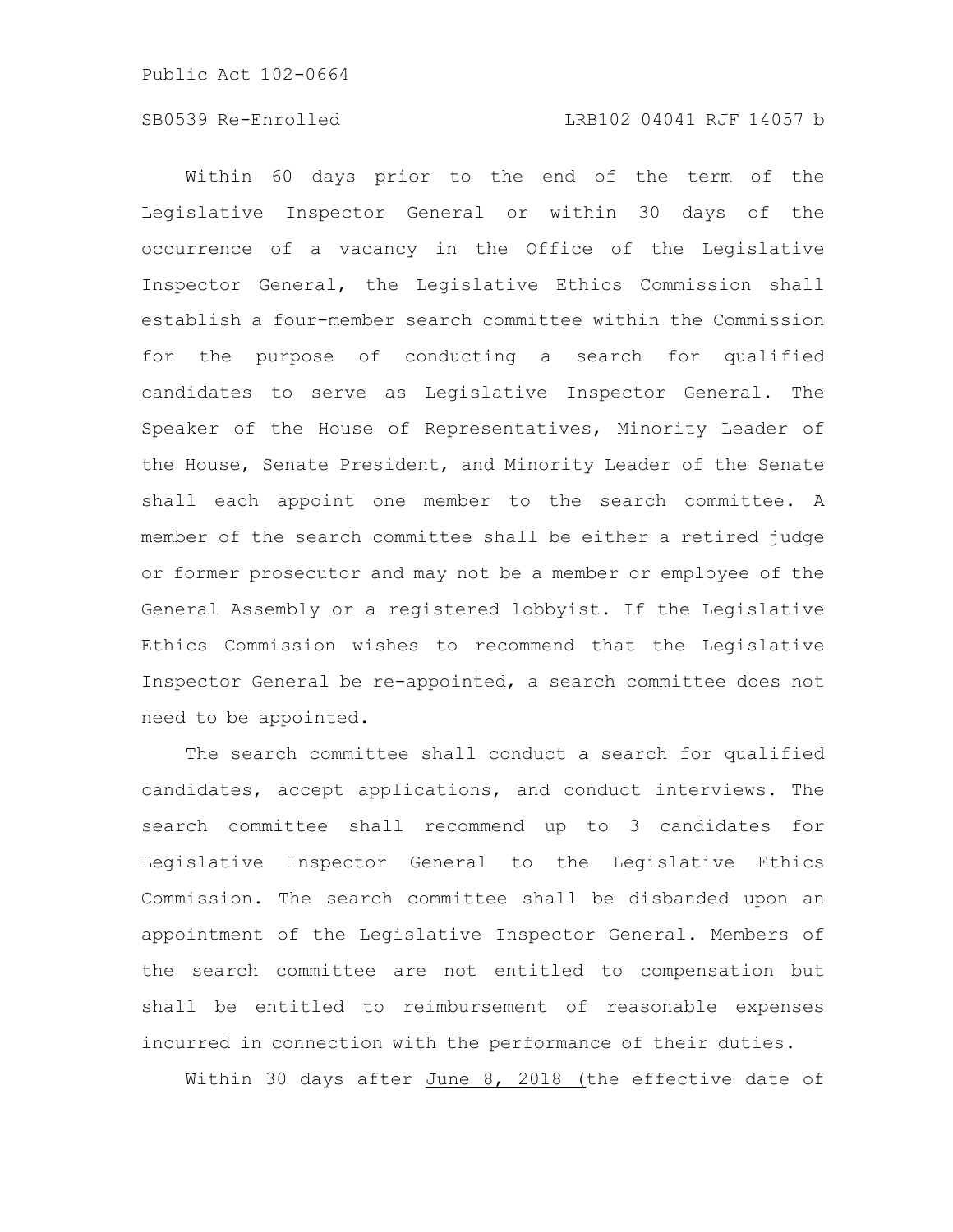## SB0539 Re-Enrolled LRB102 04041 RJF 14057 b

Within 60 days prior to the end of the term of the Legislative Inspector General or within 30 days of the occurrence of a vacancy in the Office of the Legislative Inspector General, the Legislative Ethics Commission shall establish a four-member search committee within the Commission for the purpose of conducting a search for qualified candidates to serve as Legislative Inspector General. The Speaker of the House of Representatives, Minority Leader of the House, Senate President, and Minority Leader of the Senate shall each appoint one member to the search committee. A member of the search committee shall be either a retired judge or former prosecutor and may not be a member or employee of the General Assembly or a registered lobbyist. If the Legislative Ethics Commission wishes to recommend that the Legislative Inspector General be re-appointed, a search committee does not need to be appointed.

The search committee shall conduct a search for qualified candidates, accept applications, and conduct interviews. The search committee shall recommend up to 3 candidates for Legislative Inspector General to the Legislative Ethics Commission. The search committee shall be disbanded upon an appointment of the Legislative Inspector General. Members of the search committee are not entitled to compensation but shall be entitled to reimbursement of reasonable expenses incurred in connection with the performance of their duties.

Within 30 days after June 8, 2018 (the effective date of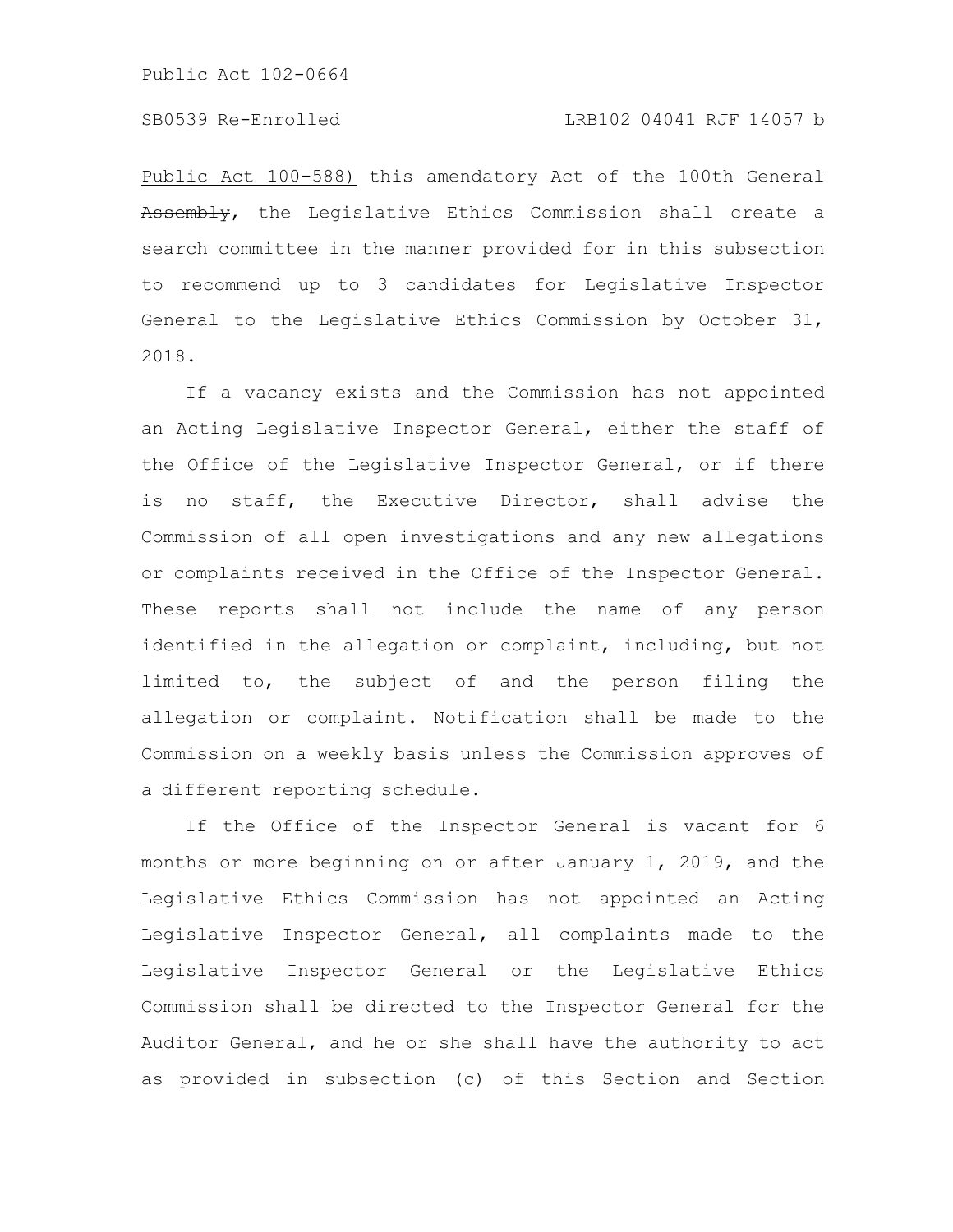Public Act 100-588) this amendatory Act of the 100th General Assembly, the Legislative Ethics Commission shall create a search committee in the manner provided for in this subsection to recommend up to 3 candidates for Legislative Inspector General to the Legislative Ethics Commission by October 31, 2018.

If a vacancy exists and the Commission has not appointed an Acting Legislative Inspector General, either the staff of the Office of the Legislative Inspector General, or if there is no staff, the Executive Director, shall advise the Commission of all open investigations and any new allegations or complaints received in the Office of the Inspector General. These reports shall not include the name of any person identified in the allegation or complaint, including, but not limited to, the subject of and the person filing the allegation or complaint. Notification shall be made to the Commission on a weekly basis unless the Commission approves of a different reporting schedule.

If the Office of the Inspector General is vacant for 6 months or more beginning on or after January 1, 2019, and the Legislative Ethics Commission has not appointed an Acting Legislative Inspector General, all complaints made to the Legislative Inspector General or the Legislative Ethics Commission shall be directed to the Inspector General for the Auditor General, and he or she shall have the authority to act as provided in subsection (c) of this Section and Section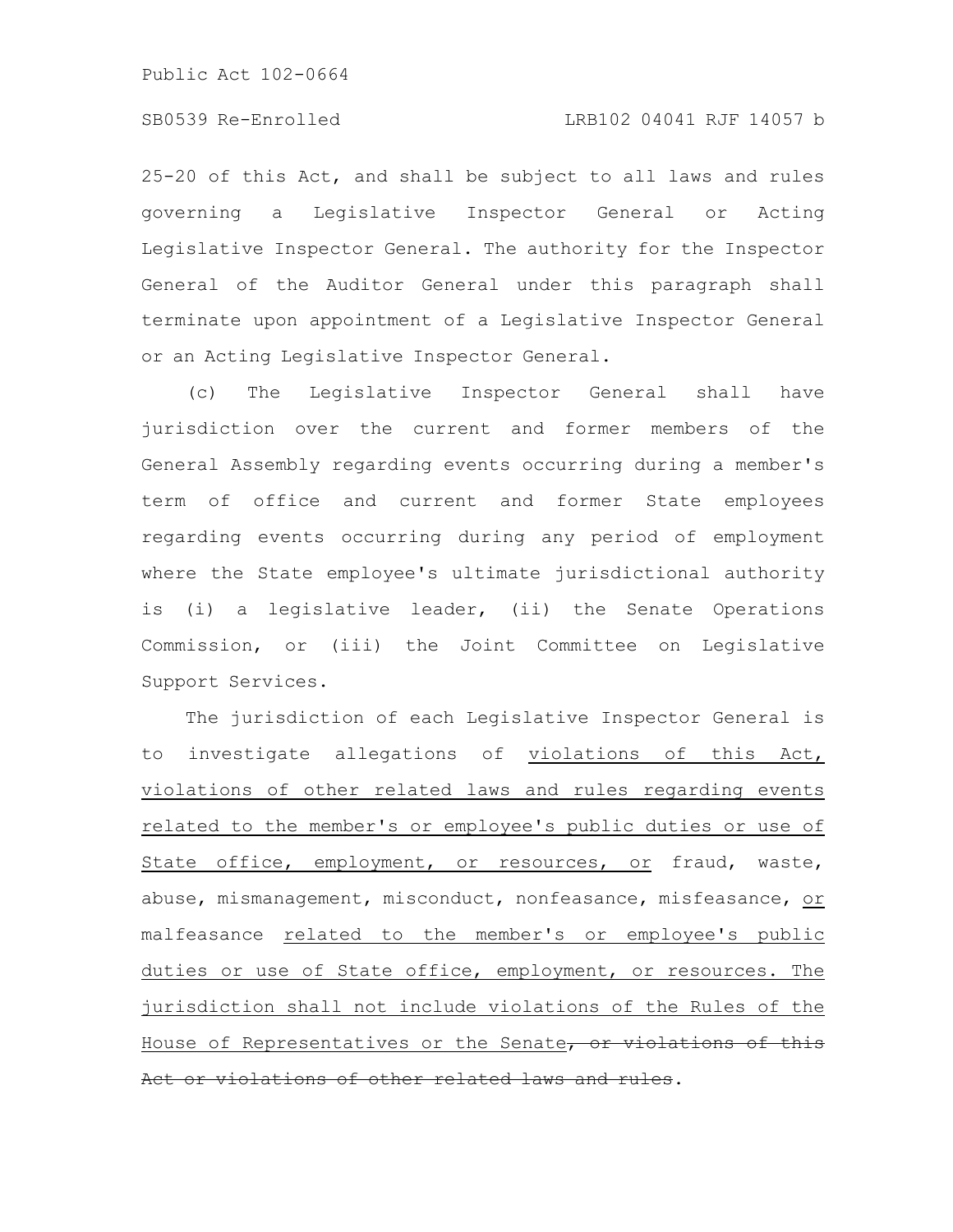25-20 of this Act, and shall be subject to all laws and rules governing a Legislative Inspector General or Acting Legislative Inspector General. The authority for the Inspector General of the Auditor General under this paragraph shall terminate upon appointment of a Legislative Inspector General or an Acting Legislative Inspector General.

(c) The Legislative Inspector General shall have jurisdiction over the current and former members of the General Assembly regarding events occurring during a member's term of office and current and former State employees regarding events occurring during any period of employment where the State employee's ultimate jurisdictional authority is (i) a legislative leader, (ii) the Senate Operations Commission, or (iii) the Joint Committee on Legislative Support Services.

The jurisdiction of each Legislative Inspector General is to investigate allegations of violations of this Act, violations of other related laws and rules regarding events related to the member's or employee's public duties or use of State office, employment, or resources, or fraud, waste, abuse, mismanagement, misconduct, nonfeasance, misfeasance, or malfeasance related to the member's or employee's public duties or use of State office, employment, or resources. The jurisdiction shall not include violations of the Rules of the House of Representatives or the Senate, or violations of this Act or violations of other related laws and rules.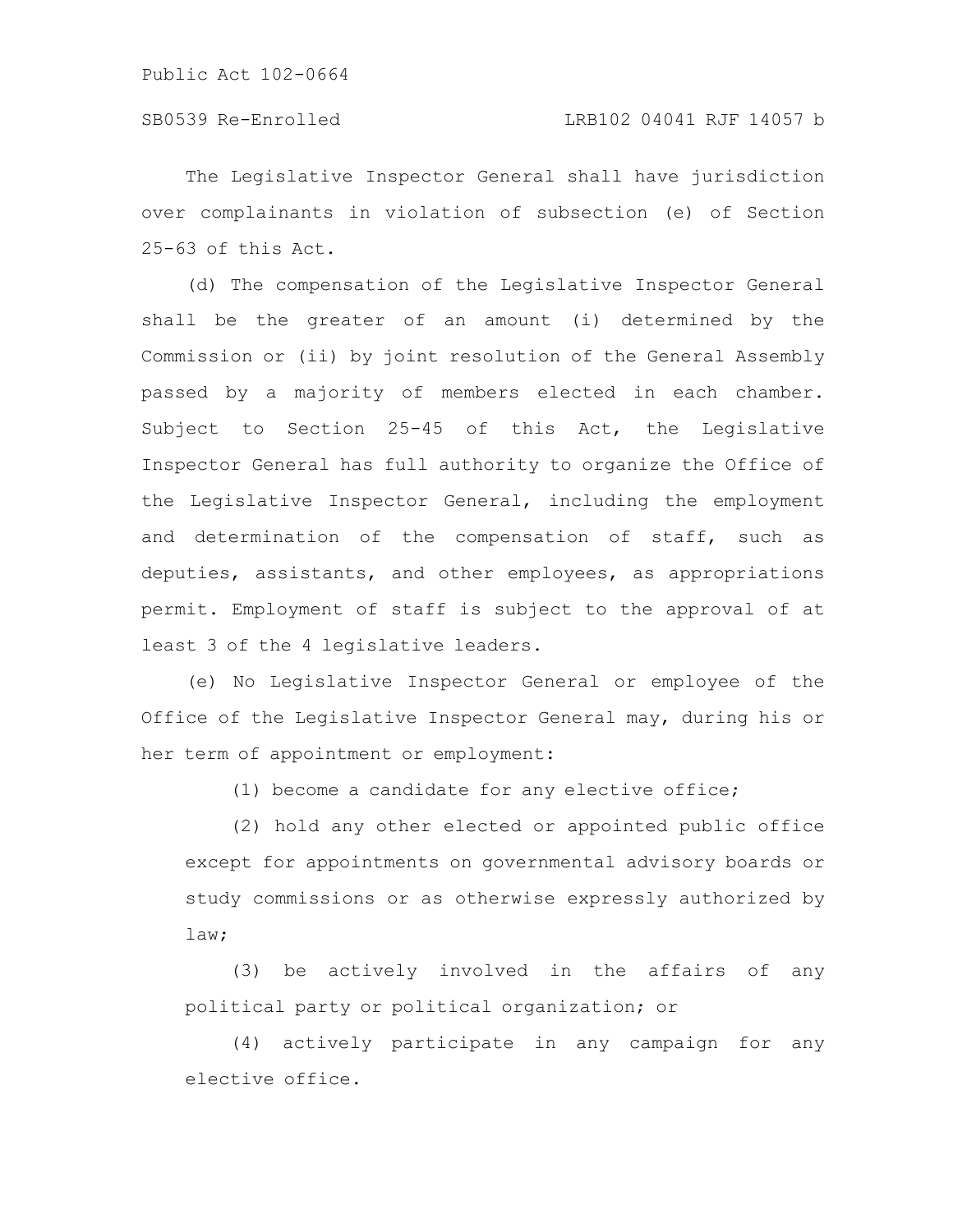The Legislative Inspector General shall have jurisdiction over complainants in violation of subsection (e) of Section 25-63 of this Act.

(d) The compensation of the Legislative Inspector General shall be the greater of an amount (i) determined by the Commission or (ii) by joint resolution of the General Assembly passed by a majority of members elected in each chamber. Subject to Section 25-45 of this Act, the Legislative Inspector General has full authority to organize the Office of the Legislative Inspector General, including the employment and determination of the compensation of staff, such as deputies, assistants, and other employees, as appropriations permit. Employment of staff is subject to the approval of at least 3 of the 4 legislative leaders.

(e) No Legislative Inspector General or employee of the Office of the Legislative Inspector General may, during his or her term of appointment or employment:

(1) become a candidate for any elective office;

(2) hold any other elected or appointed public office except for appointments on governmental advisory boards or study commissions or as otherwise expressly authorized by law;

(3) be actively involved in the affairs of any political party or political organization; or

(4) actively participate in any campaign for any elective office.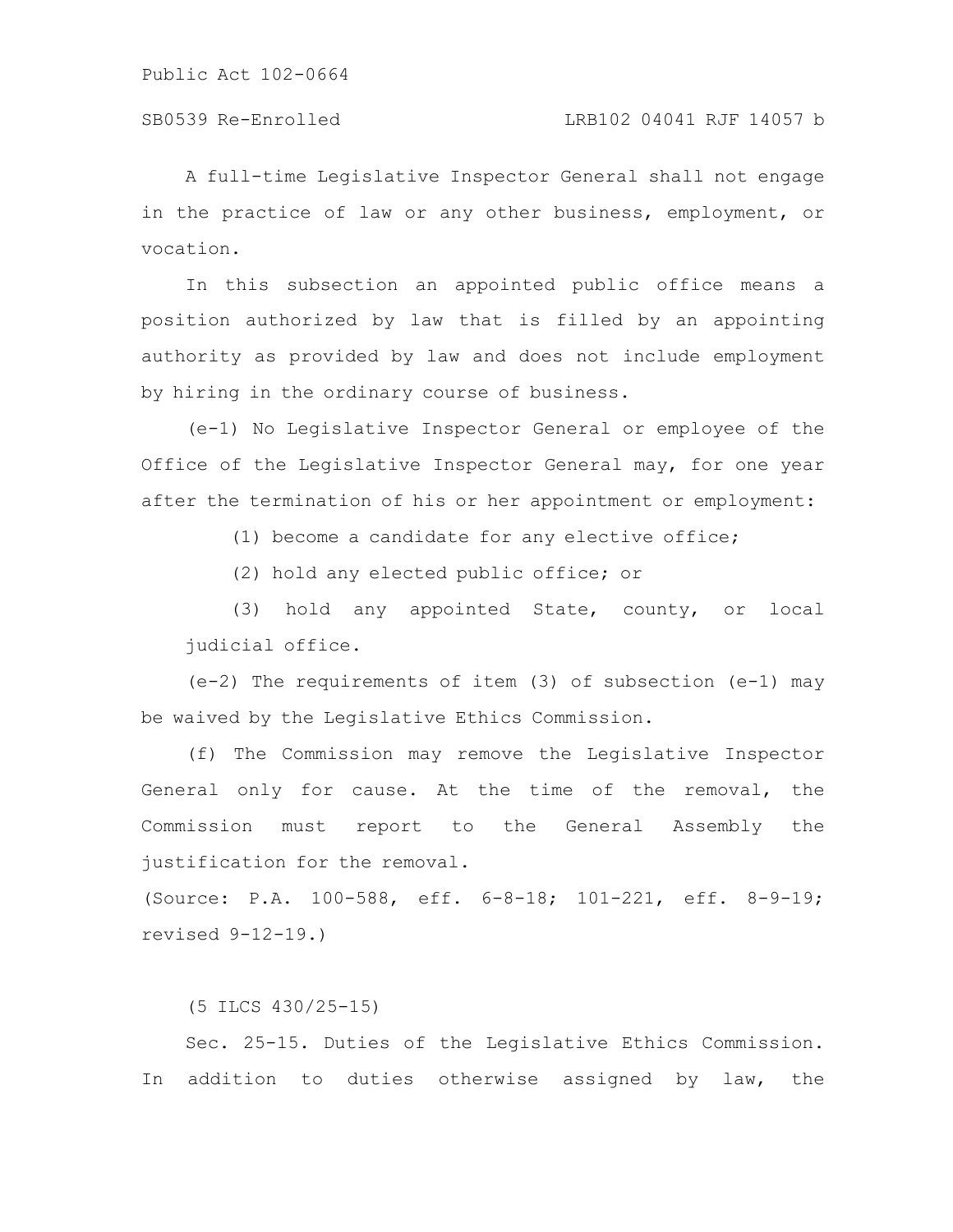A full-time Legislative Inspector General shall not engage in the practice of law or any other business, employment, or vocation.

In this subsection an appointed public office means a position authorized by law that is filled by an appointing authority as provided by law and does not include employment by hiring in the ordinary course of business.

(e-1) No Legislative Inspector General or employee of the Office of the Legislative Inspector General may, for one year after the termination of his or her appointment or employment:

(1) become a candidate for any elective office;

(2) hold any elected public office; or

(3) hold any appointed State, county, or local judicial office.

(e-2) The requirements of item (3) of subsection (e-1) may be waived by the Legislative Ethics Commission.

(f) The Commission may remove the Legislative Inspector General only for cause. At the time of the removal, the Commission must report to the General Assembly the justification for the removal.

(Source: P.A. 100-588, eff. 6-8-18; 101-221, eff. 8-9-19; revised 9-12-19.)

(5 ILCS 430/25-15)

Sec. 25-15. Duties of the Legislative Ethics Commission. In addition to duties otherwise assigned by law, the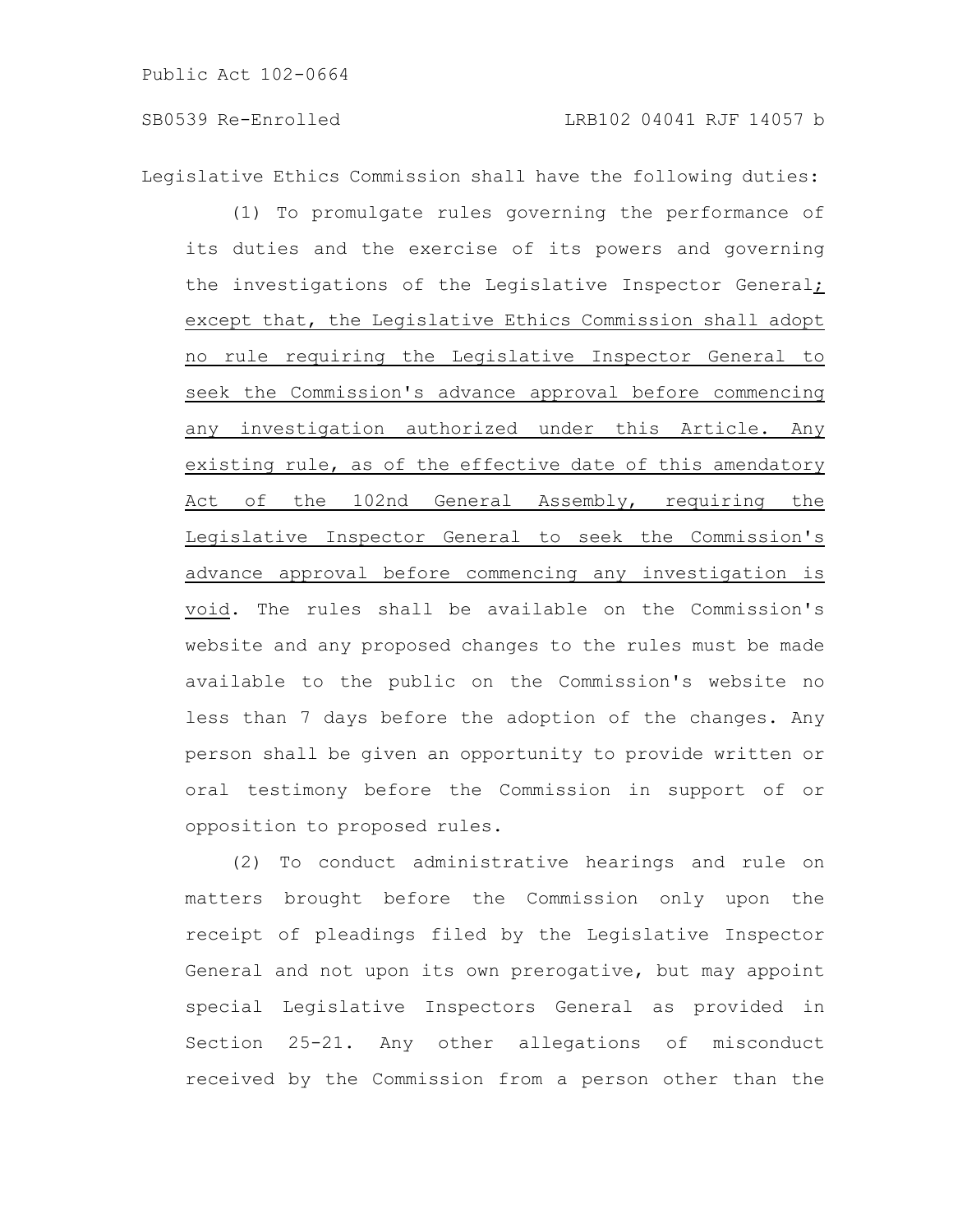Legislative Ethics Commission shall have the following duties:

(1) To promulgate rules governing the performance of its duties and the exercise of its powers and governing the investigations of the Legislative Inspector General; except that, the Legislative Ethics Commission shall adopt no rule requiring the Legislative Inspector General to seek the Commission's advance approval before commencing any investigation authorized under this Article. Any existing rule, as of the effective date of this amendatory Act of the 102nd General Assembly, requiring the Legislative Inspector General to seek the Commission's advance approval before commencing any investigation is void. The rules shall be available on the Commission's website and any proposed changes to the rules must be made available to the public on the Commission's website no less than 7 days before the adoption of the changes. Any person shall be given an opportunity to provide written or oral testimony before the Commission in support of or opposition to proposed rules.

(2) To conduct administrative hearings and rule on matters brought before the Commission only upon the receipt of pleadings filed by the Legislative Inspector General and not upon its own prerogative, but may appoint special Legislative Inspectors General as provided in Section 25-21. Any other allegations of misconduct received by the Commission from a person other than the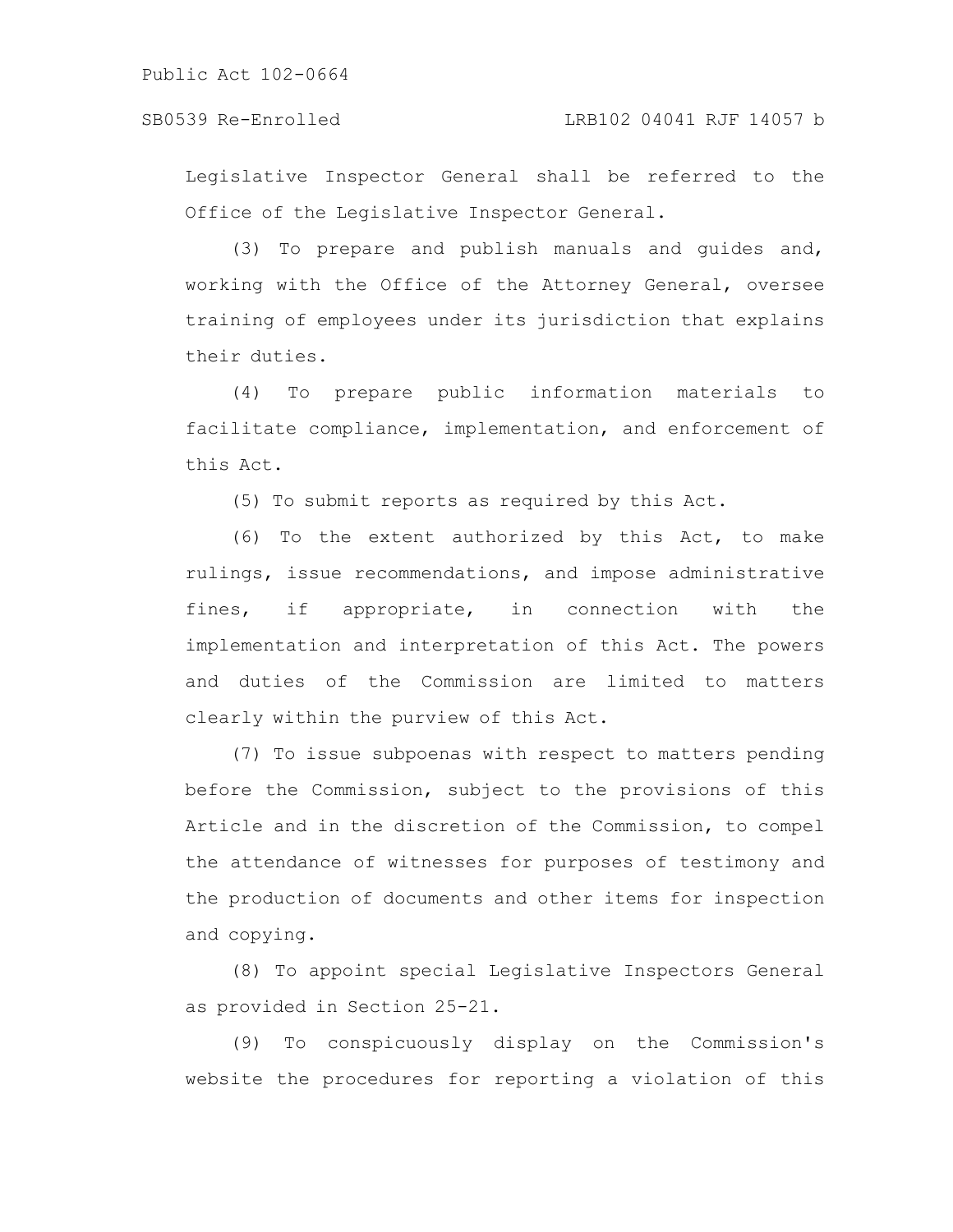## SB0539 Re-Enrolled LRB102 04041 RJF 14057 b

Legislative Inspector General shall be referred to the Office of the Legislative Inspector General.

(3) To prepare and publish manuals and guides and, working with the Office of the Attorney General, oversee training of employees under its jurisdiction that explains their duties.

(4) To prepare public information materials to facilitate compliance, implementation, and enforcement of this Act.

(5) To submit reports as required by this Act.

(6) To the extent authorized by this Act, to make rulings, issue recommendations, and impose administrative fines, if appropriate, in connection with the implementation and interpretation of this Act. The powers and duties of the Commission are limited to matters clearly within the purview of this Act.

(7) To issue subpoenas with respect to matters pending before the Commission, subject to the provisions of this Article and in the discretion of the Commission, to compel the attendance of witnesses for purposes of testimony and the production of documents and other items for inspection and copying.

(8) To appoint special Legislative Inspectors General as provided in Section 25-21.

(9) To conspicuously display on the Commission's website the procedures for reporting a violation of this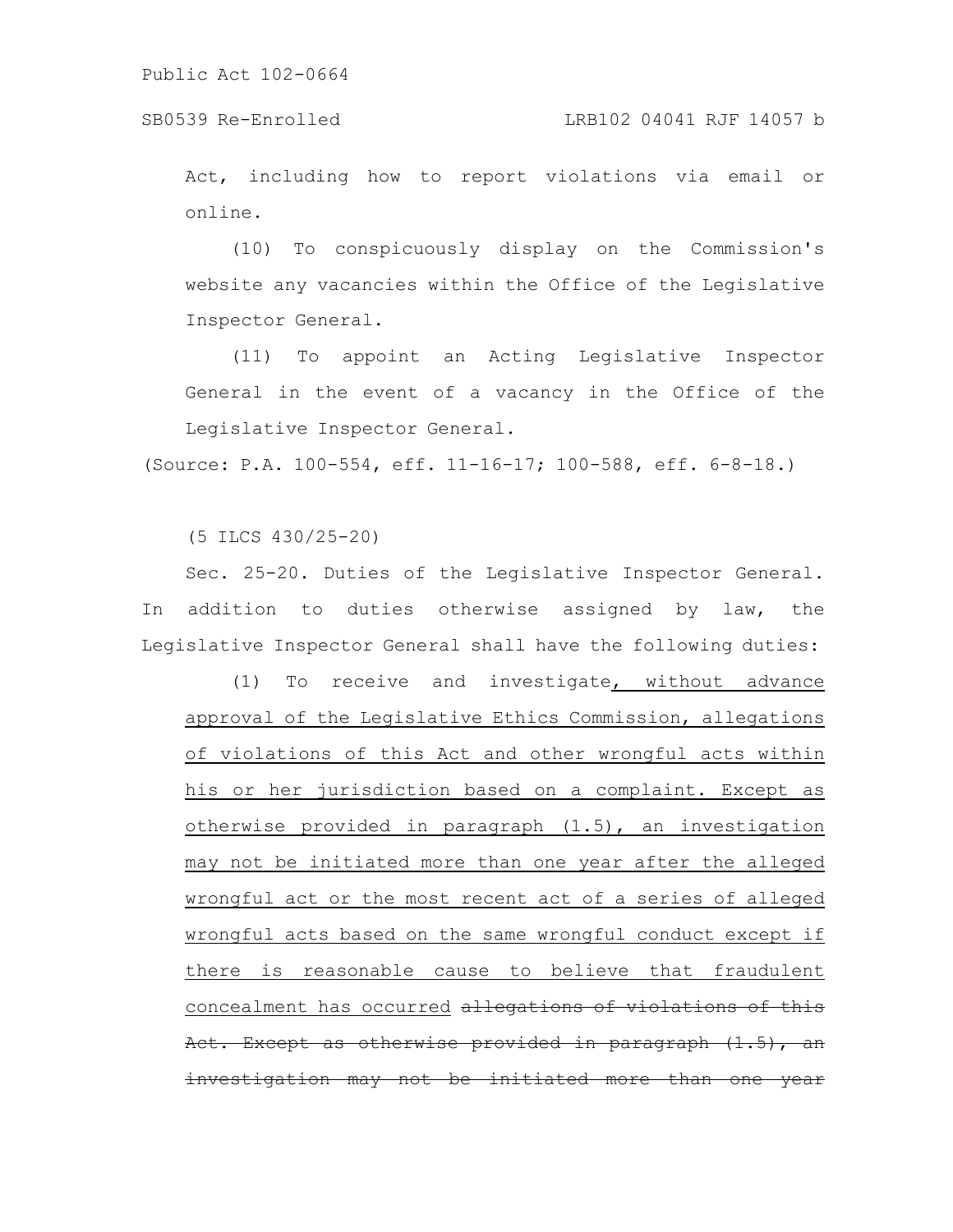SB0539 Re-Enrolled LRB102 04041 RJF 14057 b

Act, including how to report violations via email or online.

(10) To conspicuously display on the Commission's website any vacancies within the Office of the Legislative Inspector General.

(11) To appoint an Acting Legislative Inspector General in the event of a vacancy in the Office of the Legislative Inspector General.

(Source: P.A. 100-554, eff. 11-16-17; 100-588, eff. 6-8-18.)

(5 ILCS 430/25-20)

Sec. 25-20. Duties of the Legislative Inspector General. In addition to duties otherwise assigned by law, the Legislative Inspector General shall have the following duties:

(1) To receive and investigate, without advance approval of the Legislative Ethics Commission, allegations of violations of this Act and other wrongful acts within his or her jurisdiction based on a complaint. Except as otherwise provided in paragraph (1.5), an investigation may not be initiated more than one year after the alleged wrongful act or the most recent act of a series of alleged wrongful acts based on the same wrongful conduct except if there is reasonable cause to believe that fraudulent concealment has occurred allegations of violations of this Act. Except as otherwise provided in paragraph (1.5), an investigation may not be initiated more than one year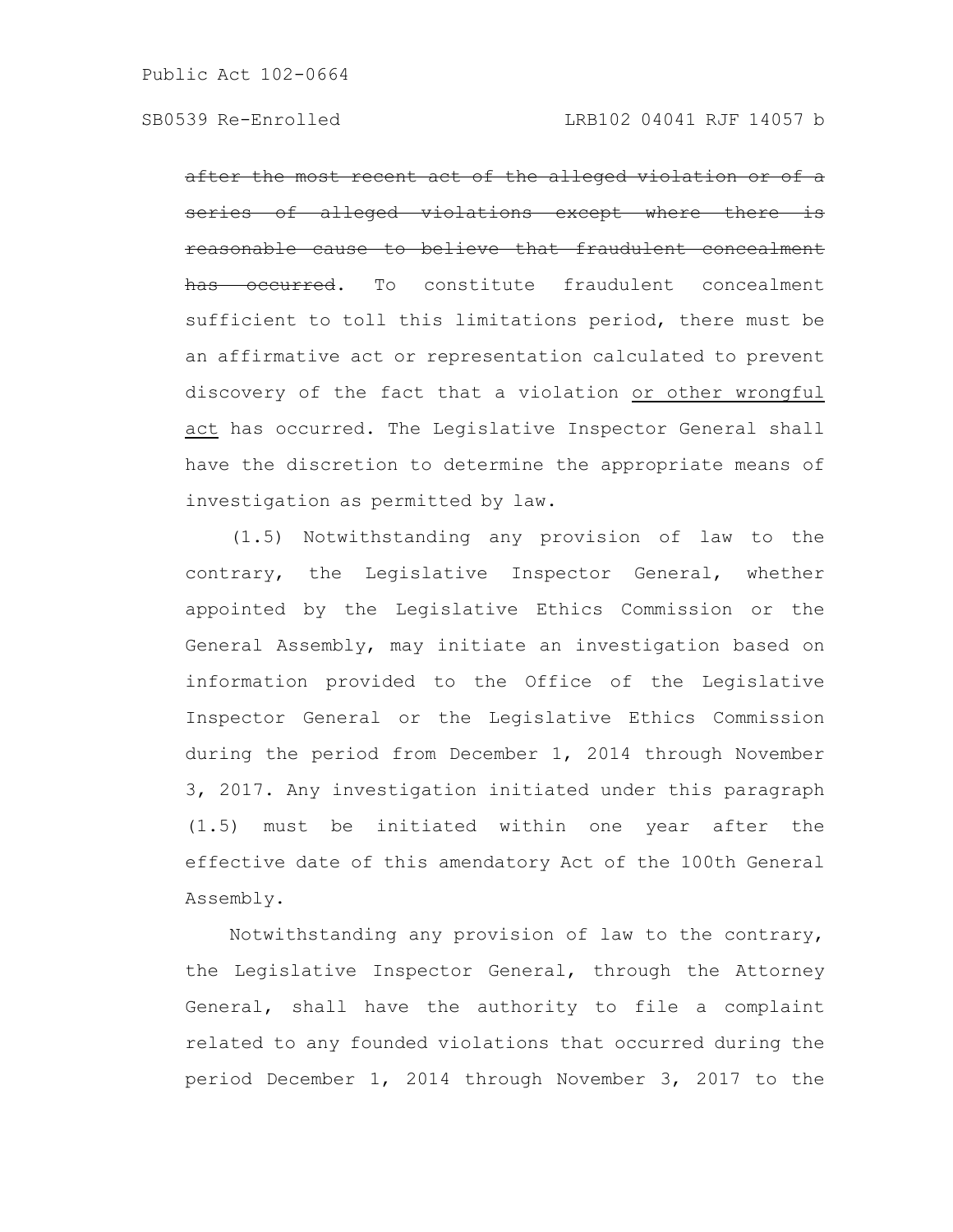after the most recent act of the alleged violation or of a series of alleged violations except where there reasonable cause to believe that fraudulent concealment occurred. To constitute fraudulent concealment sufficient to toll this limitations period, there must be an affirmative act or representation calculated to prevent discovery of the fact that a violation or other wrongful act has occurred. The Legislative Inspector General shall have the discretion to determine the appropriate means of investigation as permitted by law.

(1.5) Notwithstanding any provision of law to the contrary, the Legislative Inspector General, whether appointed by the Legislative Ethics Commission or the General Assembly, may initiate an investigation based on information provided to the Office of the Legislative Inspector General or the Legislative Ethics Commission during the period from December 1, 2014 through November 3, 2017. Any investigation initiated under this paragraph (1.5) must be initiated within one year after the effective date of this amendatory Act of the 100th General Assembly.

Notwithstanding any provision of law to the contrary, the Legislative Inspector General, through the Attorney General, shall have the authority to file a complaint related to any founded violations that occurred during the period December 1, 2014 through November 3, 2017 to the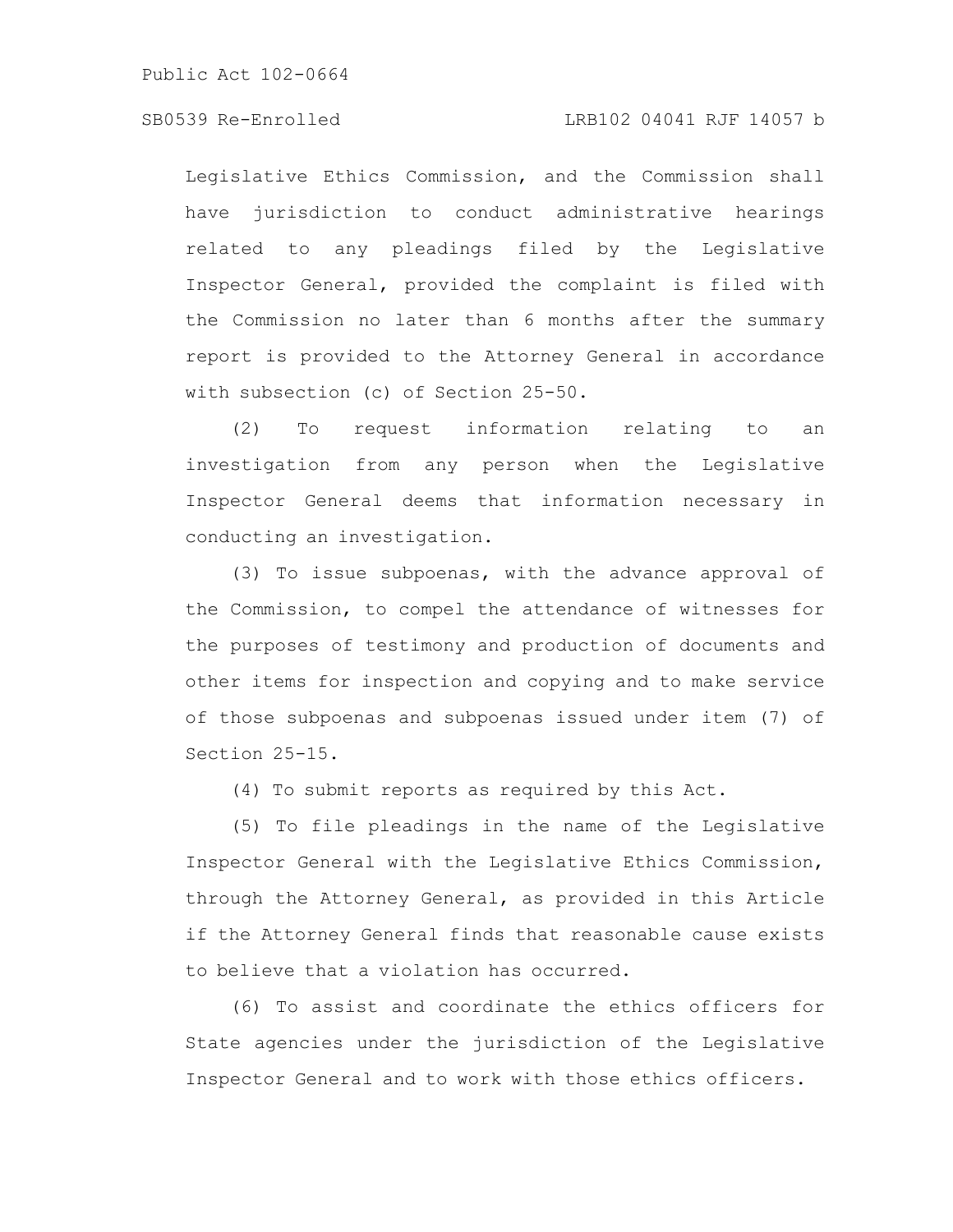## SB0539 Re-Enrolled LRB102 04041 RJF 14057 b

Legislative Ethics Commission, and the Commission shall have jurisdiction to conduct administrative hearings related to any pleadings filed by the Legislative Inspector General, provided the complaint is filed with the Commission no later than 6 months after the summary report is provided to the Attorney General in accordance with subsection (c) of Section 25-50.

(2) To request information relating to an investigation from any person when the Legislative Inspector General deems that information necessary in conducting an investigation.

(3) To issue subpoenas, with the advance approval of the Commission, to compel the attendance of witnesses for the purposes of testimony and production of documents and other items for inspection and copying and to make service of those subpoenas and subpoenas issued under item (7) of Section 25-15.

(4) To submit reports as required by this Act.

(5) To file pleadings in the name of the Legislative Inspector General with the Legislative Ethics Commission, through the Attorney General, as provided in this Article if the Attorney General finds that reasonable cause exists to believe that a violation has occurred.

(6) To assist and coordinate the ethics officers for State agencies under the jurisdiction of the Legislative Inspector General and to work with those ethics officers.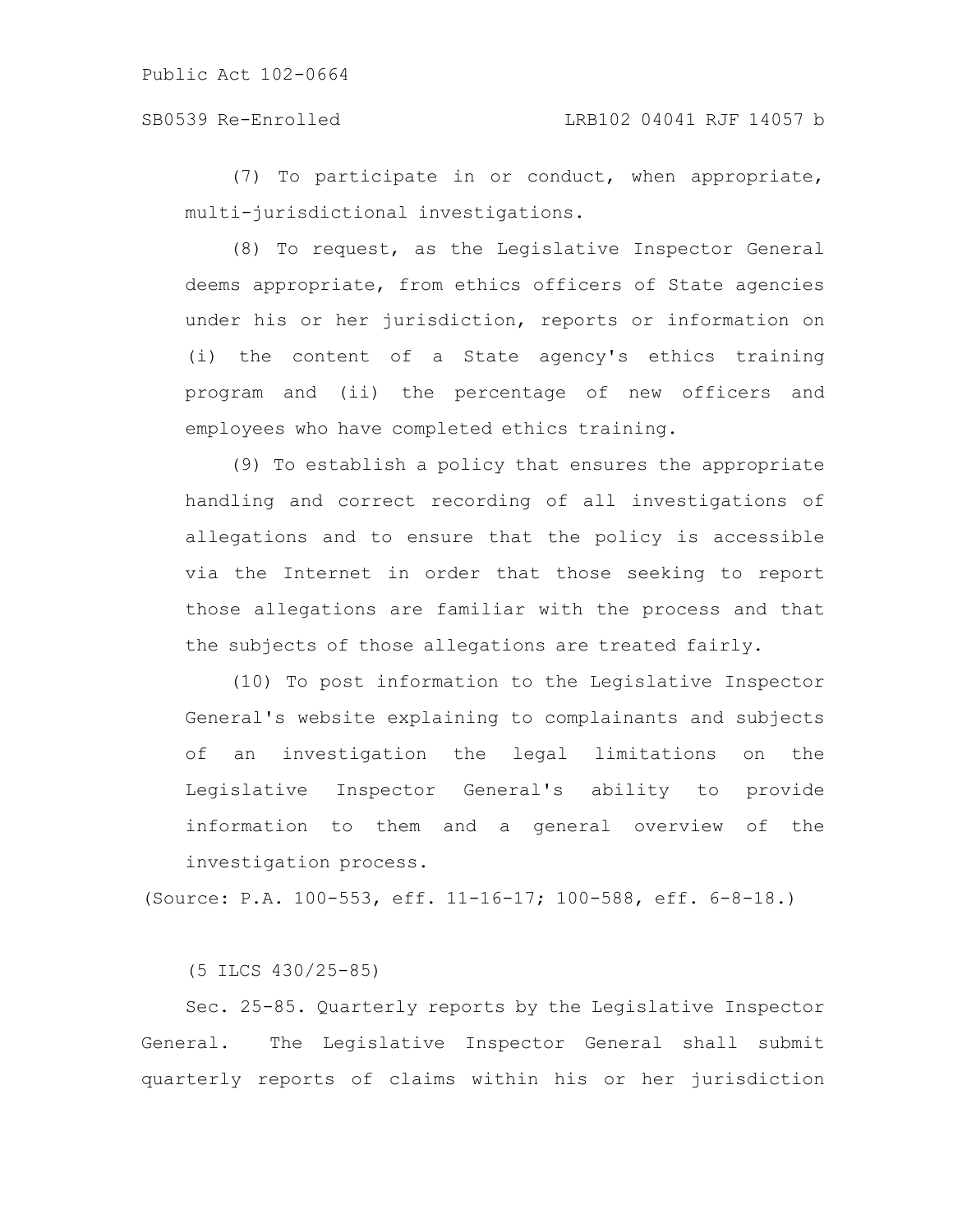(7) To participate in or conduct, when appropriate, multi-jurisdictional investigations.

(8) To request, as the Legislative Inspector General deems appropriate, from ethics officers of State agencies under his or her jurisdiction, reports or information on (i) the content of a State agency's ethics training program and (ii) the percentage of new officers and employees who have completed ethics training.

(9) To establish a policy that ensures the appropriate handling and correct recording of all investigations of allegations and to ensure that the policy is accessible via the Internet in order that those seeking to report those allegations are familiar with the process and that the subjects of those allegations are treated fairly.

(10) To post information to the Legislative Inspector General's website explaining to complainants and subjects of an investigation the legal limitations on the Legislative Inspector General's ability to provide information to them and a general overview of the investigation process.

(Source: P.A. 100-553, eff. 11-16-17; 100-588, eff. 6-8-18.)

(5 ILCS 430/25-85)

Sec. 25-85. Quarterly reports by the Legislative Inspector General. The Legislative Inspector General shall submit quarterly reports of claims within his or her jurisdiction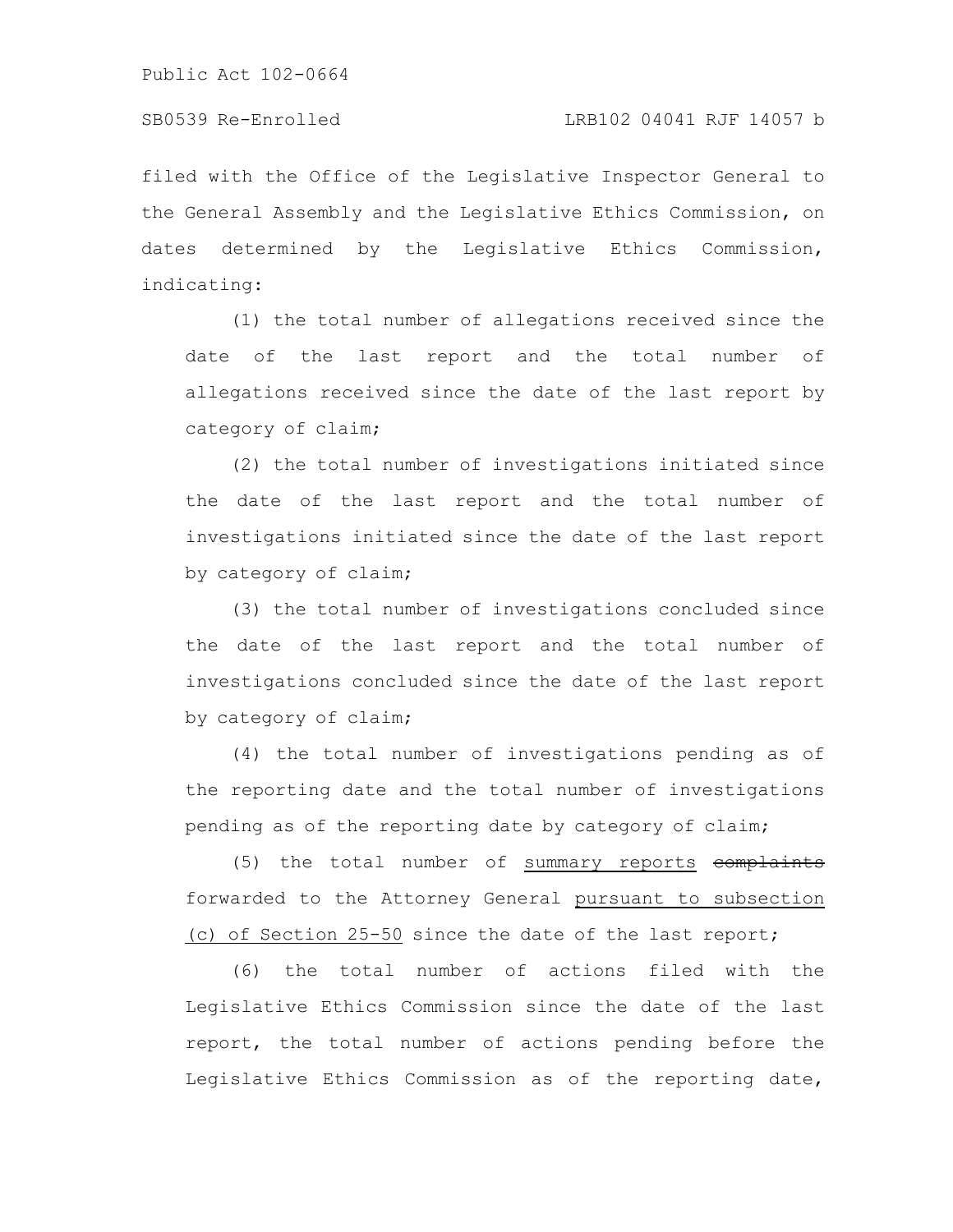filed with the Office of the Legislative Inspector General to the General Assembly and the Legislative Ethics Commission, on dates determined by the Legislative Ethics Commission, indicating:

(1) the total number of allegations received since the date of the last report and the total number of allegations received since the date of the last report by category of claim;

(2) the total number of investigations initiated since the date of the last report and the total number of investigations initiated since the date of the last report by category of claim;

(3) the total number of investigations concluded since the date of the last report and the total number of investigations concluded since the date of the last report by category of claim;

(4) the total number of investigations pending as of the reporting date and the total number of investigations pending as of the reporting date by category of claim;

(5) the total number of summary reports complaints forwarded to the Attorney General pursuant to subsection (c) of Section 25-50 since the date of the last report;

(6) the total number of actions filed with the Legislative Ethics Commission since the date of the last report, the total number of actions pending before the Legislative Ethics Commission as of the reporting date,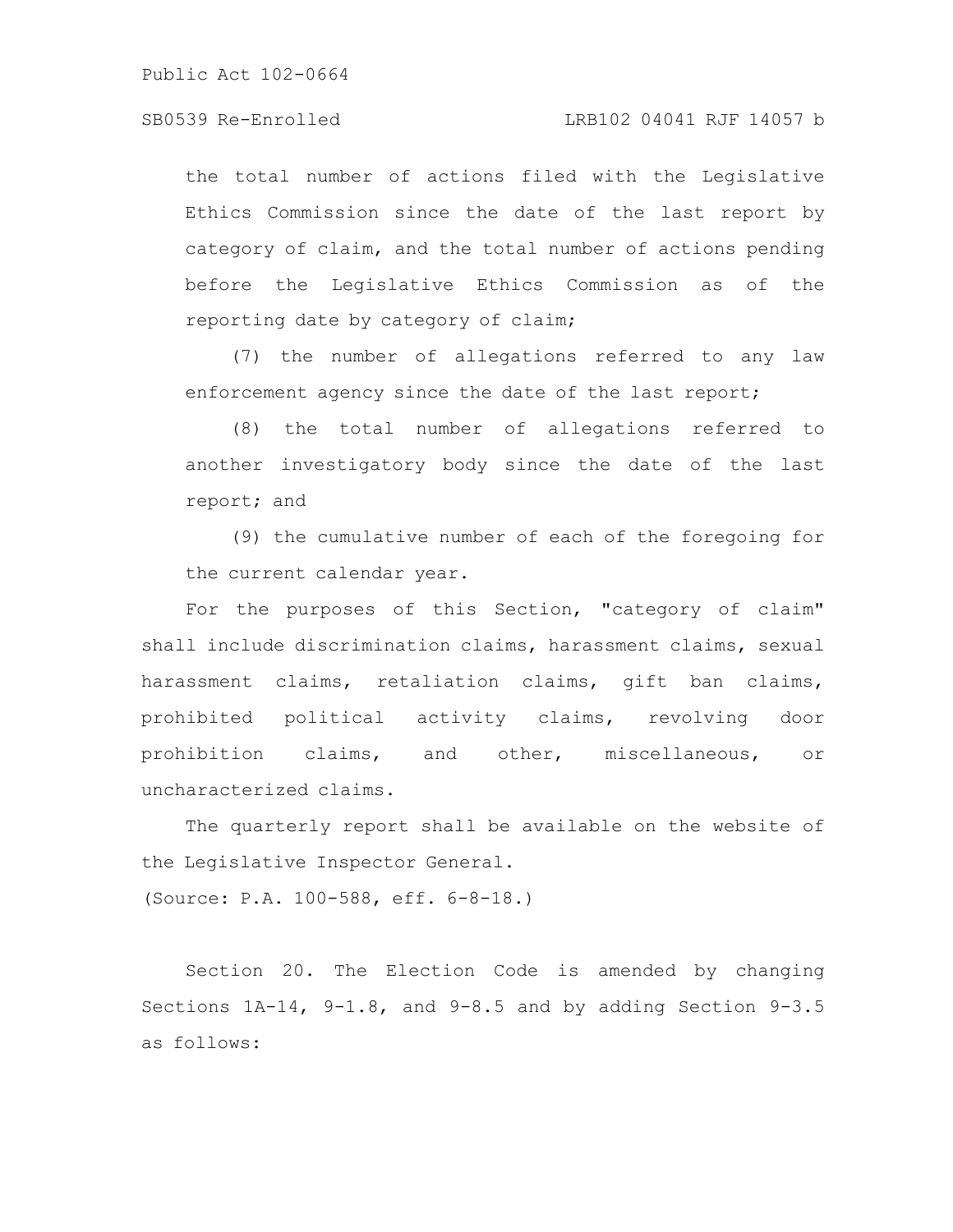SB0539 Re-Enrolled LRB102 04041 RJF 14057 b

the total number of actions filed with the Legislative Ethics Commission since the date of the last report by category of claim, and the total number of actions pending before the Legislative Ethics Commission as of the reporting date by category of claim;

(7) the number of allegations referred to any law enforcement agency since the date of the last report;

(8) the total number of allegations referred to another investigatory body since the date of the last report; and

(9) the cumulative number of each of the foregoing for the current calendar year.

For the purposes of this Section, "category of claim" shall include discrimination claims, harassment claims, sexual harassment claims, retaliation claims, gift ban claims, prohibited political activity claims, revolving door prohibition claims, and other, miscellaneous, or uncharacterized claims.

The quarterly report shall be available on the website of the Legislative Inspector General.

(Source: P.A. 100-588, eff. 6-8-18.)

Section 20. The Election Code is amended by changing Sections 1A-14, 9-1.8, and 9-8.5 and by adding Section 9-3.5 as follows: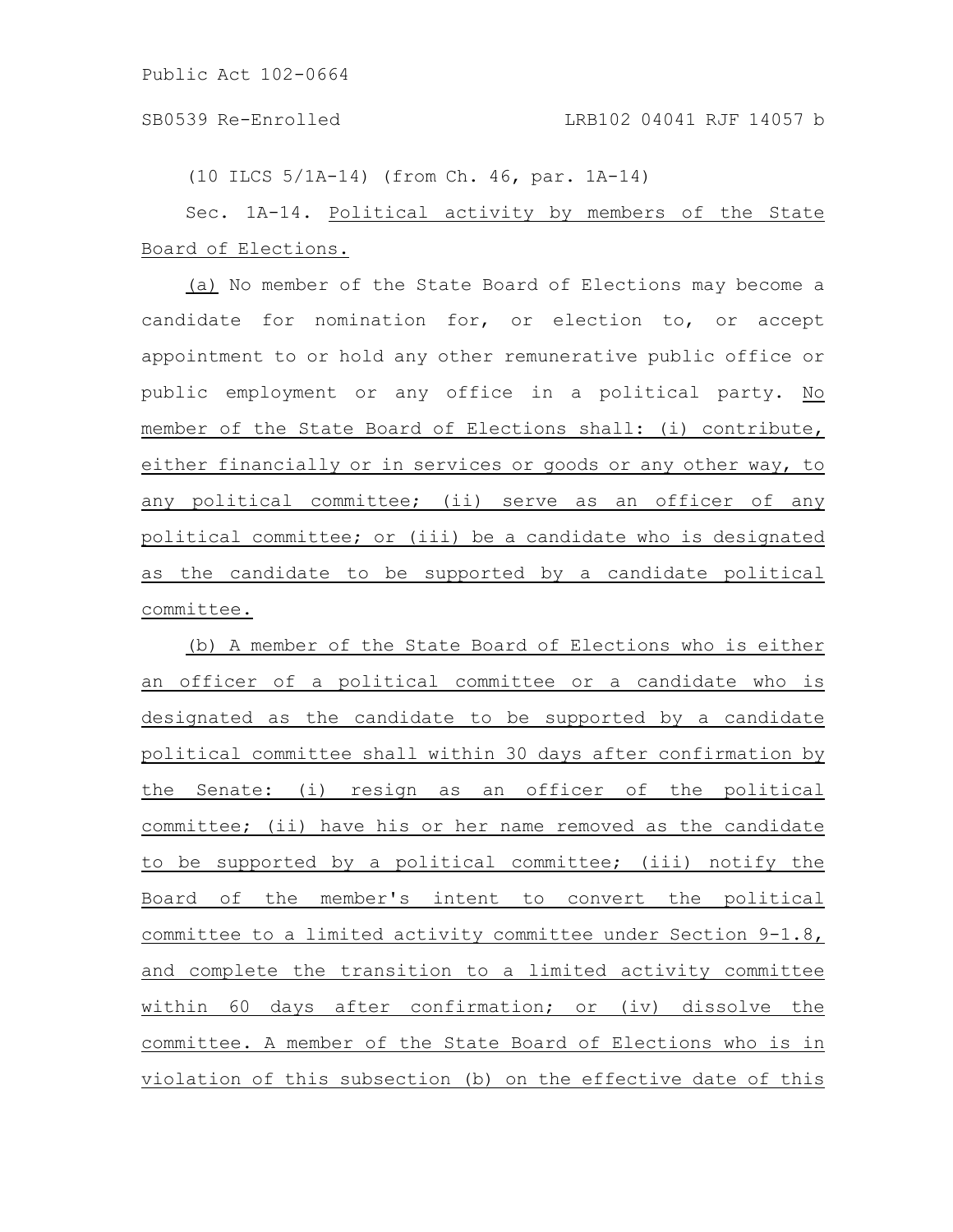SB0539 Re-Enrolled LRB102 04041 RJF 14057 b

(10 ILCS 5/1A-14) (from Ch. 46, par. 1A-14)

Sec. 1A-14. Political activity by members of the State Board of Elections.

(a) No member of the State Board of Elections may become a candidate for nomination for, or election to, or accept appointment to or hold any other remunerative public office or public employment or any office in a political party. No member of the State Board of Elections shall: (i) contribute, either financially or in services or goods or any other way, to any political committee; (ii) serve as an officer of any political committee; or (iii) be a candidate who is designated as the candidate to be supported by a candidate political committee.

(b) A member of the State Board of Elections who is either an officer of a political committee or a candidate who is designated as the candidate to be supported by a candidate political committee shall within 30 days after confirmation by the Senate: (i) resign as an officer of the political committee; (ii) have his or her name removed as the candidate to be supported by a political committee; (iii) notify the Board of the member's intent to convert the political committee to a limited activity committee under Section 9-1.8, and complete the transition to a limited activity committee within 60 days after confirmation; or (iv) dissolve the committee. A member of the State Board of Elections who is in violation of this subsection (b) on the effective date of this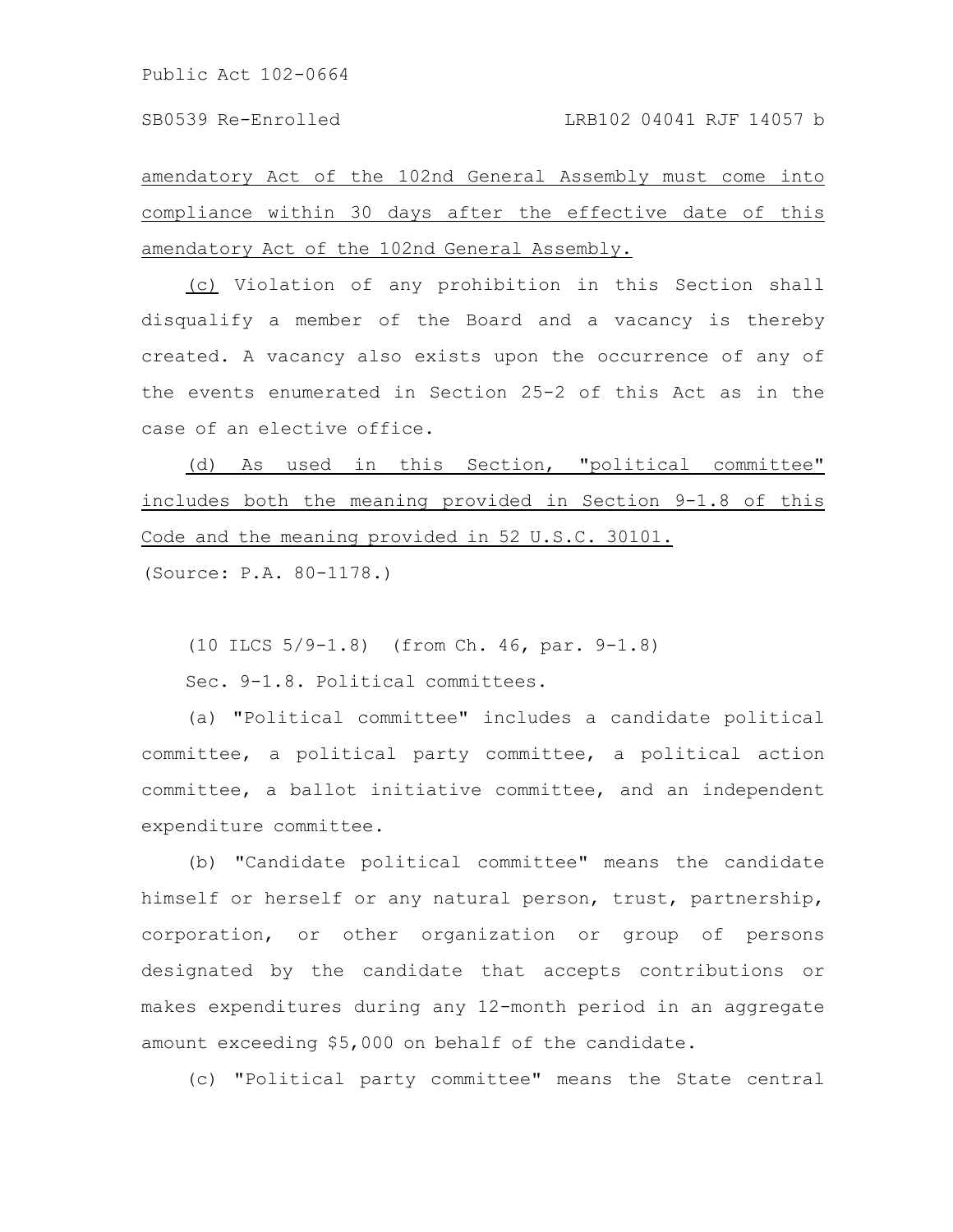amendatory Act of the 102nd General Assembly must come into compliance within 30 days after the effective date of this amendatory Act of the 102nd General Assembly.

(c) Violation of any prohibition in this Section shall disqualify a member of the Board and a vacancy is thereby created. A vacancy also exists upon the occurrence of any of the events enumerated in Section 25-2 of this Act as in the case of an elective office.

(d) As used in this Section, "political committee" includes both the meaning provided in Section 9-1.8 of this Code and the meaning provided in 52 U.S.C. 30101.

(Source: P.A. 80-1178.)

(10 ILCS 5/9-1.8) (from Ch. 46, par. 9-1.8)

Sec. 9-1.8. Political committees.

(a) "Political committee" includes a candidate political committee, a political party committee, a political action committee, a ballot initiative committee, and an independent expenditure committee.

(b) "Candidate political committee" means the candidate himself or herself or any natural person, trust, partnership, corporation, or other organization or group of persons designated by the candidate that accepts contributions or makes expenditures during any 12-month period in an aggregate amount exceeding \$5,000 on behalf of the candidate.

(c) "Political party committee" means the State central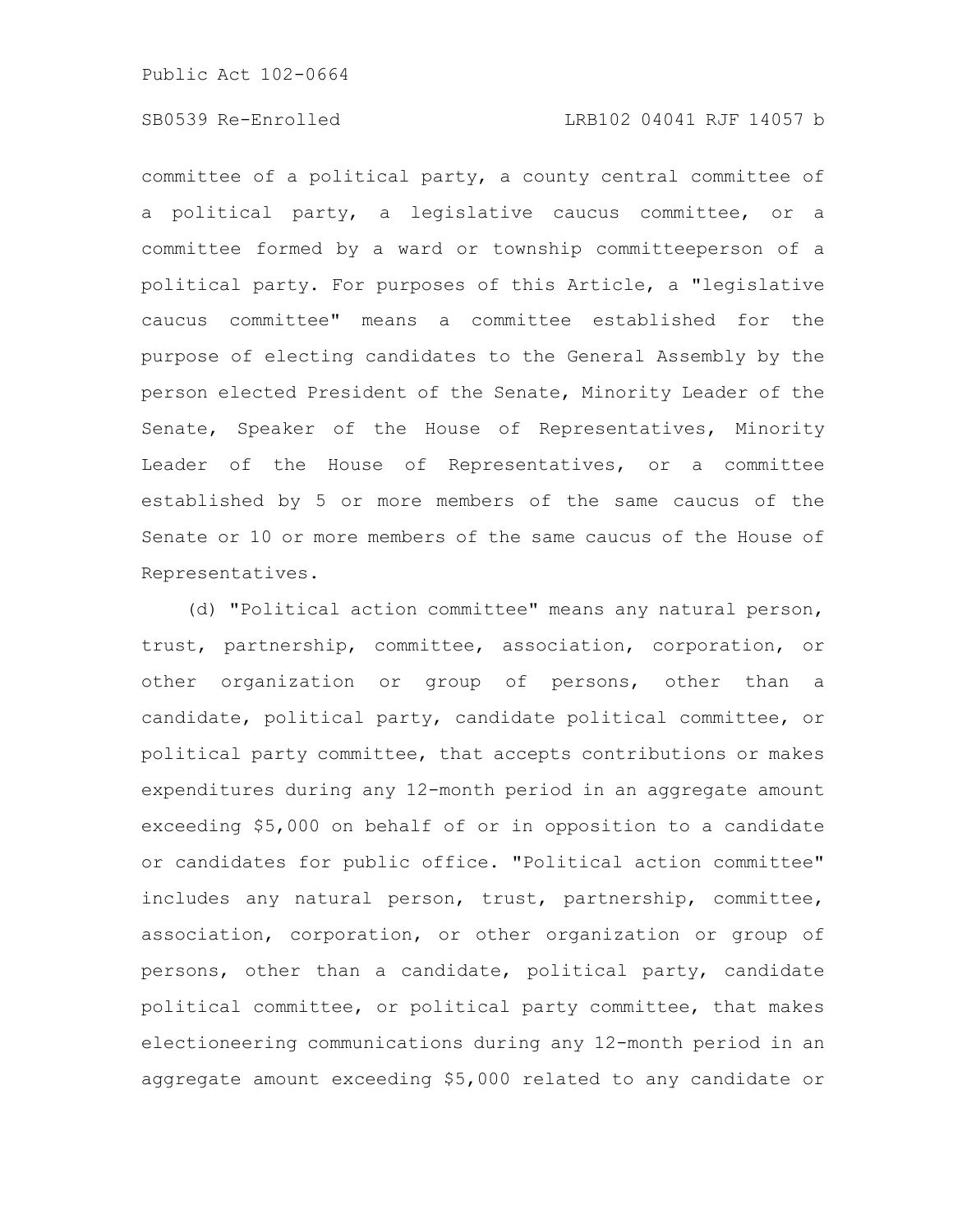committee of a political party, a county central committee of a political party, a legislative caucus committee, or a committee formed by a ward or township committeeperson of a political party. For purposes of this Article, a "legislative caucus committee" means a committee established for the purpose of electing candidates to the General Assembly by the person elected President of the Senate, Minority Leader of the Senate, Speaker of the House of Representatives, Minority Leader of the House of Representatives, or a committee established by 5 or more members of the same caucus of the Senate or 10 or more members of the same caucus of the House of Representatives.

(d) "Political action committee" means any natural person, trust, partnership, committee, association, corporation, or other organization or group of persons, other than a candidate, political party, candidate political committee, or political party committee, that accepts contributions or makes expenditures during any 12-month period in an aggregate amount exceeding \$5,000 on behalf of or in opposition to a candidate or candidates for public office. "Political action committee" includes any natural person, trust, partnership, committee, association, corporation, or other organization or group of persons, other than a candidate, political party, candidate political committee, or political party committee, that makes electioneering communications during any 12-month period in an aggregate amount exceeding \$5,000 related to any candidate or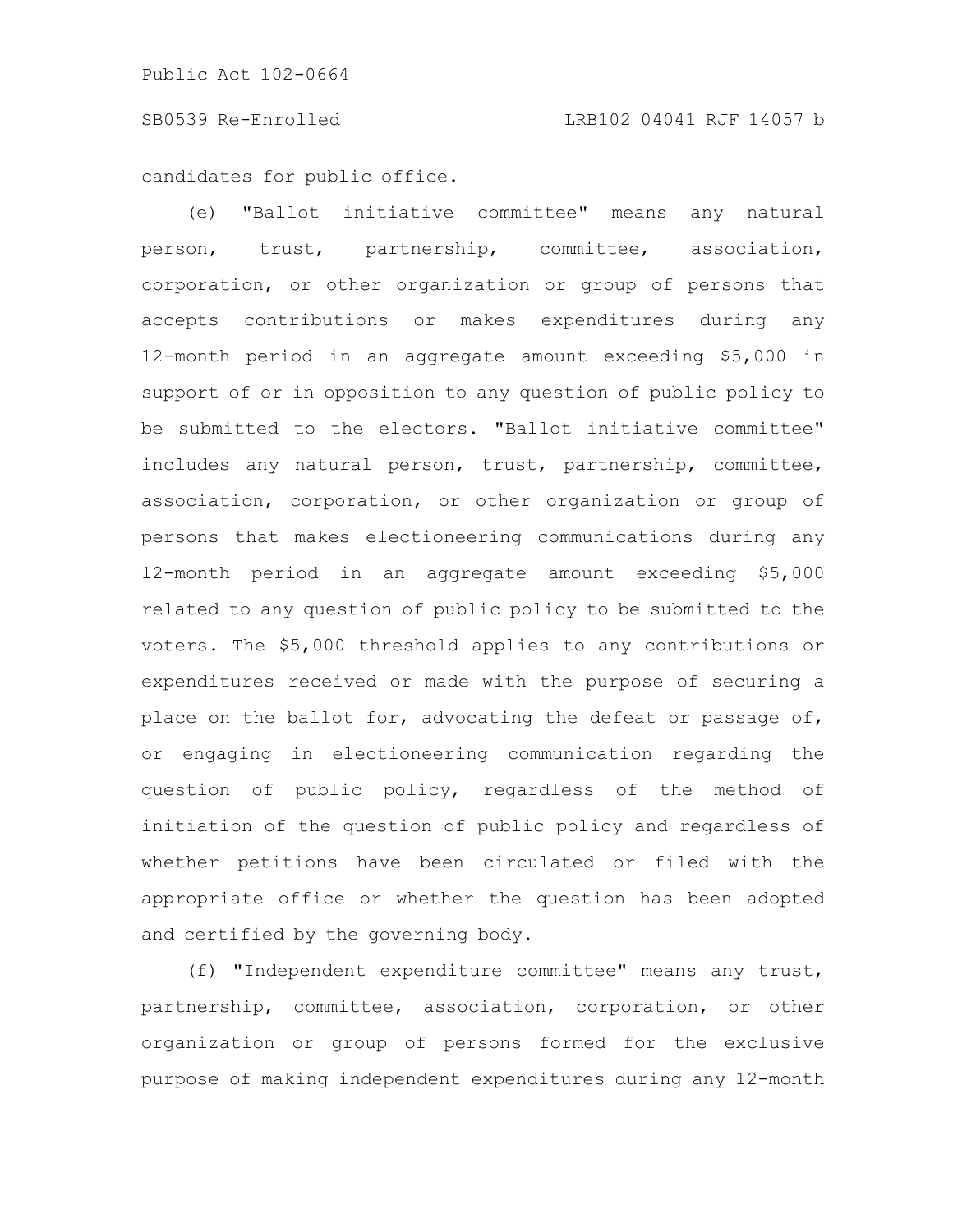candidates for public office.

(e) "Ballot initiative committee" means any natural person, trust, partnership, committee, association, corporation, or other organization or group of persons that accepts contributions or makes expenditures during any 12-month period in an aggregate amount exceeding \$5,000 in support of or in opposition to any question of public policy to be submitted to the electors. "Ballot initiative committee" includes any natural person, trust, partnership, committee, association, corporation, or other organization or group of persons that makes electioneering communications during any 12-month period in an aggregate amount exceeding \$5,000 related to any question of public policy to be submitted to the voters. The \$5,000 threshold applies to any contributions or expenditures received or made with the purpose of securing a place on the ballot for, advocating the defeat or passage of, or engaging in electioneering communication regarding the question of public policy, regardless of the method of initiation of the question of public policy and regardless of whether petitions have been circulated or filed with the appropriate office or whether the question has been adopted and certified by the governing body.

(f) "Independent expenditure committee" means any trust, partnership, committee, association, corporation, or other organization or group of persons formed for the exclusive purpose of making independent expenditures during any 12-month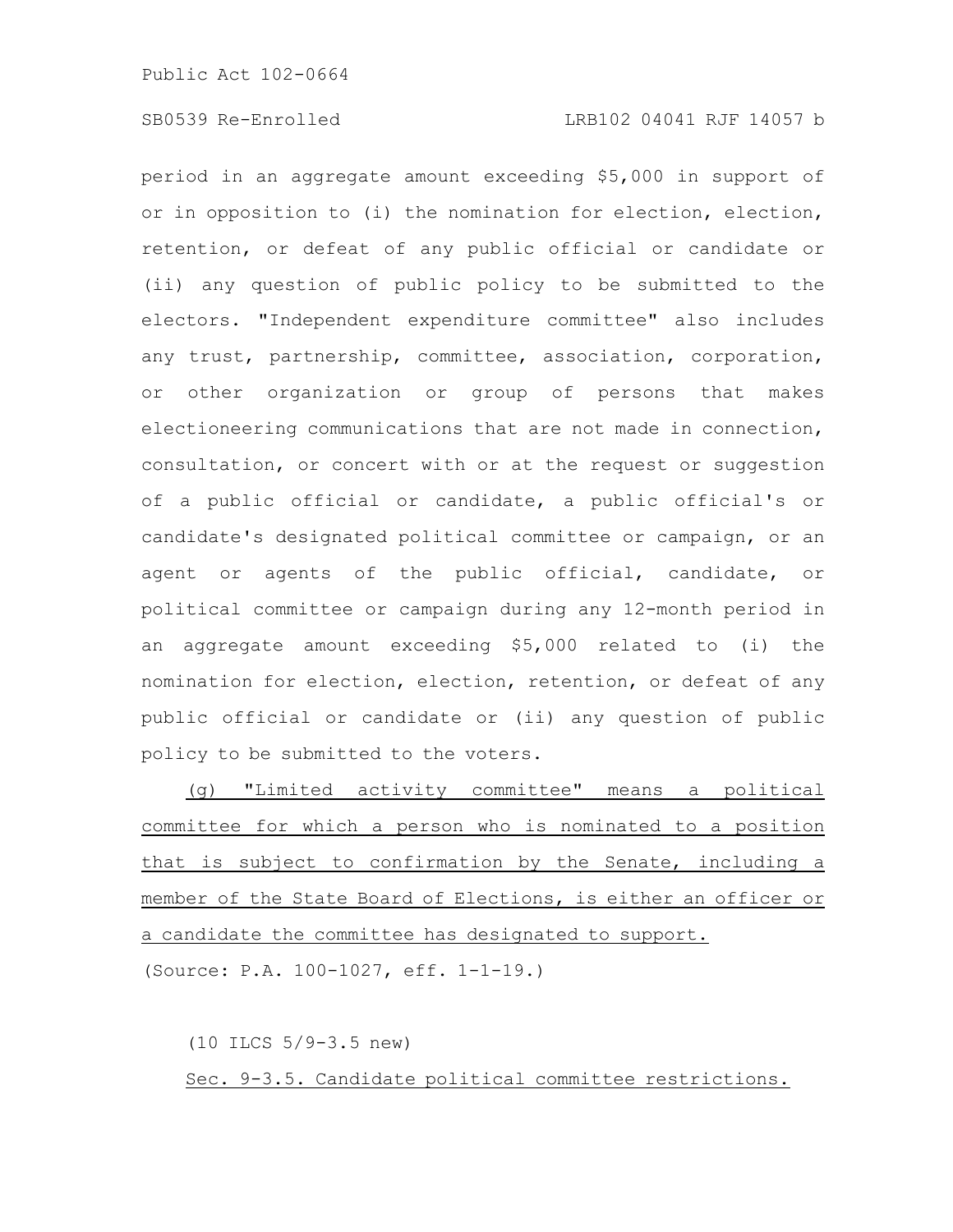period in an aggregate amount exceeding \$5,000 in support of or in opposition to (i) the nomination for election, election, retention, or defeat of any public official or candidate or (ii) any question of public policy to be submitted to the electors. "Independent expenditure committee" also includes any trust, partnership, committee, association, corporation, or other organization or group of persons that makes electioneering communications that are not made in connection, consultation, or concert with or at the request or suggestion of a public official or candidate, a public official's or candidate's designated political committee or campaign, or an agent or agents of the public official, candidate, or political committee or campaign during any 12-month period in an aggregate amount exceeding \$5,000 related to (i) the nomination for election, election, retention, or defeat of any public official or candidate or (ii) any question of public policy to be submitted to the voters.

(g) "Limited activity committee" means a political committee for which a person who is nominated to a position that is subject to confirmation by the Senate, including a member of the State Board of Elections, is either an officer or a candidate the committee has designated to support. (Source: P.A. 100-1027, eff. 1-1-19.)

(10 ILCS 5/9-3.5 new) Sec. 9-3.5. Candidate political committee restrictions.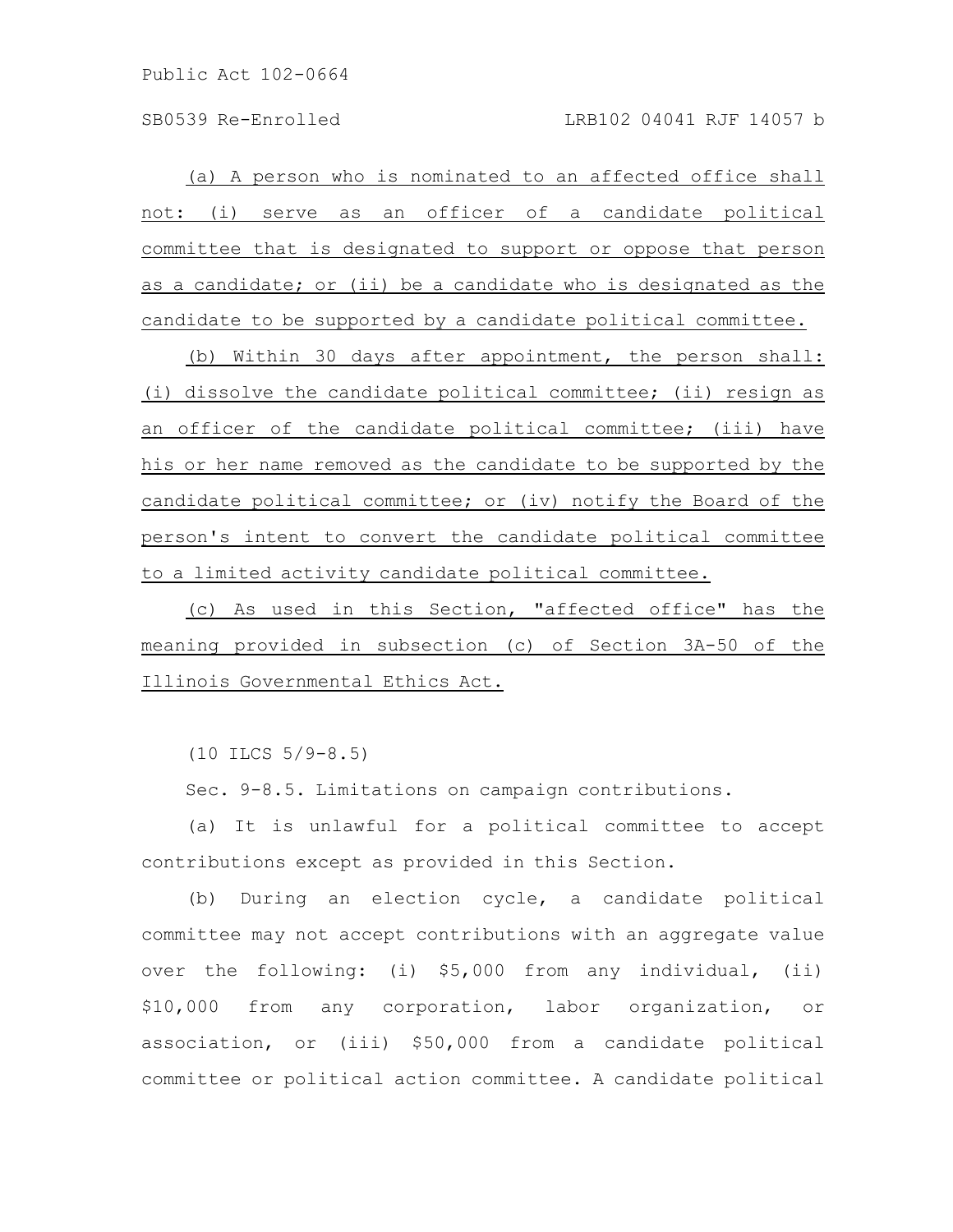(a) A person who is nominated to an affected office shall not: (i) serve as an officer of a candidate political committee that is designated to support or oppose that person as a candidate; or (ii) be a candidate who is designated as the candidate to be supported by a candidate political committee.

(b) Within 30 days after appointment, the person shall: (i) dissolve the candidate political committee; (ii) resign as an officer of the candidate political committee; (iii) have his or her name removed as the candidate to be supported by the candidate political committee; or (iv) notify the Board of the person's intent to convert the candidate political committee to a limited activity candidate political committee.

(c) As used in this Section, "affected office" has the meaning provided in subsection (c) of Section 3A-50 of the Illinois Governmental Ethics Act.

(10 ILCS 5/9-8.5)

Sec. 9-8.5. Limitations on campaign contributions.

(a) It is unlawful for a political committee to accept contributions except as provided in this Section.

(b) During an election cycle, a candidate political committee may not accept contributions with an aggregate value over the following: (i) \$5,000 from any individual, (ii) \$10,000 from any corporation, labor organization, or association, or (iii) \$50,000 from a candidate political committee or political action committee. A candidate political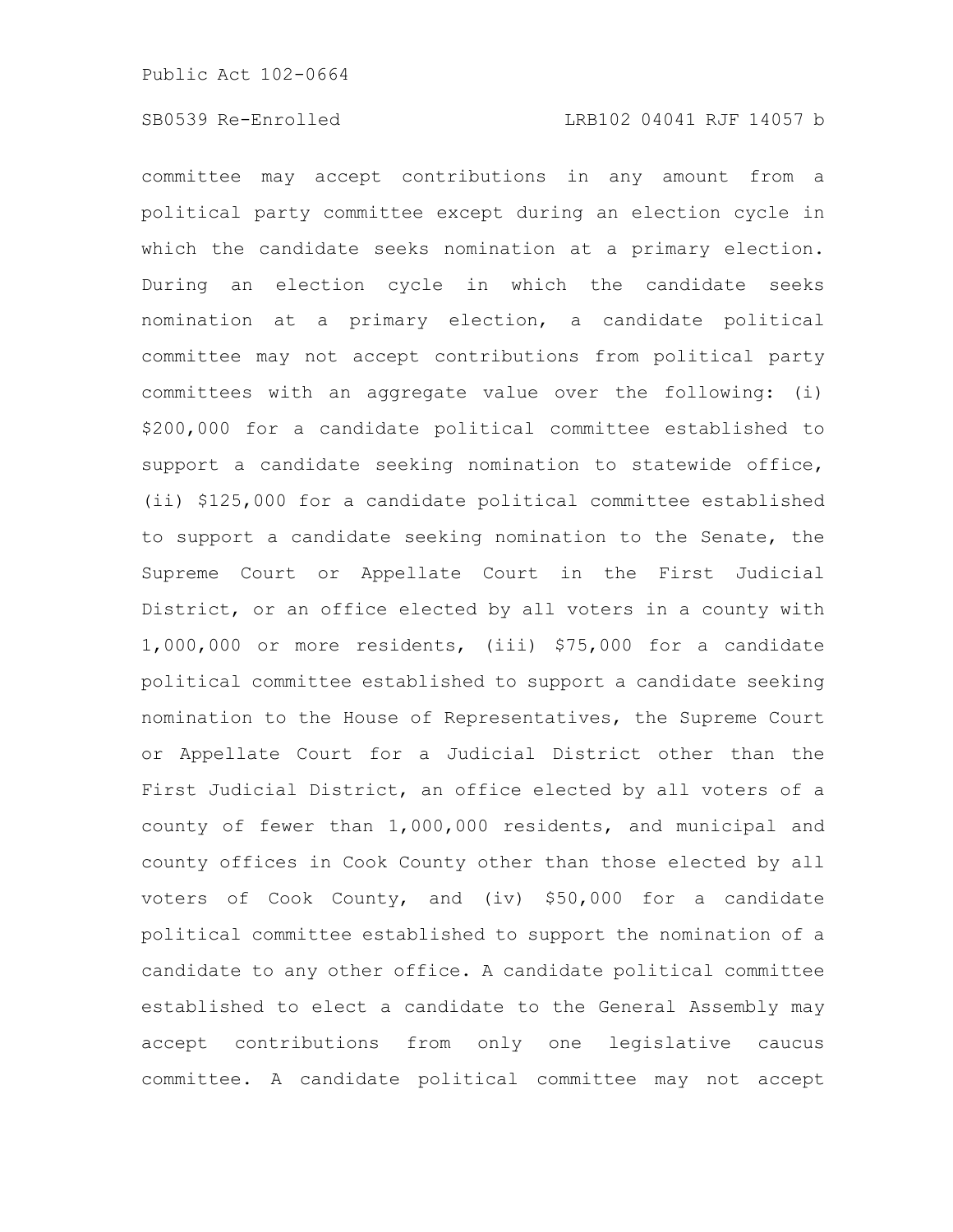committee may accept contributions in any amount from a political party committee except during an election cycle in which the candidate seeks nomination at a primary election. During an election cycle in which the candidate seeks nomination at a primary election, a candidate political committee may not accept contributions from political party committees with an aggregate value over the following: (i) \$200,000 for a candidate political committee established to support a candidate seeking nomination to statewide office, (ii) \$125,000 for a candidate political committee established to support a candidate seeking nomination to the Senate, the Supreme Court or Appellate Court in the First Judicial District, or an office elected by all voters in a county with 1,000,000 or more residents, (iii) \$75,000 for a candidate political committee established to support a candidate seeking nomination to the House of Representatives, the Supreme Court or Appellate Court for a Judicial District other than the First Judicial District, an office elected by all voters of a county of fewer than 1,000,000 residents, and municipal and county offices in Cook County other than those elected by all voters of Cook County, and (iv) \$50,000 for a candidate political committee established to support the nomination of a candidate to any other office. A candidate political committee established to elect a candidate to the General Assembly may accept contributions from only one legislative caucus committee. A candidate political committee may not accept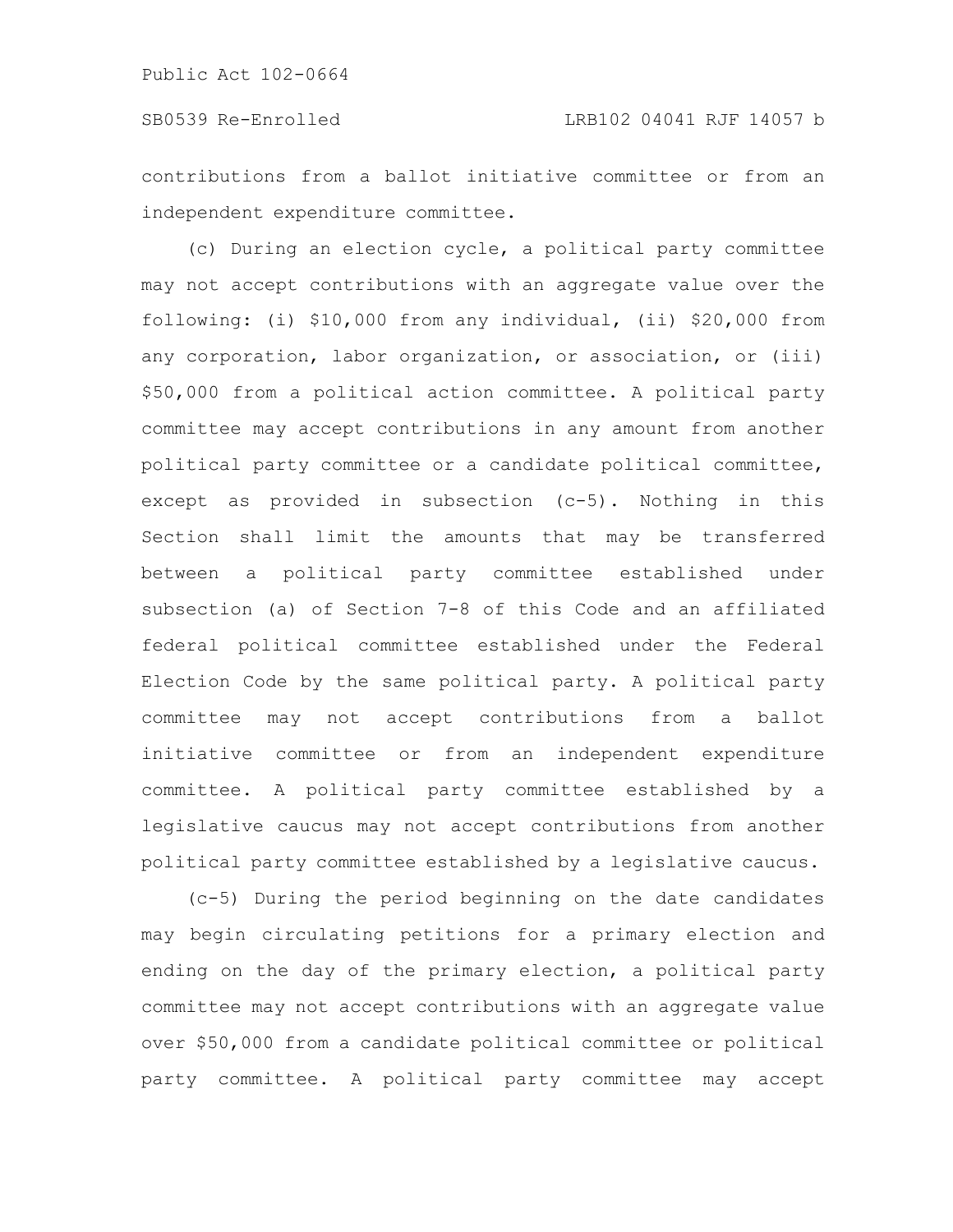contributions from a ballot initiative committee or from an independent expenditure committee.

(c) During an election cycle, a political party committee may not accept contributions with an aggregate value over the following: (i) \$10,000 from any individual, (ii) \$20,000 from any corporation, labor organization, or association, or (iii) \$50,000 from a political action committee. A political party committee may accept contributions in any amount from another political party committee or a candidate political committee, except as provided in subsection (c-5). Nothing in this Section shall limit the amounts that may be transferred between a political party committee established under subsection (a) of Section 7-8 of this Code and an affiliated federal political committee established under the Federal Election Code by the same political party. A political party committee may not accept contributions from a ballot initiative committee or from an independent expenditure committee. A political party committee established by a legislative caucus may not accept contributions from another political party committee established by a legislative caucus.

(c-5) During the period beginning on the date candidates may begin circulating petitions for a primary election and ending on the day of the primary election, a political party committee may not accept contributions with an aggregate value over \$50,000 from a candidate political committee or political party committee. A political party committee may accept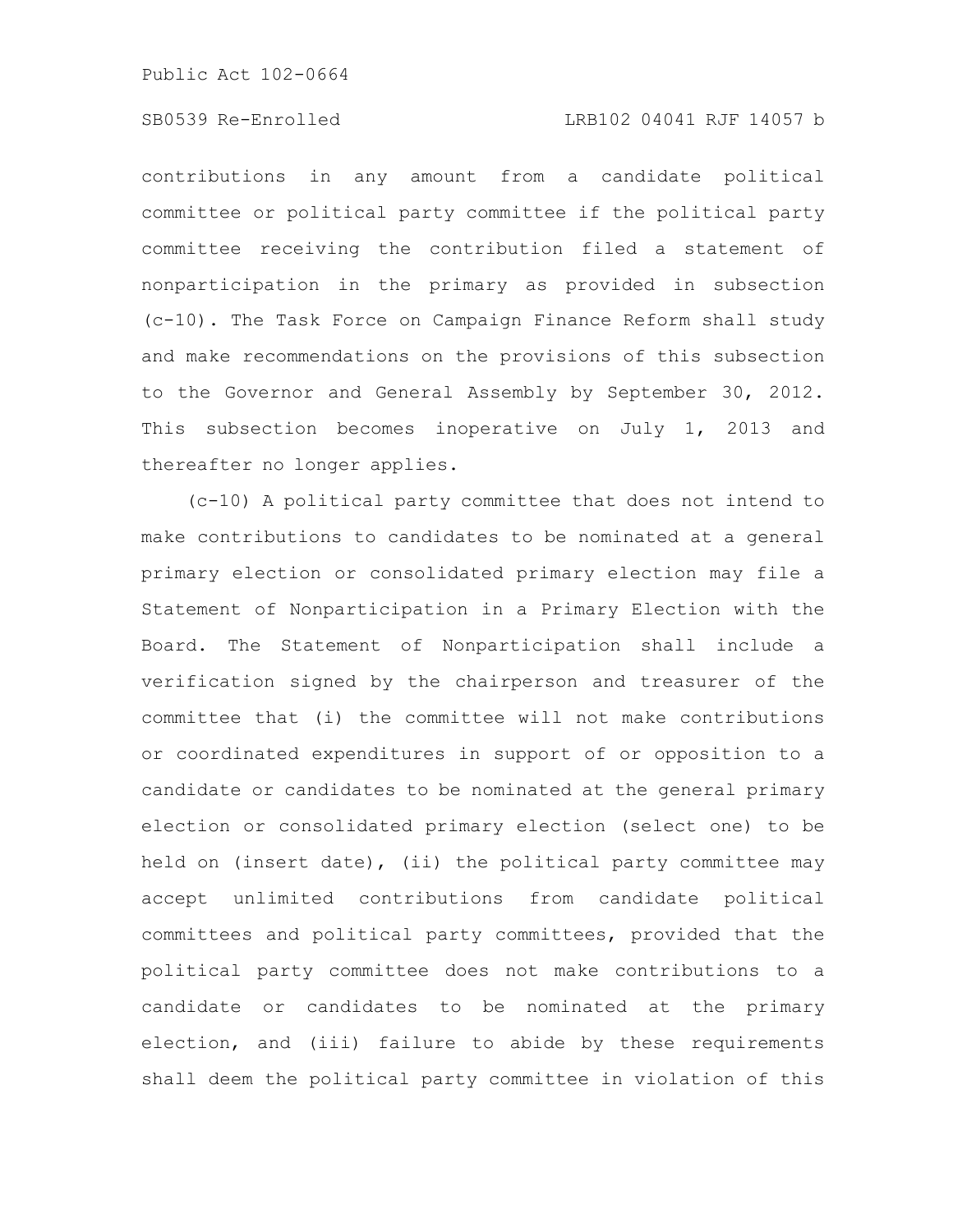# SB0539 Re-Enrolled LRB102 04041 RJF 14057 b

contributions in any amount from a candidate political committee or political party committee if the political party committee receiving the contribution filed a statement of nonparticipation in the primary as provided in subsection (c-10). The Task Force on Campaign Finance Reform shall study and make recommendations on the provisions of this subsection to the Governor and General Assembly by September 30, 2012. This subsection becomes inoperative on July 1, 2013 and thereafter no longer applies.

(c-10) A political party committee that does not intend to make contributions to candidates to be nominated at a general primary election or consolidated primary election may file a Statement of Nonparticipation in a Primary Election with the Board. The Statement of Nonparticipation shall include a verification signed by the chairperson and treasurer of the committee that (i) the committee will not make contributions or coordinated expenditures in support of or opposition to a candidate or candidates to be nominated at the general primary election or consolidated primary election (select one) to be held on (insert date), (ii) the political party committee may accept unlimited contributions from candidate political committees and political party committees, provided that the political party committee does not make contributions to a candidate or candidates to be nominated at the primary election, and (iii) failure to abide by these requirements shall deem the political party committee in violation of this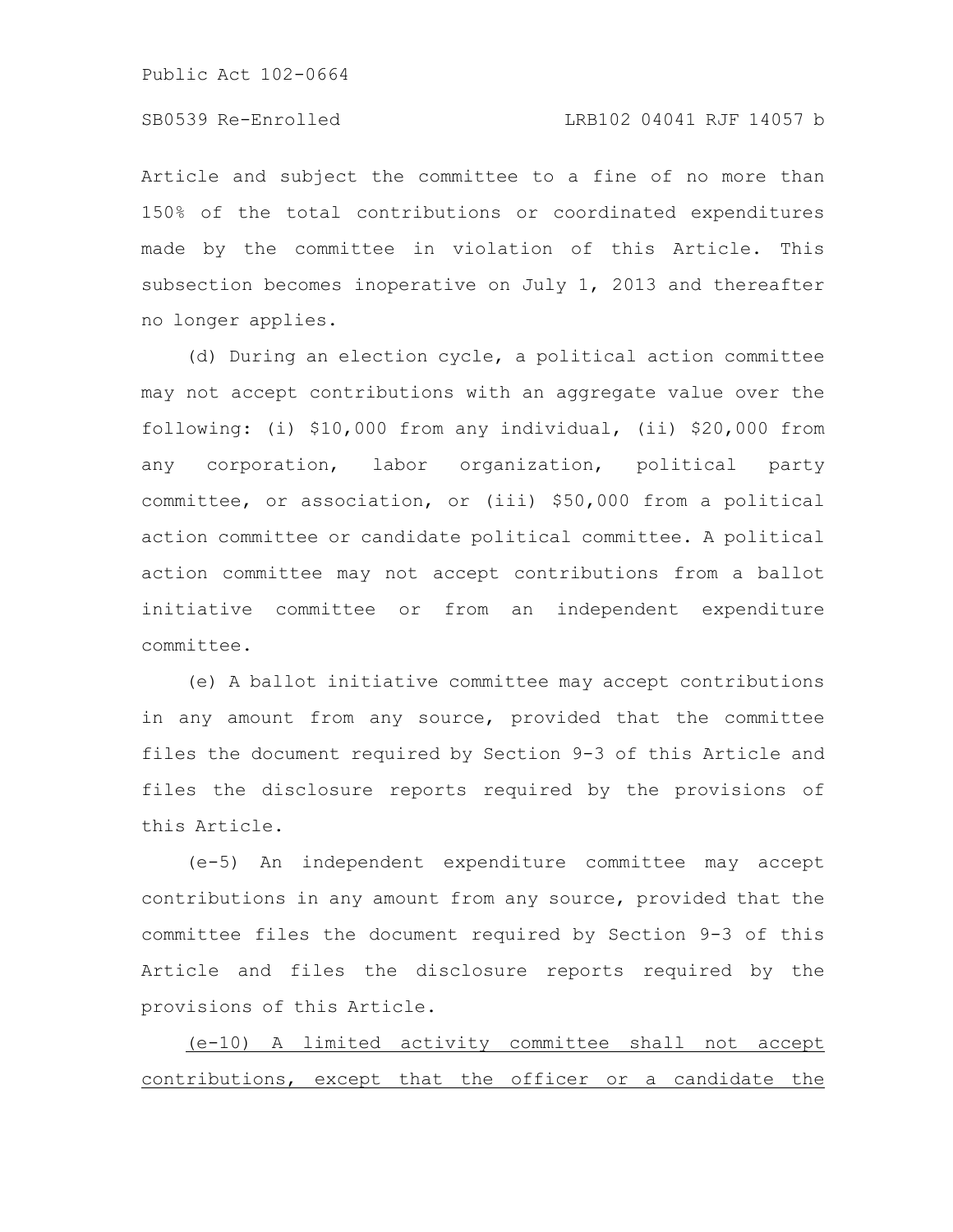Article and subject the committee to a fine of no more than 150% of the total contributions or coordinated expenditures made by the committee in violation of this Article. This subsection becomes inoperative on July 1, 2013 and thereafter no longer applies.

(d) During an election cycle, a political action committee may not accept contributions with an aggregate value over the following: (i) \$10,000 from any individual, (ii) \$20,000 from any corporation, labor organization, political party committee, or association, or (iii) \$50,000 from a political action committee or candidate political committee. A political action committee may not accept contributions from a ballot initiative committee or from an independent expenditure committee.

(e) A ballot initiative committee may accept contributions in any amount from any source, provided that the committee files the document required by Section 9-3 of this Article and files the disclosure reports required by the provisions of this Article.

(e-5) An independent expenditure committee may accept contributions in any amount from any source, provided that the committee files the document required by Section 9-3 of this Article and files the disclosure reports required by the provisions of this Article.

(e-10) A limited activity committee shall not accept contributions, except that the officer or a candidate the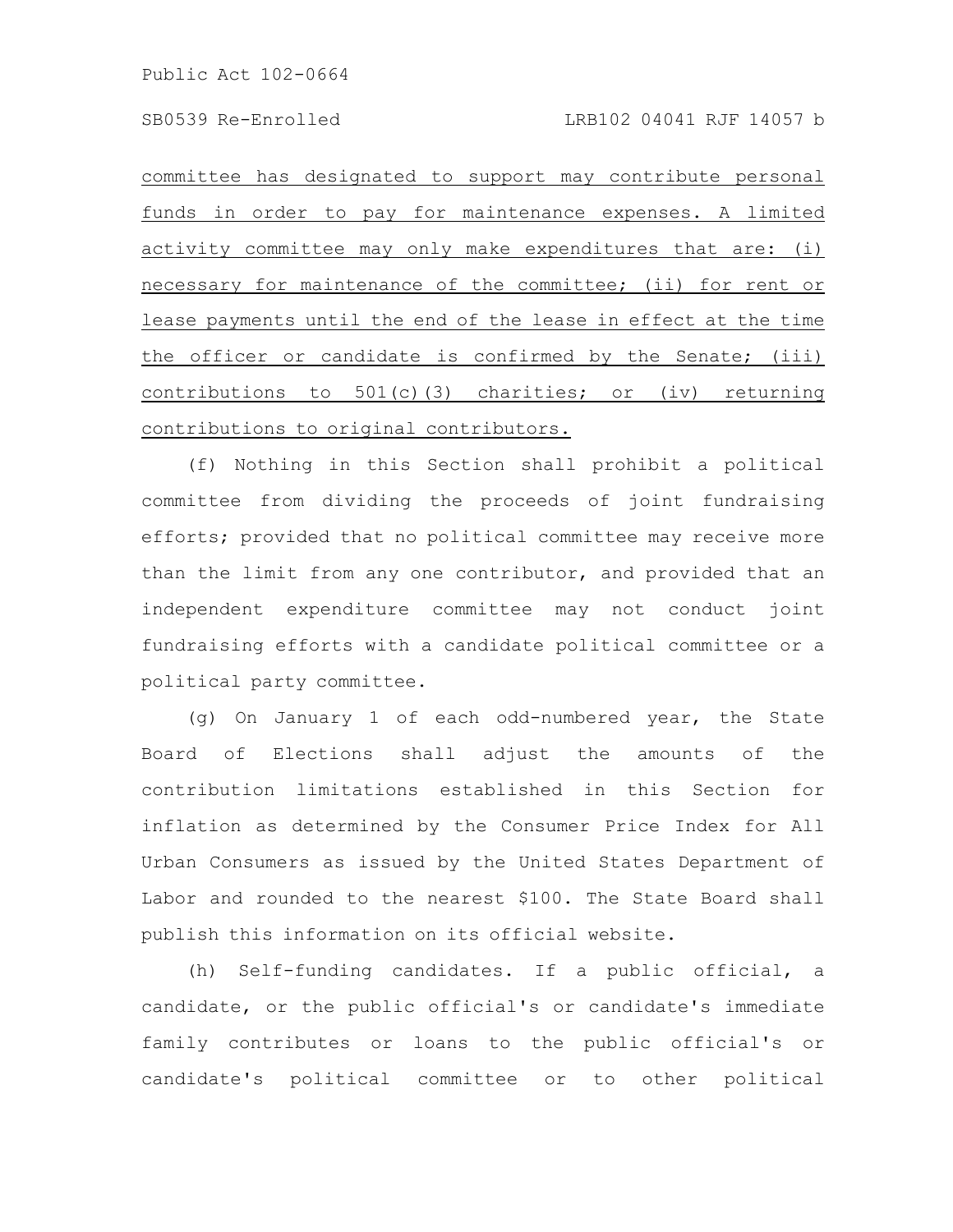committee has designated to support may contribute personal funds in order to pay for maintenance expenses. A limited activity committee may only make expenditures that are: (i) necessary for maintenance of the committee; (ii) for rent or lease payments until the end of the lease in effect at the time the officer or candidate is confirmed by the Senate; (iii) contributions to 501(c)(3) charities; or (iv) returning contributions to original contributors.

(f) Nothing in this Section shall prohibit a political committee from dividing the proceeds of joint fundraising efforts; provided that no political committee may receive more than the limit from any one contributor, and provided that an independent expenditure committee may not conduct joint fundraising efforts with a candidate political committee or a political party committee.

(g) On January 1 of each odd-numbered year, the State Board of Elections shall adjust the amounts of the contribution limitations established in this Section for inflation as determined by the Consumer Price Index for All Urban Consumers as issued by the United States Department of Labor and rounded to the nearest \$100. The State Board shall publish this information on its official website.

(h) Self-funding candidates. If a public official, a candidate, or the public official's or candidate's immediate family contributes or loans to the public official's or candidate's political committee or to other political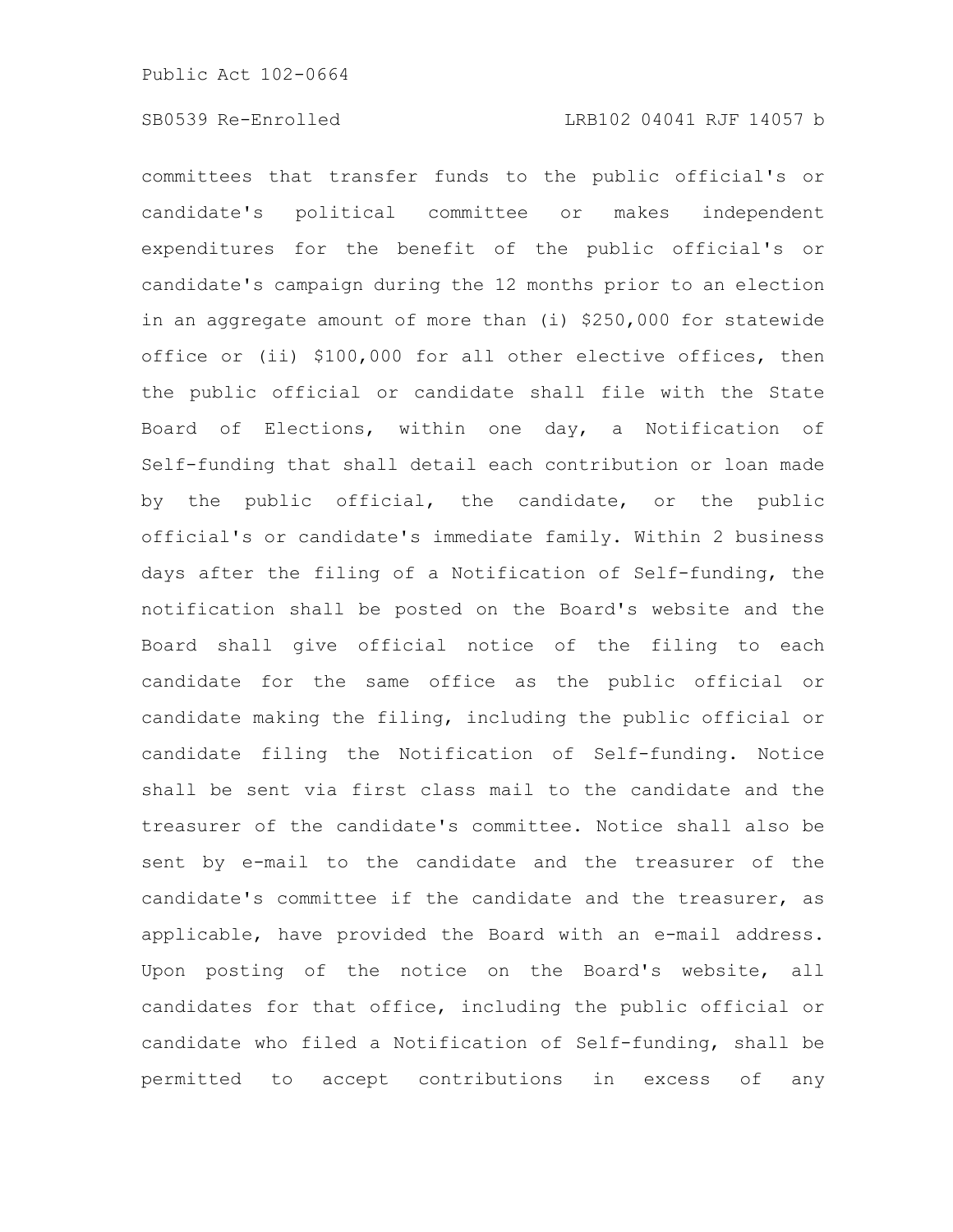committees that transfer funds to the public official's or candidate's political committee or makes independent expenditures for the benefit of the public official's or candidate's campaign during the 12 months prior to an election in an aggregate amount of more than (i) \$250,000 for statewide office or (ii) \$100,000 for all other elective offices, then the public official or candidate shall file with the State Board of Elections, within one day, a Notification of Self-funding that shall detail each contribution or loan made by the public official, the candidate, or the public official's or candidate's immediate family. Within 2 business days after the filing of a Notification of Self-funding, the notification shall be posted on the Board's website and the Board shall give official notice of the filing to each candidate for the same office as the public official or candidate making the filing, including the public official or candidate filing the Notification of Self-funding. Notice shall be sent via first class mail to the candidate and the treasurer of the candidate's committee. Notice shall also be sent by e-mail to the candidate and the treasurer of the candidate's committee if the candidate and the treasurer, as applicable, have provided the Board with an e-mail address. Upon posting of the notice on the Board's website, all candidates for that office, including the public official or candidate who filed a Notification of Self-funding, shall be permitted to accept contributions in excess of any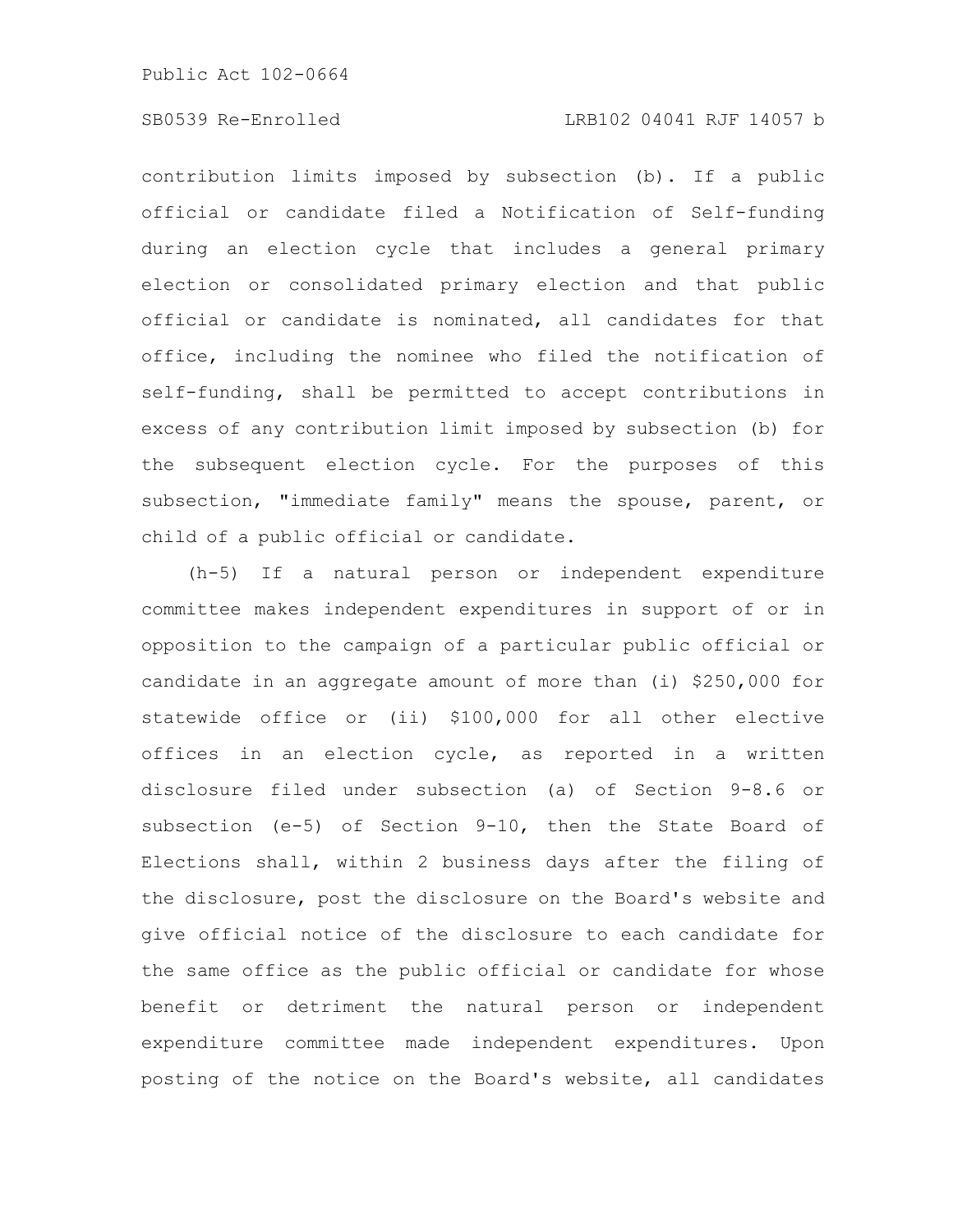# SB0539 Re-Enrolled LRB102 04041 RJF 14057 b

contribution limits imposed by subsection (b). If a public official or candidate filed a Notification of Self-funding during an election cycle that includes a general primary election or consolidated primary election and that public official or candidate is nominated, all candidates for that office, including the nominee who filed the notification of self-funding, shall be permitted to accept contributions in excess of any contribution limit imposed by subsection (b) for the subsequent election cycle. For the purposes of this subsection, "immediate family" means the spouse, parent, or child of a public official or candidate.

(h-5) If a natural person or independent expenditure committee makes independent expenditures in support of or in opposition to the campaign of a particular public official or candidate in an aggregate amount of more than (i) \$250,000 for statewide office or (ii) \$100,000 for all other elective offices in an election cycle, as reported in a written disclosure filed under subsection (a) of Section 9-8.6 or subsection (e-5) of Section 9-10, then the State Board of Elections shall, within 2 business days after the filing of the disclosure, post the disclosure on the Board's website and give official notice of the disclosure to each candidate for the same office as the public official or candidate for whose benefit or detriment the natural person or independent expenditure committee made independent expenditures. Upon posting of the notice on the Board's website, all candidates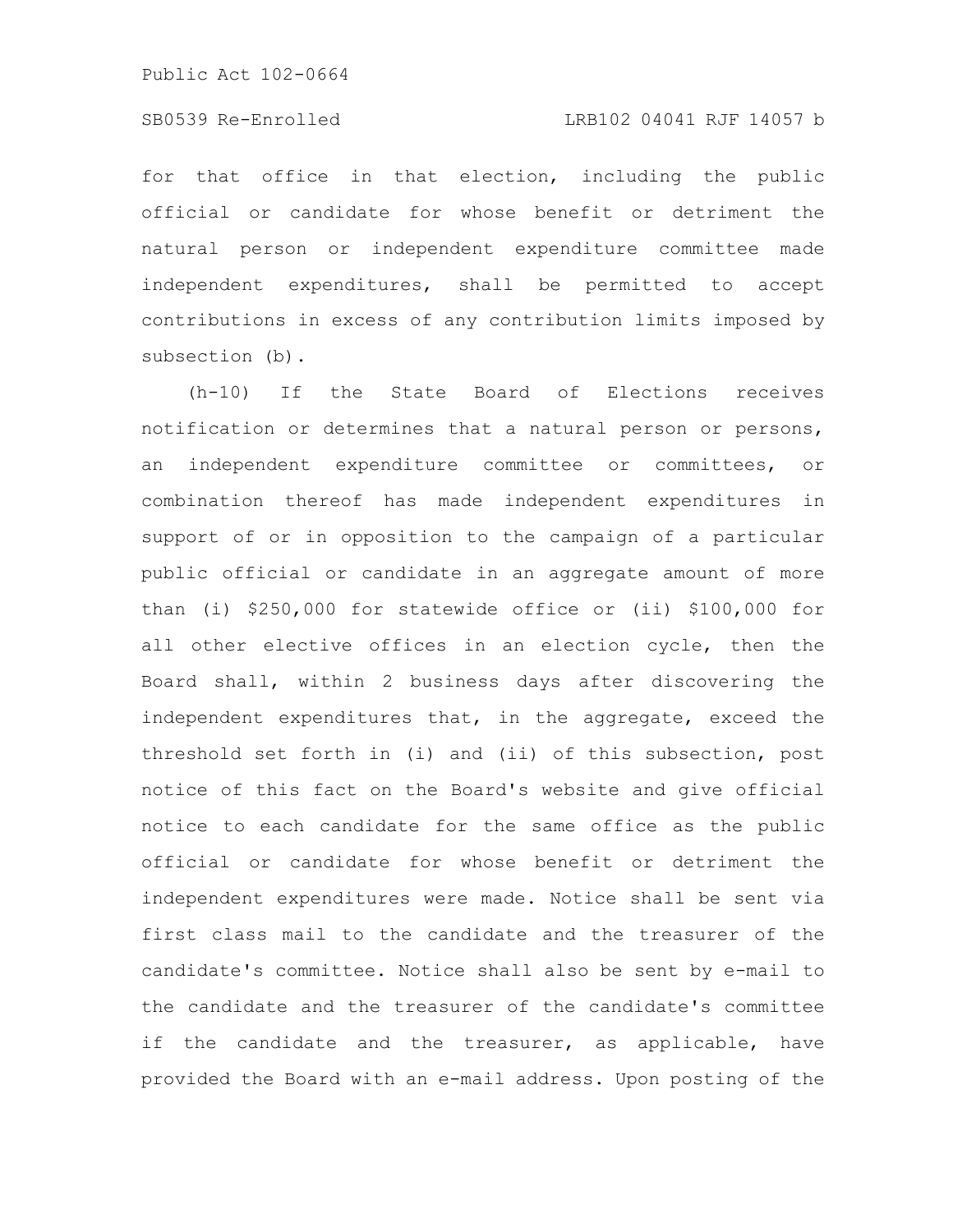# SB0539 Re-Enrolled LRB102 04041 RJF 14057 b

for that office in that election, including the public official or candidate for whose benefit or detriment the natural person or independent expenditure committee made independent expenditures, shall be permitted to accept contributions in excess of any contribution limits imposed by subsection (b).

(h-10) If the State Board of Elections receives notification or determines that a natural person or persons, an independent expenditure committee or committees, or combination thereof has made independent expenditures in support of or in opposition to the campaign of a particular public official or candidate in an aggregate amount of more than (i) \$250,000 for statewide office or (ii) \$100,000 for all other elective offices in an election cycle, then the Board shall, within 2 business days after discovering the independent expenditures that, in the aggregate, exceed the threshold set forth in (i) and (ii) of this subsection, post notice of this fact on the Board's website and give official notice to each candidate for the same office as the public official or candidate for whose benefit or detriment the independent expenditures were made. Notice shall be sent via first class mail to the candidate and the treasurer of the candidate's committee. Notice shall also be sent by e-mail to the candidate and the treasurer of the candidate's committee if the candidate and the treasurer, as applicable, have provided the Board with an e-mail address. Upon posting of the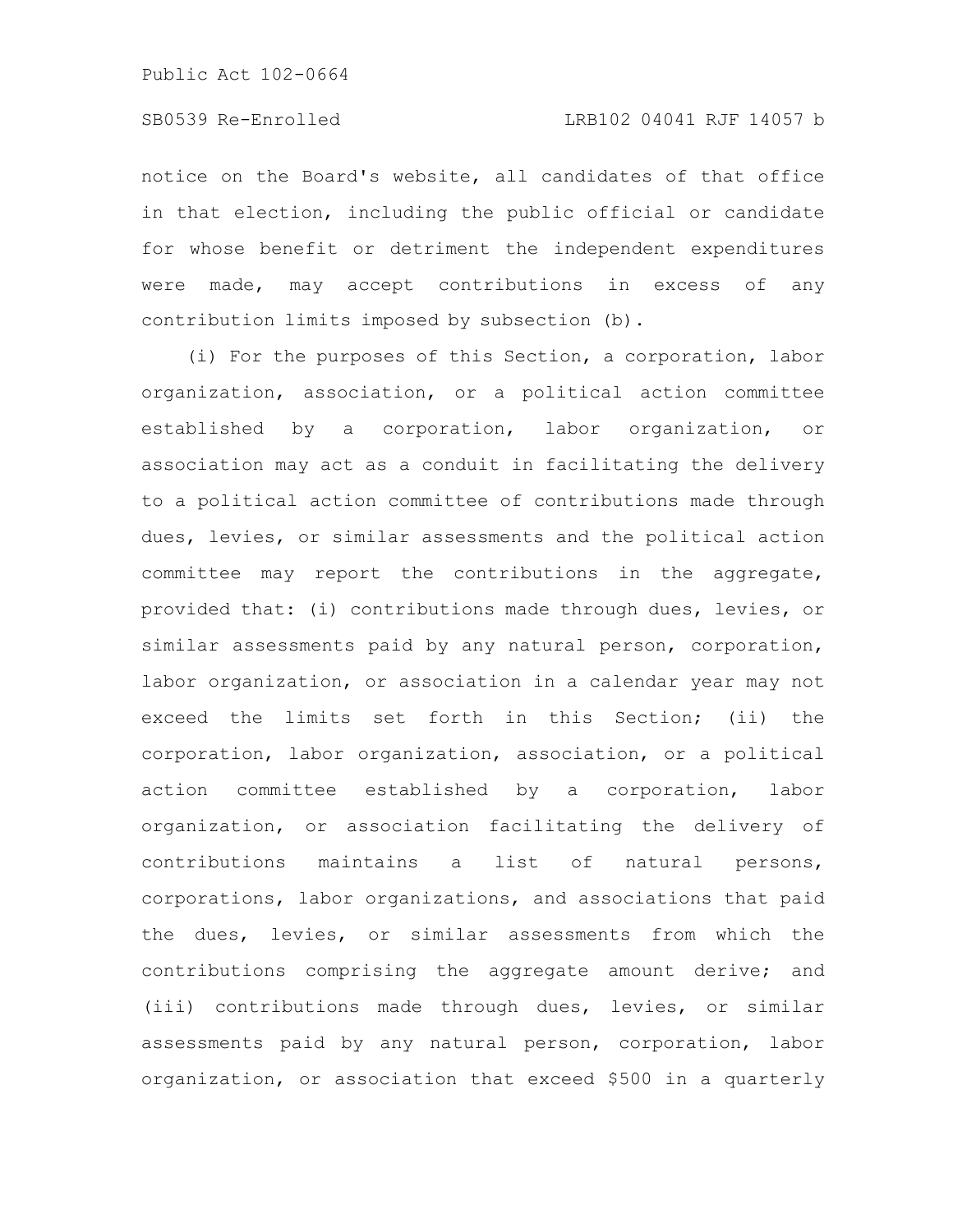notice on the Board's website, all candidates of that office in that election, including the public official or candidate for whose benefit or detriment the independent expenditures were made, may accept contributions in excess of any contribution limits imposed by subsection (b).

(i) For the purposes of this Section, a corporation, labor organization, association, or a political action committee established by a corporation, labor organization, or association may act as a conduit in facilitating the delivery to a political action committee of contributions made through dues, levies, or similar assessments and the political action committee may report the contributions in the aggregate, provided that: (i) contributions made through dues, levies, or similar assessments paid by any natural person, corporation, labor organization, or association in a calendar year may not exceed the limits set forth in this Section; (ii) the corporation, labor organization, association, or a political action committee established by a corporation, labor organization, or association facilitating the delivery of contributions maintains a list of natural persons, corporations, labor organizations, and associations that paid the dues, levies, or similar assessments from which the contributions comprising the aggregate amount derive; and (iii) contributions made through dues, levies, or similar assessments paid by any natural person, corporation, labor organization, or association that exceed \$500 in a quarterly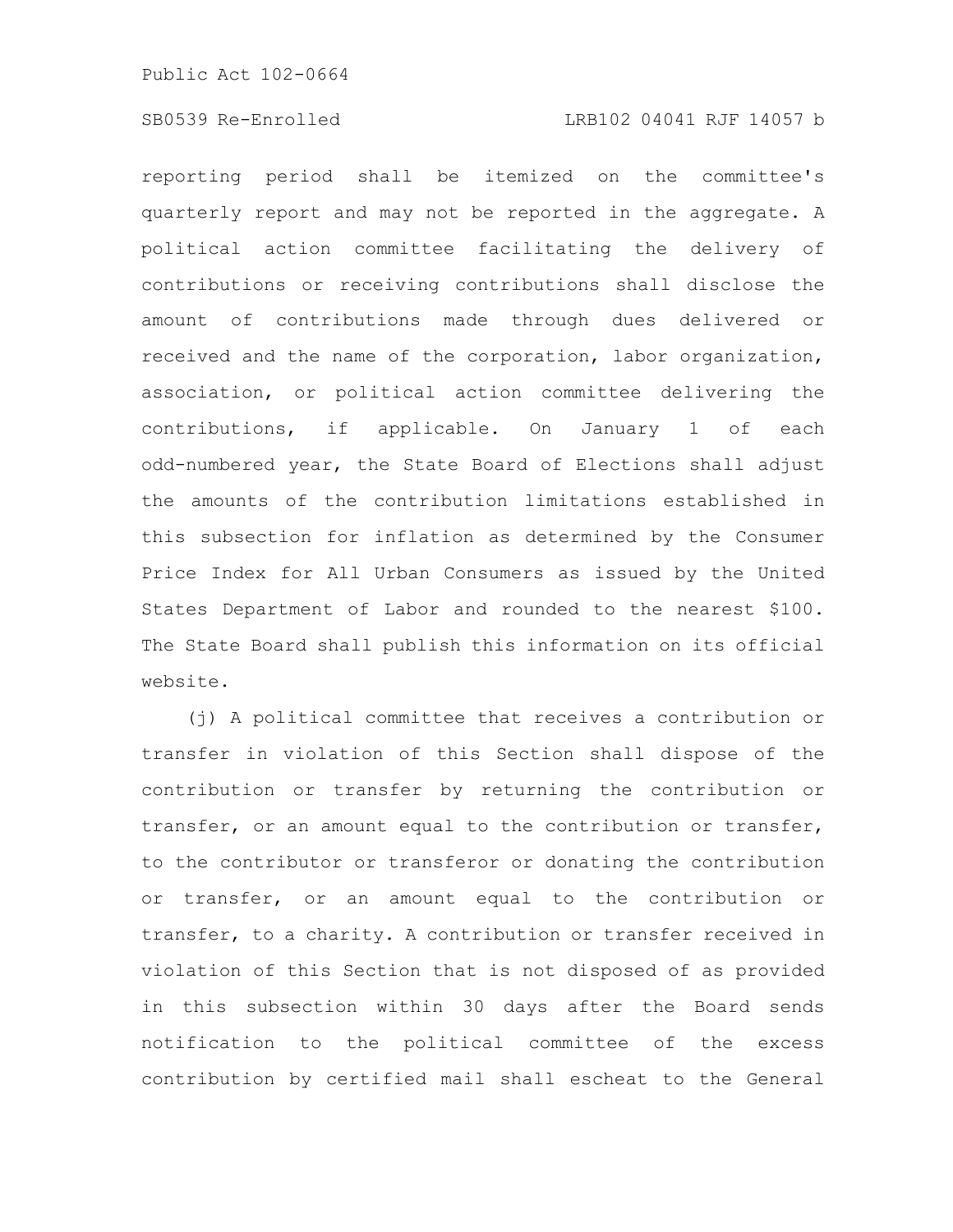reporting period shall be itemized on the committee's quarterly report and may not be reported in the aggregate. A political action committee facilitating the delivery of contributions or receiving contributions shall disclose the amount of contributions made through dues delivered or received and the name of the corporation, labor organization, association, or political action committee delivering the contributions, if applicable. On January 1 of each odd-numbered year, the State Board of Elections shall adjust the amounts of the contribution limitations established in this subsection for inflation as determined by the Consumer Price Index for All Urban Consumers as issued by the United States Department of Labor and rounded to the nearest \$100. The State Board shall publish this information on its official website.

(j) A political committee that receives a contribution or transfer in violation of this Section shall dispose of the contribution or transfer by returning the contribution or transfer, or an amount equal to the contribution or transfer, to the contributor or transferor or donating the contribution or transfer, or an amount equal to the contribution or transfer, to a charity. A contribution or transfer received in violation of this Section that is not disposed of as provided in this subsection within 30 days after the Board sends notification to the political committee of the excess contribution by certified mail shall escheat to the General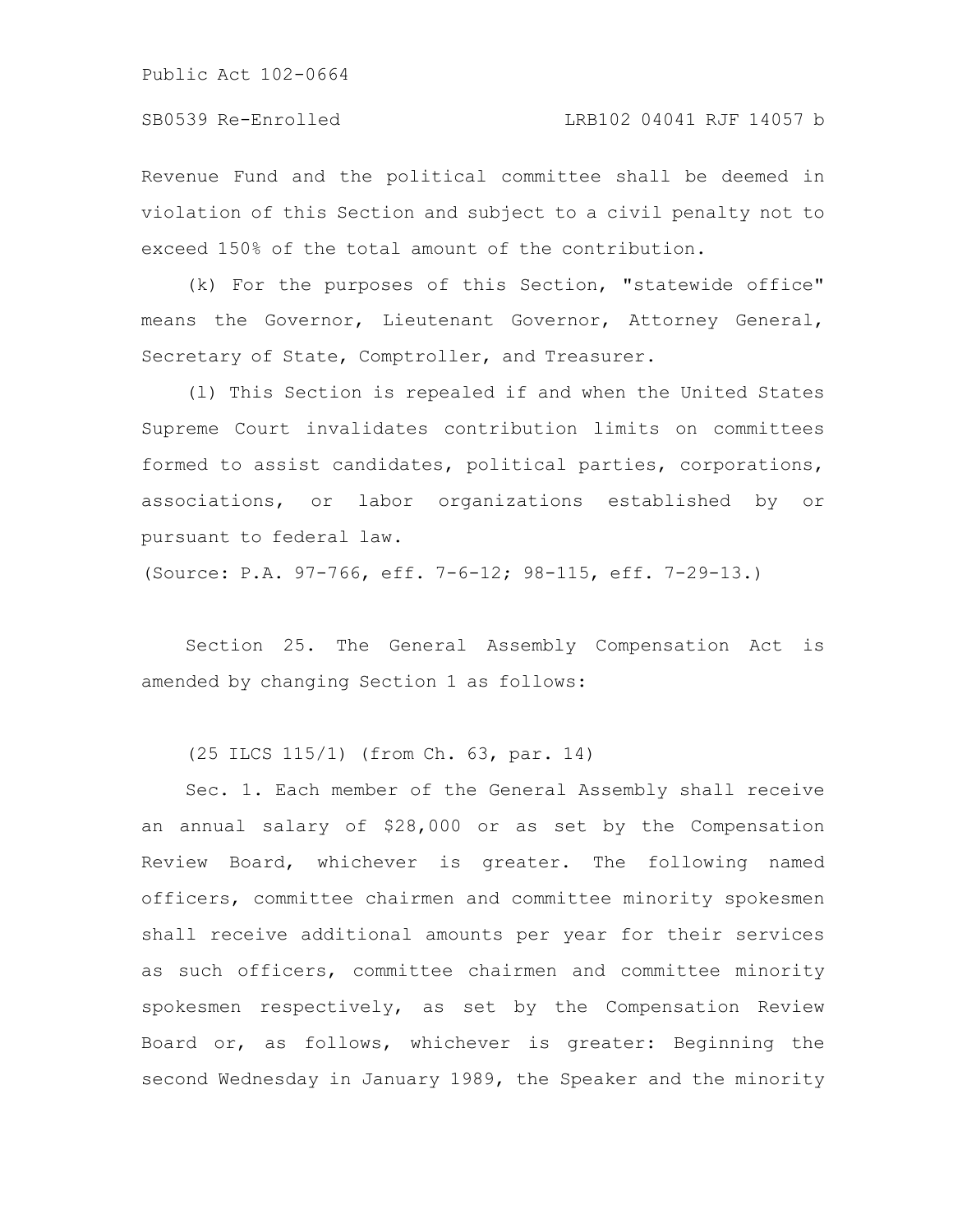SB0539 Re-Enrolled LRB102 04041 RJF 14057 b

Revenue Fund and the political committee shall be deemed in violation of this Section and subject to a civil penalty not to exceed 150% of the total amount of the contribution.

(k) For the purposes of this Section, "statewide office" means the Governor, Lieutenant Governor, Attorney General, Secretary of State, Comptroller, and Treasurer.

(l) This Section is repealed if and when the United States Supreme Court invalidates contribution limits on committees formed to assist candidates, political parties, corporations, associations, or labor organizations established by or pursuant to federal law.

(Source: P.A. 97-766, eff. 7-6-12; 98-115, eff. 7-29-13.)

Section 25. The General Assembly Compensation Act is amended by changing Section 1 as follows:

(25 ILCS 115/1) (from Ch. 63, par. 14)

Sec. 1. Each member of the General Assembly shall receive an annual salary of \$28,000 or as set by the Compensation Review Board, whichever is greater. The following named officers, committee chairmen and committee minority spokesmen shall receive additional amounts per year for their services as such officers, committee chairmen and committee minority spokesmen respectively, as set by the Compensation Review Board or, as follows, whichever is greater: Beginning the second Wednesday in January 1989, the Speaker and the minority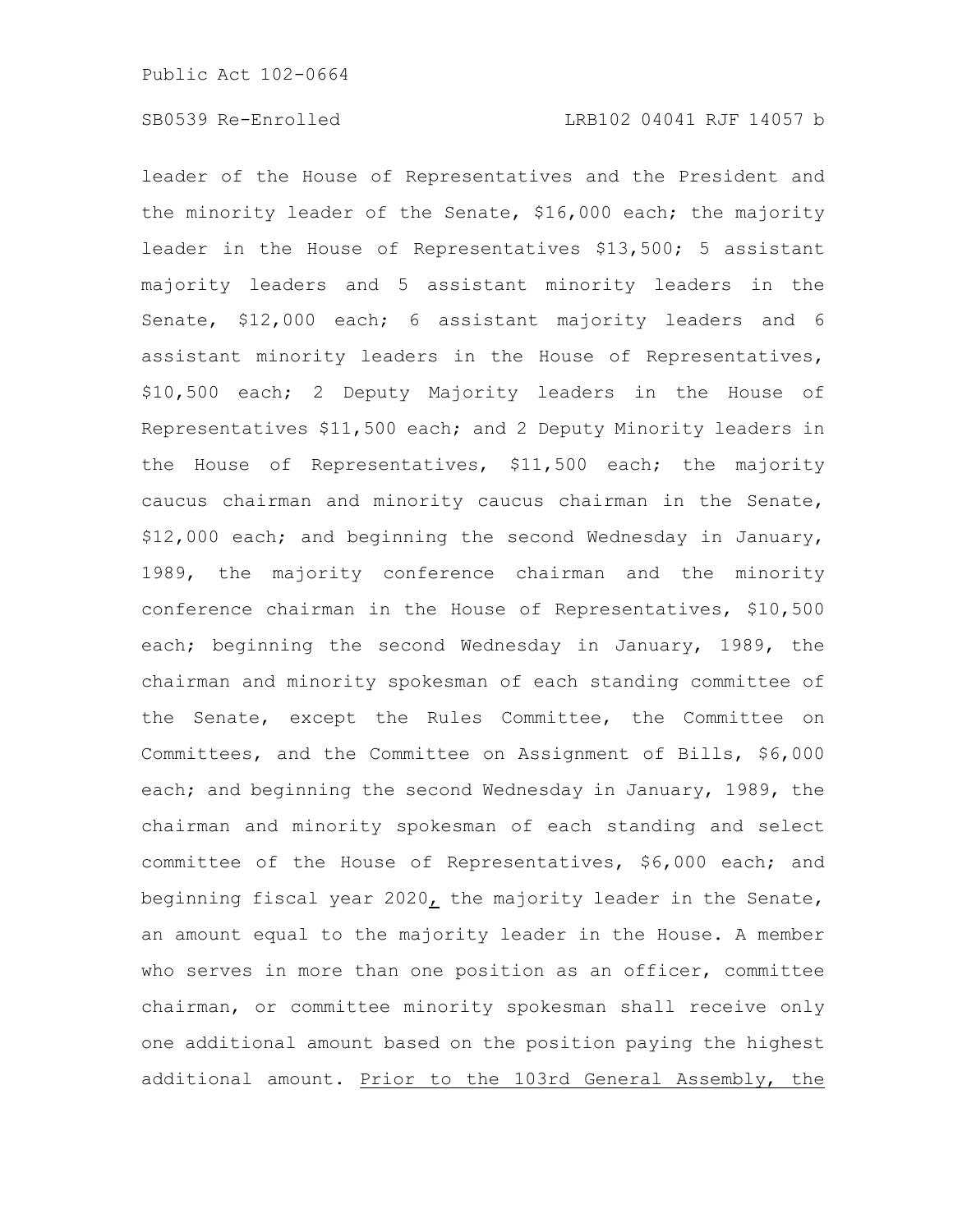leader of the House of Representatives and the President and the minority leader of the Senate, \$16,000 each; the majority leader in the House of Representatives \$13,500; 5 assistant majority leaders and 5 assistant minority leaders in the Senate, \$12,000 each; 6 assistant majority leaders and 6 assistant minority leaders in the House of Representatives, \$10,500 each; 2 Deputy Majority leaders in the House of Representatives \$11,500 each; and 2 Deputy Minority leaders in the House of Representatives, \$11,500 each; the majority caucus chairman and minority caucus chairman in the Senate, \$12,000 each; and beginning the second Wednesday in January, 1989, the majority conference chairman and the minority conference chairman in the House of Representatives, \$10,500 each; beginning the second Wednesday in January, 1989, the chairman and minority spokesman of each standing committee of the Senate, except the Rules Committee, the Committee on Committees, and the Committee on Assignment of Bills, \$6,000 each; and beginning the second Wednesday in January, 1989, the chairman and minority spokesman of each standing and select committee of the House of Representatives, \$6,000 each; and beginning fiscal year 2020, the majority leader in the Senate, an amount equal to the majority leader in the House. A member who serves in more than one position as an officer, committee chairman, or committee minority spokesman shall receive only one additional amount based on the position paying the highest additional amount. Prior to the 103rd General Assembly, the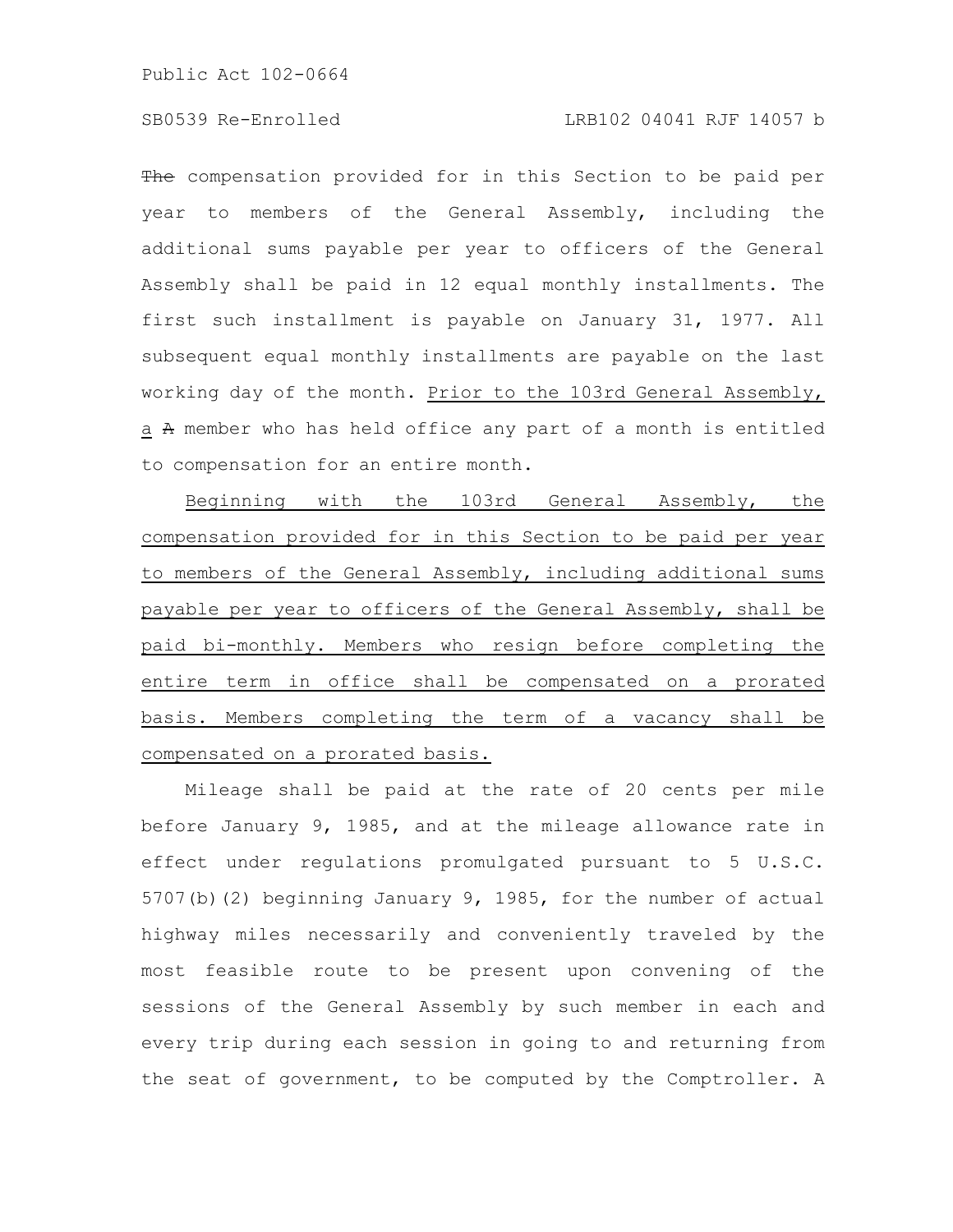The compensation provided for in this Section to be paid per year to members of the General Assembly, including the additional sums payable per year to officers of the General Assembly shall be paid in 12 equal monthly installments. The first such installment is payable on January 31, 1977. All subsequent equal monthly installments are payable on the last working day of the month. Prior to the 103rd General Assembly, a A member who has held office any part of a month is entitled to compensation for an entire month.

Beginning with the 103rd General Assembly, the compensation provided for in this Section to be paid per year to members of the General Assembly, including additional sums payable per year to officers of the General Assembly, shall be paid bi-monthly. Members who resign before completing the entire term in office shall be compensated on a prorated basis. Members completing the term of a vacancy shall be compensated on a prorated basis.

Mileage shall be paid at the rate of 20 cents per mile before January 9, 1985, and at the mileage allowance rate in effect under regulations promulgated pursuant to 5 U.S.C. 5707(b)(2) beginning January 9, 1985, for the number of actual highway miles necessarily and conveniently traveled by the most feasible route to be present upon convening of the sessions of the General Assembly by such member in each and every trip during each session in going to and returning from the seat of government, to be computed by the Comptroller. A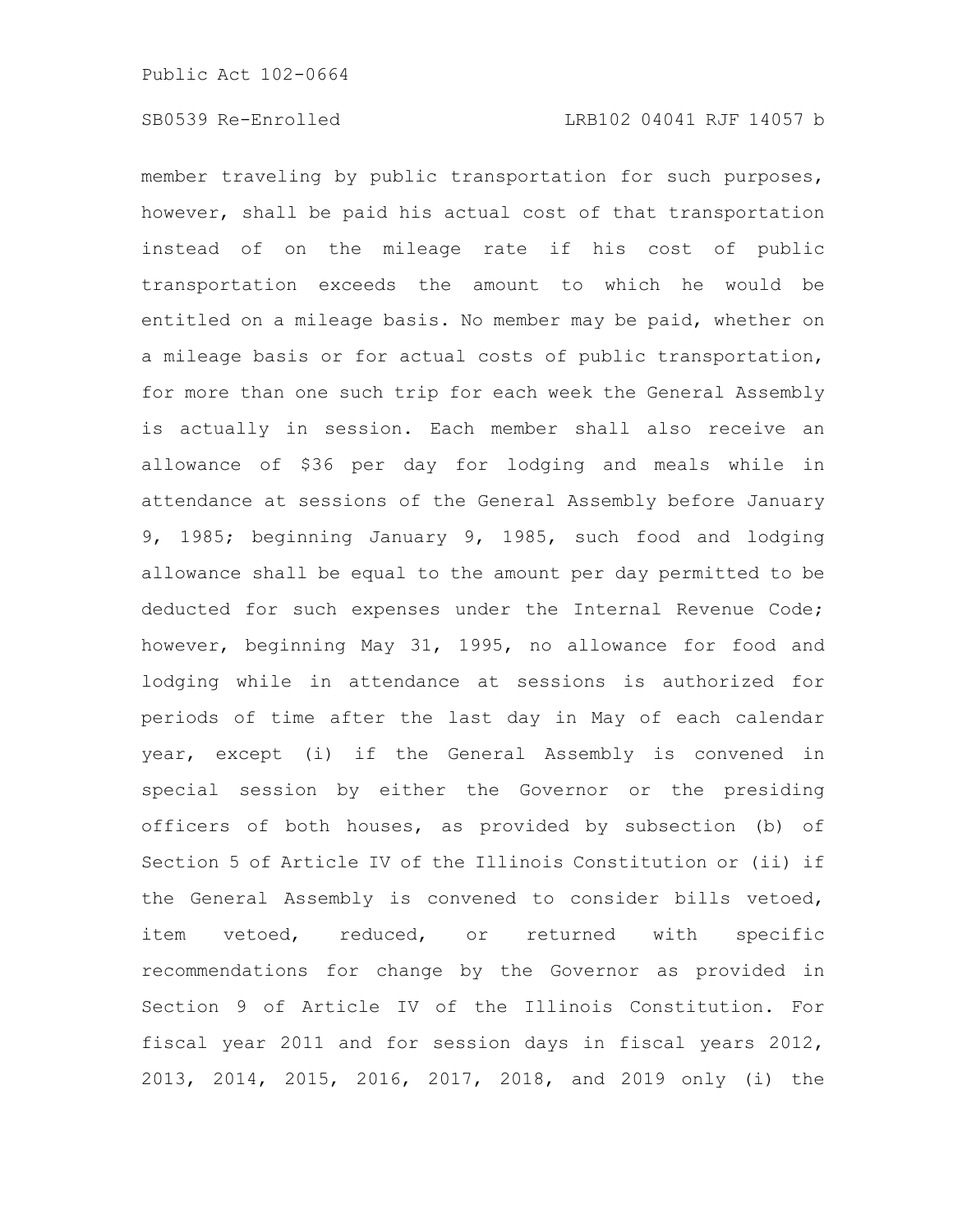member traveling by public transportation for such purposes, however, shall be paid his actual cost of that transportation instead of on the mileage rate if his cost of public transportation exceeds the amount to which he would be entitled on a mileage basis. No member may be paid, whether on a mileage basis or for actual costs of public transportation, for more than one such trip for each week the General Assembly is actually in session. Each member shall also receive an allowance of \$36 per day for lodging and meals while in attendance at sessions of the General Assembly before January 9, 1985; beginning January 9, 1985, such food and lodging allowance shall be equal to the amount per day permitted to be deducted for such expenses under the Internal Revenue Code; however, beginning May 31, 1995, no allowance for food and lodging while in attendance at sessions is authorized for periods of time after the last day in May of each calendar year, except (i) if the General Assembly is convened in special session by either the Governor or the presiding officers of both houses, as provided by subsection (b) of Section 5 of Article IV of the Illinois Constitution or (ii) if the General Assembly is convened to consider bills vetoed, item vetoed, reduced, or returned with specific recommendations for change by the Governor as provided in Section 9 of Article IV of the Illinois Constitution. For fiscal year 2011 and for session days in fiscal years 2012, 2013, 2014, 2015, 2016, 2017, 2018, and 2019 only (i) the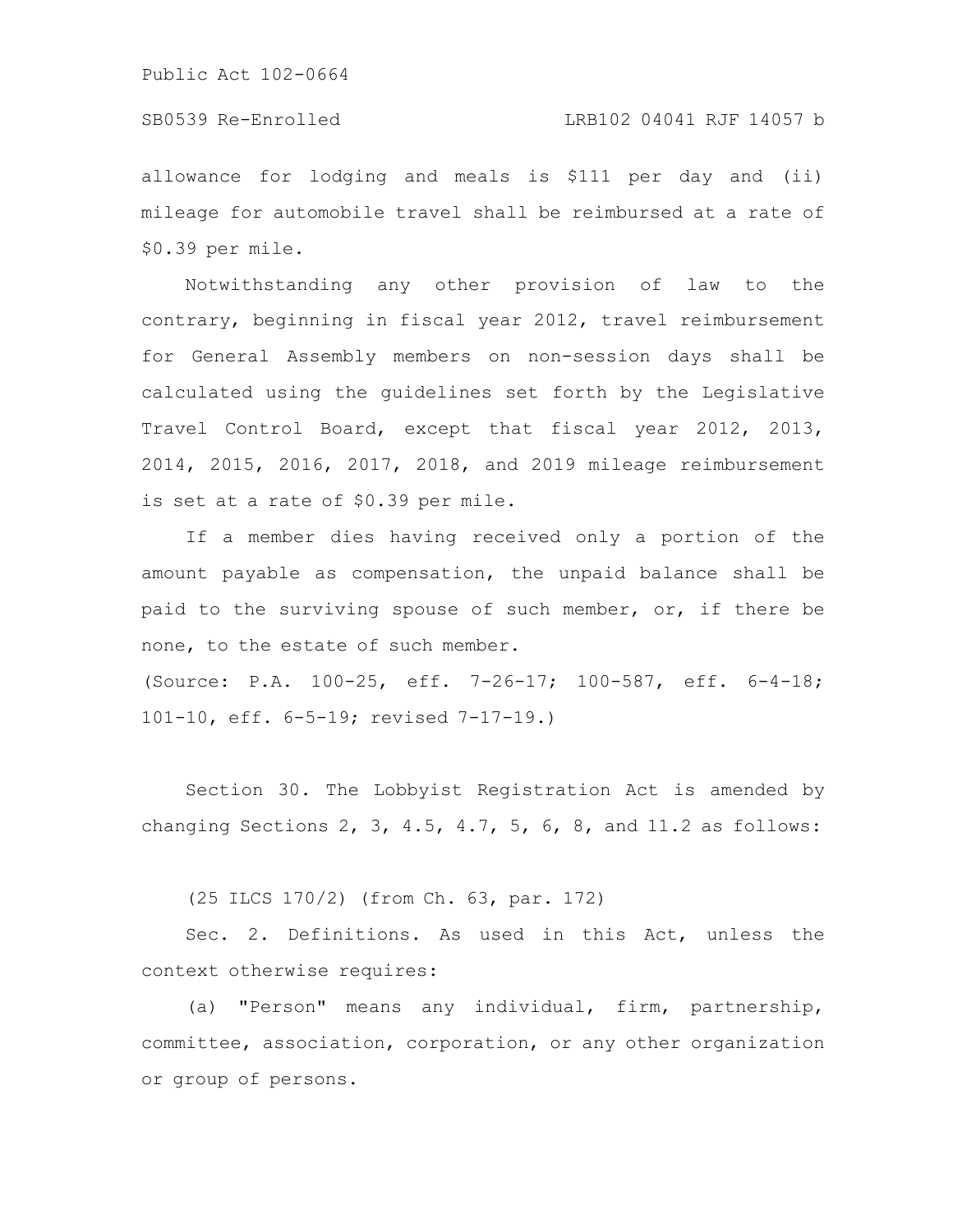### SB0539 Re-Enrolled LRB102 04041 RJF 14057 b

allowance for lodging and meals is \$111 per day and (ii) mileage for automobile travel shall be reimbursed at a rate of \$0.39 per mile.

Notwithstanding any other provision of law to the contrary, beginning in fiscal year 2012, travel reimbursement for General Assembly members on non-session days shall be calculated using the guidelines set forth by the Legislative Travel Control Board, except that fiscal year 2012, 2013, 2014, 2015, 2016, 2017, 2018, and 2019 mileage reimbursement is set at a rate of \$0.39 per mile.

If a member dies having received only a portion of the amount payable as compensation, the unpaid balance shall be paid to the surviving spouse of such member, or, if there be none, to the estate of such member.

(Source: P.A. 100-25, eff. 7-26-17; 100-587, eff. 6-4-18; 101-10, eff. 6-5-19; revised 7-17-19.)

Section 30. The Lobbyist Registration Act is amended by changing Sections 2, 3, 4.5, 4.7, 5, 6, 8, and  $11.2$  as follows:

(25 ILCS 170/2) (from Ch. 63, par. 172)

Sec. 2. Definitions. As used in this Act, unless the context otherwise requires:

(a) "Person" means any individual, firm, partnership, committee, association, corporation, or any other organization or group of persons.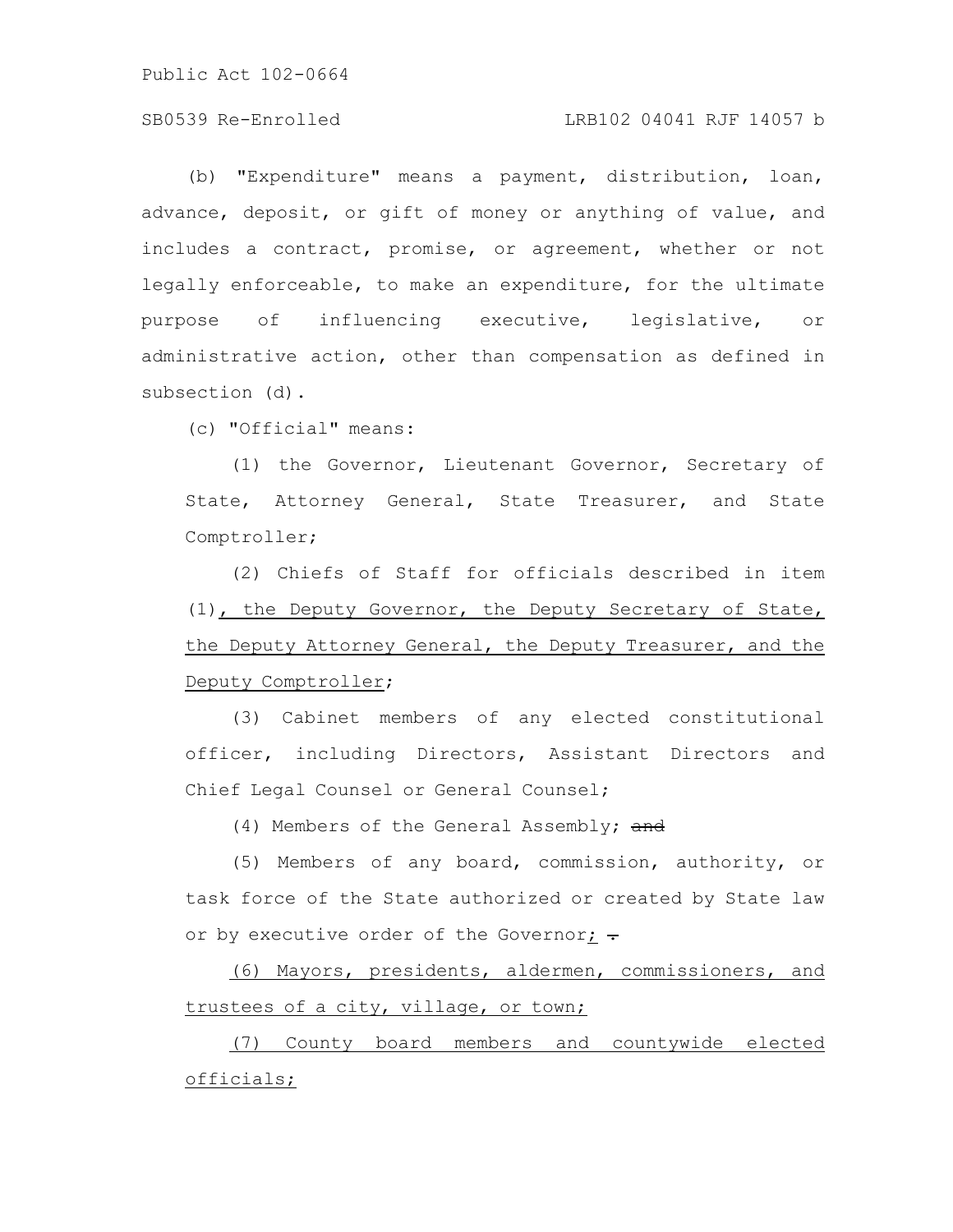### SB0539 Re-Enrolled LRB102 04041 RJF 14057 b

(b) "Expenditure" means a payment, distribution, loan, advance, deposit, or gift of money or anything of value, and includes a contract, promise, or agreement, whether or not legally enforceable, to make an expenditure, for the ultimate purpose of influencing executive, legislative, or administrative action, other than compensation as defined in subsection (d).

(c) "Official" means:

(1) the Governor, Lieutenant Governor, Secretary of State, Attorney General, State Treasurer, and State Comptroller;

(2) Chiefs of Staff for officials described in item (1), the Deputy Governor, the Deputy Secretary of State, the Deputy Attorney General, the Deputy Treasurer, and the Deputy Comptroller;

(3) Cabinet members of any elected constitutional officer, including Directors, Assistant Directors and Chief Legal Counsel or General Counsel;

(4) Members of the General Assembly; and

(5) Members of any board, commission, authority, or task force of the State authorized or created by State law or by executive order of the Governor;  $\div$ 

(6) Mayors, presidents, aldermen, commissioners, and trustees of a city, village, or town;

(7) County board members and countywide elected officials;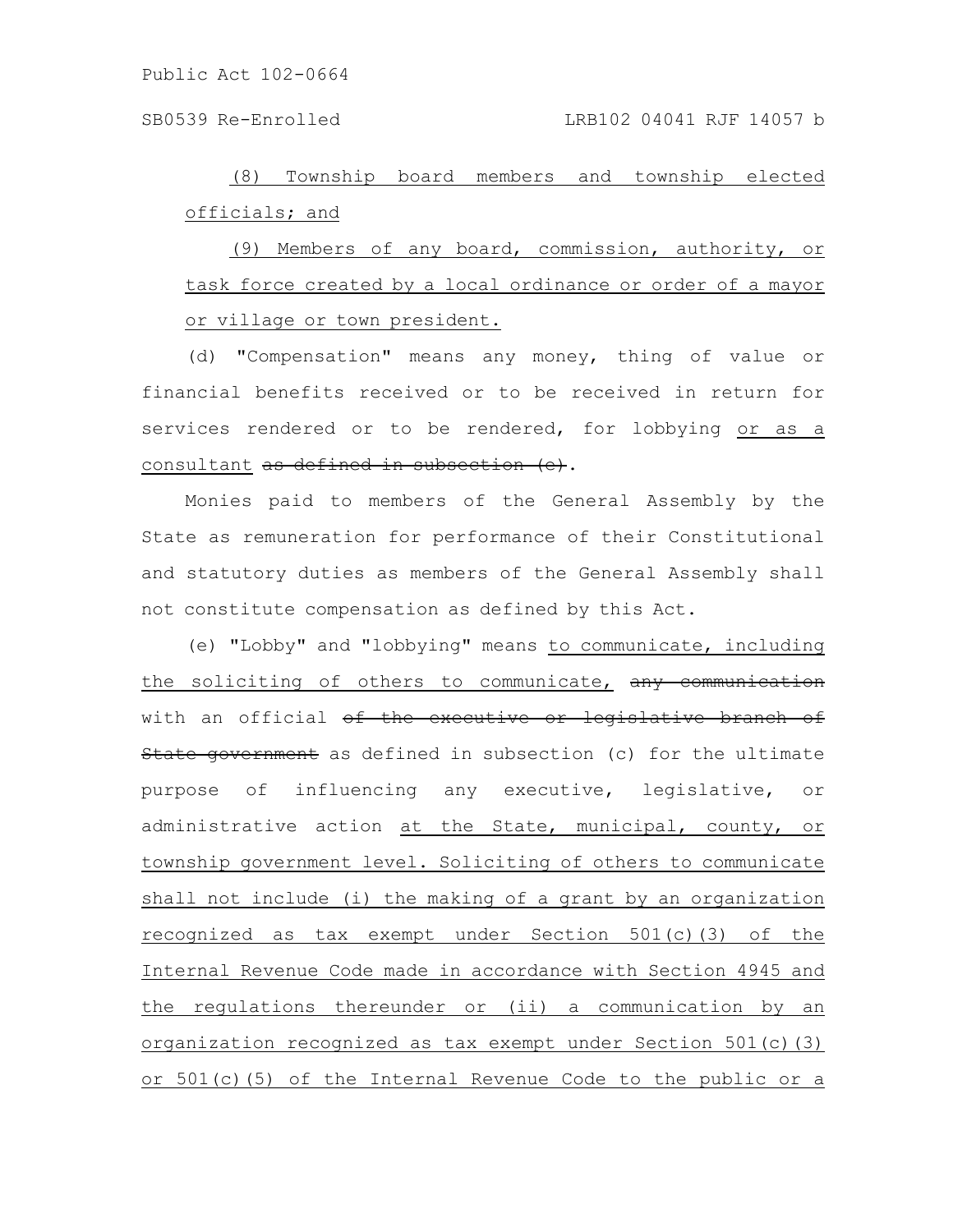SB0539 Re-Enrolled LRB102 04041 RJF 14057 b

(8) Township board members and township elected officials; and

(9) Members of any board, commission, authority, or task force created by a local ordinance or order of a mayor or village or town president.

(d) "Compensation" means any money, thing of value or financial benefits received or to be received in return for services rendered or to be rendered, for lobbying or as a consultant as defined in subsection (e).

Monies paid to members of the General Assembly by the State as remuneration for performance of their Constitutional and statutory duties as members of the General Assembly shall not constitute compensation as defined by this Act.

(e) "Lobby" and "lobbying" means to communicate, including the soliciting of others to communicate, any communication with an official of the executive or legislative branch of State government as defined in subsection (c) for the ultimate purpose of influencing any executive, legislative, or administrative action at the State, municipal, county, or township government level. Soliciting of others to communicate shall not include (i) the making of a grant by an organization recognized as tax exempt under Section 501(c)(3) of the Internal Revenue Code made in accordance with Section 4945 and the regulations thereunder or (ii) a communication by an organization recognized as tax exempt under Section 501(c)(3) or 501(c)(5) of the Internal Revenue Code to the public or a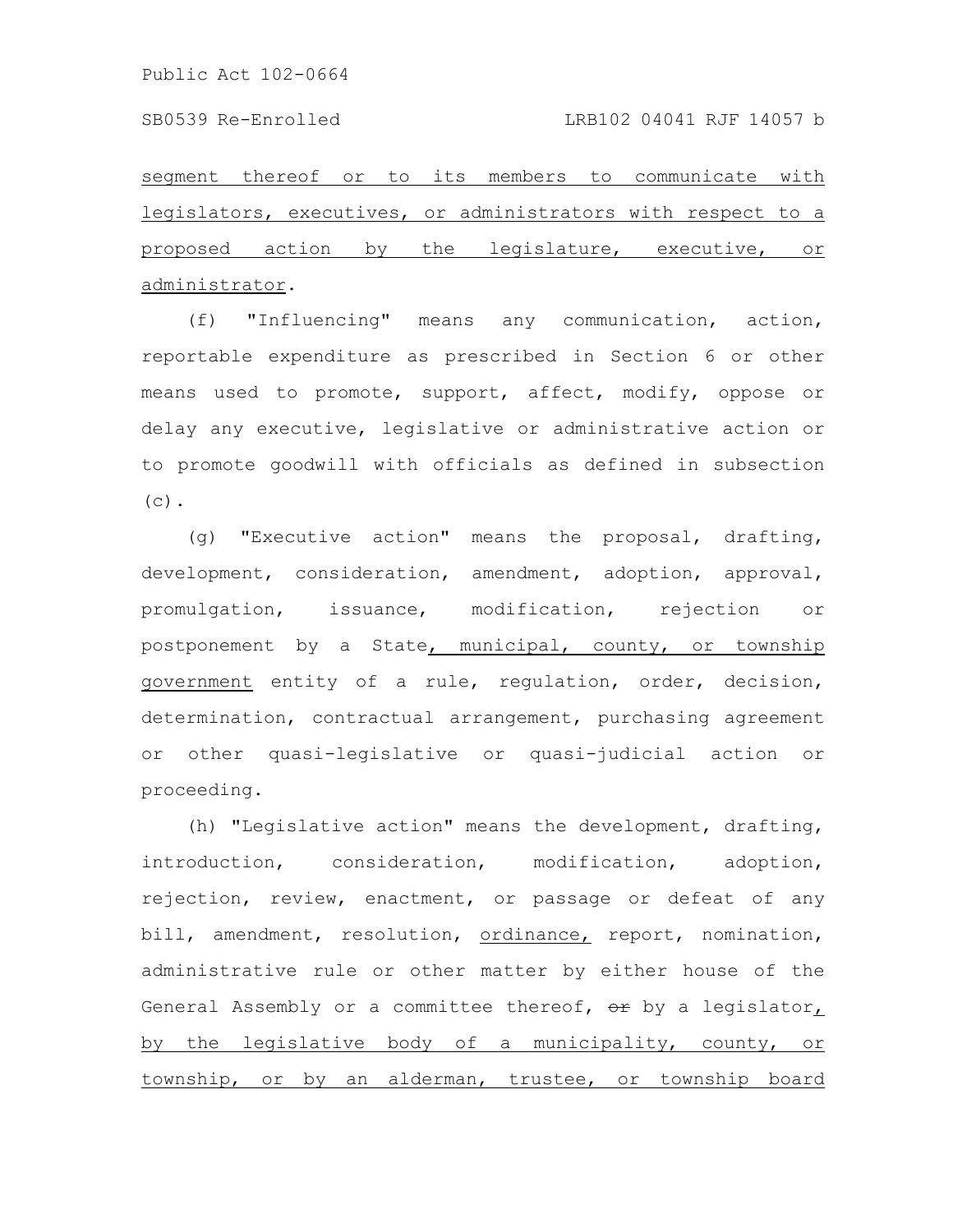segment thereof or to its members to communicate with legislators, executives, or administrators with respect to a proposed action by the legislature, executive, or administrator.

(f) "Influencing" means any communication, action, reportable expenditure as prescribed in Section 6 or other means used to promote, support, affect, modify, oppose or delay any executive, legislative or administrative action or to promote goodwill with officials as defined in subsection  $(c)$ .

(g) "Executive action" means the proposal, drafting, development, consideration, amendment, adoption, approval, promulgation, issuance, modification, rejection or postponement by a State, municipal, county, or township government entity of a rule, regulation, order, decision, determination, contractual arrangement, purchasing agreement or other quasi-legislative or quasi-judicial action or proceeding.

(h) "Legislative action" means the development, drafting, introduction, consideration, modification, adoption, rejection, review, enactment, or passage or defeat of any bill, amendment, resolution, ordinance, report, nomination, administrative rule or other matter by either house of the General Assembly or a committee thereof,  $\Theta$ r by a legislator, by the legislative body of a municipality, county, or township, or by an alderman, trustee, or township board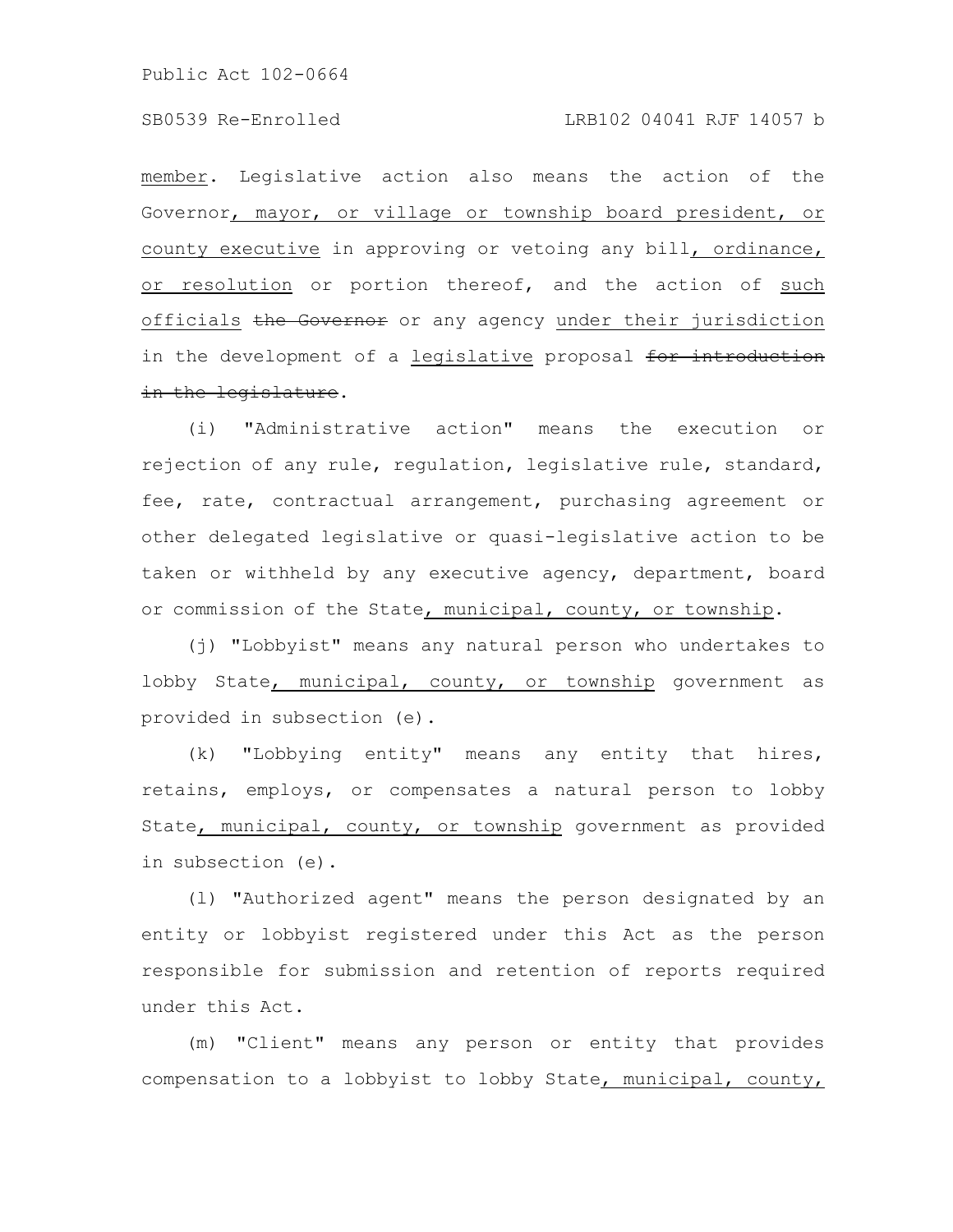### SB0539 Re-Enrolled LRB102 04041 RJF 14057 b

member. Legislative action also means the action of the Governor, mayor, or village or township board president, or county executive in approving or vetoing any bill, ordinance, or resolution or portion thereof, and the action of such officials the Governor or any agency under their jurisdiction in the development of a legislative proposal for introduction in the legislature.

(i) "Administrative action" means the execution or rejection of any rule, regulation, legislative rule, standard, fee, rate, contractual arrangement, purchasing agreement or other delegated legislative or quasi-legislative action to be taken or withheld by any executive agency, department, board or commission of the State, municipal, county, or township.

(j) "Lobbyist" means any natural person who undertakes to lobby State, municipal, county, or township government as provided in subsection (e).

(k) "Lobbying entity" means any entity that hires, retains, employs, or compensates a natural person to lobby State, municipal, county, or township government as provided in subsection (e).

(l) "Authorized agent" means the person designated by an entity or lobbyist registered under this Act as the person responsible for submission and retention of reports required under this Act.

(m) "Client" means any person or entity that provides compensation to a lobbyist to lobby State, municipal, county,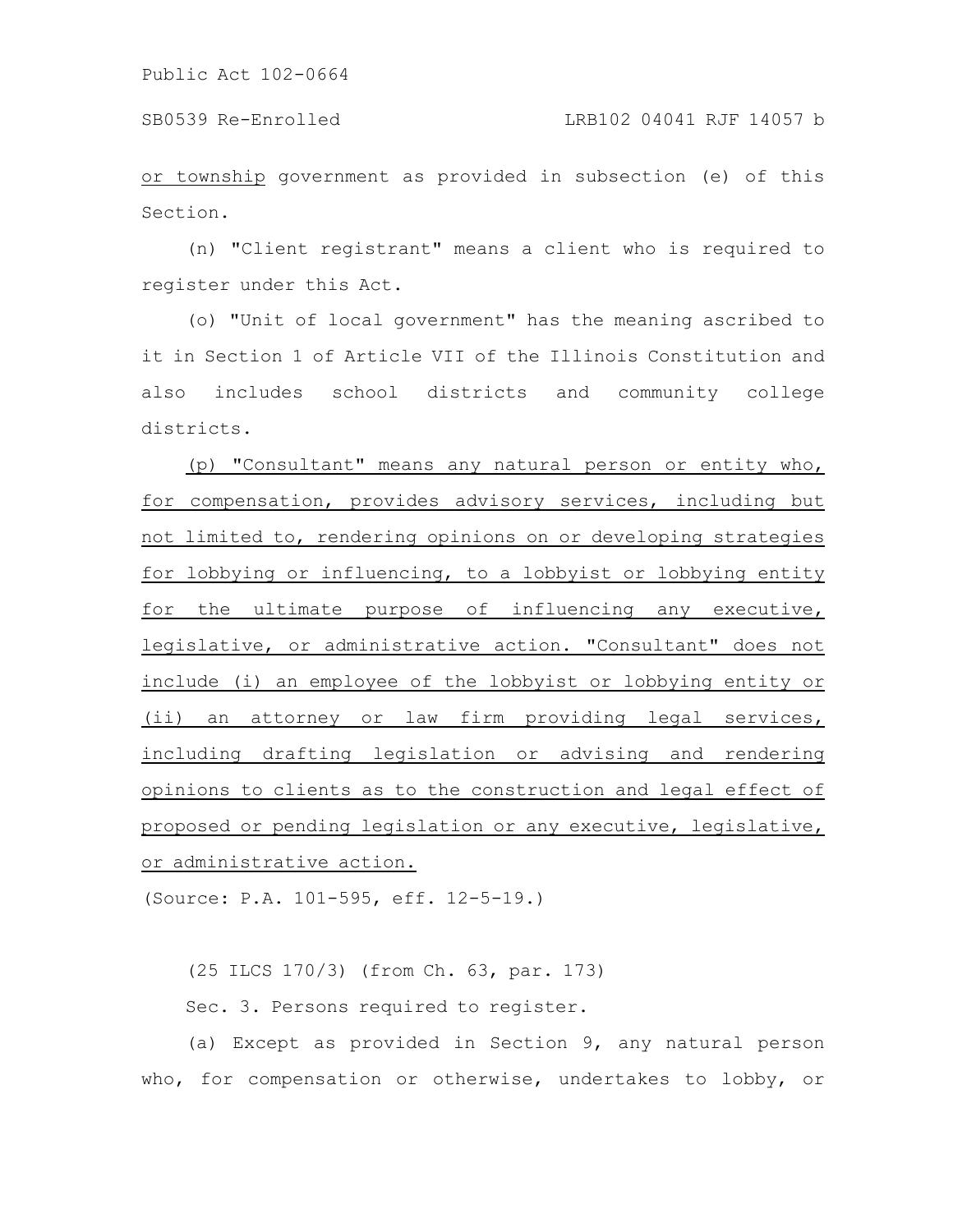or township government as provided in subsection (e) of this Section.

(n) "Client registrant" means a client who is required to register under this Act.

(o) "Unit of local government" has the meaning ascribed to it in Section 1 of Article VII of the Illinois Constitution and also includes school districts and community college districts.

(p) "Consultant" means any natural person or entity who, for compensation, provides advisory services, including but not limited to, rendering opinions on or developing strategies for lobbying or influencing, to a lobbyist or lobbying entity for the ultimate purpose of influencing any executive, legislative, or administrative action. "Consultant" does not include (i) an employee of the lobbyist or lobbying entity or (ii) an attorney or law firm providing legal services, including drafting legislation or advising and rendering opinions to clients as to the construction and legal effect of proposed or pending legislation or any executive, legislative, or administrative action.

(Source: P.A. 101-595, eff. 12-5-19.)

(25 ILCS 170/3) (from Ch. 63, par. 173)

Sec. 3. Persons required to register.

(a) Except as provided in Section 9, any natural person who, for compensation or otherwise, undertakes to lobby, or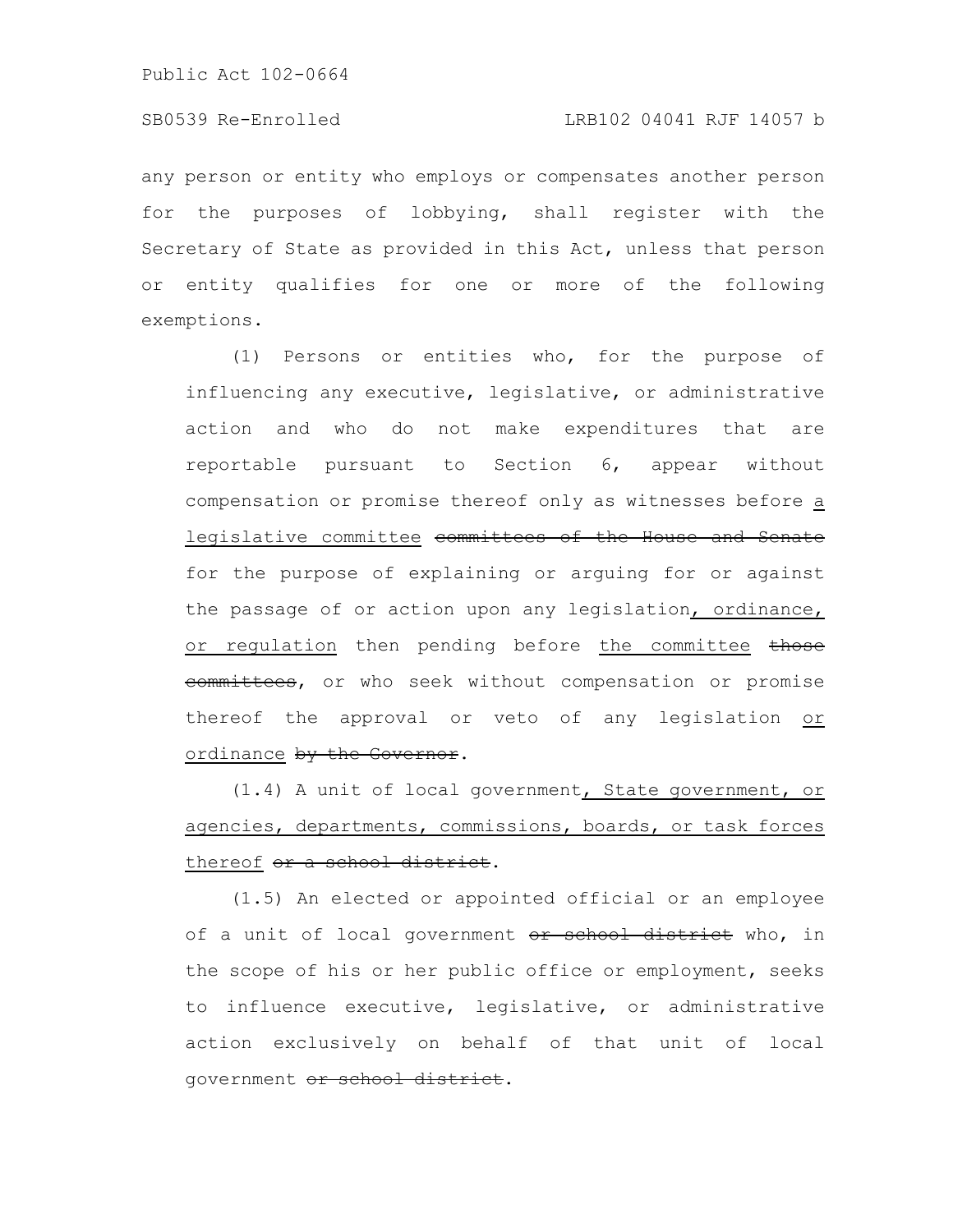any person or entity who employs or compensates another person for the purposes of lobbying, shall register with the Secretary of State as provided in this Act, unless that person or entity qualifies for one or more of the following exemptions.

(1) Persons or entities who, for the purpose of influencing any executive, legislative, or administrative action and who do not make expenditures that are reportable pursuant to Section 6, appear without compensation or promise thereof only as witnesses before a legislative committee committees of the House and Senate for the purpose of explaining or arguing for or against the passage of or action upon any legislation, ordinance, or regulation then pending before the committee those eommittees, or who seek without compensation or promise thereof the approval or veto of any legislation or ordinance by the Governor.

(1.4) A unit of local government, State government, or agencies, departments, commissions, boards, or task forces thereof or a school district.

(1.5) An elected or appointed official or an employee of a unit of local government or school district who, in the scope of his or her public office or employment, seeks to influence executive, legislative, or administrative action exclusively on behalf of that unit of local government or school district.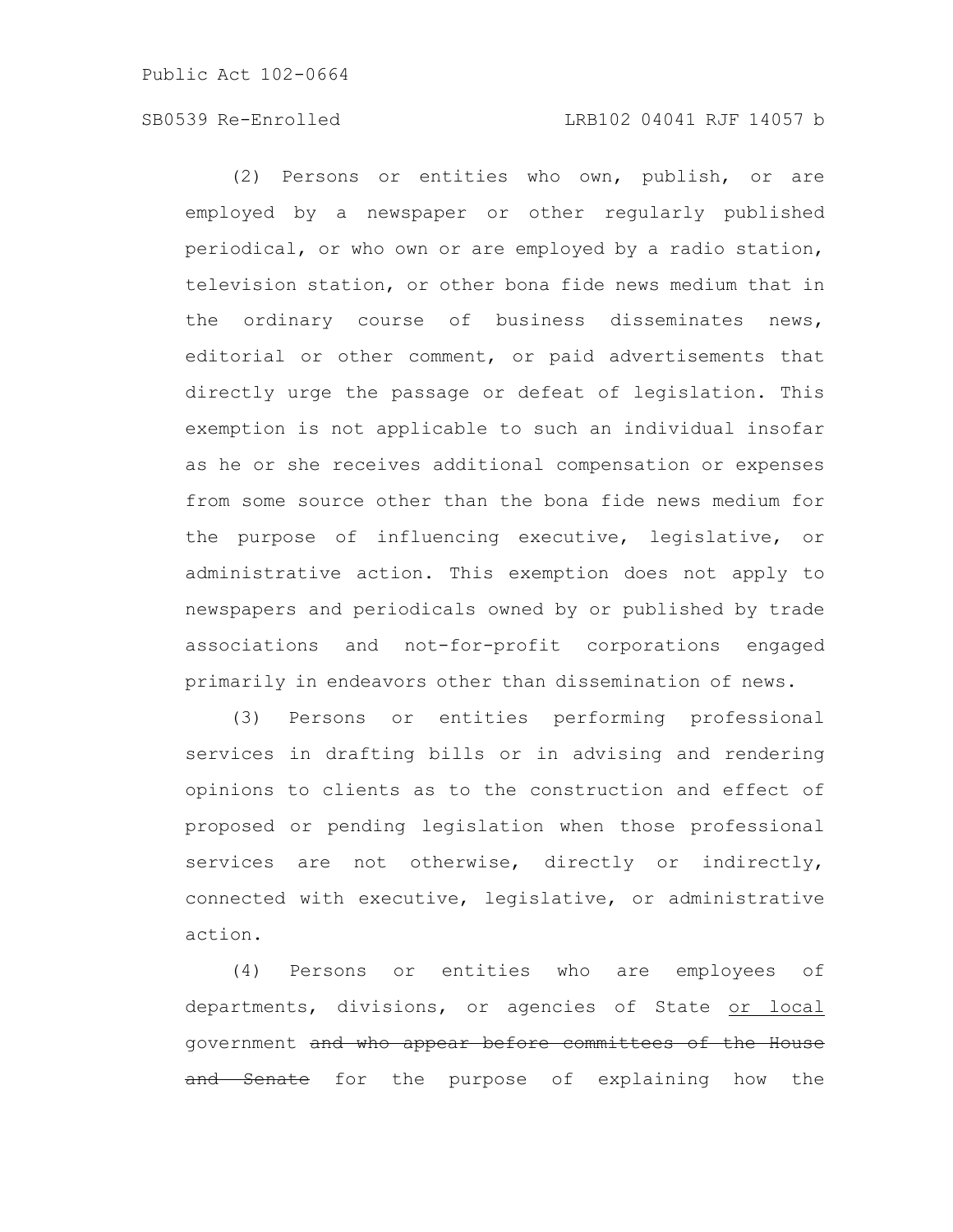# SB0539 Re-Enrolled LRB102 04041 RJF 14057 b

(2) Persons or entities who own, publish, or are employed by a newspaper or other regularly published periodical, or who own or are employed by a radio station, television station, or other bona fide news medium that in the ordinary course of business disseminates news, editorial or other comment, or paid advertisements that directly urge the passage or defeat of legislation. This exemption is not applicable to such an individual insofar as he or she receives additional compensation or expenses from some source other than the bona fide news medium for the purpose of influencing executive, legislative, or administrative action. This exemption does not apply to newspapers and periodicals owned by or published by trade associations and not-for-profit corporations engaged primarily in endeavors other than dissemination of news.

(3) Persons or entities performing professional services in drafting bills or in advising and rendering opinions to clients as to the construction and effect of proposed or pending legislation when those professional services are not otherwise, directly or indirectly, connected with executive, legislative, or administrative action.

(4) Persons or entities who are employees of departments, divisions, or agencies of State or local government and who appear before committees of the House and Senate for the purpose of explaining how the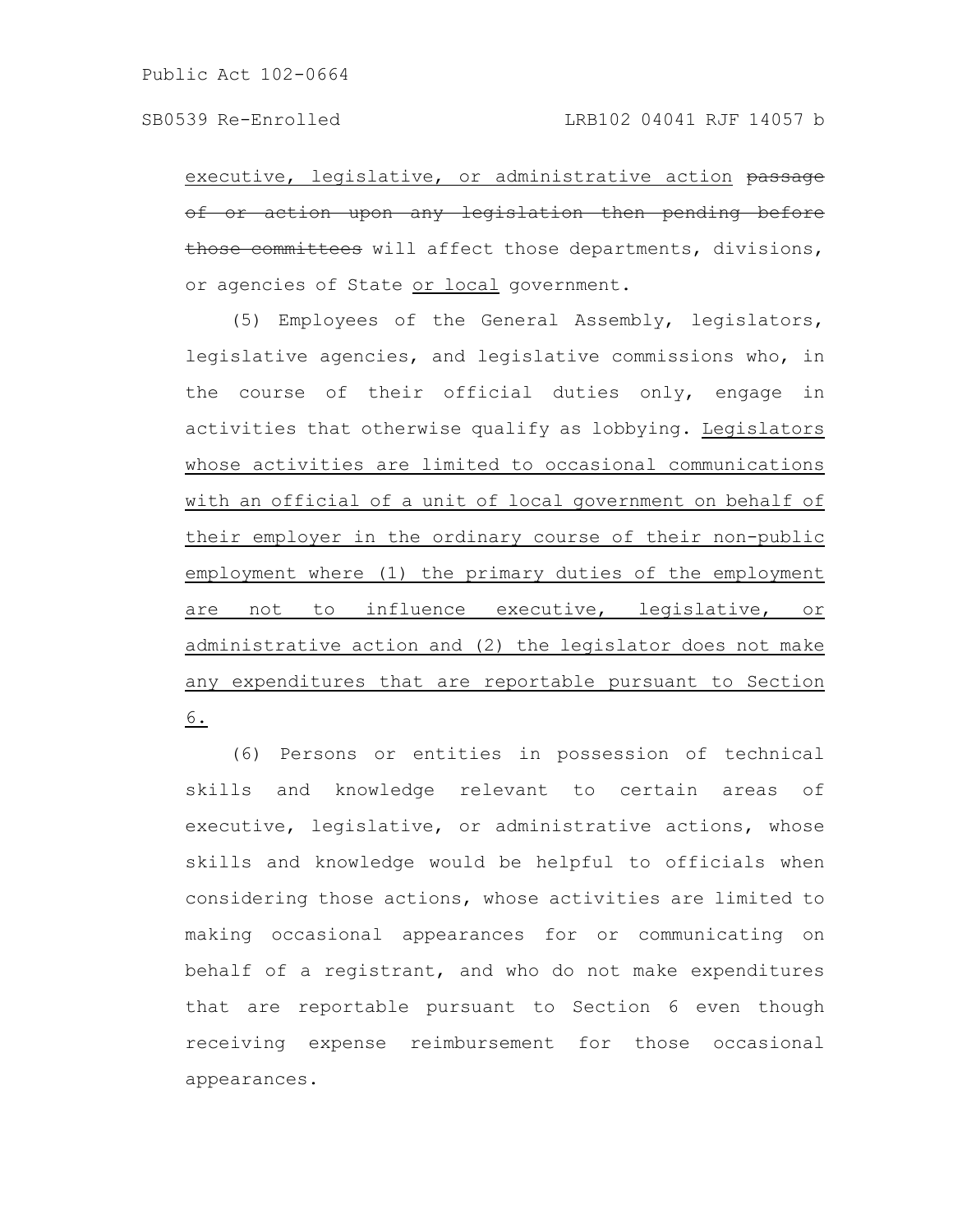executive, legislative, or administrative action passage of or action upon any legislation then pending before those committees will affect those departments, divisions, or agencies of State or local government.

(5) Employees of the General Assembly, legislators, legislative agencies, and legislative commissions who, in the course of their official duties only, engage in activities that otherwise qualify as lobbying. Legislators whose activities are limited to occasional communications with an official of a unit of local government on behalf of their employer in the ordinary course of their non-public employment where (1) the primary duties of the employment are not to influence executive, legislative, or administrative action and (2) the legislator does not make any expenditures that are reportable pursuant to Section 6.

(6) Persons or entities in possession of technical skills and knowledge relevant to certain areas of executive, legislative, or administrative actions, whose skills and knowledge would be helpful to officials when considering those actions, whose activities are limited to making occasional appearances for or communicating on behalf of a registrant, and who do not make expenditures that are reportable pursuant to Section 6 even though receiving expense reimbursement for those occasional appearances.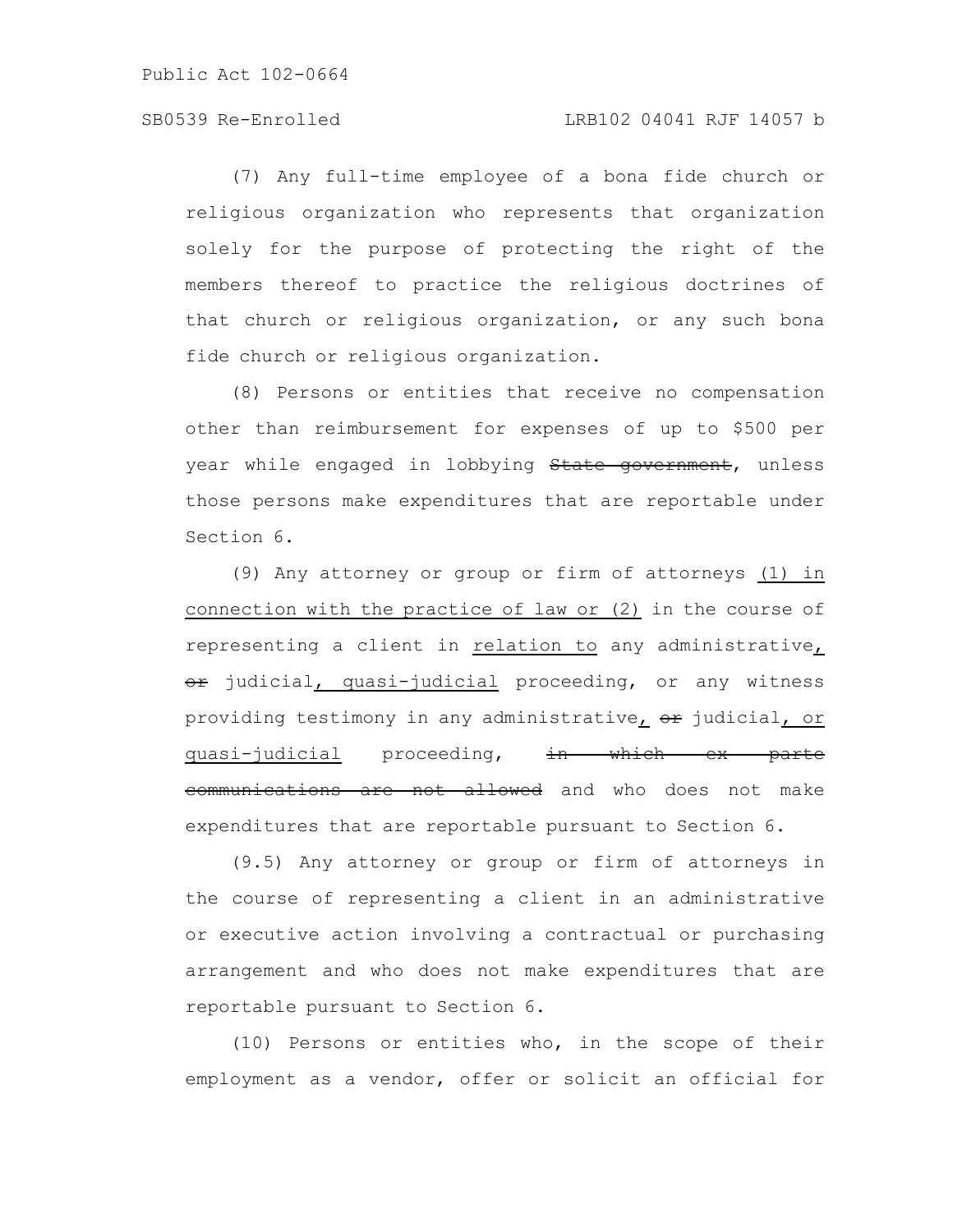(7) Any full-time employee of a bona fide church or religious organization who represents that organization solely for the purpose of protecting the right of the members thereof to practice the religious doctrines of that church or religious organization, or any such bona fide church or religious organization.

(8) Persons or entities that receive no compensation other than reimbursement for expenses of up to \$500 per year while engaged in lobbying State government, unless those persons make expenditures that are reportable under Section 6.

(9) Any attorney or group or firm of attorneys (1) in connection with the practice of law or (2) in the course of representing a client in relation to any administrative, or judicial, quasi-judicial proceeding, or any witness providing testimony in any administrative, or judicial, or quasi-judicial proceeding, in which ex parte communications are not allowed and who does not make expenditures that are reportable pursuant to Section 6.

(9.5) Any attorney or group or firm of attorneys in the course of representing a client in an administrative or executive action involving a contractual or purchasing arrangement and who does not make expenditures that are reportable pursuant to Section 6.

(10) Persons or entities who, in the scope of their employment as a vendor, offer or solicit an official for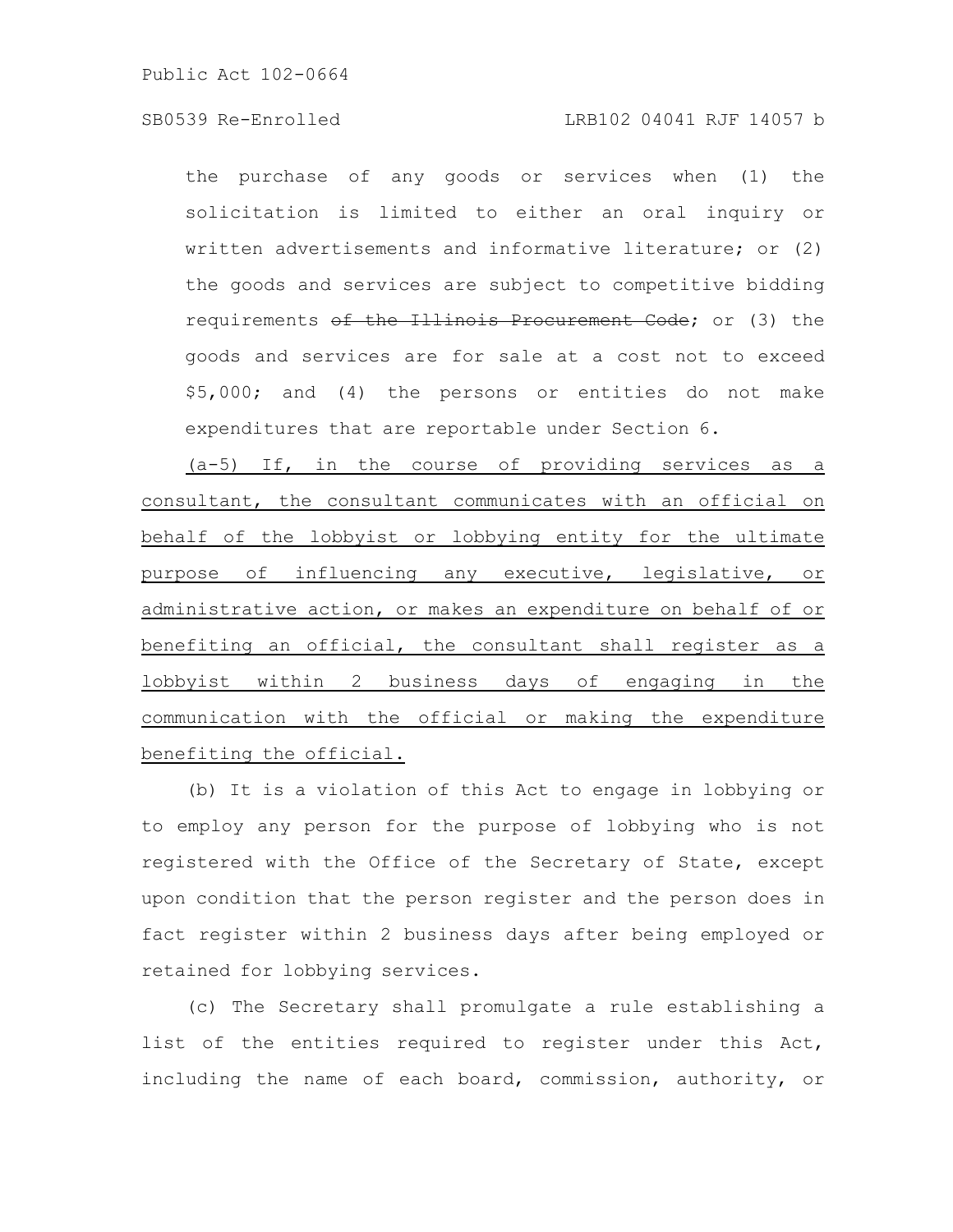# SB0539 Re-Enrolled LRB102 04041 RJF 14057 b

the purchase of any goods or services when (1) the solicitation is limited to either an oral inquiry or written advertisements and informative literature; or (2) the goods and services are subject to competitive bidding requirements of the Illinois Procurement Code; or (3) the goods and services are for sale at a cost not to exceed \$5,000; and (4) the persons or entities do not make expenditures that are reportable under Section 6.

(a-5) If, in the course of providing services as a consultant, the consultant communicates with an official on behalf of the lobbyist or lobbying entity for the ultimate purpose of influencing any executive, legislative, or administrative action, or makes an expenditure on behalf of or benefiting an official, the consultant shall register as a lobbyist within 2 business days of engaging in the communication with the official or making the expenditure benefiting the official.

(b) It is a violation of this Act to engage in lobbying or to employ any person for the purpose of lobbying who is not registered with the Office of the Secretary of State, except upon condition that the person register and the person does in fact register within 2 business days after being employed or retained for lobbying services.

(c) The Secretary shall promulgate a rule establishing a list of the entities required to register under this Act, including the name of each board, commission, authority, or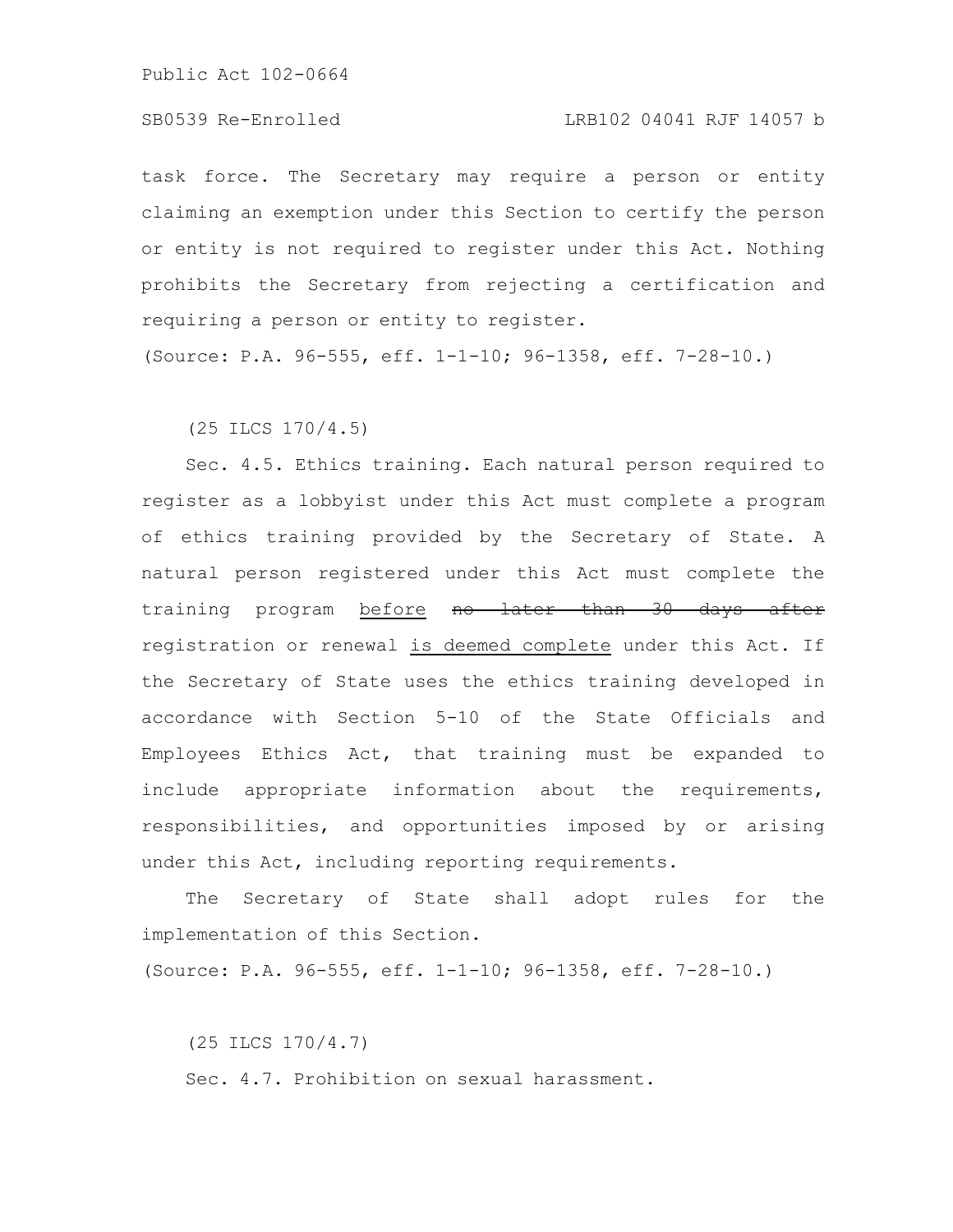task force. The Secretary may require a person or entity claiming an exemption under this Section to certify the person or entity is not required to register under this Act. Nothing prohibits the Secretary from rejecting a certification and requiring a person or entity to register.

(Source: P.A. 96-555, eff. 1-1-10; 96-1358, eff. 7-28-10.)

(25 ILCS 170/4.5)

Sec. 4.5. Ethics training. Each natural person required to register as a lobbyist under this Act must complete a program of ethics training provided by the Secretary of State. A natural person registered under this Act must complete the training program before no later than 30 days after registration or renewal is deemed complete under this Act. If the Secretary of State uses the ethics training developed in accordance with Section 5-10 of the State Officials and Employees Ethics Act, that training must be expanded to include appropriate information about the requirements, responsibilities, and opportunities imposed by or arising under this Act, including reporting requirements.

The Secretary of State shall adopt rules for the implementation of this Section.

(Source: P.A. 96-555, eff. 1-1-10; 96-1358, eff. 7-28-10.)

(25 ILCS 170/4.7) Sec. 4.7. Prohibition on sexual harassment.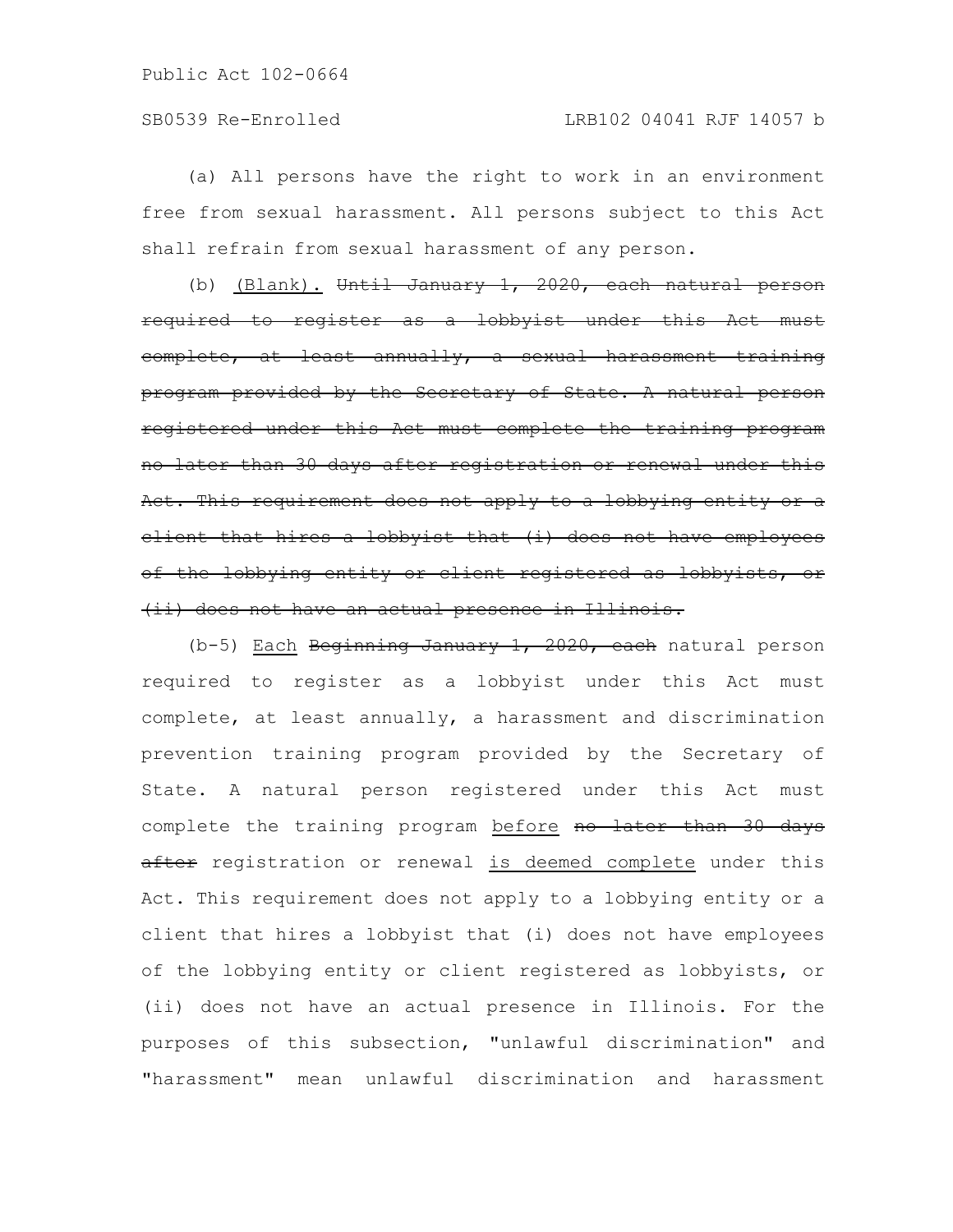(a) All persons have the right to work in an environment free from sexual harassment. All persons subject to this Act shall refrain from sexual harassment of any person.

(b) (Blank). Until January 1, 2020, each natural person required to register as a lobbyist under this Act must complete, at least annually, a sexual harassment training program provided by the Secretary of State. A natural person registered under this Act must complete the training program no later than 30 days after registration or renewal under this Act. This requirement does not apply to a lobbying entity or a client that hires a lobbyist that (i) does not have employees of the lobbying entity or client registered as lobbyists, or (ii) does not have an actual presence in Illinois.

(b-5) Each Beginning January 1, 2020, each natural person required to register as a lobbyist under this Act must complete, at least annually, a harassment and discrimination prevention training program provided by the Secretary of State. A natural person registered under this Act must complete the training program before no later than 30 days after registration or renewal is deemed complete under this Act. This requirement does not apply to a lobbying entity or a client that hires a lobbyist that (i) does not have employees of the lobbying entity or client registered as lobbyists, or (ii) does not have an actual presence in Illinois. For the purposes of this subsection, "unlawful discrimination" and "harassment" mean unlawful discrimination and harassment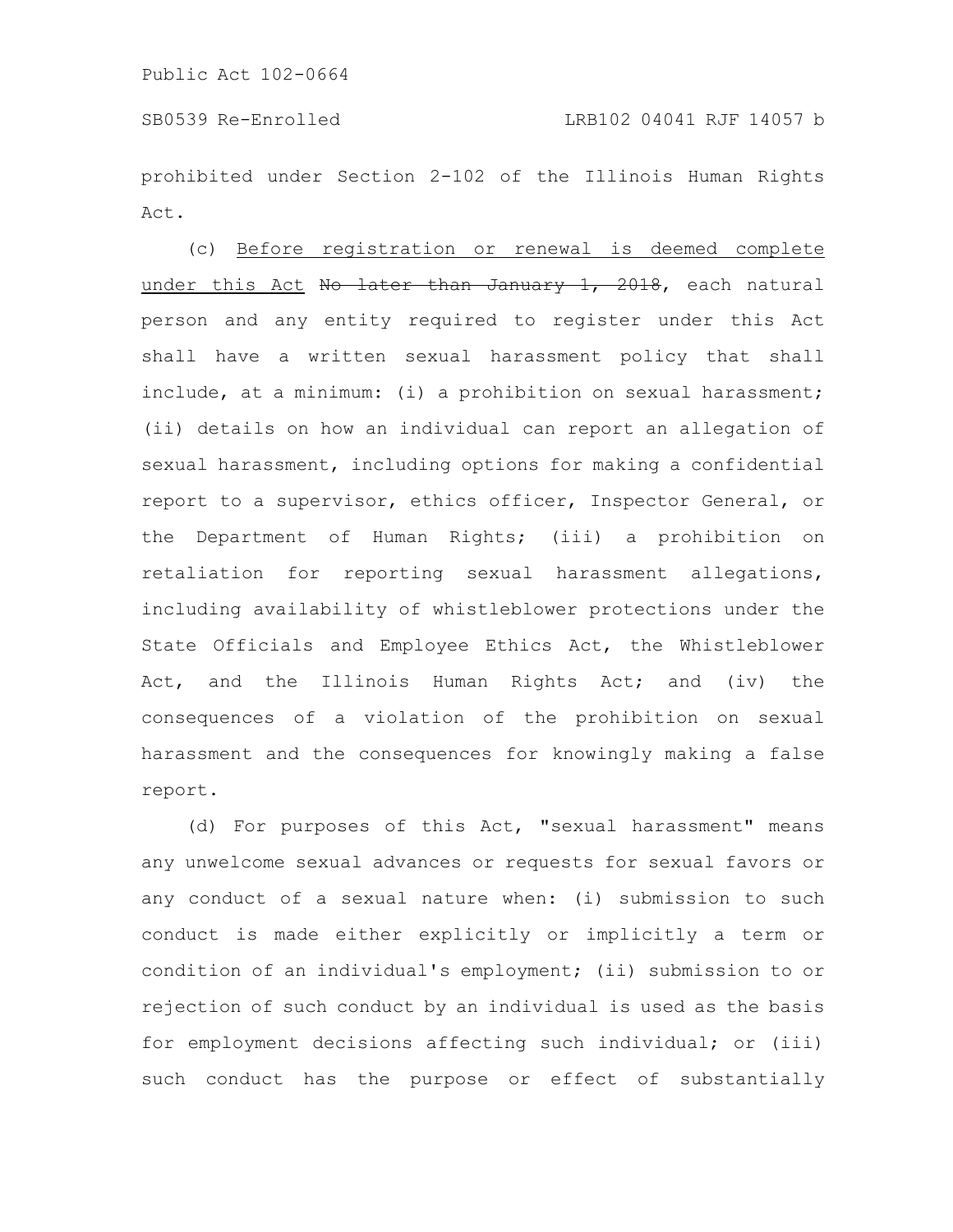prohibited under Section 2-102 of the Illinois Human Rights Act.

(c) Before registration or renewal is deemed complete under this Act No later than January 1, 2018, each natural person and any entity required to register under this Act shall have a written sexual harassment policy that shall include, at a minimum: (i) a prohibition on sexual harassment; (ii) details on how an individual can report an allegation of sexual harassment, including options for making a confidential report to a supervisor, ethics officer, Inspector General, or the Department of Human Rights; (iii) a prohibition on retaliation for reporting sexual harassment allegations, including availability of whistleblower protections under the State Officials and Employee Ethics Act, the Whistleblower Act, and the Illinois Human Rights Act; and (iv) the consequences of a violation of the prohibition on sexual harassment and the consequences for knowingly making a false report.

(d) For purposes of this Act, "sexual harassment" means any unwelcome sexual advances or requests for sexual favors or any conduct of a sexual nature when: (i) submission to such conduct is made either explicitly or implicitly a term or condition of an individual's employment; (ii) submission to or rejection of such conduct by an individual is used as the basis for employment decisions affecting such individual; or (iii) such conduct has the purpose or effect of substantially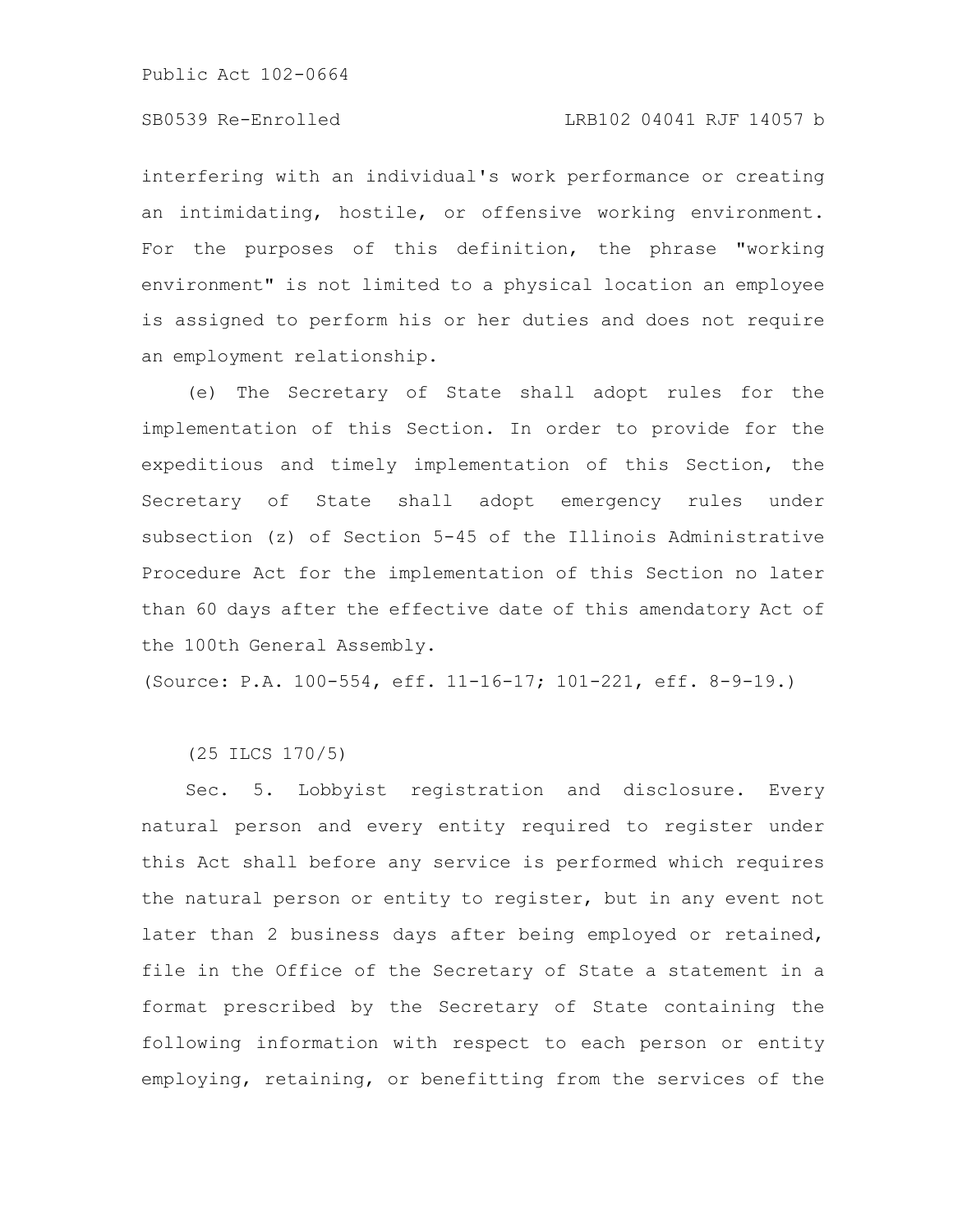# SB0539 Re-Enrolled LRB102 04041 RJF 14057 b

interfering with an individual's work performance or creating an intimidating, hostile, or offensive working environment. For the purposes of this definition, the phrase "working environment" is not limited to a physical location an employee is assigned to perform his or her duties and does not require an employment relationship.

(e) The Secretary of State shall adopt rules for the implementation of this Section. In order to provide for the expeditious and timely implementation of this Section, the Secretary of State shall adopt emergency rules under subsection (z) of Section 5-45 of the Illinois Administrative Procedure Act for the implementation of this Section no later than 60 days after the effective date of this amendatory Act of the 100th General Assembly.

(Source: P.A. 100-554, eff. 11-16-17; 101-221, eff. 8-9-19.)

(25 ILCS 170/5)

Sec. 5. Lobbyist registration and disclosure. Every natural person and every entity required to register under this Act shall before any service is performed which requires the natural person or entity to register, but in any event not later than 2 business days after being employed or retained, file in the Office of the Secretary of State a statement in a format prescribed by the Secretary of State containing the following information with respect to each person or entity employing, retaining, or benefitting from the services of the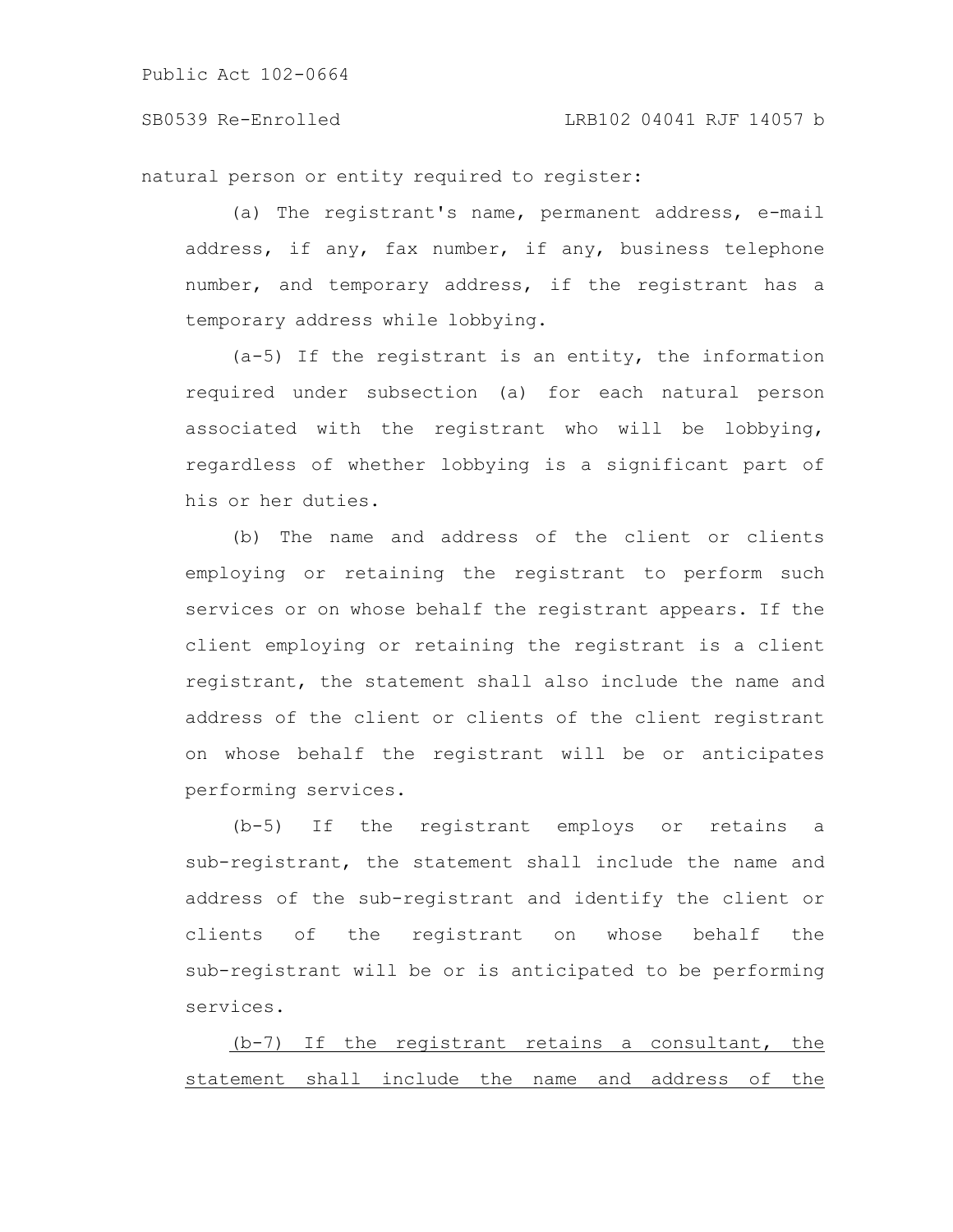SB0539 Re-Enrolled LRB102 04041 RJF 14057 b

natural person or entity required to register:

(a) The registrant's name, permanent address, e-mail address, if any, fax number, if any, business telephone number, and temporary address, if the registrant has a temporary address while lobbying.

(a-5) If the registrant is an entity, the information required under subsection (a) for each natural person associated with the registrant who will be lobbying, regardless of whether lobbying is a significant part of his or her duties.

(b) The name and address of the client or clients employing or retaining the registrant to perform such services or on whose behalf the registrant appears. If the client employing or retaining the registrant is a client registrant, the statement shall also include the name and address of the client or clients of the client registrant on whose behalf the registrant will be or anticipates performing services.

(b-5) If the registrant employs or retains a sub-registrant, the statement shall include the name and address of the sub-registrant and identify the client or clients of the registrant on whose behalf the sub-registrant will be or is anticipated to be performing services.

(b-7) If the registrant retains a consultant, the statement shall include the name and address of the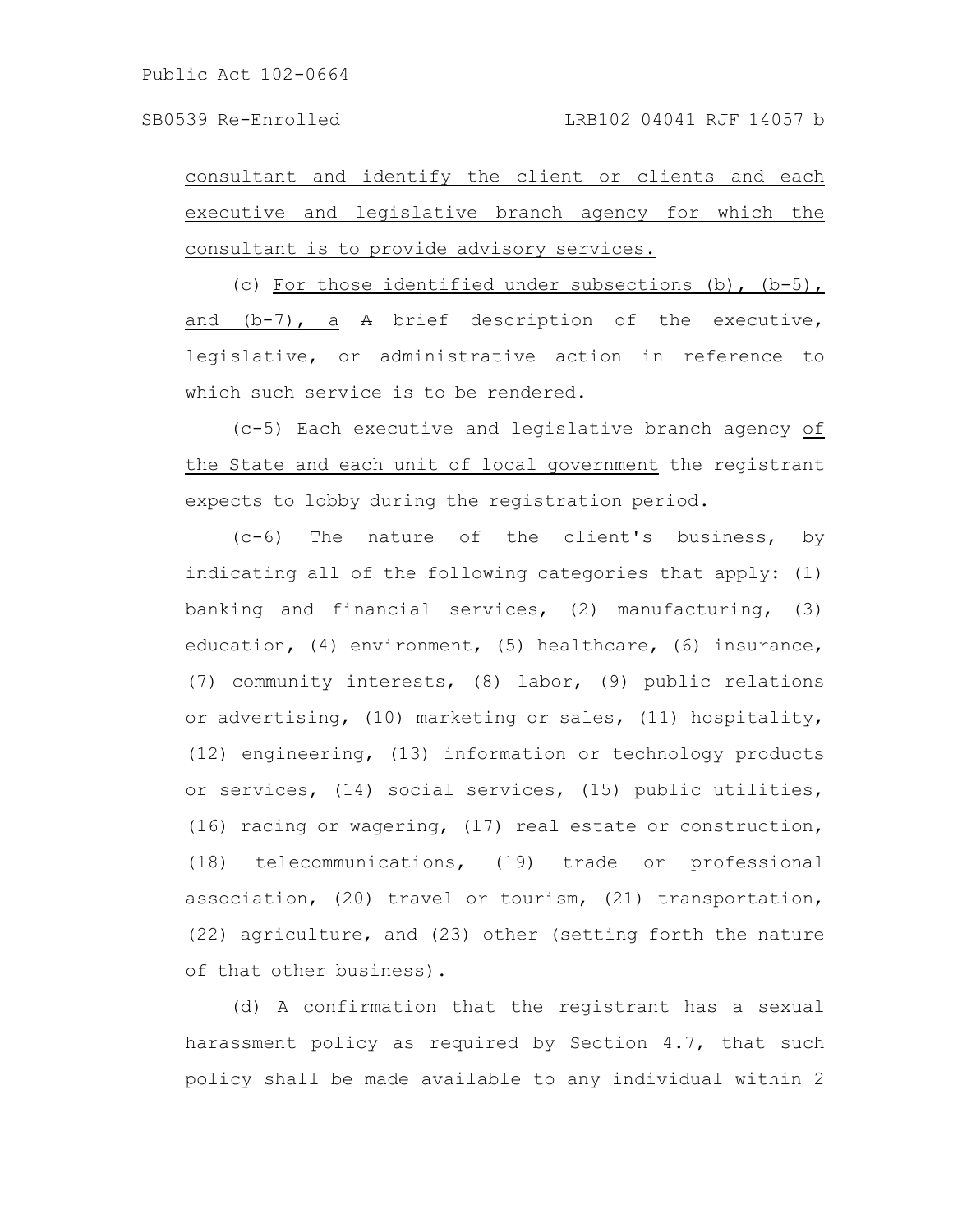consultant and identify the client or clients and each executive and legislative branch agency for which the consultant is to provide advisory services.

(c) For those identified under subsections (b), (b-5), and  $(b-7)$ , a  $A$  brief description of the executive, legislative, or administrative action in reference to which such service is to be rendered.

(c-5) Each executive and legislative branch agency of the State and each unit of local government the registrant expects to lobby during the registration period.

(c-6) The nature of the client's business, by indicating all of the following categories that apply: (1) banking and financial services, (2) manufacturing, (3) education, (4) environment, (5) healthcare, (6) insurance, (7) community interests, (8) labor, (9) public relations or advertising, (10) marketing or sales, (11) hospitality, (12) engineering, (13) information or technology products or services, (14) social services, (15) public utilities, (16) racing or wagering, (17) real estate or construction, (18) telecommunications, (19) trade or professional association, (20) travel or tourism, (21) transportation, (22) agriculture, and (23) other (setting forth the nature of that other business).

(d) A confirmation that the registrant has a sexual harassment policy as required by Section 4.7, that such policy shall be made available to any individual within 2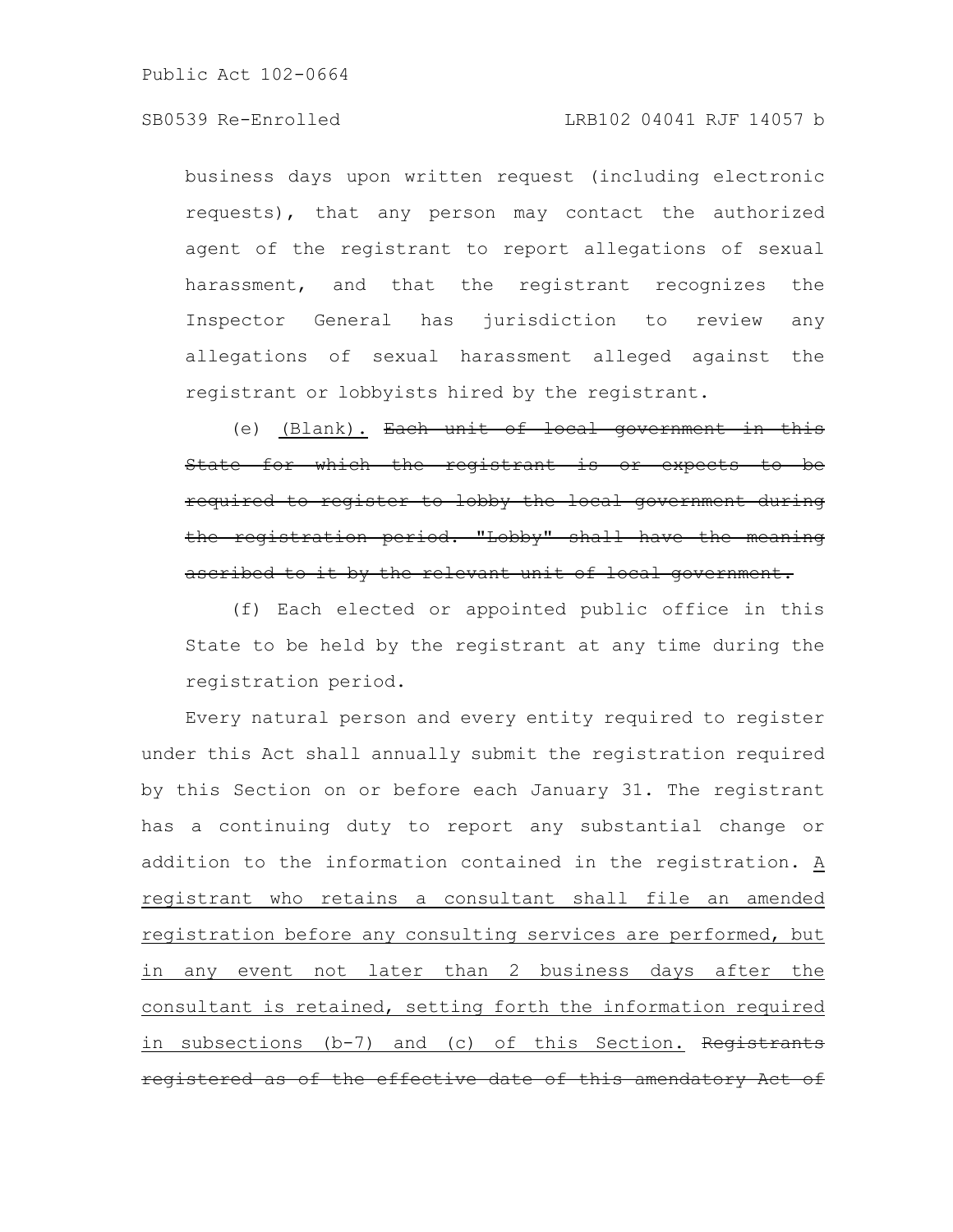# SB0539 Re-Enrolled LRB102 04041 RJF 14057 b

business days upon written request (including electronic requests), that any person may contact the authorized agent of the registrant to report allegations of sexual harassment, and that the registrant recognizes the Inspector General has jurisdiction to review any allegations of sexual harassment alleged against the registrant or lobbyists hired by the registrant.

(e) (Blank). Each unit of local government in this State for which the registrant is or expects to be required to register to lobby the local government during the registration period. "Lobby" shall have the meaning ascribed to it by the relevant unit of local government.

(f) Each elected or appointed public office in this State to be held by the registrant at any time during the registration period.

Every natural person and every entity required to register under this Act shall annually submit the registration required by this Section on or before each January 31. The registrant has a continuing duty to report any substantial change or addition to the information contained in the registration. A registrant who retains a consultant shall file an amended registration before any consulting services are performed, but in any event not later than 2 business days after the consultant is retained, setting forth the information required in subsections (b-7) and (c) of this Section. Registrants registered as of the effective date of this amendatory Act of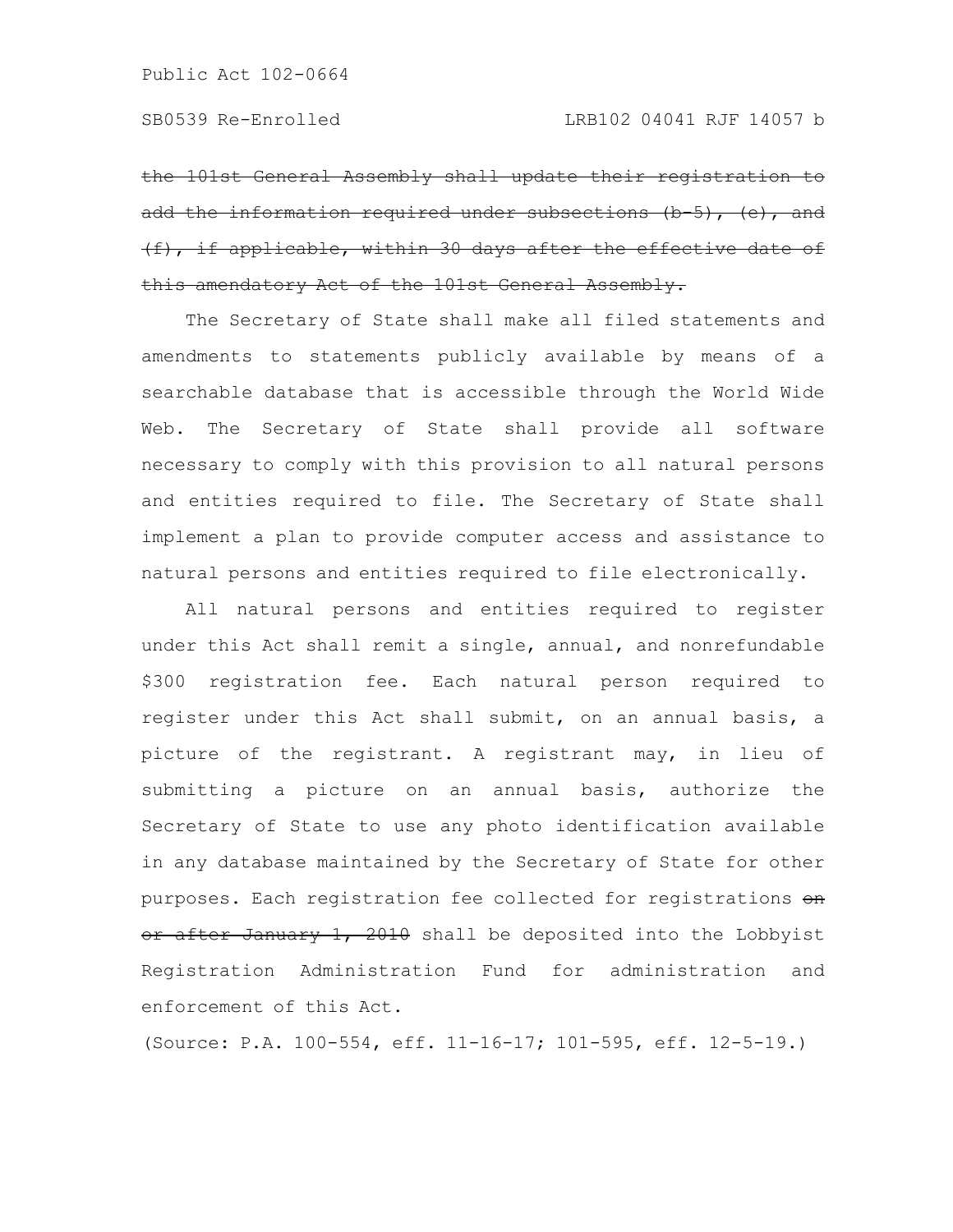the 101st General Assembly shall update their registration to add the information required under subsections (b-5), (e), and (f), if applicable, within 30 days after the effective date of this amendatory Act of the 101st General Assembly.

The Secretary of State shall make all filed statements and amendments to statements publicly available by means of a searchable database that is accessible through the World Wide Web. The Secretary of State shall provide all software necessary to comply with this provision to all natural persons and entities required to file. The Secretary of State shall implement a plan to provide computer access and assistance to natural persons and entities required to file electronically.

All natural persons and entities required to register under this Act shall remit a single, annual, and nonrefundable \$300 registration fee. Each natural person required to register under this Act shall submit, on an annual basis, a picture of the registrant. A registrant may, in lieu of submitting a picture on an annual basis, authorize the Secretary of State to use any photo identification available in any database maintained by the Secretary of State for other purposes. Each registration fee collected for registrations on or after January 1, 2010 shall be deposited into the Lobbyist Registration Administration Fund for administration and enforcement of this Act.

(Source: P.A. 100-554, eff. 11-16-17; 101-595, eff. 12-5-19.)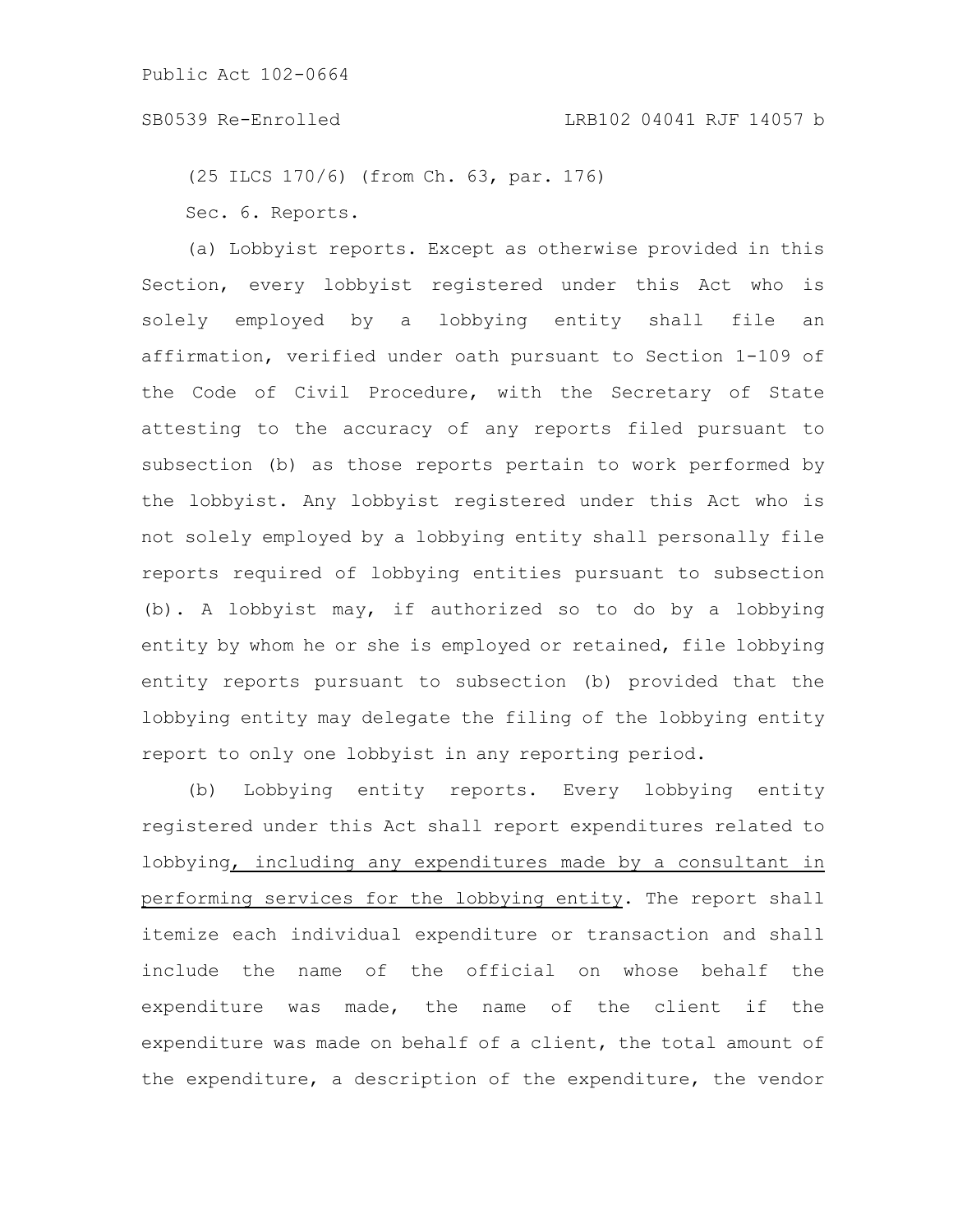(25 ILCS 170/6) (from Ch. 63, par. 176) Sec. 6. Reports.

(a) Lobbyist reports. Except as otherwise provided in this Section, every lobbyist registered under this Act who is solely employed by a lobbying entity shall file an affirmation, verified under oath pursuant to Section 1-109 of the Code of Civil Procedure, with the Secretary of State attesting to the accuracy of any reports filed pursuant to subsection (b) as those reports pertain to work performed by the lobbyist. Any lobbyist registered under this Act who is not solely employed by a lobbying entity shall personally file reports required of lobbying entities pursuant to subsection (b). A lobbyist may, if authorized so to do by a lobbying entity by whom he or she is employed or retained, file lobbying entity reports pursuant to subsection (b) provided that the lobbying entity may delegate the filing of the lobbying entity report to only one lobbyist in any reporting period.

(b) Lobbying entity reports. Every lobbying entity registered under this Act shall report expenditures related to lobbying, including any expenditures made by a consultant in performing services for the lobbying entity. The report shall itemize each individual expenditure or transaction and shall include the name of the official on whose behalf the expenditure was made, the name of the client if the expenditure was made on behalf of a client, the total amount of the expenditure, a description of the expenditure, the vendor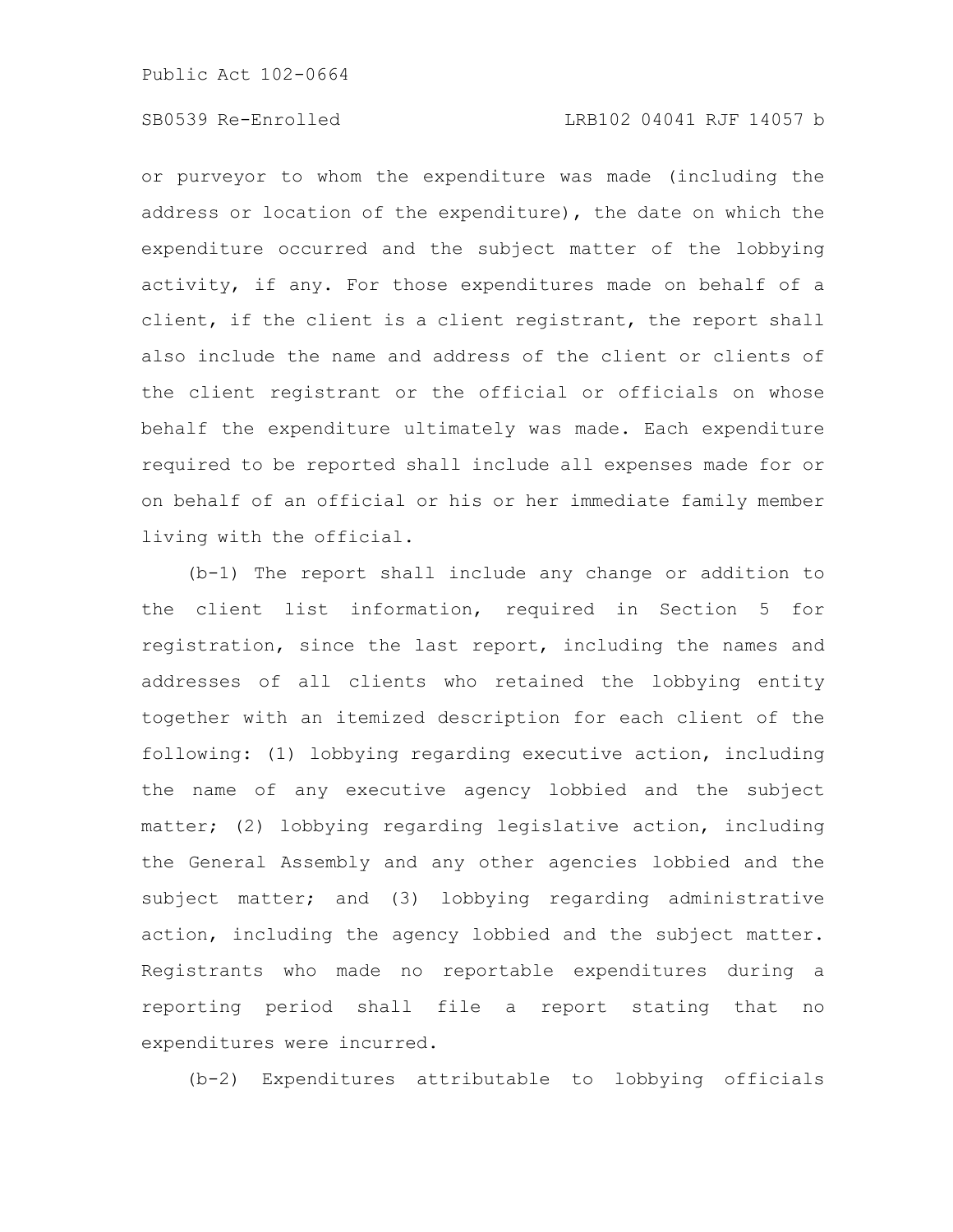or purveyor to whom the expenditure was made (including the address or location of the expenditure), the date on which the expenditure occurred and the subject matter of the lobbying activity, if any. For those expenditures made on behalf of a client, if the client is a client registrant, the report shall also include the name and address of the client or clients of the client registrant or the official or officials on whose behalf the expenditure ultimately was made. Each expenditure required to be reported shall include all expenses made for or on behalf of an official or his or her immediate family member living with the official.

(b-1) The report shall include any change or addition to the client list information, required in Section 5 for registration, since the last report, including the names and addresses of all clients who retained the lobbying entity together with an itemized description for each client of the following: (1) lobbying regarding executive action, including the name of any executive agency lobbied and the subject matter; (2) lobbying regarding legislative action, including the General Assembly and any other agencies lobbied and the subject matter; and (3) lobbying regarding administrative action, including the agency lobbied and the subject matter. Registrants who made no reportable expenditures during a reporting period shall file a report stating that no expenditures were incurred.

(b-2) Expenditures attributable to lobbying officials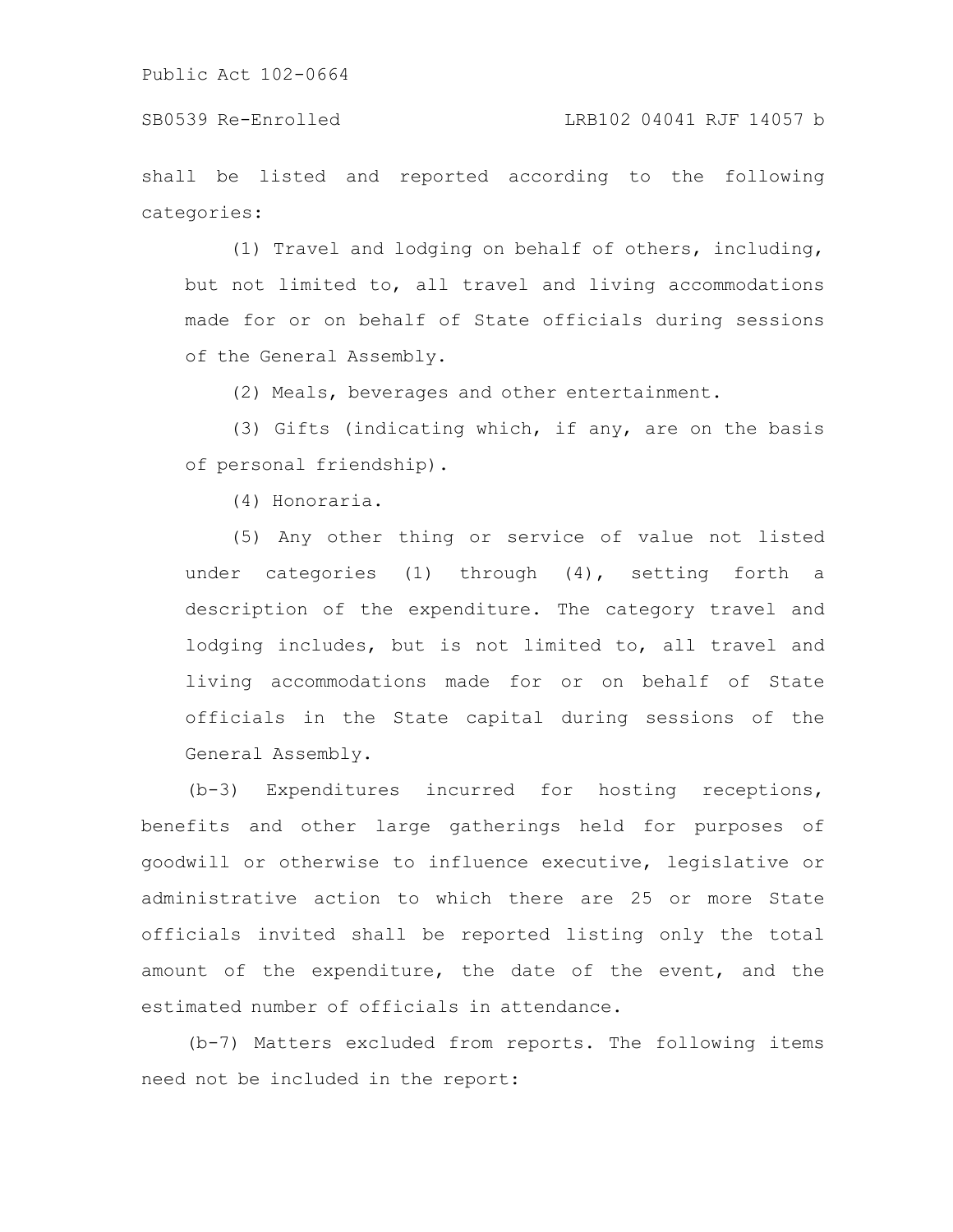SB0539 Re-Enrolled LRB102 04041 RJF 14057 b

shall be listed and reported according to the following categories:

(1) Travel and lodging on behalf of others, including, but not limited to, all travel and living accommodations made for or on behalf of State officials during sessions of the General Assembly.

(2) Meals, beverages and other entertainment.

(3) Gifts (indicating which, if any, are on the basis of personal friendship).

(4) Honoraria.

(5) Any other thing or service of value not listed under categories (1) through (4), setting forth a description of the expenditure. The category travel and lodging includes, but is not limited to, all travel and living accommodations made for or on behalf of State officials in the State capital during sessions of the General Assembly.

(b-3) Expenditures incurred for hosting receptions, benefits and other large gatherings held for purposes of goodwill or otherwise to influence executive, legislative or administrative action to which there are 25 or more State officials invited shall be reported listing only the total amount of the expenditure, the date of the event, and the estimated number of officials in attendance.

(b-7) Matters excluded from reports. The following items need not be included in the report: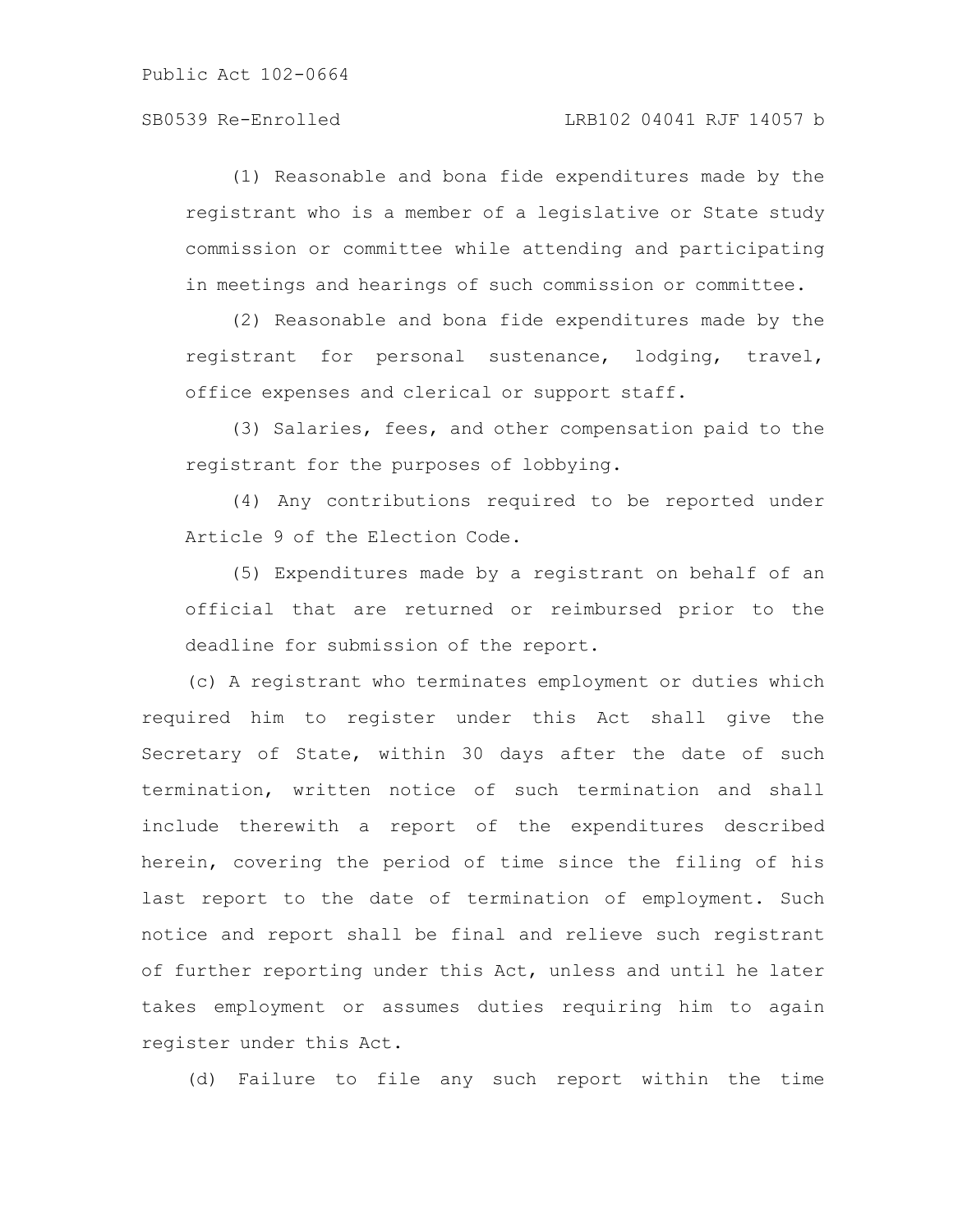(1) Reasonable and bona fide expenditures made by the registrant who is a member of a legislative or State study commission or committee while attending and participating in meetings and hearings of such commission or committee.

(2) Reasonable and bona fide expenditures made by the registrant for personal sustenance, lodging, travel, office expenses and clerical or support staff.

(3) Salaries, fees, and other compensation paid to the registrant for the purposes of lobbying.

(4) Any contributions required to be reported under Article 9 of the Election Code.

(5) Expenditures made by a registrant on behalf of an official that are returned or reimbursed prior to the deadline for submission of the report.

(c) A registrant who terminates employment or duties which required him to register under this Act shall give the Secretary of State, within 30 days after the date of such termination, written notice of such termination and shall include therewith a report of the expenditures described herein, covering the period of time since the filing of his last report to the date of termination of employment. Such notice and report shall be final and relieve such registrant of further reporting under this Act, unless and until he later takes employment or assumes duties requiring him to again register under this Act.

(d) Failure to file any such report within the time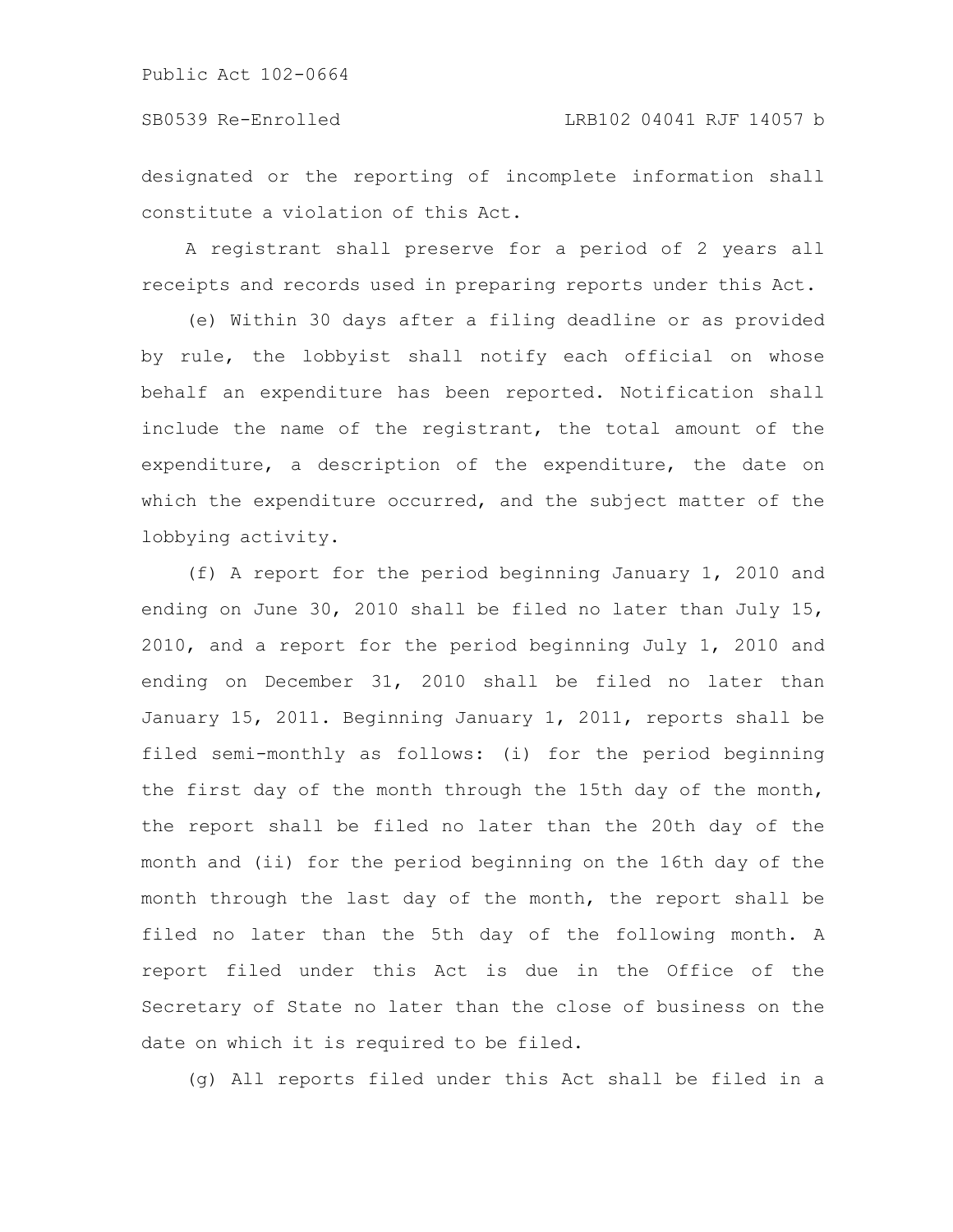designated or the reporting of incomplete information shall constitute a violation of this Act.

A registrant shall preserve for a period of 2 years all receipts and records used in preparing reports under this Act.

(e) Within 30 days after a filing deadline or as provided by rule, the lobbyist shall notify each official on whose behalf an expenditure has been reported. Notification shall include the name of the registrant, the total amount of the expenditure, a description of the expenditure, the date on which the expenditure occurred, and the subject matter of the lobbying activity.

(f) A report for the period beginning January 1, 2010 and ending on June 30, 2010 shall be filed no later than July 15, 2010, and a report for the period beginning July 1, 2010 and ending on December 31, 2010 shall be filed no later than January 15, 2011. Beginning January 1, 2011, reports shall be filed semi-monthly as follows: (i) for the period beginning the first day of the month through the 15th day of the month, the report shall be filed no later than the 20th day of the month and (ii) for the period beginning on the 16th day of the month through the last day of the month, the report shall be filed no later than the 5th day of the following month. A report filed under this Act is due in the Office of the Secretary of State no later than the close of business on the date on which it is required to be filed.

(g) All reports filed under this Act shall be filed in a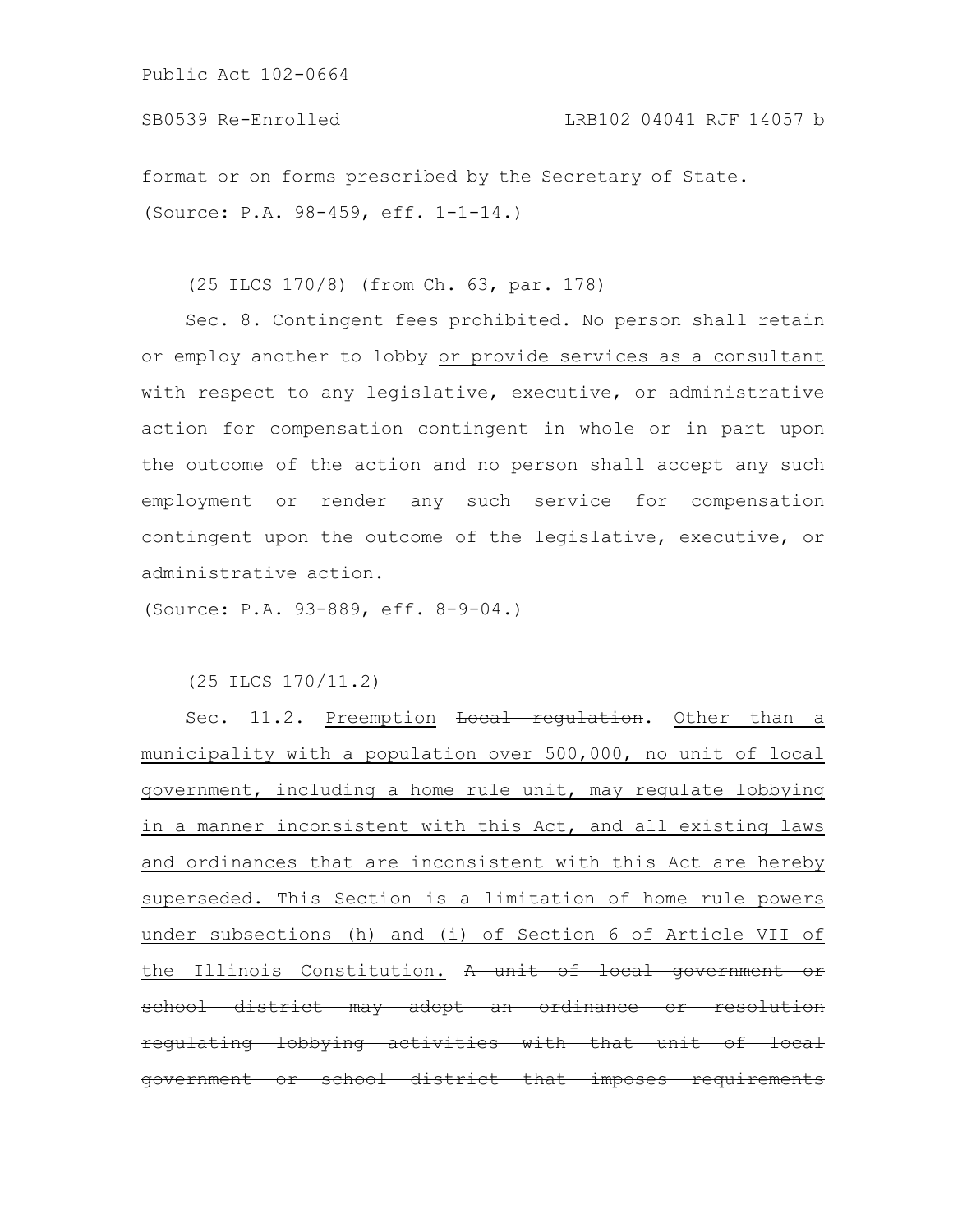format or on forms prescribed by the Secretary of State. (Source: P.A. 98-459, eff. 1-1-14.)

(25 ILCS 170/8) (from Ch. 63, par. 178)

Sec. 8. Contingent fees prohibited. No person shall retain or employ another to lobby or provide services as a consultant with respect to any legislative, executive, or administrative action for compensation contingent in whole or in part upon the outcome of the action and no person shall accept any such employment or render any such service for compensation contingent upon the outcome of the legislative, executive, or administrative action.

(Source: P.A. 93-889, eff. 8-9-04.)

(25 ILCS 170/11.2)

Sec. 11.2. Preemption Local regulation. Other than a municipality with a population over 500,000, no unit of local government, including a home rule unit, may regulate lobbying in a manner inconsistent with this Act, and all existing laws and ordinances that are inconsistent with this Act are hereby superseded. This Section is a limitation of home rule powers under subsections (h) and (i) of Section 6 of Article VII of the Illinois Constitution. A unit of local government school district may adopt an ordinance or resolution regulating lobbying activities with that unit government or school district that imposes requirements